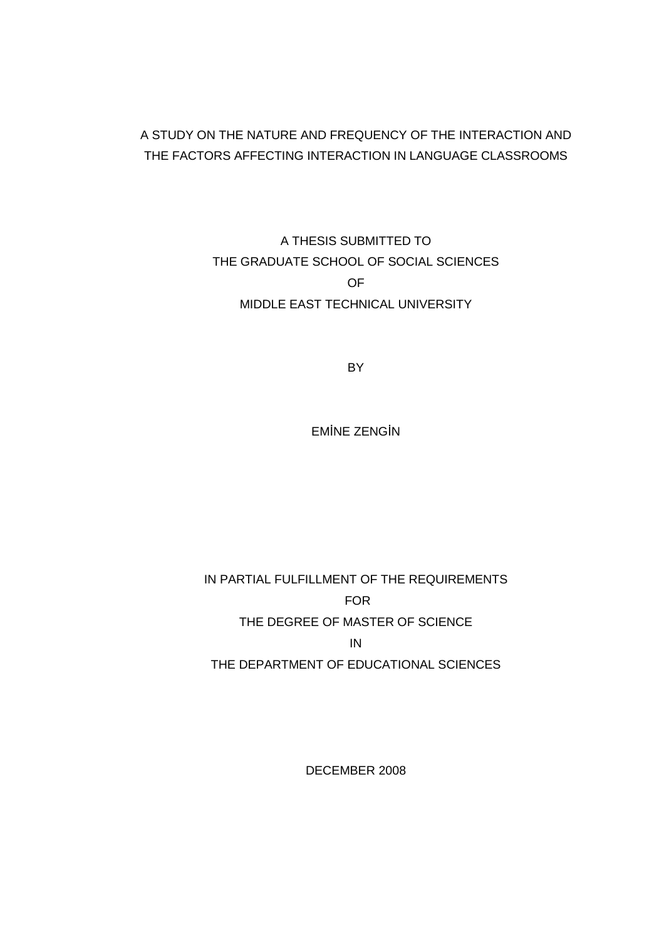### A STUDY ON THE NATURE AND FREQUENCY OF THE INTERACTION AND THE FACTORS AFFECTING INTERACTION IN LANGUAGE CLASSROOMS

## A THESIS SUBMITTED TO THE GRADUATE SCHOOL OF SOCIAL SCIENCES OF MIDDLE EAST TECHNICAL UNIVERSITY

BY

EMİNE ZENGİN

## IN PARTIAL FULFILLMENT OF THE REQUIREMENTS FOR THE DEGREE OF MASTER OF SCIENCE IN THE DEPARTMENT OF EDUCATIONAL SCIENCES

DECEMBER 2008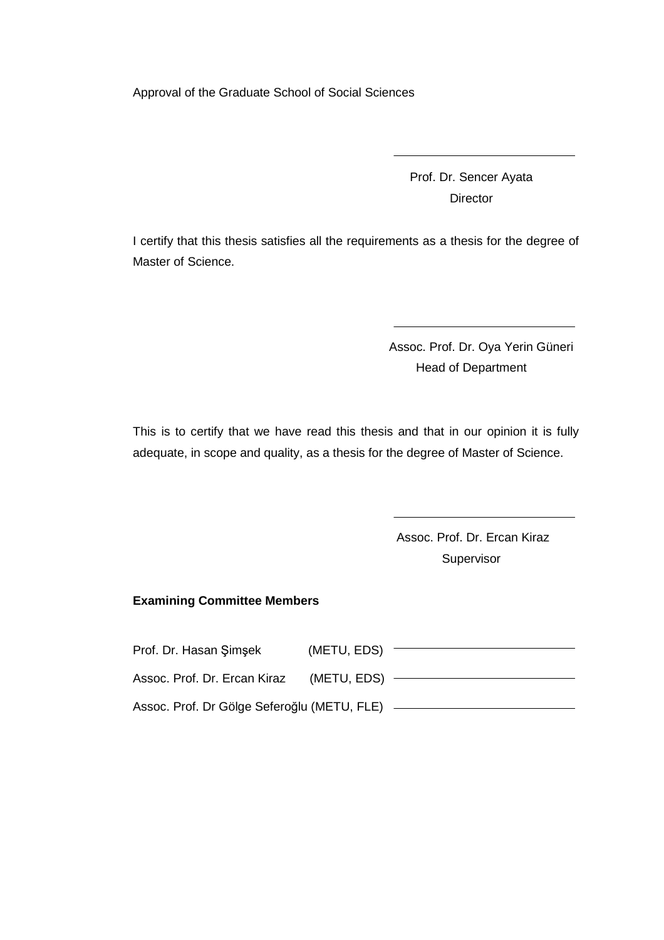Approval of the Graduate School of Social Sciences

Prof. Dr. Sencer Ayata **Director** 

I certify that this thesis satisfies all the requirements as a thesis for the degree of Master of Science.

> Assoc. Prof. Dr. Oya Yerin Güneri Head of Department

This is to certify that we have read this thesis and that in our opinion it is fully adequate, in scope and quality, as a thesis for the degree of Master of Science.

> Assoc. Prof. Dr. Ercan Kiraz Supervisor

#### **Examining Committee Members**

| Prof. Dr. Hasan Şimşek                      | (METU, EDS) |  |
|---------------------------------------------|-------------|--|
| Assoc. Prof. Dr. Ercan Kiraz                | (METU, EDS) |  |
| Assoc. Prof. Dr Gölge Seferoğlu (METU, FLE) |             |  |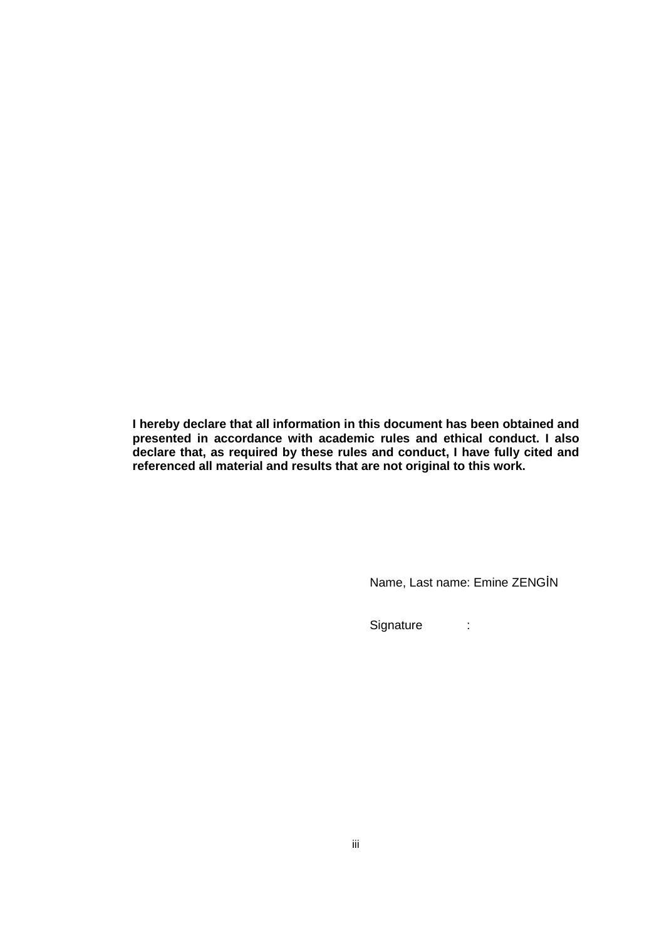**I hereby declare that all information in this document has been obtained and presented in accordance with academic rules and ethical conduct. I also declare that, as required by these rules and conduct, I have fully cited and referenced all material and results that are not original to this work.** 

Name, Last name: Emine ZENGİN

Signature :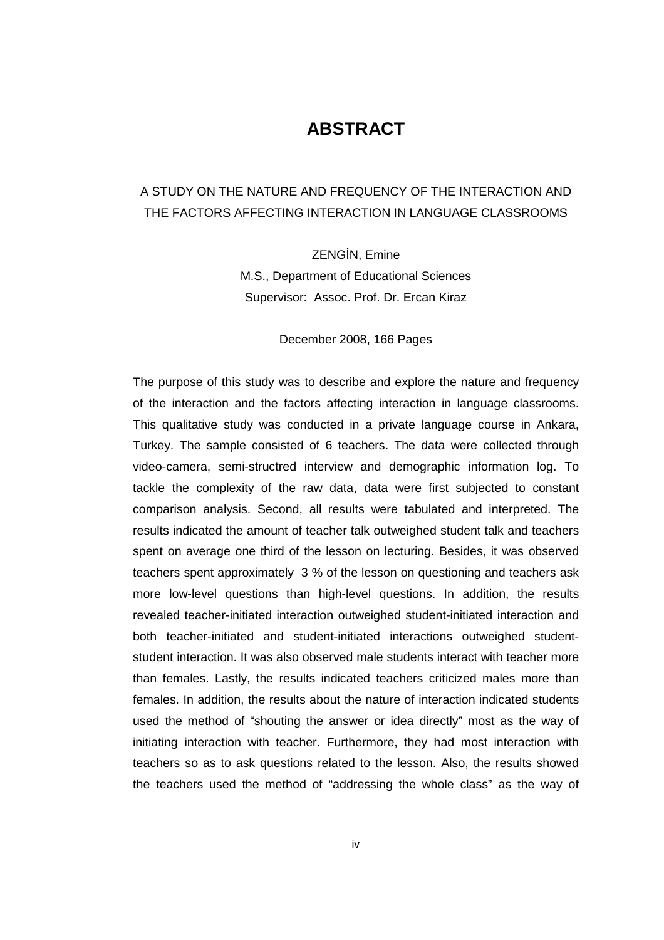## **ABSTRACT**

### A STUDY ON THE NATURE AND FREQUENCY OF THE INTERACTION AND THE FACTORS AFFECTING INTERACTION IN LANGUAGE CLASSROOMS

ZENGİN, Emine M.S., Department of Educational Sciences Supervisor: Assoc. Prof. Dr. Ercan Kiraz

December 2008, 166 Pages

The purpose of this study was to describe and explore the nature and frequency of the interaction and the factors affecting interaction in language classrooms. This qualitative study was conducted in a private language course in Ankara, Turkey. The sample consisted of 6 teachers. The data were collected through video-camera, semi-structred interview and demographic information log. To tackle the complexity of the raw data, data were first subjected to constant comparison analysis. Second, all results were tabulated and interpreted. The results indicated the amount of teacher talk outweighed student talk and teachers spent on average one third of the lesson on lecturing. Besides, it was observed teachers spent approximately 3 % of the lesson on questioning and teachers ask more low-level questions than high-level questions. In addition, the results revealed teacher-initiated interaction outweighed student-initiated interaction and both teacher-initiated and student-initiated interactions outweighed studentstudent interaction. It was also observed male students interact with teacher more than females. Lastly, the results indicated teachers criticized males more than females. In addition, the results about the nature of interaction indicated students used the method of "shouting the answer or idea directly" most as the way of initiating interaction with teacher. Furthermore, they had most interaction with teachers so as to ask questions related to the lesson. Also, the results showed the teachers used the method of "addressing the whole class" as the way of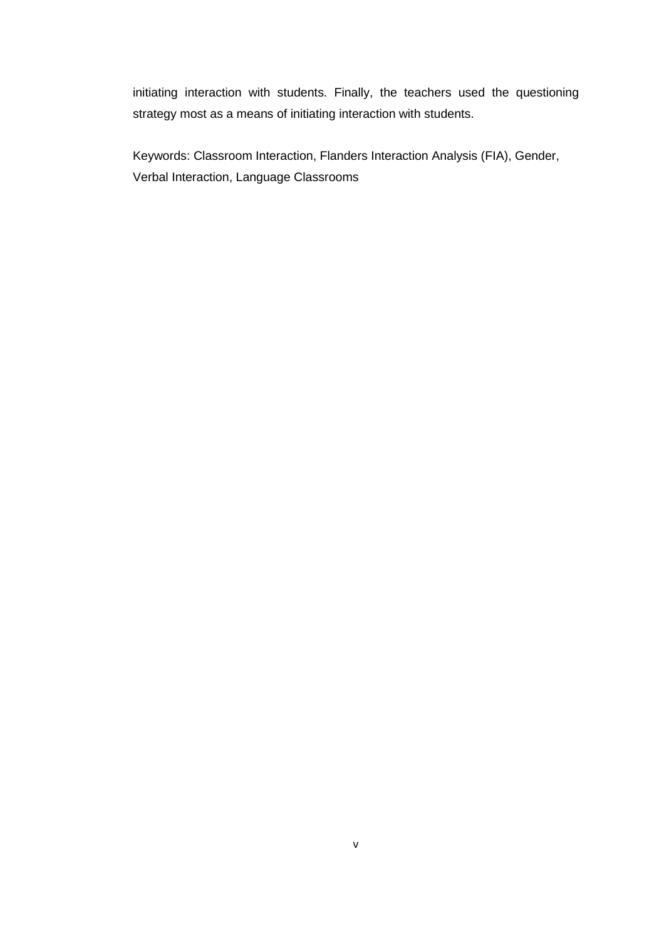initiating interaction with students. Finally, the teachers used the questioning strategy most as a means of initiating interaction with students.

Keywords: Classroom Interaction, Flanders Interaction Analysis (FIA), Gender, Verbal Interaction, Language Classrooms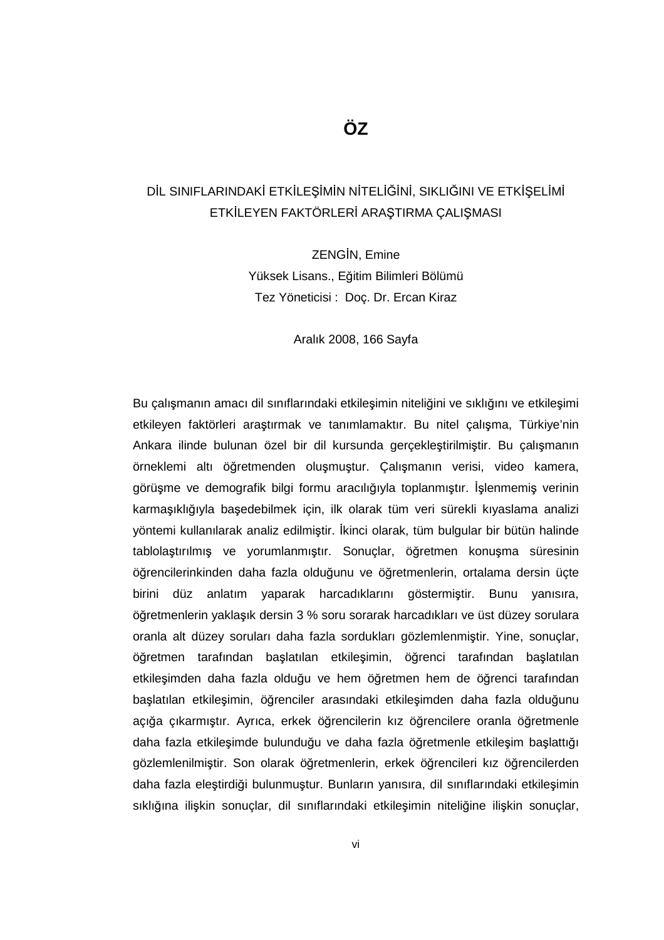### DİL SINIFLARINDAKİ ETKİLEŞİMİN NİTELİĞİNİ, SIKLIĞINI VE ETKİSELİMİ ETKİLEYEN FAKTÖRLERİ ARAŞTIRMA ÇALIŞMASI

ZENGİN, Emine Yüksek Lisans., Eğitim Bilimleri Bölümü Tez Yöneticisi : Doç. Dr. Ercan Kiraz

Aralık 2008, 166 Sayfa

Bu çalışmanın amacı dil sınıflarındaki etkileşimin niteliğini ve sıklığını ve etkileşimi etkileyen faktörleri araştırmak ve tanımlamaktır. Bu nitel çalışma, Türkiye'nin Ankara ilinde bulunan özel bir dil kursunda gerçekleştirilmiştir. Bu çalışmanın örneklemi altı öğretmenden oluşmuştur. Çalışmanın verisi, video kamera, görüşme ve demografik bilgi formu aracılığıyla toplanmıştır. İslenmemiş verinin karmaşıklığıyla başedebilmek için, ilk olarak tüm veri sürekli kıyaslama analizi yöntemi kullanılarak analiz edilmiştir. İkinci olarak, tüm bulgular bir bütün halinde tablolaştırılmış ve yorumlanmıştır. Sonuçlar, öğretmen konuşma süresinin öğrencilerinkinden daha fazla olduğunu ve öğretmenlerin, ortalama dersin üçte birini düz anlatım yaparak harcadıklarını göstermiştir. Bunu yanısıra, öğretmenlerin yaklaşık dersin 3 % soru sorarak harcadıkları ve üst düzey sorulara oranla alt düzey soruları daha fazla sordukları gözlemlenmiştir. Yine, sonuçlar, öğretmen tarafından başlatılan etkileşimin, öğrenci tarafından başlatılan etkileşimden daha fazla olduğu ve hem öğretmen hem de öğrenci tarafından başlatılan etkileşimin, öğrenciler arasındaki etkileşimden daha fazla olduğunu açığa çıkarmıştır. Ayrıca, erkek öğrencilerin kız öğrencilere oranla öğretmenle daha fazla etkileşimde bulunduğu ve daha fazla öğretmenle etkileşim başlattığı gözlemlenilmiştir. Son olarak öğretmenlerin, erkek öğrencileri kız öğrencilerden daha fazla eleştirdiği bulunmuştur. Bunların yanısıra, dil sınıflarındaki etkileşimin sıklığına ilişkin sonuçlar, dil sınıflarındaki etkileşimin niteliğine ilişkin sonuçlar,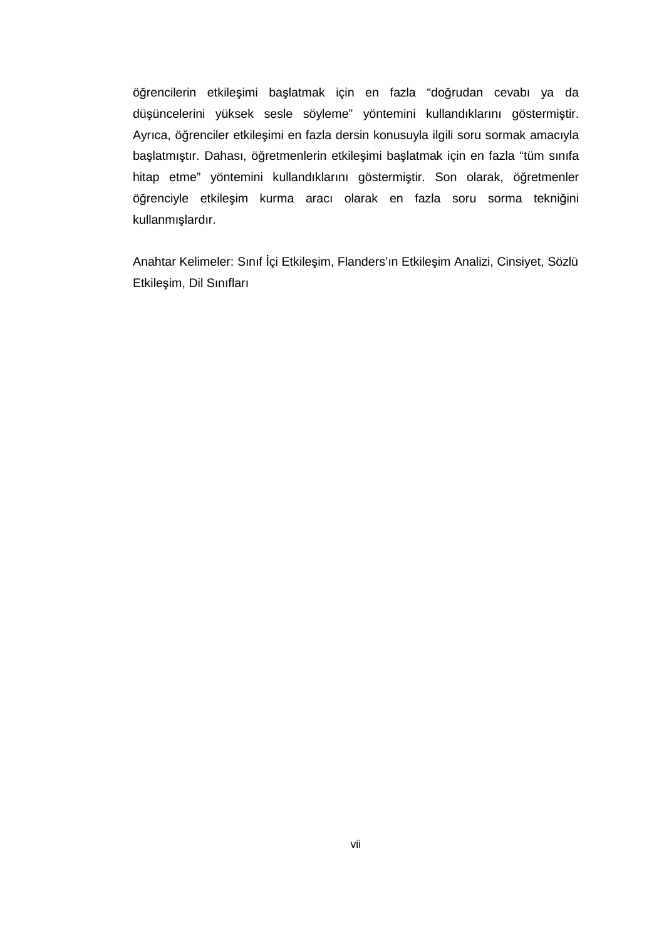öğrencilerin etkileşimi başlatmak için en fazla "doğrudan cevabı ya da düşüncelerini yüksek sesle söyleme" yöntemini kullandıklarını göstermiştir. Ayrıca, öğrenciler etkileşimi en fazla dersin konusuyla ilgili soru sormak amacıyla başlatmıştır. Dahası, öğretmenlerin etkileşimi başlatmak için en fazla "tüm sınıfa hitap etme" yöntemini kullandıklarını göstermiştir. Son olarak, öğretmenler öğrenciyle etkileşim kurma aracı olarak en fazla soru sorma tekniğini kullanmışlardır.

Anahtar Kelimeler: Sınıf İçi Etkileşim, Flanders'ın Etkileşim Analizi, Cinsiyet, Sözlü Etkileşim, Dil Sınıfları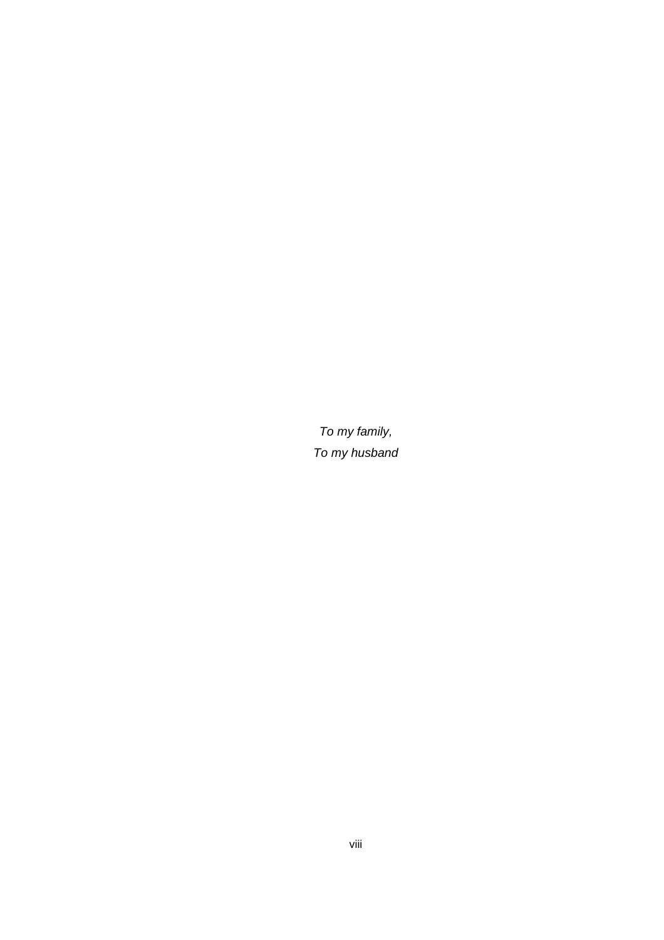To my family, To my husband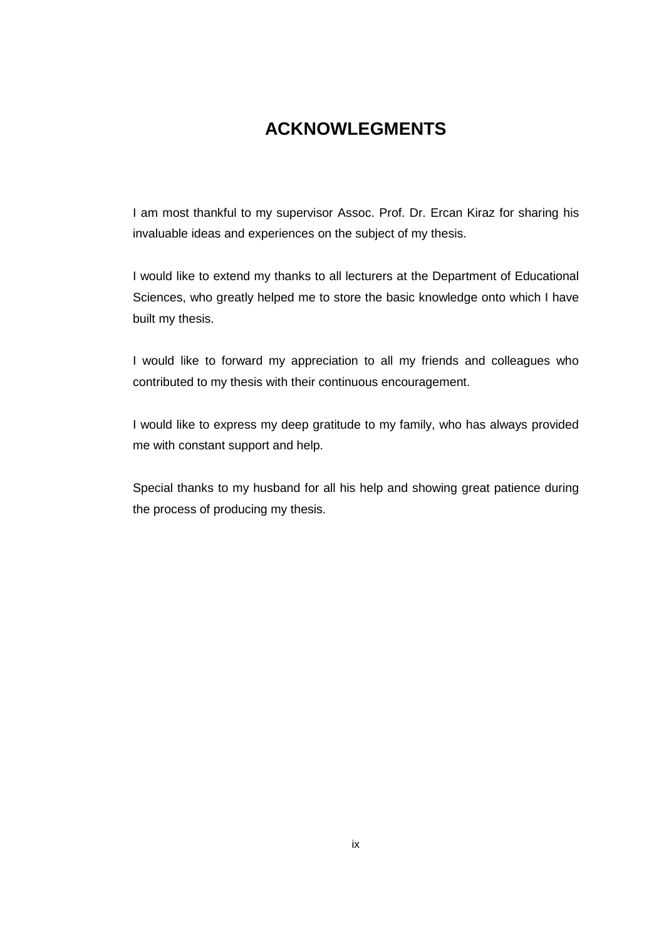## **ACKNOWLEGMENTS**

I am most thankful to my supervisor Assoc. Prof. Dr. Ercan Kiraz for sharing his invaluable ideas and experiences on the subject of my thesis.

I would like to extend my thanks to all lecturers at the Department of Educational Sciences, who greatly helped me to store the basic knowledge onto which I have built my thesis.

I would like to forward my appreciation to all my friends and colleagues who contributed to my thesis with their continuous encouragement.

I would like to express my deep gratitude to my family, who has always provided me with constant support and help.

Special thanks to my husband for all his help and showing great patience during the process of producing my thesis.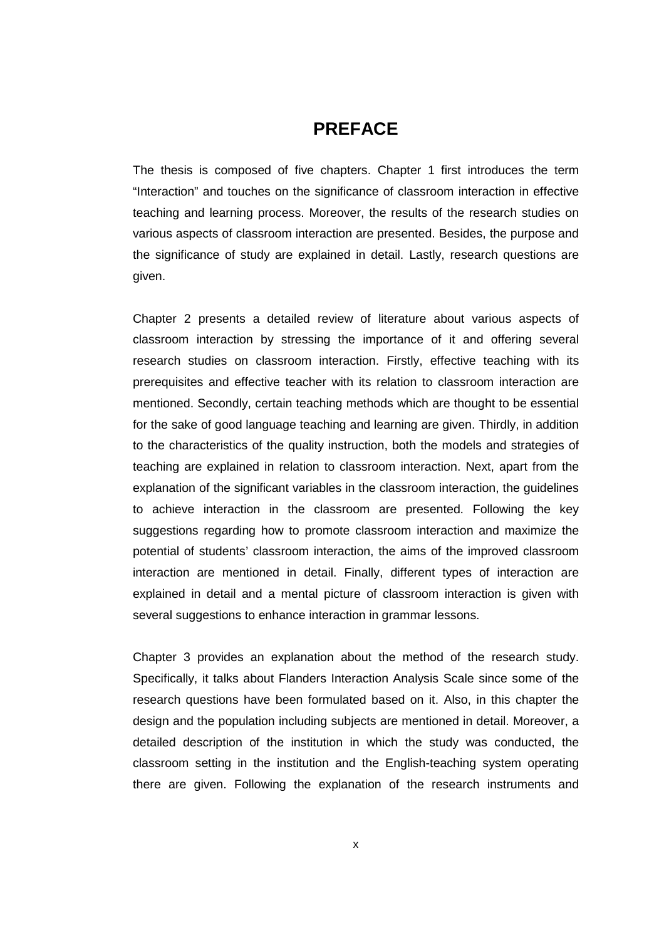### **PREFACE**

The thesis is composed of five chapters. Chapter 1 first introduces the term "Interaction" and touches on the significance of classroom interaction in effective teaching and learning process. Moreover, the results of the research studies on various aspects of classroom interaction are presented. Besides, the purpose and the significance of study are explained in detail. Lastly, research questions are given.

Chapter 2 presents a detailed review of literature about various aspects of classroom interaction by stressing the importance of it and offering several research studies on classroom interaction. Firstly, effective teaching with its prerequisites and effective teacher with its relation to classroom interaction are mentioned. Secondly, certain teaching methods which are thought to be essential for the sake of good language teaching and learning are given. Thirdly, in addition to the characteristics of the quality instruction, both the models and strategies of teaching are explained in relation to classroom interaction. Next, apart from the explanation of the significant variables in the classroom interaction, the guidelines to achieve interaction in the classroom are presented. Following the key suggestions regarding how to promote classroom interaction and maximize the potential of students' classroom interaction, the aims of the improved classroom interaction are mentioned in detail. Finally, different types of interaction are explained in detail and a mental picture of classroom interaction is given with several suggestions to enhance interaction in grammar lessons.

Chapter 3 provides an explanation about the method of the research study. Specifically, it talks about Flanders Interaction Analysis Scale since some of the research questions have been formulated based on it. Also, in this chapter the design and the population including subjects are mentioned in detail. Moreover, a detailed description of the institution in which the study was conducted, the classroom setting in the institution and the English-teaching system operating there are given. Following the explanation of the research instruments and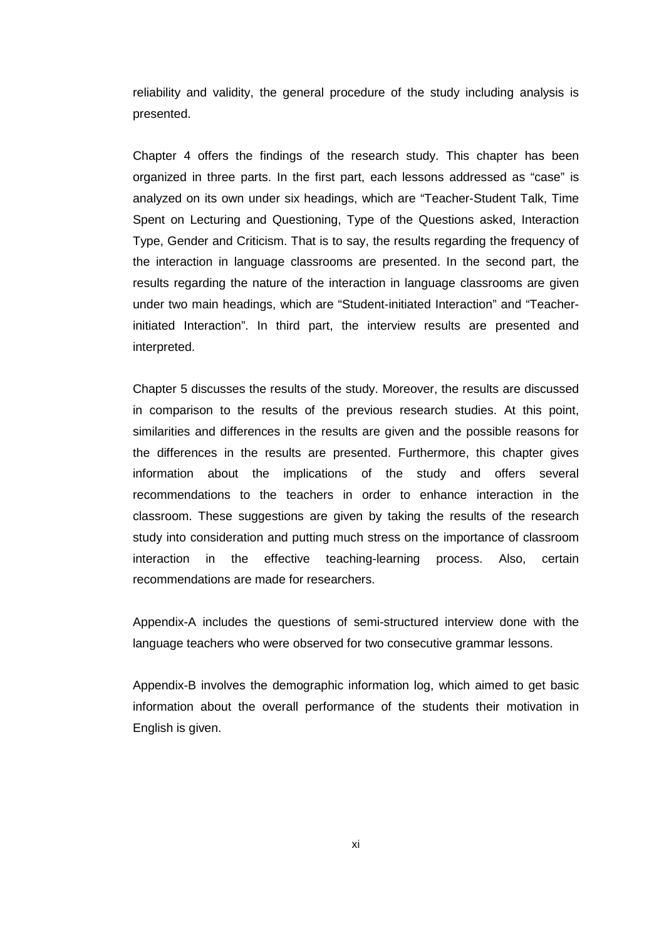reliability and validity, the general procedure of the study including analysis is presented.

Chapter 4 offers the findings of the research study. This chapter has been organized in three parts. In the first part, each lessons addressed as "case" is analyzed on its own under six headings, which are "Teacher-Student Talk, Time Spent on Lecturing and Questioning, Type of the Questions asked, Interaction Type, Gender and Criticism. That is to say, the results regarding the frequency of the interaction in language classrooms are presented. In the second part, the results regarding the nature of the interaction in language classrooms are given under two main headings, which are "Student-initiated Interaction" and "Teacherinitiated Interaction". In third part, the interview results are presented and interpreted.

Chapter 5 discusses the results of the study. Moreover, the results are discussed in comparison to the results of the previous research studies. At this point, similarities and differences in the results are given and the possible reasons for the differences in the results are presented. Furthermore, this chapter gives information about the implications of the study and offers several recommendations to the teachers in order to enhance interaction in the classroom. These suggestions are given by taking the results of the research study into consideration and putting much stress on the importance of classroom interaction in the effective teaching-learning process. Also, certain recommendations are made for researchers.

Appendix-A includes the questions of semi-structured interview done with the language teachers who were observed for two consecutive grammar lessons.

Appendix-B involves the demographic information log, which aimed to get basic information about the overall performance of the students their motivation in English is given.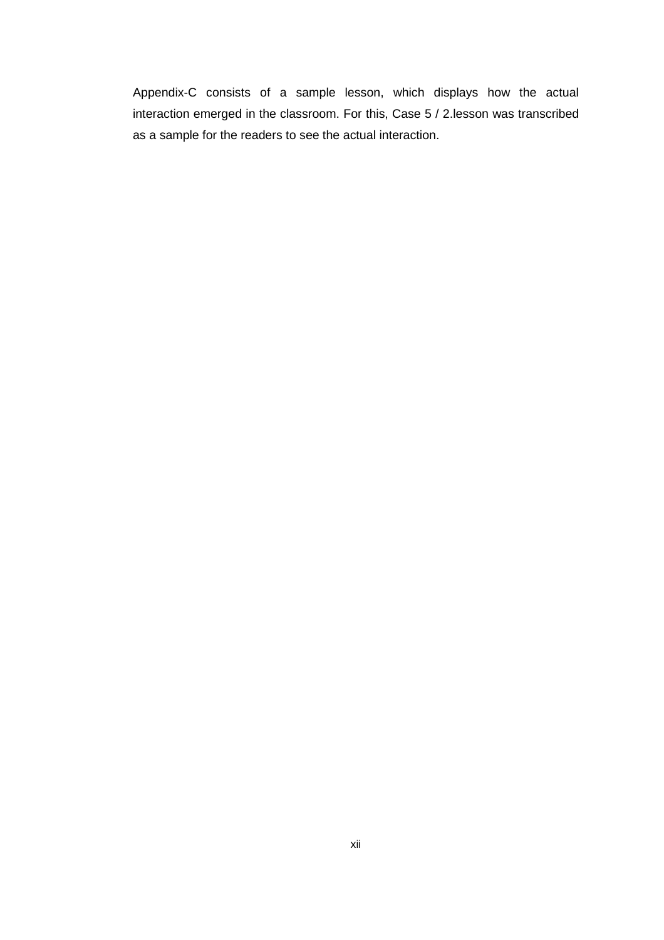Appendix-C consists of a sample lesson, which displays how the actual interaction emerged in the classroom. For this, Case 5 / 2.lesson was transcribed as a sample for the readers to see the actual interaction.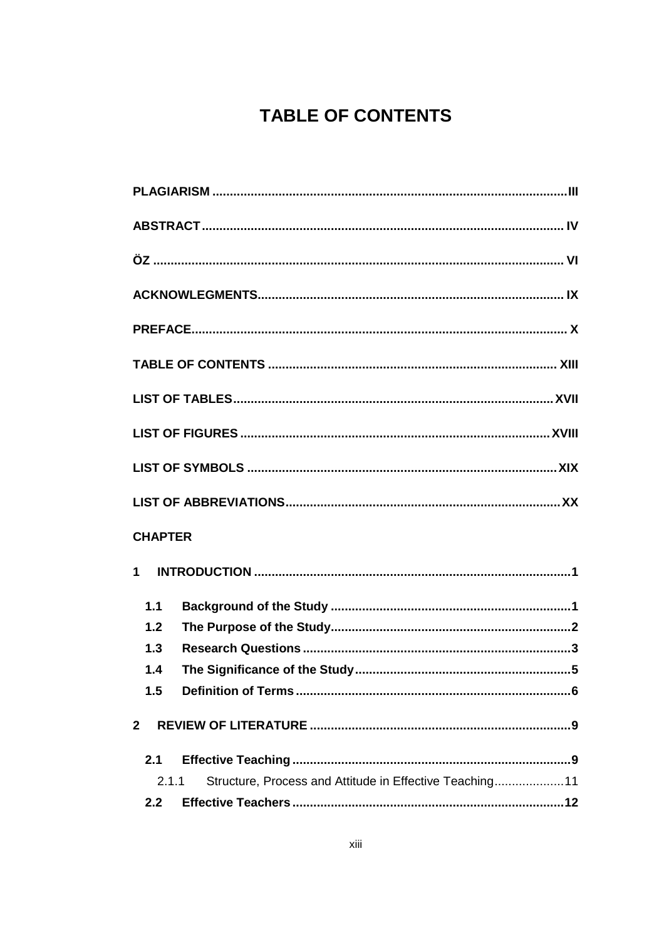# **TABLE OF CONTENTS**

| <b>CHAPTER</b>                                                    |
|-------------------------------------------------------------------|
| $\mathbf 1$                                                       |
| 1.1                                                               |
| 1.2                                                               |
| 1.3                                                               |
| 1.4                                                               |
| 1.5                                                               |
| $\mathbf{2}$                                                      |
| 2.1                                                               |
| Structure, Process and Attitude in Effective Teaching 11<br>2.1.1 |
| 2.2                                                               |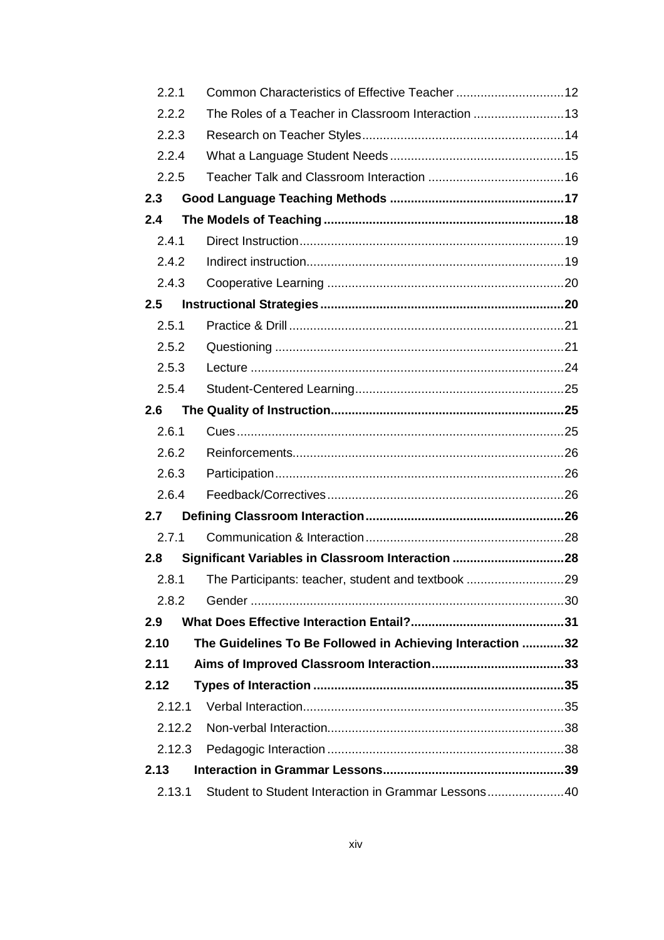| 2.2.1  |                                                           |  |
|--------|-----------------------------------------------------------|--|
| 2.2.2  | The Roles of a Teacher in Classroom Interaction  13       |  |
| 2.2.3  |                                                           |  |
| 2.2.4  |                                                           |  |
| 2.2.5  |                                                           |  |
| 2.3    |                                                           |  |
| 2.4    |                                                           |  |
| 2.4.1  |                                                           |  |
| 2.4.2  |                                                           |  |
| 2.4.3  |                                                           |  |
| 2.5    |                                                           |  |
| 2.5.1  |                                                           |  |
| 2.5.2  |                                                           |  |
| 2.5.3  |                                                           |  |
| 2.5.4  |                                                           |  |
| 2.6    |                                                           |  |
| 2.6.1  |                                                           |  |
| 2.6.2  |                                                           |  |
| 2.6.3  |                                                           |  |
| 2.6.4  |                                                           |  |
| 2.7    |                                                           |  |
| 2.7.1  |                                                           |  |
| 2.8    |                                                           |  |
| 2.8.1  | The Participants: teacher, student and textbook 29        |  |
| 2.8.2  |                                                           |  |
| 2.9    |                                                           |  |
| 2.10   | The Guidelines To Be Followed in Achieving Interaction 32 |  |
| 2.11   |                                                           |  |
| 2.12   |                                                           |  |
| 2.12.1 |                                                           |  |
| 2.12.2 |                                                           |  |
| 2.12.3 |                                                           |  |
| 2.13   |                                                           |  |
| 2.13.1 | Student to Student Interaction in Grammar Lessons40       |  |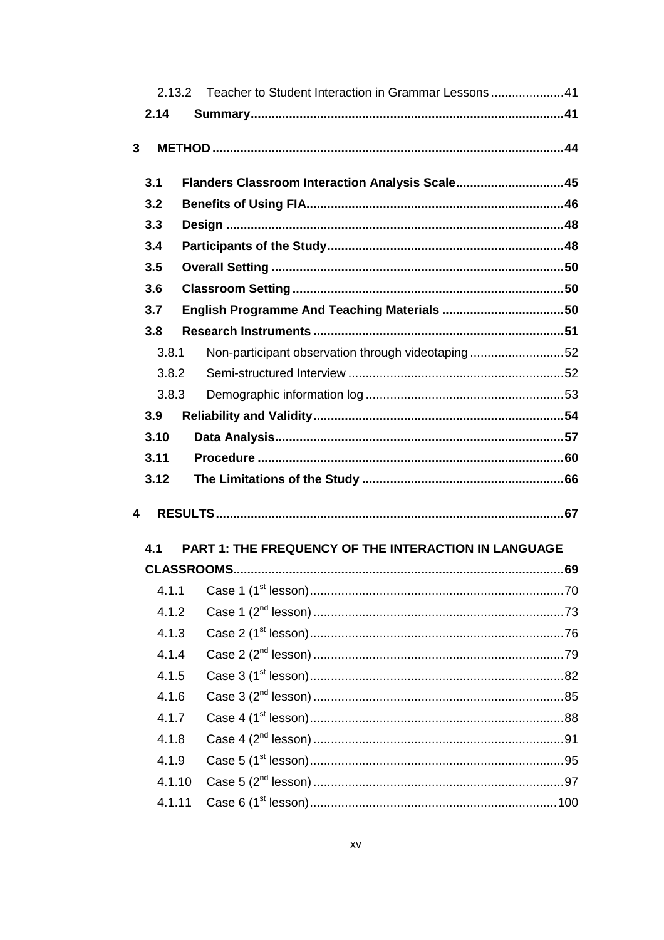|                         |        | Teacher to Student Interaction in Grammar Lessons41<br>2.13.2 |  |
|-------------------------|--------|---------------------------------------------------------------|--|
|                         | 2.14   |                                                               |  |
|                         |        |                                                               |  |
| 3                       |        |                                                               |  |
|                         | 3.1    | Flanders Classroom Interaction Analysis Scale45               |  |
|                         | 3.2    |                                                               |  |
|                         | 3.3    |                                                               |  |
|                         | 3.4    |                                                               |  |
|                         | 3.5    |                                                               |  |
|                         | 3.6    |                                                               |  |
|                         | 3.7    |                                                               |  |
|                         | 3.8    |                                                               |  |
|                         | 3.8.1  | Non-participant observation through videotaping 52            |  |
|                         | 3.8.2  |                                                               |  |
|                         | 3.8.3  |                                                               |  |
|                         | 3.9    |                                                               |  |
|                         | 3.10   |                                                               |  |
|                         |        |                                                               |  |
|                         | 3.11   |                                                               |  |
|                         | 3.12   |                                                               |  |
|                         |        |                                                               |  |
| $\overline{\mathbf{4}}$ |        |                                                               |  |
|                         | 4.1    | <b>PART 1: THE FREQUENCY OF THE INTERACTION IN LANGUAGE</b>   |  |
|                         |        |                                                               |  |
|                         | 4.1.1  |                                                               |  |
|                         | 4.1.2  |                                                               |  |
|                         | 4.1.3  |                                                               |  |
|                         | 4.1.4  |                                                               |  |
|                         | 4.1.5  |                                                               |  |
|                         | 4.1.6  |                                                               |  |
|                         | 4.1.7  |                                                               |  |
|                         | 4.1.8  |                                                               |  |
|                         | 4.1.9  |                                                               |  |
|                         | 4.1.10 |                                                               |  |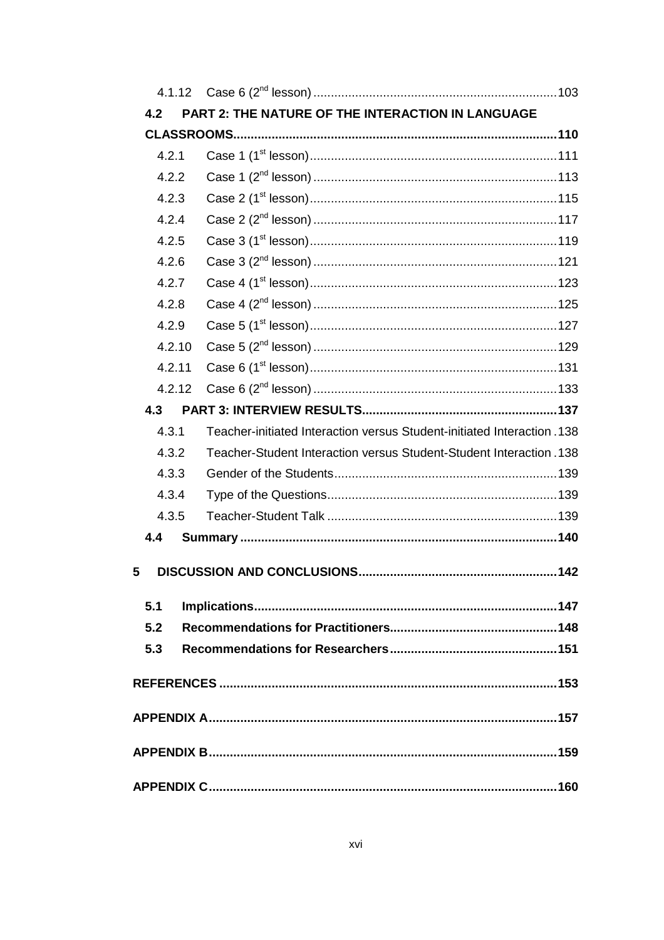| 4.2   |        | PART 2: THE NATURE OF THE INTERACTION IN LANGUAGE                       |  |
|-------|--------|-------------------------------------------------------------------------|--|
|       |        |                                                                         |  |
| 4.2.1 |        |                                                                         |  |
|       | 4.2.2  |                                                                         |  |
|       | 4.2.3  |                                                                         |  |
|       | 4.2.4  |                                                                         |  |
|       | 4.2.5  |                                                                         |  |
|       | 4.2.6  |                                                                         |  |
|       | 4.2.7  |                                                                         |  |
|       | 4.2.8  |                                                                         |  |
|       | 4.2.9  |                                                                         |  |
|       | 4.2.10 |                                                                         |  |
|       | 4.2.11 |                                                                         |  |
|       | 4.2.12 |                                                                         |  |
| 4.3   |        |                                                                         |  |
| 4.3.1 |        | Teacher-initiated Interaction versus Student-initiated Interaction. 138 |  |
|       | 4.3.2  | Teacher-Student Interaction versus Student-Student Interaction .138     |  |
|       | 4.3.3  |                                                                         |  |
|       | 4.3.4  |                                                                         |  |
|       | 4.3.5  |                                                                         |  |
| 4.4   |        |                                                                         |  |
| 5     |        |                                                                         |  |
| 5.1   |        |                                                                         |  |
| 5.2   |        |                                                                         |  |
| 5.3   |        |                                                                         |  |
|       |        |                                                                         |  |
|       |        |                                                                         |  |
|       |        |                                                                         |  |
|       |        |                                                                         |  |
|       |        |                                                                         |  |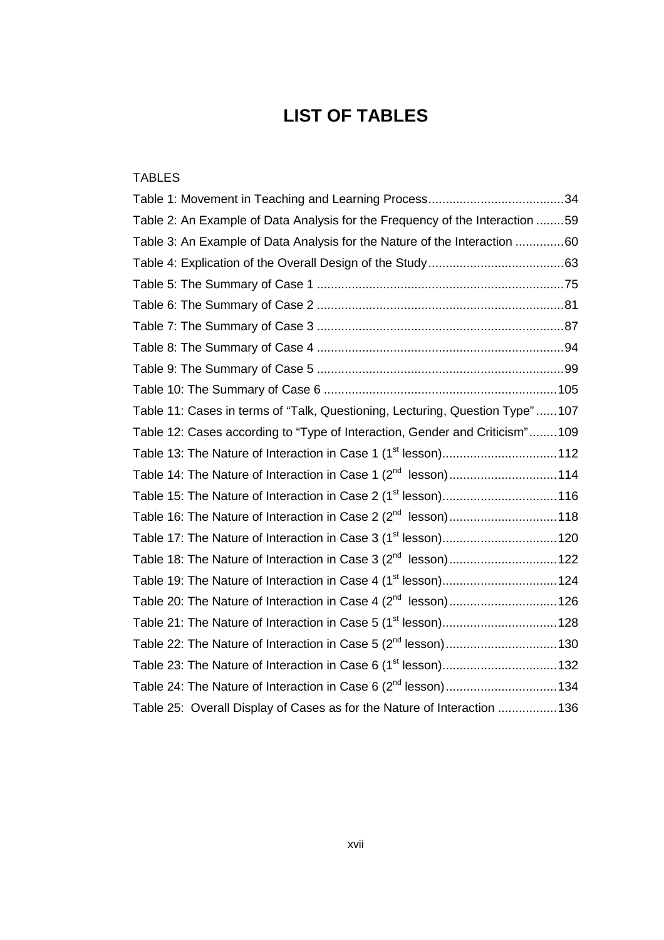# **LIST OF TABLES**

| <b>TABLES</b>                                                                |  |
|------------------------------------------------------------------------------|--|
|                                                                              |  |
| Table 2: An Example of Data Analysis for the Frequency of the Interaction 59 |  |
| Table 3: An Example of Data Analysis for the Nature of the Interaction 60    |  |
|                                                                              |  |
|                                                                              |  |
|                                                                              |  |
|                                                                              |  |
|                                                                              |  |
|                                                                              |  |
|                                                                              |  |
| Table 11: Cases in terms of "Talk, Questioning, Lecturing, Question Type"107 |  |
| Table 12: Cases according to "Type of Interaction, Gender and Criticism"109  |  |
| Table 13: The Nature of Interaction in Case 1 (1 <sup>st</sup> lesson)112    |  |
| Table 14: The Nature of Interaction in Case 1 (2 <sup>nd</sup> lesson)114    |  |
| Table 15: The Nature of Interaction in Case 2 (1 <sup>st</sup> lesson)116    |  |
| Table 16: The Nature of Interaction in Case 2 (2 <sup>nd</sup> lesson)118    |  |
| Table 17: The Nature of Interaction in Case 3 (1 <sup>st</sup> lesson) 120   |  |
| Table 18: The Nature of Interaction in Case 3 (2 <sup>nd</sup> lesson) 122   |  |
| Table 19: The Nature of Interaction in Case 4 (1 <sup>st</sup> lesson) 124   |  |
| Table 20: The Nature of Interaction in Case 4 (2 <sup>nd</sup> lesson) 126   |  |
| Table 21: The Nature of Interaction in Case 5 (1 <sup>st</sup> lesson) 128   |  |
| Table 22: The Nature of Interaction in Case 5 (2 <sup>nd</sup> lesson) 130   |  |
| Table 23: The Nature of Interaction in Case 6 (1 <sup>st</sup> lesson) 132   |  |
| Table 24: The Nature of Interaction in Case 6 (2 <sup>nd</sup> lesson) 134   |  |
| Table 25: Overall Display of Cases as for the Nature of Interaction  136     |  |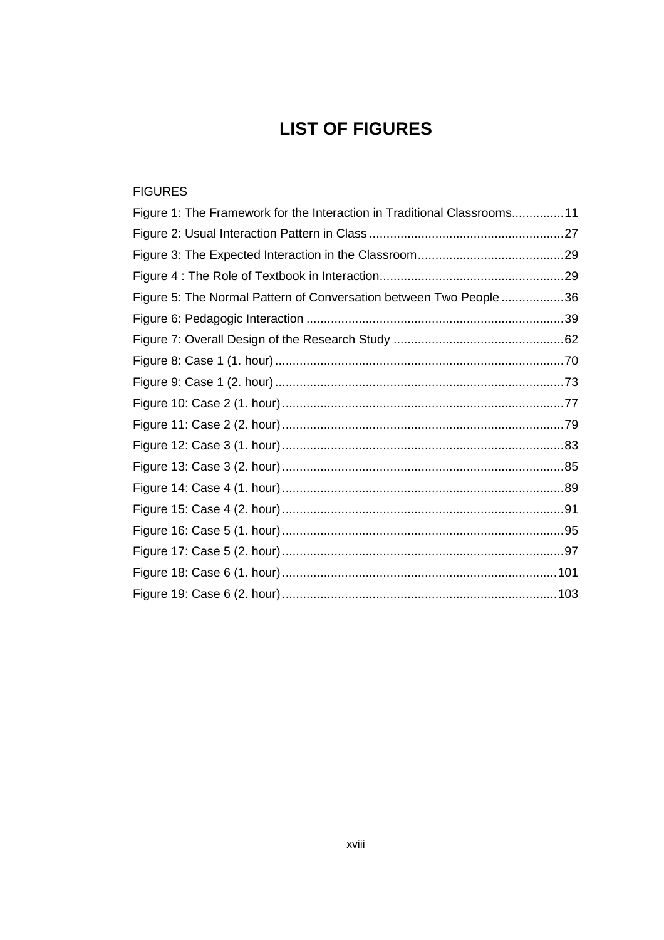## **LIST OF FIGURES**

### FIGURES

| Figure 1: The Framework for the Interaction in Traditional Classrooms11 |  |
|-------------------------------------------------------------------------|--|
|                                                                         |  |
|                                                                         |  |
|                                                                         |  |
| Figure 5: The Normal Pattern of Conversation between Two People 36      |  |
|                                                                         |  |
|                                                                         |  |
|                                                                         |  |
|                                                                         |  |
|                                                                         |  |
|                                                                         |  |
|                                                                         |  |
|                                                                         |  |
|                                                                         |  |
|                                                                         |  |
|                                                                         |  |
|                                                                         |  |
|                                                                         |  |
|                                                                         |  |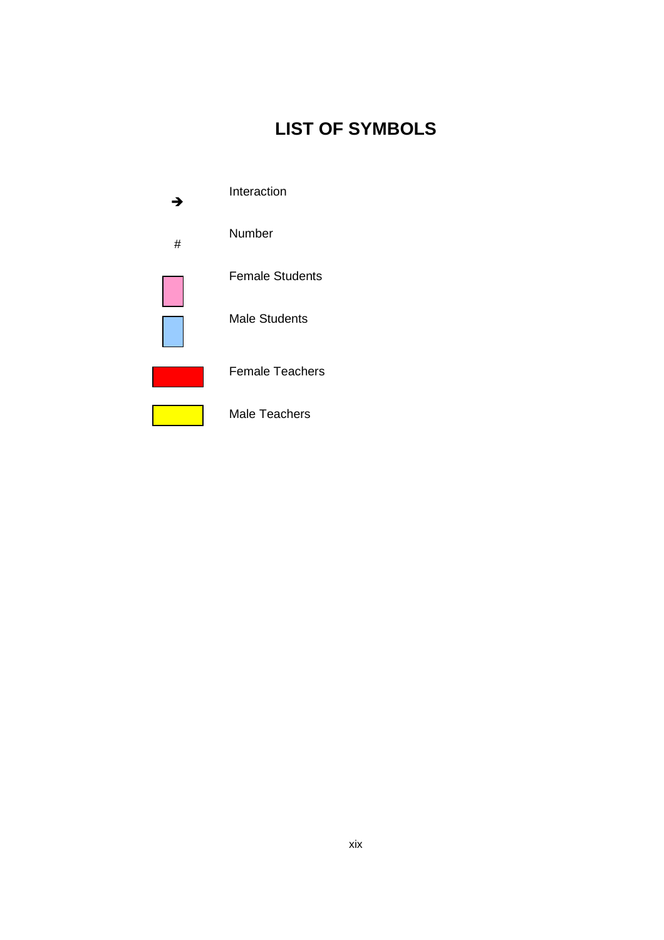# **LIST OF SYMBOLS**

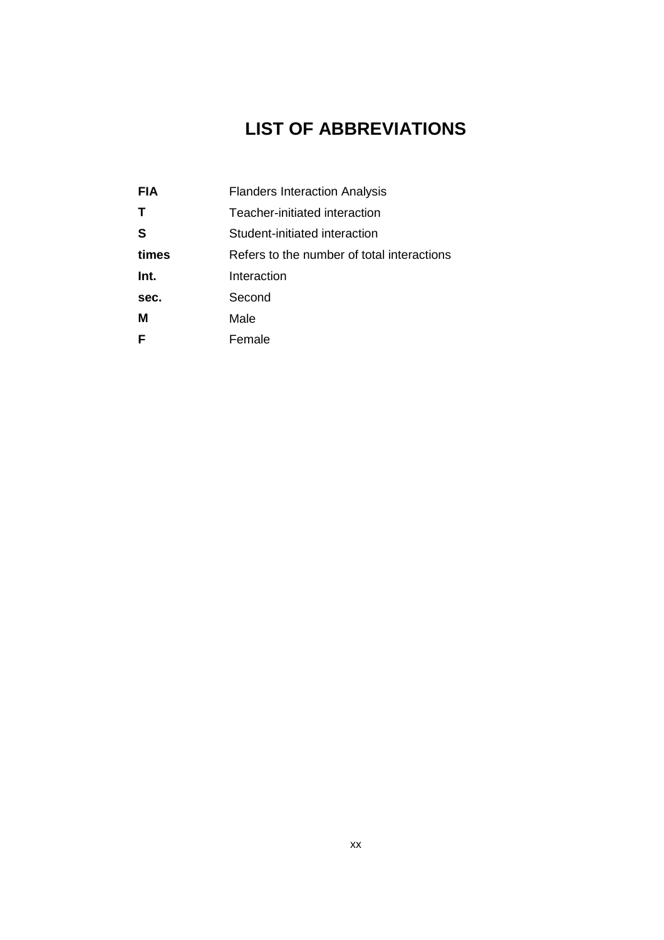# **LIST OF ABBREVIATIONS**

| <b>FIA</b> | <b>Flanders Interaction Analysis</b>       |
|------------|--------------------------------------------|
| т          | Teacher-initiated interaction              |
| S          | Student-initiated interaction              |
| times      | Refers to the number of total interactions |
| Int.       | Interaction                                |
| sec.       | Second                                     |
| м          | Male                                       |
|            | Female                                     |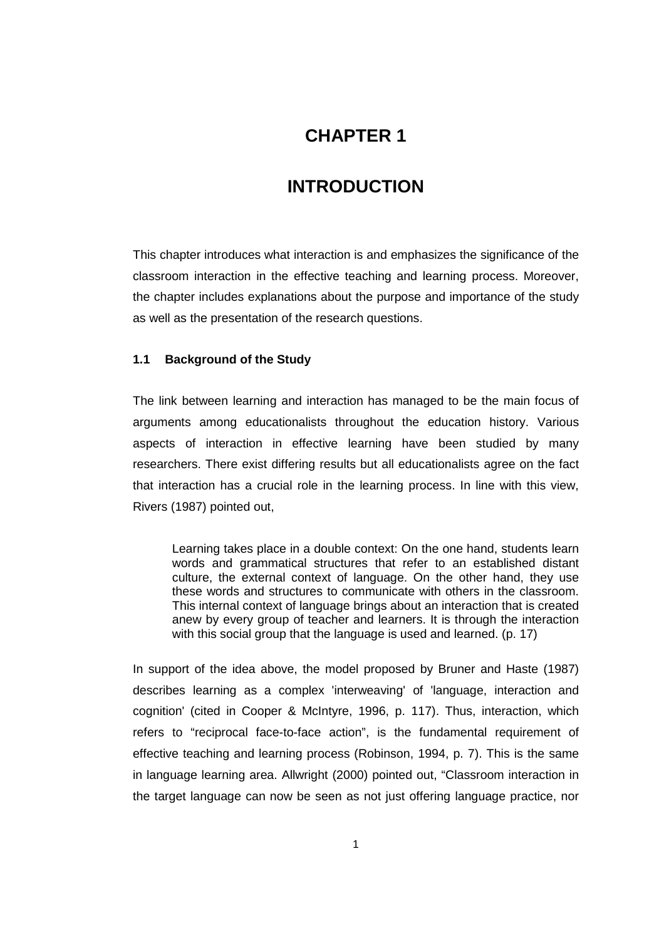## **CHAPTER 1**

## **1 INTRODUCTION**

This chapter introduces what interaction is and emphasizes the significance of the classroom interaction in the effective teaching and learning process. Moreover, the chapter includes explanations about the purpose and importance of the study as well as the presentation of the research questions.

#### **1.1 Background of the Study**

The link between learning and interaction has managed to be the main focus of arguments among educationalists throughout the education history. Various aspects of interaction in effective learning have been studied by many researchers. There exist differing results but all educationalists agree on the fact that interaction has a crucial role in the learning process. In line with this view, Rivers (1987) pointed out,

Learning takes place in a double context: On the one hand, students learn words and grammatical structures that refer to an established distant culture, the external context of language. On the other hand, they use these words and structures to communicate with others in the classroom. This internal context of language brings about an interaction that is created anew by every group of teacher and learners. It is through the interaction with this social group that the language is used and learned. (p. 17)

In support of the idea above, the model proposed by Bruner and Haste (1987) describes learning as a complex 'interweaving' of 'language, interaction and cognition' (cited in Cooper & McIntyre, 1996, p. 117). Thus, interaction, which refers to "reciprocal face-to-face action", is the fundamental requirement of effective teaching and learning process (Robinson, 1994, p. 7). This is the same in language learning area. Allwright (2000) pointed out, "Classroom interaction in the target language can now be seen as not just offering language practice, nor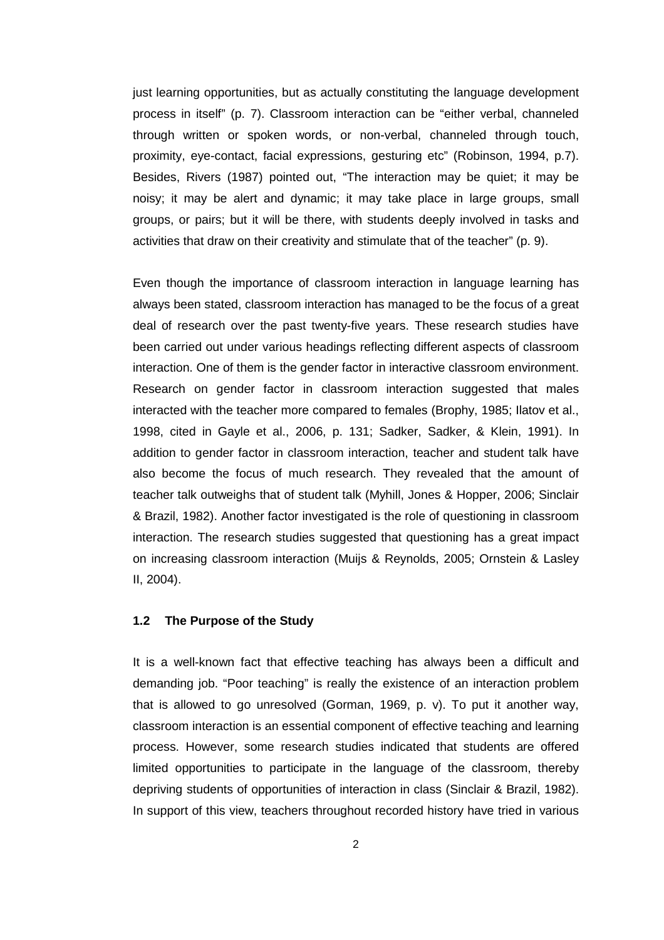just learning opportunities, but as actually constituting the language development process in itself" (p. 7). Classroom interaction can be "either verbal, channeled through written or spoken words, or non-verbal, channeled through touch, proximity, eye-contact, facial expressions, gesturing etc" (Robinson, 1994, p.7). Besides, Rivers (1987) pointed out, "The interaction may be quiet; it may be noisy; it may be alert and dynamic; it may take place in large groups, small groups, or pairs; but it will be there, with students deeply involved in tasks and activities that draw on their creativity and stimulate that of the teacher" (p. 9).

Even though the importance of classroom interaction in language learning has always been stated, classroom interaction has managed to be the focus of a great deal of research over the past twenty-five years. These research studies have been carried out under various headings reflecting different aspects of classroom interaction. One of them is the gender factor in interactive classroom environment. Research on gender factor in classroom interaction suggested that males interacted with the teacher more compared to females (Brophy, 1985; Ilatov et al., 1998, cited in Gayle et al., 2006, p. 131; Sadker, Sadker, & Klein, 1991). In addition to gender factor in classroom interaction, teacher and student talk have also become the focus of much research. They revealed that the amount of teacher talk outweighs that of student talk (Myhill, Jones & Hopper, 2006; Sinclair & Brazil, 1982). Another factor investigated is the role of questioning in classroom interaction. The research studies suggested that questioning has a great impact on increasing classroom interaction (Muijs & Reynolds, 2005; Ornstein & Lasley II, 2004).

#### **1.2 The Purpose of the Study**

It is a well-known fact that effective teaching has always been a difficult and demanding job. "Poor teaching" is really the existence of an interaction problem that is allowed to go unresolved (Gorman, 1969, p. v). To put it another way, classroom interaction is an essential component of effective teaching and learning process. However, some research studies indicated that students are offered limited opportunities to participate in the language of the classroom, thereby depriving students of opportunities of interaction in class (Sinclair & Brazil, 1982). In support of this view, teachers throughout recorded history have tried in various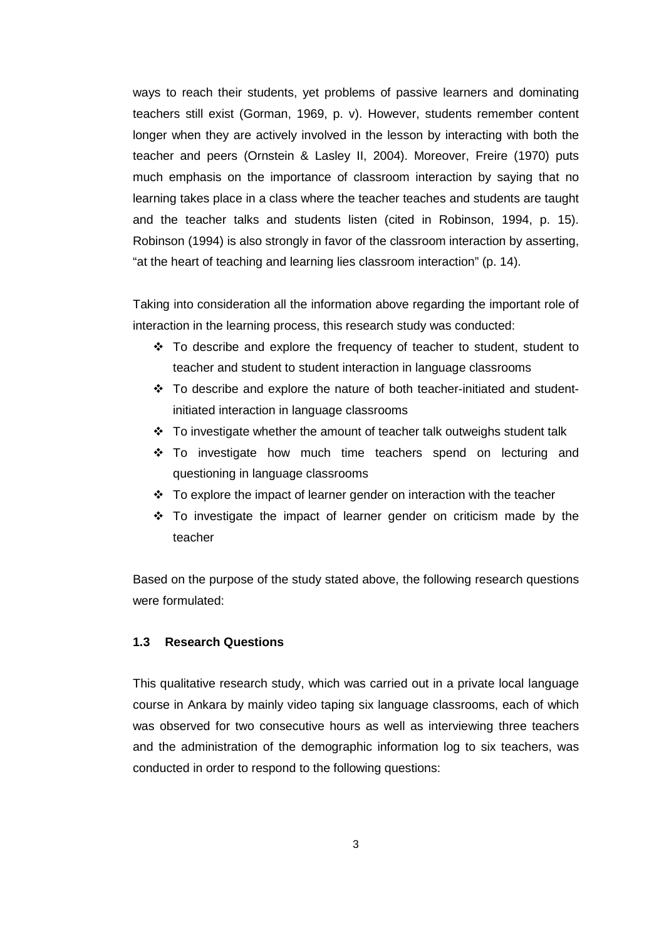ways to reach their students, yet problems of passive learners and dominating teachers still exist (Gorman, 1969, p. v). However, students remember content longer when they are actively involved in the lesson by interacting with both the teacher and peers (Ornstein & Lasley II, 2004). Moreover, Freire (1970) puts much emphasis on the importance of classroom interaction by saying that no learning takes place in a class where the teacher teaches and students are taught and the teacher talks and students listen (cited in Robinson, 1994, p. 15). Robinson (1994) is also strongly in favor of the classroom interaction by asserting, "at the heart of teaching and learning lies classroom interaction" (p. 14).

Taking into consideration all the information above regarding the important role of interaction in the learning process, this research study was conducted:

- To describe and explore the frequency of teacher to student, student to teacher and student to student interaction in language classrooms
- To describe and explore the nature of both teacher-initiated and studentinitiated interaction in language classrooms
- To investigate whether the amount of teacher talk outweighs student talk
- \* To investigate how much time teachers spend on lecturing and questioning in language classrooms
- To explore the impact of learner gender on interaction with the teacher
- \* To investigate the impact of learner gender on criticism made by the teacher

Based on the purpose of the study stated above, the following research questions were formulated:

#### **1.3 Research Questions**

This qualitative research study, which was carried out in a private local language course in Ankara by mainly video taping six language classrooms, each of which was observed for two consecutive hours as well as interviewing three teachers and the administration of the demographic information log to six teachers, was conducted in order to respond to the following questions: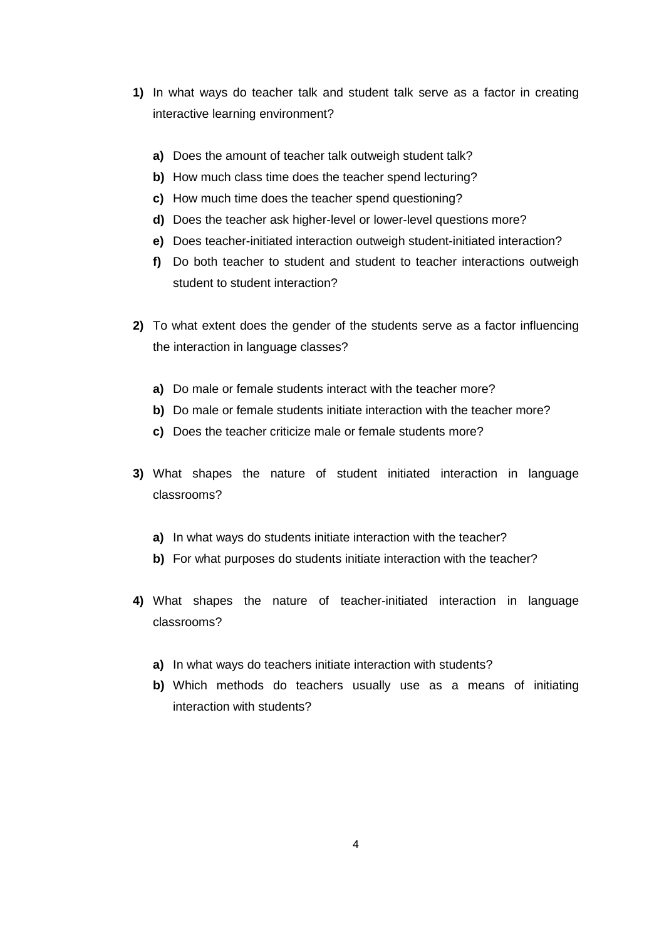- **1)** In what ways do teacher talk and student talk serve as a factor in creating interactive learning environment?
	- **a)** Does the amount of teacher talk outweigh student talk?
	- **b)** How much class time does the teacher spend lecturing?
	- **c)** How much time does the teacher spend questioning?
	- **d)** Does the teacher ask higher-level or lower-level questions more?
	- **e)** Does teacher-initiated interaction outweigh student-initiated interaction?
	- **f)** Do both teacher to student and student to teacher interactions outweigh student to student interaction?
- **2)** To what extent does the gender of the students serve as a factor influencing the interaction in language classes?
	- **a)** Do male or female students interact with the teacher more?
	- **b)** Do male or female students initiate interaction with the teacher more?
	- **c)** Does the teacher criticize male or female students more?
- **3)** What shapes the nature of student initiated interaction in language classrooms?
	- **a)** In what ways do students initiate interaction with the teacher?
	- **b)** For what purposes do students initiate interaction with the teacher?
- **4)** What shapes the nature of teacher-initiated interaction in language classrooms?
	- **a)** In what ways do teachers initiate interaction with students?
	- **b)** Which methods do teachers usually use as a means of initiating interaction with students?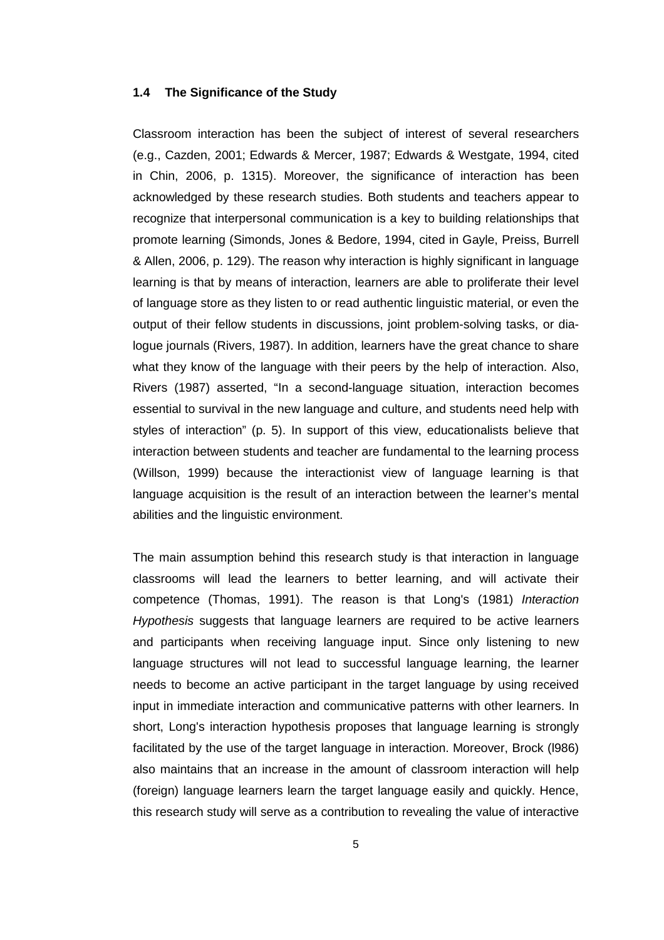#### **1.4 The Significance of the Study**

Classroom interaction has been the subject of interest of several researchers (e.g., Cazden, 2001; Edwards & Mercer, 1987; Edwards & Westgate, 1994, cited in Chin, 2006, p. 1315). Moreover, the significance of interaction has been acknowledged by these research studies. Both students and teachers appear to recognize that interpersonal communication is a key to building relationships that promote learning (Simonds, Jones & Bedore, 1994, cited in Gayle, Preiss, Burrell & Allen, 2006, p. 129). The reason why interaction is highly significant in language learning is that by means of interaction, learners are able to proliferate their level of language store as they listen to or read authentic linguistic material, or even the output of their fellow students in discussions, joint problem-solving tasks, or dialogue journals (Rivers, 1987). In addition, learners have the great chance to share what they know of the language with their peers by the help of interaction. Also, Rivers (1987) asserted, "In a second-language situation, interaction becomes essential to survival in the new language and culture, and students need help with styles of interaction" (p. 5). In support of this view, educationalists believe that interaction between students and teacher are fundamental to the learning process (Willson, 1999) because the interactionist view of language learning is that language acquisition is the result of an interaction between the learner's mental abilities and the linguistic environment.

The main assumption behind this research study is that interaction in language classrooms will lead the learners to better learning, and will activate their competence (Thomas, 1991). The reason is that Long's (1981) Interaction Hypothesis suggests that language learners are required to be active learners and participants when receiving language input. Since only listening to new language structures will not lead to successful language learning, the learner needs to become an active participant in the target language by using received input in immediate interaction and communicative patterns with other learners. In short, Long's interaction hypothesis proposes that language learning is strongly facilitated by the use of the target language in interaction. Moreover, Brock (l986) also maintains that an increase in the amount of classroom interaction will help (foreign) language learners learn the target language easily and quickly. Hence, this research study will serve as a contribution to revealing the value of interactive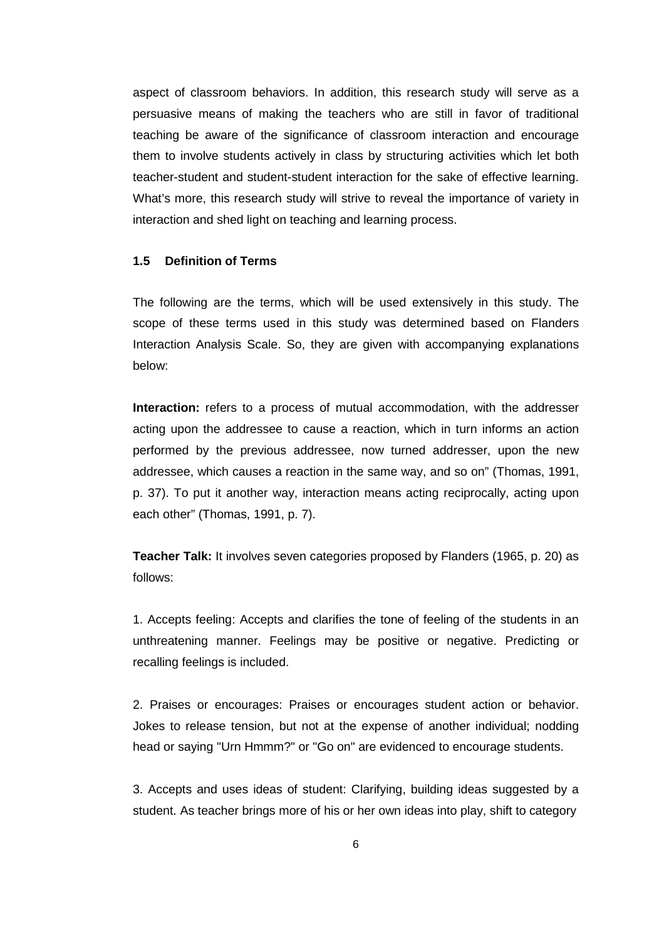aspect of classroom behaviors. In addition, this research study will serve as a persuasive means of making the teachers who are still in favor of traditional teaching be aware of the significance of classroom interaction and encourage them to involve students actively in class by structuring activities which let both teacher-student and student-student interaction for the sake of effective learning. What's more, this research study will strive to reveal the importance of variety in interaction and shed light on teaching and learning process.

#### **1.5 Definition of Terms**

The following are the terms, which will be used extensively in this study. The scope of these terms used in this study was determined based on Flanders Interaction Analysis Scale. So, they are given with accompanying explanations below:

**Interaction:** refers to a process of mutual accommodation, with the addresser acting upon the addressee to cause a reaction, which in turn informs an action performed by the previous addressee, now turned addresser, upon the new addressee, which causes a reaction in the same way, and so on" (Thomas, 1991, p. 37). To put it another way, interaction means acting reciprocally, acting upon each other" (Thomas, 1991, p. 7).

**Teacher Talk:** It involves seven categories proposed by Flanders (1965, p. 20) as follows:

1. Accepts feeling: Accepts and clarifies the tone of feeling of the students in an unthreatening manner. Feelings may be positive or negative. Predicting or recalling feelings is included.

2. Praises or encourages: Praises or encourages student action or behavior. Jokes to release tension, but not at the expense of another individual; nodding head or saying "Urn Hmmm?" or "Go on" are evidenced to encourage students.

3. Accepts and uses ideas of student: Clarifying, building ideas suggested by a student. As teacher brings more of his or her own ideas into play, shift to category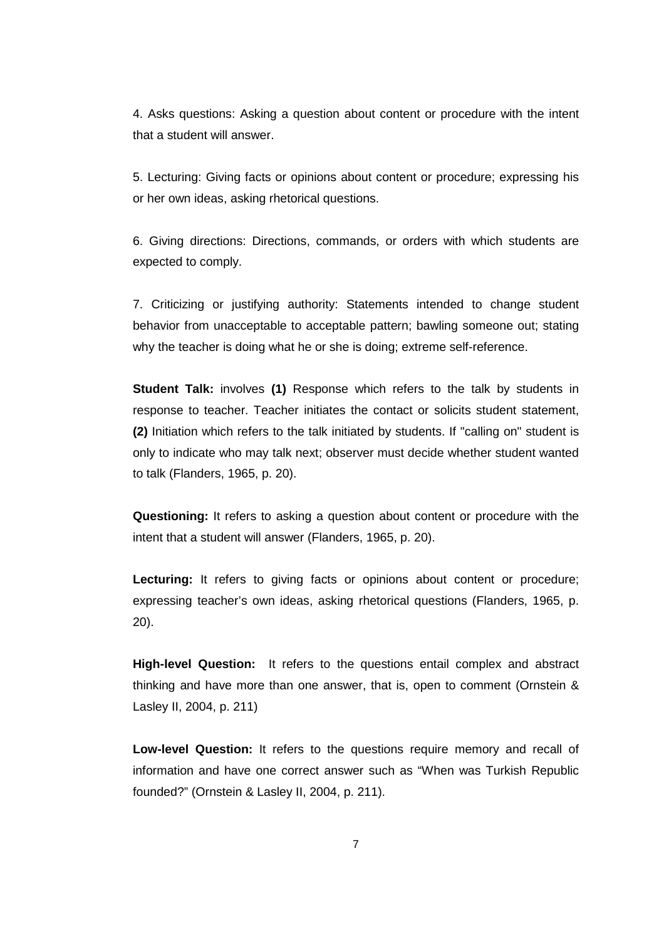4. Asks questions: Asking a question about content or procedure with the intent that a student will answer.

5. Lecturing: Giving facts or opinions about content or procedure; expressing his or her own ideas, asking rhetorical questions.

6. Giving directions: Directions, commands, or orders with which students are expected to comply.

7. Criticizing or justifying authority: Statements intended to change student behavior from unacceptable to acceptable pattern; bawling someone out; stating why the teacher is doing what he or she is doing; extreme self-reference.

**Student Talk:** involves **(1)** Response which refers to the talk by students in response to teacher. Teacher initiates the contact or solicits student statement, **(2)** Initiation which refers to the talk initiated by students. If "calling on" student is only to indicate who may talk next; observer must decide whether student wanted to talk (Flanders, 1965, p. 20).

**Questioning:** It refers to asking a question about content or procedure with the intent that a student will answer (Flanders, 1965, p. 20).

**Lecturing:** It refers to giving facts or opinions about content or procedure; expressing teacher's own ideas, asking rhetorical questions (Flanders, 1965, p. 20).

**High-level Question:** It refers to the questions entail complex and abstract thinking and have more than one answer, that is, open to comment (Ornstein & Lasley II, 2004, p. 211)

**Low-level Question:** It refers to the questions require memory and recall of information and have one correct answer such as "When was Turkish Republic founded?" (Ornstein & Lasley II, 2004, p. 211).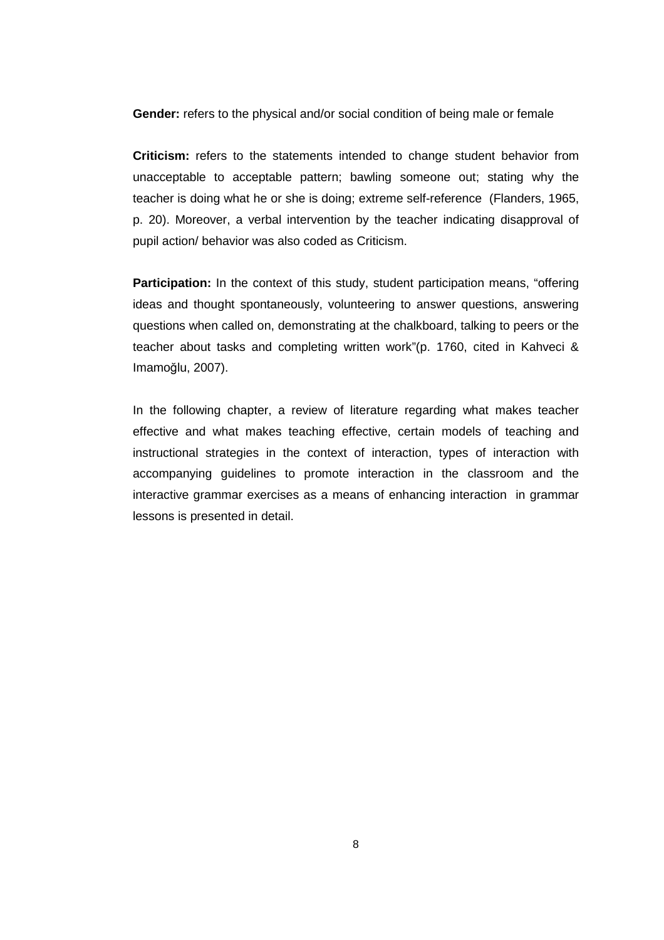**Gender:** refers to the physical and/or social condition of being male or female

**Criticism:** refers to the statements intended to change student behavior from unacceptable to acceptable pattern; bawling someone out; stating why the teacher is doing what he or she is doing; extreme self-reference (Flanders, 1965, p. 20). Moreover, a verbal intervention by the teacher indicating disapproval of pupil action/ behavior was also coded as Criticism.

**Participation:** In the context of this study, student participation means, "offering ideas and thought spontaneously, volunteering to answer questions, answering questions when called on, demonstrating at the chalkboard, talking to peers or the teacher about tasks and completing written work"(p. 1760, cited in Kahveci & Imamoğlu, 2007).

In the following chapter, a review of literature regarding what makes teacher effective and what makes teaching effective, certain models of teaching and instructional strategies in the context of interaction, types of interaction with accompanying guidelines to promote interaction in the classroom and the interactive grammar exercises as a means of enhancing interaction in grammar lessons is presented in detail.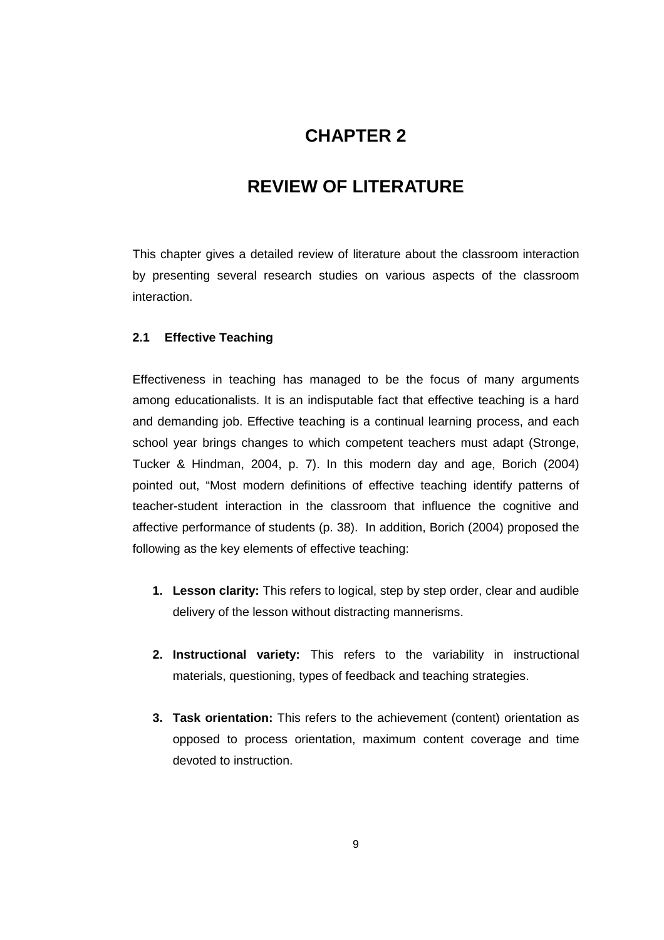## **CHAPTER 2**

## **2 REVIEW OF LITERATURE**

This chapter gives a detailed review of literature about the classroom interaction by presenting several research studies on various aspects of the classroom interaction.

#### **2.1 Effective Teaching**

Effectiveness in teaching has managed to be the focus of many arguments among educationalists. It is an indisputable fact that effective teaching is a hard and demanding job. Effective teaching is a continual learning process, and each school year brings changes to which competent teachers must adapt (Stronge, Tucker & Hindman, 2004, p. 7). In this modern day and age, Borich (2004) pointed out, "Most modern definitions of effective teaching identify patterns of teacher-student interaction in the classroom that influence the cognitive and affective performance of students (p. 38). In addition, Borich (2004) proposed the following as the key elements of effective teaching:

- **1. Lesson clarity:** This refers to logical, step by step order, clear and audible delivery of the lesson without distracting mannerisms.
- **2. Instructional variety:** This refers to the variability in instructional materials, questioning, types of feedback and teaching strategies.
- **3. Task orientation:** This refers to the achievement (content) orientation as opposed to process orientation, maximum content coverage and time devoted to instruction.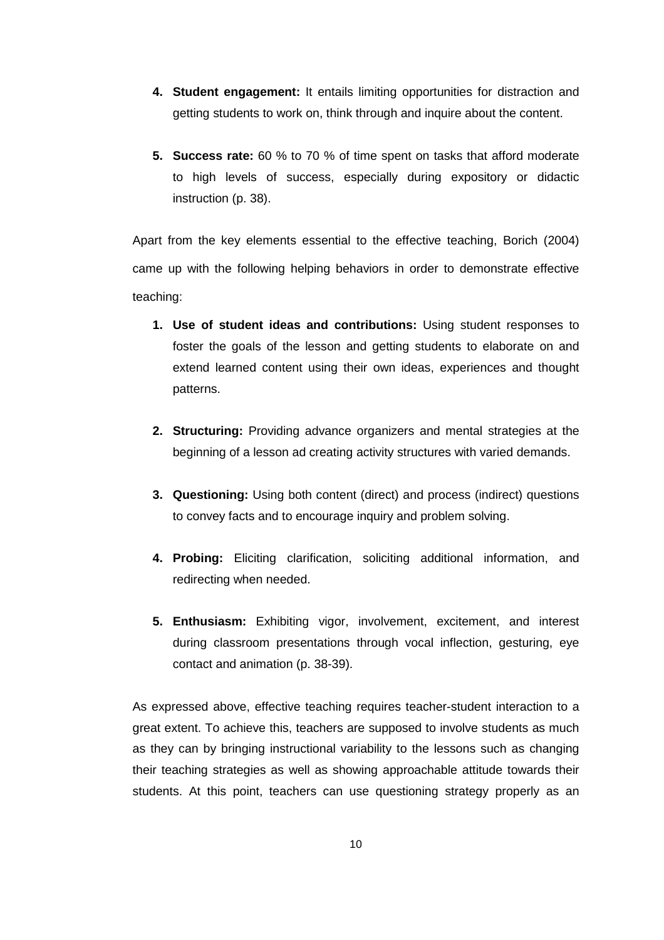- **4. Student engagement:** It entails limiting opportunities for distraction and getting students to work on, think through and inquire about the content.
- **5. Success rate:** 60 % to 70 % of time spent on tasks that afford moderate to high levels of success, especially during expository or didactic instruction (p. 38).

Apart from the key elements essential to the effective teaching, Borich (2004) came up with the following helping behaviors in order to demonstrate effective teaching:

- **1. Use of student ideas and contributions:** Using student responses to foster the goals of the lesson and getting students to elaborate on and extend learned content using their own ideas, experiences and thought patterns.
- **2. Structuring:** Providing advance organizers and mental strategies at the beginning of a lesson ad creating activity structures with varied demands.
- **3. Questioning:** Using both content (direct) and process (indirect) questions to convey facts and to encourage inquiry and problem solving.
- **4. Probing:** Eliciting clarification, soliciting additional information, and redirecting when needed.
- **5. Enthusiasm:** Exhibiting vigor, involvement, excitement, and interest during classroom presentations through vocal inflection, gesturing, eye contact and animation (p. 38-39).

As expressed above, effective teaching requires teacher-student interaction to a great extent. To achieve this, teachers are supposed to involve students as much as they can by bringing instructional variability to the lessons such as changing their teaching strategies as well as showing approachable attitude towards their students. At this point, teachers can use questioning strategy properly as an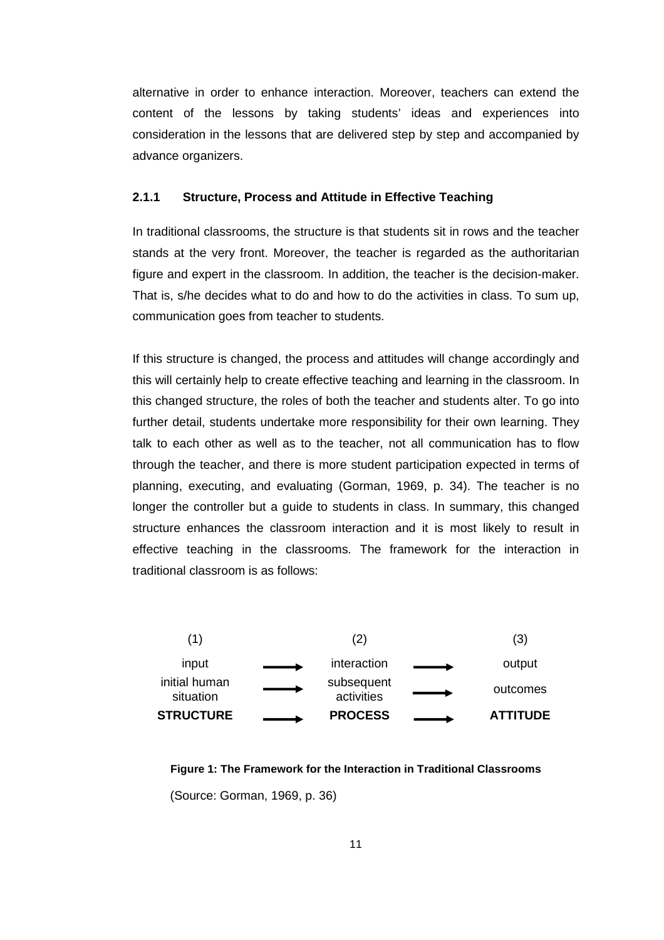alternative in order to enhance interaction. Moreover, teachers can extend the content of the lessons by taking students' ideas and experiences into consideration in the lessons that are delivered step by step and accompanied by advance organizers.

#### **2.1.1 Structure, Process and Attitude in Effective Teaching**

In traditional classrooms, the structure is that students sit in rows and the teacher stands at the very front. Moreover, the teacher is regarded as the authoritarian figure and expert in the classroom. In addition, the teacher is the decision-maker. That is, s/he decides what to do and how to do the activities in class. To sum up, communication goes from teacher to students.

If this structure is changed, the process and attitudes will change accordingly and this will certainly help to create effective teaching and learning in the classroom. In this changed structure, the roles of both the teacher and students alter. To go into further detail, students undertake more responsibility for their own learning. They talk to each other as well as to the teacher, not all communication has to flow through the teacher, and there is more student participation expected in terms of planning, executing, and evaluating (Gorman, 1969, p. 34). The teacher is no longer the controller but a guide to students in class. In summary, this changed structure enhances the classroom interaction and it is most likely to result in effective teaching in the classrooms. The framework for the interaction in traditional classroom is as follows:



**Figure 1: The Framework for the Interaction in Traditional Classrooms**  (Source: Gorman, 1969, p. 36)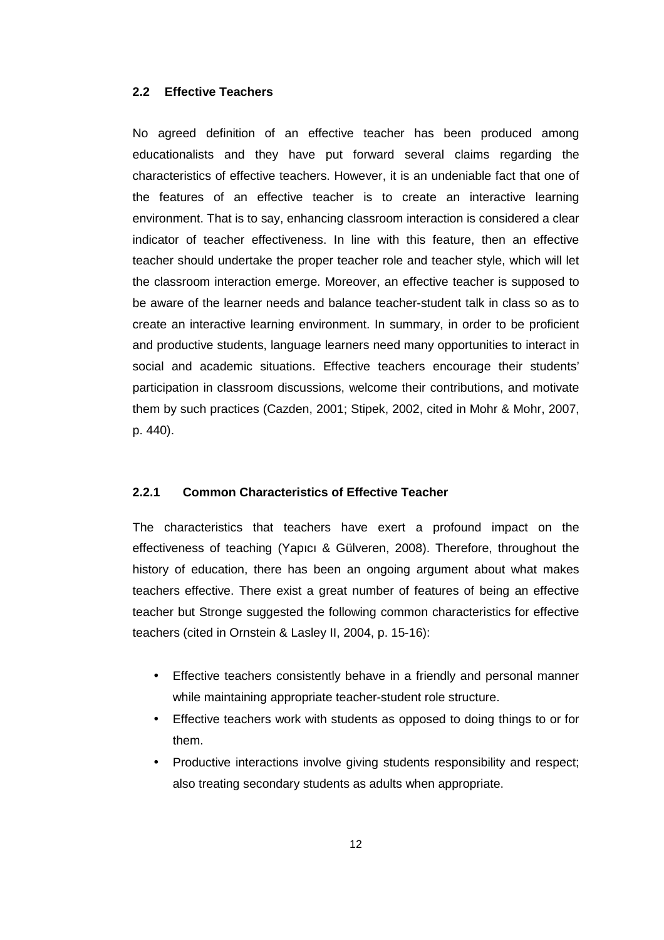#### **2.2 Effective Teachers**

No agreed definition of an effective teacher has been produced among educationalists and they have put forward several claims regarding the characteristics of effective teachers. However, it is an undeniable fact that one of the features of an effective teacher is to create an interactive learning environment. That is to say, enhancing classroom interaction is considered a clear indicator of teacher effectiveness. In line with this feature, then an effective teacher should undertake the proper teacher role and teacher style, which will let the classroom interaction emerge. Moreover, an effective teacher is supposed to be aware of the learner needs and balance teacher-student talk in class so as to create an interactive learning environment. In summary, in order to be proficient and productive students, language learners need many opportunities to interact in social and academic situations. Effective teachers encourage their students' participation in classroom discussions, welcome their contributions, and motivate them by such practices (Cazden, 2001; Stipek, 2002, cited in Mohr & Mohr, 2007, p. 440).

#### **2.2.1 Common Characteristics of Effective Teacher**

The characteristics that teachers have exert a profound impact on the effectiveness of teaching (Yapıcı & Gülveren, 2008). Therefore, throughout the history of education, there has been an ongoing argument about what makes teachers effective. There exist a great number of features of being an effective teacher but Stronge suggested the following common characteristics for effective teachers (cited in Ornstein & Lasley II, 2004, p. 15-16):

- Effective teachers consistently behave in a friendly and personal manner while maintaining appropriate teacher-student role structure.
- Effective teachers work with students as opposed to doing things to or for them.
- Productive interactions involve giving students responsibility and respect; also treating secondary students as adults when appropriate.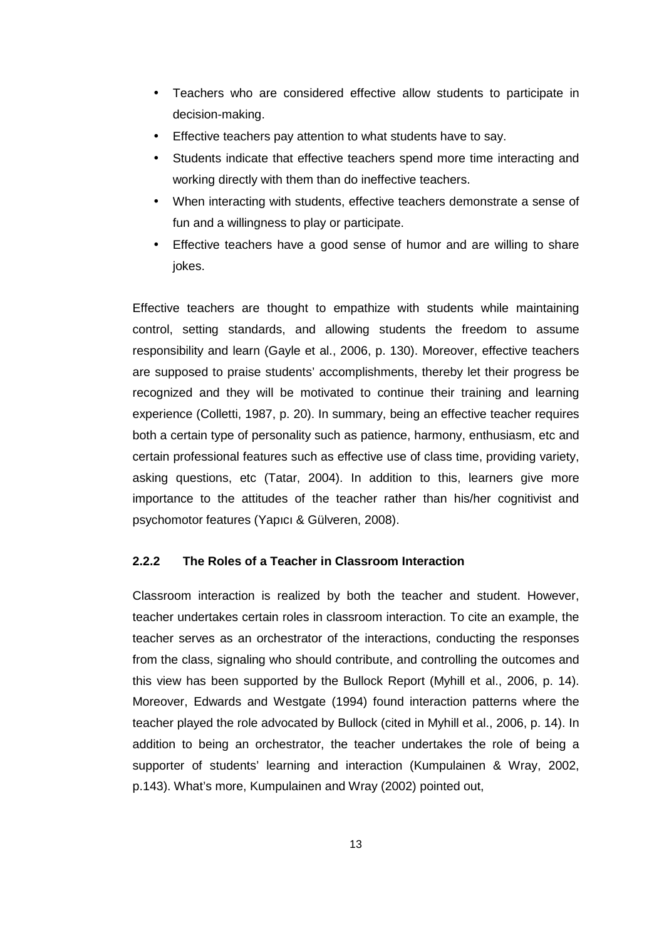- Teachers who are considered effective allow students to participate in decision-making.
- Effective teachers pay attention to what students have to say.
- Students indicate that effective teachers spend more time interacting and working directly with them than do ineffective teachers.
- When interacting with students, effective teachers demonstrate a sense of fun and a willingness to play or participate.
- Effective teachers have a good sense of humor and are willing to share iokes.

Effective teachers are thought to empathize with students while maintaining control, setting standards, and allowing students the freedom to assume responsibility and learn (Gayle et al., 2006, p. 130). Moreover, effective teachers are supposed to praise students' accomplishments, thereby let their progress be recognized and they will be motivated to continue their training and learning experience (Colletti, 1987, p. 20). In summary, being an effective teacher requires both a certain type of personality such as patience, harmony, enthusiasm, etc and certain professional features such as effective use of class time, providing variety, asking questions, etc (Tatar, 2004). In addition to this, learners give more importance to the attitudes of the teacher rather than his/her cognitivist and psychomotor features (Yapıcı & Gülveren, 2008).

#### **2.2.2 The Roles of a Teacher in Classroom Interaction**

Classroom interaction is realized by both the teacher and student. However, teacher undertakes certain roles in classroom interaction. To cite an example, the teacher serves as an orchestrator of the interactions, conducting the responses from the class, signaling who should contribute, and controlling the outcomes and this view has been supported by the Bullock Report (Myhill et al., 2006, p. 14). Moreover, Edwards and Westgate (1994) found interaction patterns where the teacher played the role advocated by Bullock (cited in Myhill et al., 2006, p. 14). In addition to being an orchestrator, the teacher undertakes the role of being a supporter of students' learning and interaction (Kumpulainen & Wray, 2002, p.143). What's more, Kumpulainen and Wray (2002) pointed out,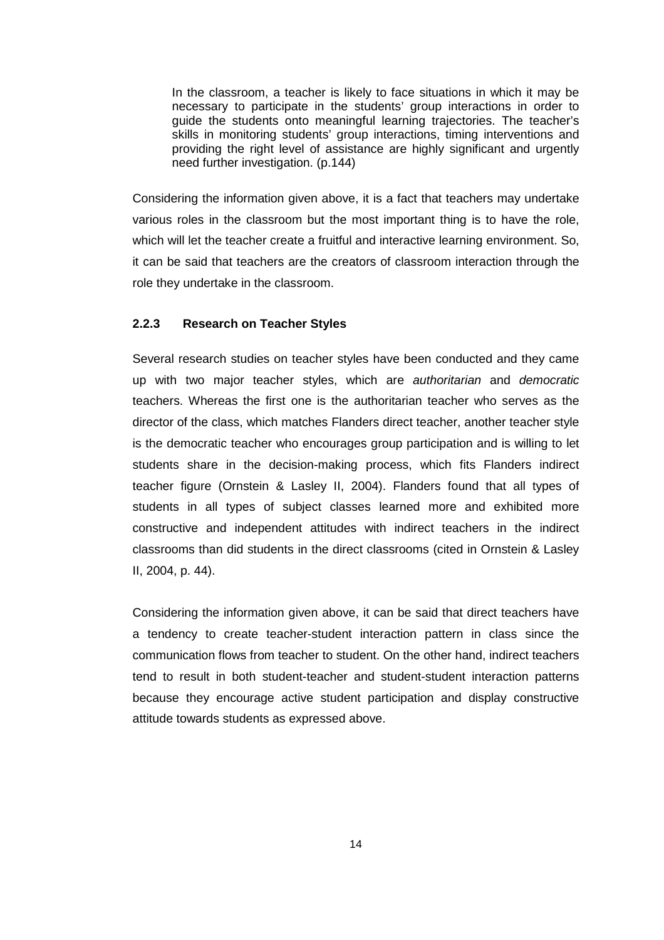In the classroom, a teacher is likely to face situations in which it may be necessary to participate in the students' group interactions in order to guide the students onto meaningful learning trajectories. The teacher's skills in monitoring students' group interactions, timing interventions and providing the right level of assistance are highly significant and urgently need further investigation. (p.144)

Considering the information given above, it is a fact that teachers may undertake various roles in the classroom but the most important thing is to have the role, which will let the teacher create a fruitful and interactive learning environment. So, it can be said that teachers are the creators of classroom interaction through the role they undertake in the classroom.

#### **2.2.3 Research on Teacher Styles**

Several research studies on teacher styles have been conducted and they came up with two major teacher styles, which are authoritarian and democratic teachers. Whereas the first one is the authoritarian teacher who serves as the director of the class, which matches Flanders direct teacher, another teacher style is the democratic teacher who encourages group participation and is willing to let students share in the decision-making process, which fits Flanders indirect teacher figure (Ornstein & Lasley II, 2004). Flanders found that all types of students in all types of subject classes learned more and exhibited more constructive and independent attitudes with indirect teachers in the indirect classrooms than did students in the direct classrooms (cited in Ornstein & Lasley II, 2004, p. 44).

Considering the information given above, it can be said that direct teachers have a tendency to create teacher-student interaction pattern in class since the communication flows from teacher to student. On the other hand, indirect teachers tend to result in both student-teacher and student-student interaction patterns because they encourage active student participation and display constructive attitude towards students as expressed above.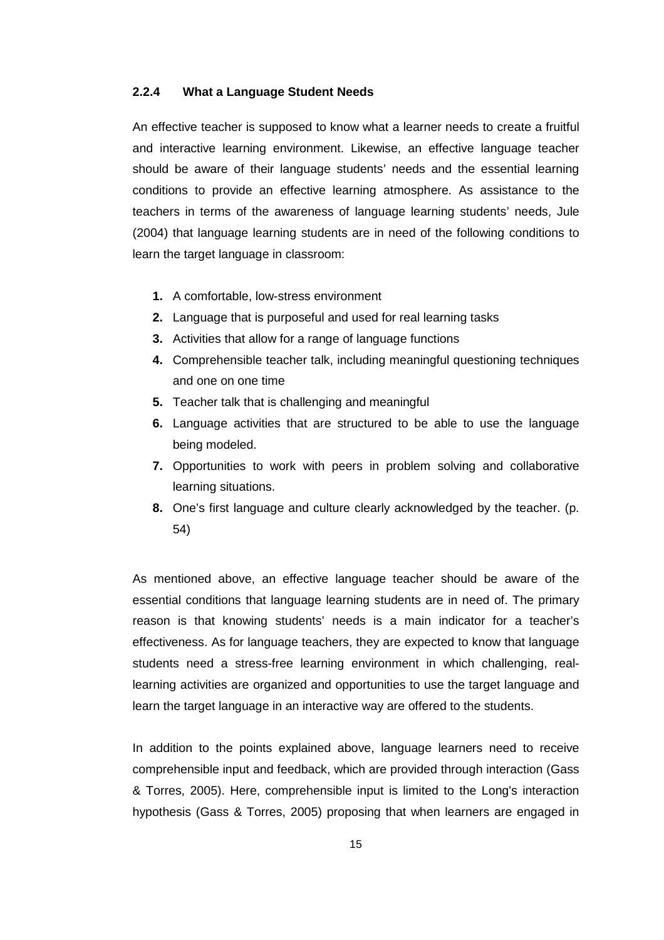#### **2.2.4 What a Language Student Needs**

An effective teacher is supposed to know what a learner needs to create a fruitful and interactive learning environment. Likewise, an effective language teacher should be aware of their language students' needs and the essential learning conditions to provide an effective learning atmosphere. As assistance to the teachers in terms of the awareness of language learning students' needs, Jule (2004) that language learning students are in need of the following conditions to learn the target language in classroom:

- **1.** A comfortable, low-stress environment
- **2.** Language that is purposeful and used for real learning tasks
- **3.** Activities that allow for a range of language functions
- **4.** Comprehensible teacher talk, including meaningful questioning techniques and one on one time
- **5.** Teacher talk that is challenging and meaningful
- **6.** Language activities that are structured to be able to use the language being modeled.
- **7.** Opportunities to work with peers in problem solving and collaborative learning situations.
- **8.** One's first language and culture clearly acknowledged by the teacher. (p. 54)

As mentioned above, an effective language teacher should be aware of the essential conditions that language learning students are in need of. The primary reason is that knowing students' needs is a main indicator for a teacher's effectiveness. As for language teachers, they are expected to know that language students need a stress-free learning environment in which challenging, reallearning activities are organized and opportunities to use the target language and learn the target language in an interactive way are offered to the students.

In addition to the points explained above, language learners need to receive comprehensible input and feedback, which are provided through interaction (Gass & Torres, 2005). Here, comprehensible input is limited to the Long's interaction hypothesis (Gass & Torres, 2005) proposing that when learners are engaged in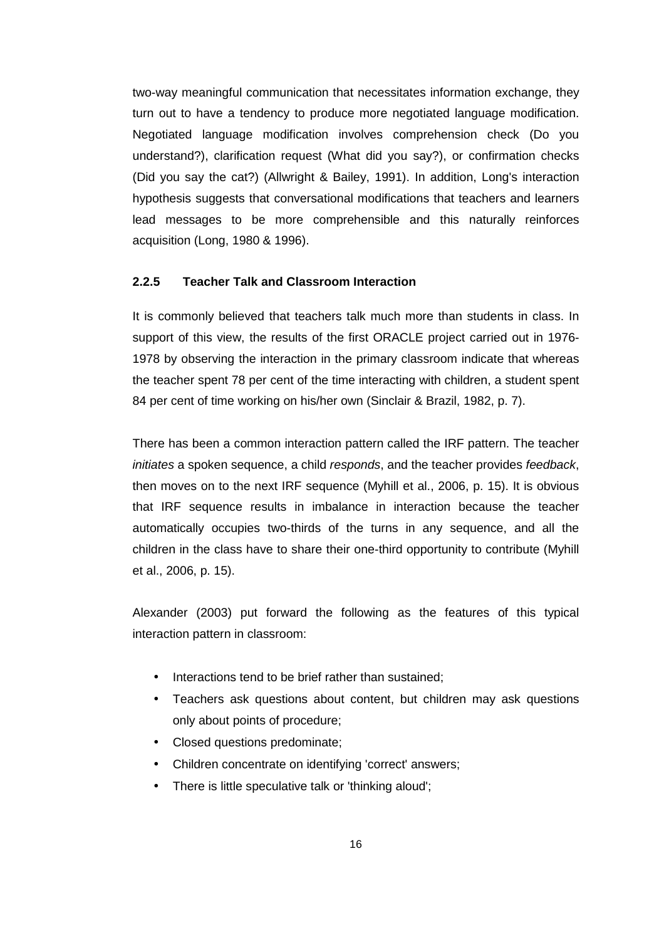two-way meaningful communication that necessitates information exchange, they turn out to have a tendency to produce more negotiated language modification. Negotiated language modification involves comprehension check (Do you understand?), clarification request (What did you say?), or confirmation checks (Did you say the cat?) (Allwright & Bailey, 1991). In addition, Long's interaction hypothesis suggests that conversational modifications that teachers and learners lead messages to be more comprehensible and this naturally reinforces acquisition (Long, 1980 & 1996).

#### **2.2.5 Teacher Talk and Classroom Interaction**

It is commonly believed that teachers talk much more than students in class. In support of this view, the results of the first ORACLE project carried out in 1976- 1978 by observing the interaction in the primary classroom indicate that whereas the teacher spent 78 per cent of the time interacting with children, a student spent 84 per cent of time working on his/her own (Sinclair & Brazil, 1982, p. 7).

There has been a common interaction pattern called the IRF pattern. The teacher initiates a spoken sequence, a child responds, and the teacher provides feedback, then moves on to the next IRF sequence (Myhill et al., 2006, p. 15). It is obvious that IRF sequence results in imbalance in interaction because the teacher automatically occupies two-thirds of the turns in any sequence, and all the children in the class have to share their one-third opportunity to contribute (Myhill et al., 2006, p. 15).

Alexander (2003) put forward the following as the features of this typical interaction pattern in classroom:

- Interactions tend to be brief rather than sustained:
- Teachers ask questions about content, but children may ask questions only about points of procedure;
- Closed questions predominate;
- Children concentrate on identifying 'correct' answers;
- There is little speculative talk or 'thinking aloud';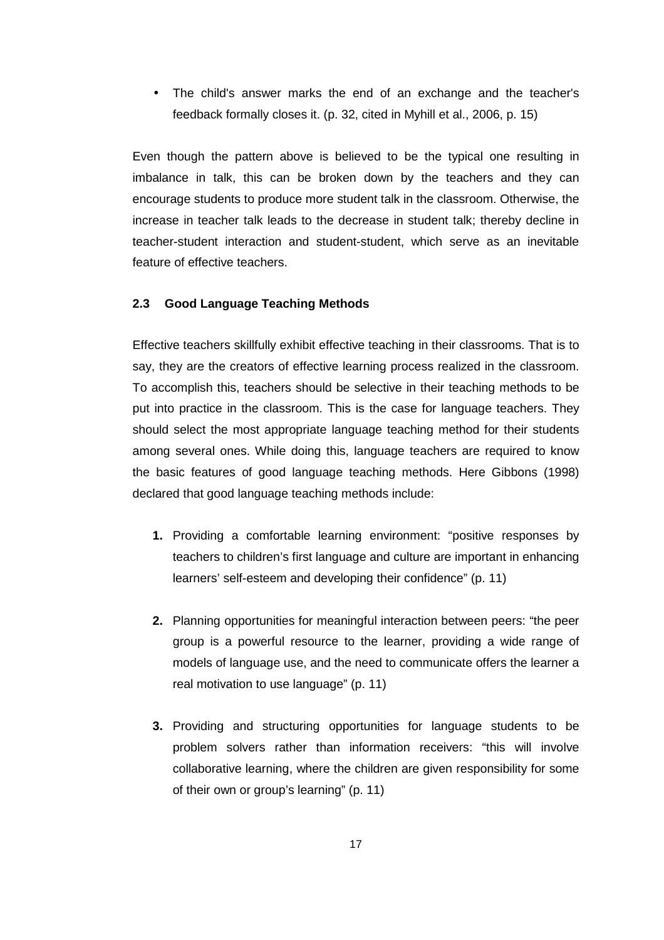• The child's answer marks the end of an exchange and the teacher's feedback formally closes it. (p. 32, cited in Myhill et al., 2006, p. 15)

Even though the pattern above is believed to be the typical one resulting in imbalance in talk, this can be broken down by the teachers and they can encourage students to produce more student talk in the classroom. Otherwise, the increase in teacher talk leads to the decrease in student talk; thereby decline in teacher-student interaction and student-student, which serve as an inevitable feature of effective teachers.

# **2.3 Good Language Teaching Methods**

Effective teachers skillfully exhibit effective teaching in their classrooms. That is to say, they are the creators of effective learning process realized in the classroom. To accomplish this, teachers should be selective in their teaching methods to be put into practice in the classroom. This is the case for language teachers. They should select the most appropriate language teaching method for their students among several ones. While doing this, language teachers are required to know the basic features of good language teaching methods. Here Gibbons (1998) declared that good language teaching methods include:

- **1.** Providing a comfortable learning environment: "positive responses by teachers to children's first language and culture are important in enhancing learners' self-esteem and developing their confidence" (p. 11)
- **2.** Planning opportunities for meaningful interaction between peers: "the peer group is a powerful resource to the learner, providing a wide range of models of language use, and the need to communicate offers the learner a real motivation to use language" (p. 11)
- **3.** Providing and structuring opportunities for language students to be problem solvers rather than information receivers: "this will involve collaborative learning, where the children are given responsibility for some of their own or group's learning" (p. 11)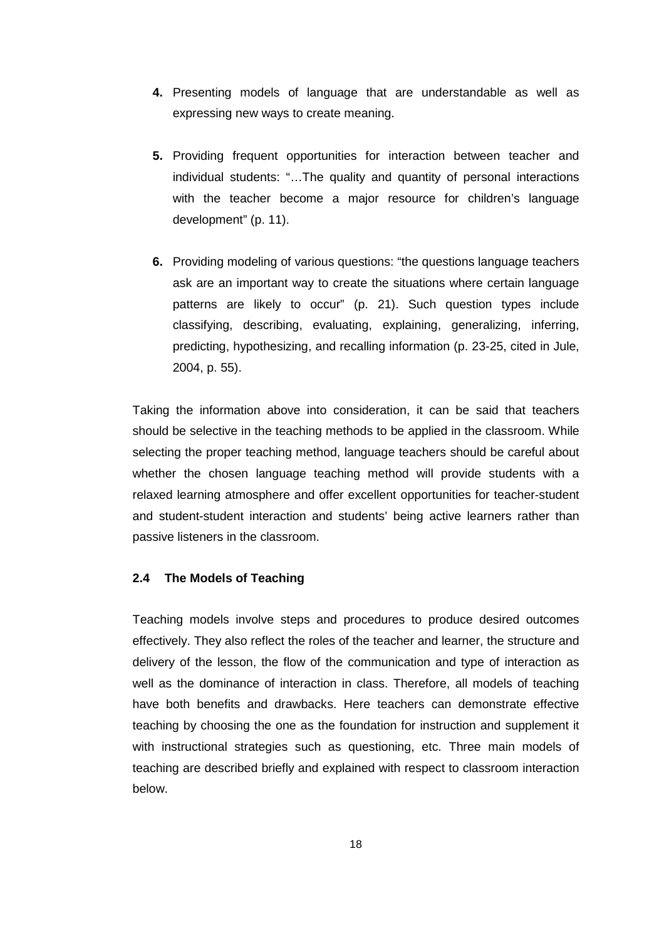- **4.** Presenting models of language that are understandable as well as expressing new ways to create meaning.
- **5.** Providing frequent opportunities for interaction between teacher and individual students: "…The quality and quantity of personal interactions with the teacher become a major resource for children's language development" (p. 11).
- **6.** Providing modeling of various questions: "the questions language teachers ask are an important way to create the situations where certain language patterns are likely to occur" (p. 21). Such question types include classifying, describing, evaluating, explaining, generalizing, inferring, predicting, hypothesizing, and recalling information (p. 23-25, cited in Jule, 2004, p. 55).

Taking the information above into consideration, it can be said that teachers should be selective in the teaching methods to be applied in the classroom. While selecting the proper teaching method, language teachers should be careful about whether the chosen language teaching method will provide students with a relaxed learning atmosphere and offer excellent opportunities for teacher-student and student-student interaction and students' being active learners rather than passive listeners in the classroom.

# **2.4 The Models of Teaching**

Teaching models involve steps and procedures to produce desired outcomes effectively. They also reflect the roles of the teacher and learner, the structure and delivery of the lesson, the flow of the communication and type of interaction as well as the dominance of interaction in class. Therefore, all models of teaching have both benefits and drawbacks. Here teachers can demonstrate effective teaching by choosing the one as the foundation for instruction and supplement it with instructional strategies such as questioning, etc. Three main models of teaching are described briefly and explained with respect to classroom interaction below.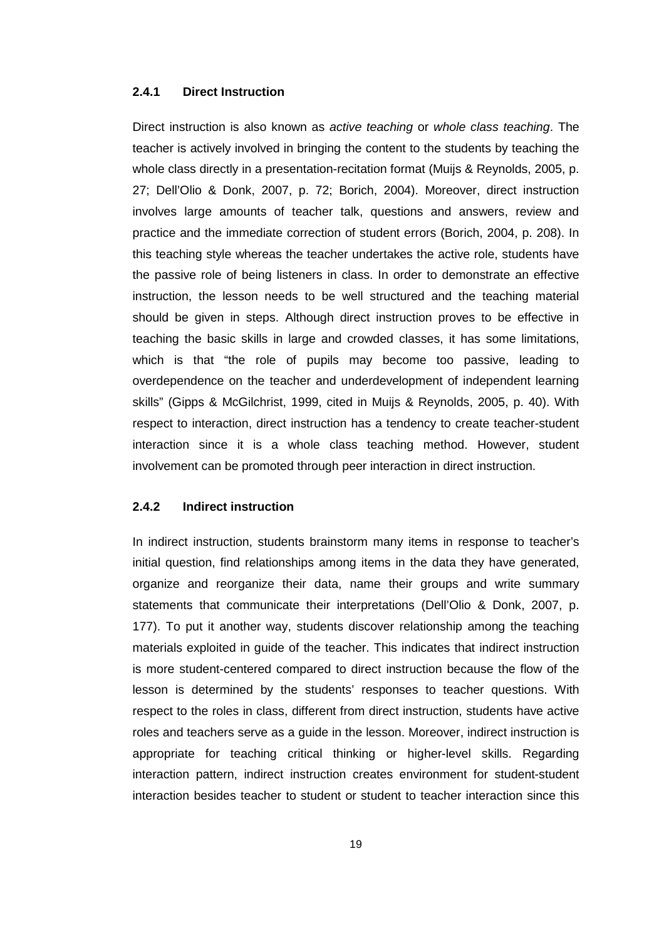# **2.4.1 Direct Instruction**

Direct instruction is also known as active teaching or whole class teaching. The teacher is actively involved in bringing the content to the students by teaching the whole class directly in a presentation-recitation format (Muijs & Reynolds, 2005, p. 27; Dell'Olio & Donk, 2007, p. 72; Borich, 2004). Moreover, direct instruction involves large amounts of teacher talk, questions and answers, review and practice and the immediate correction of student errors (Borich, 2004, p. 208). In this teaching style whereas the teacher undertakes the active role, students have the passive role of being listeners in class. In order to demonstrate an effective instruction, the lesson needs to be well structured and the teaching material should be given in steps. Although direct instruction proves to be effective in teaching the basic skills in large and crowded classes, it has some limitations, which is that "the role of pupils may become too passive, leading to overdependence on the teacher and underdevelopment of independent learning skills" (Gipps & McGilchrist, 1999, cited in Muijs & Reynolds, 2005, p. 40). With respect to interaction, direct instruction has a tendency to create teacher-student interaction since it is a whole class teaching method. However, student involvement can be promoted through peer interaction in direct instruction.

# **2.4.2 Indirect instruction**

In indirect instruction, students brainstorm many items in response to teacher's initial question, find relationships among items in the data they have generated, organize and reorganize their data, name their groups and write summary statements that communicate their interpretations (Dell'Olio & Donk, 2007, p. 177). To put it another way, students discover relationship among the teaching materials exploited in guide of the teacher. This indicates that indirect instruction is more student-centered compared to direct instruction because the flow of the lesson is determined by the students' responses to teacher questions. With respect to the roles in class, different from direct instruction, students have active roles and teachers serve as a guide in the lesson. Moreover, indirect instruction is appropriate for teaching critical thinking or higher-level skills. Regarding interaction pattern, indirect instruction creates environment for student-student interaction besides teacher to student or student to teacher interaction since this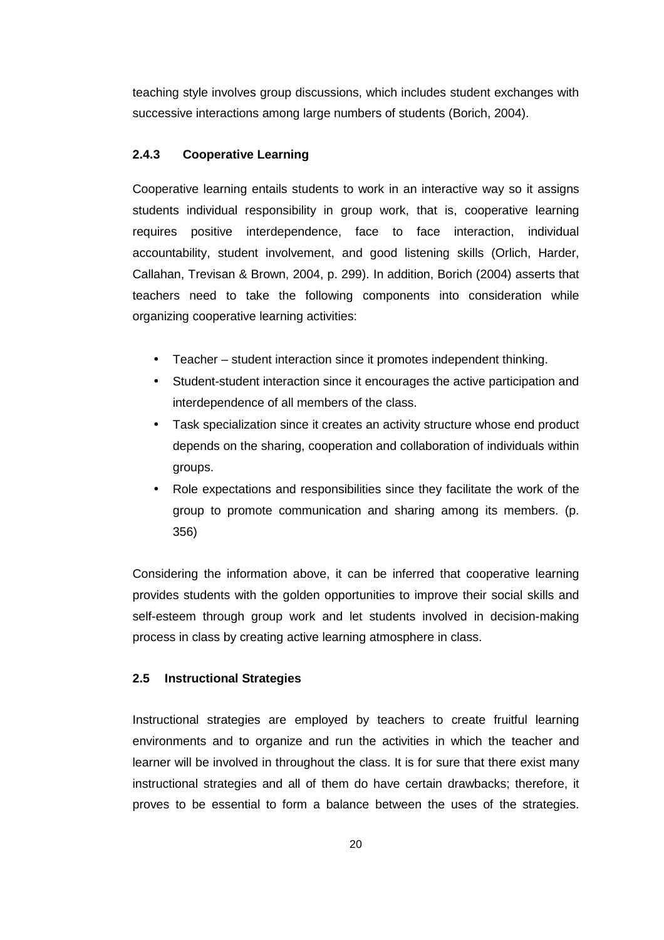teaching style involves group discussions, which includes student exchanges with successive interactions among large numbers of students (Borich, 2004).

# **2.4.3 Cooperative Learning**

Cooperative learning entails students to work in an interactive way so it assigns students individual responsibility in group work, that is, cooperative learning requires positive interdependence, face to face interaction, individual accountability, student involvement, and good listening skills (Orlich, Harder, Callahan, Trevisan & Brown, 2004, p. 299). In addition, Borich (2004) asserts that teachers need to take the following components into consideration while organizing cooperative learning activities:

- Teacher student interaction since it promotes independent thinking.
- Student-student interaction since it encourages the active participation and interdependence of all members of the class.
- Task specialization since it creates an activity structure whose end product depends on the sharing, cooperation and collaboration of individuals within groups.
- Role expectations and responsibilities since they facilitate the work of the group to promote communication and sharing among its members. (p. 356)

Considering the information above, it can be inferred that cooperative learning provides students with the golden opportunities to improve their social skills and self-esteem through group work and let students involved in decision-making process in class by creating active learning atmosphere in class.

# **2.5 Instructional Strategies**

Instructional strategies are employed by teachers to create fruitful learning environments and to organize and run the activities in which the teacher and learner will be involved in throughout the class. It is for sure that there exist many instructional strategies and all of them do have certain drawbacks; therefore, it proves to be essential to form a balance between the uses of the strategies.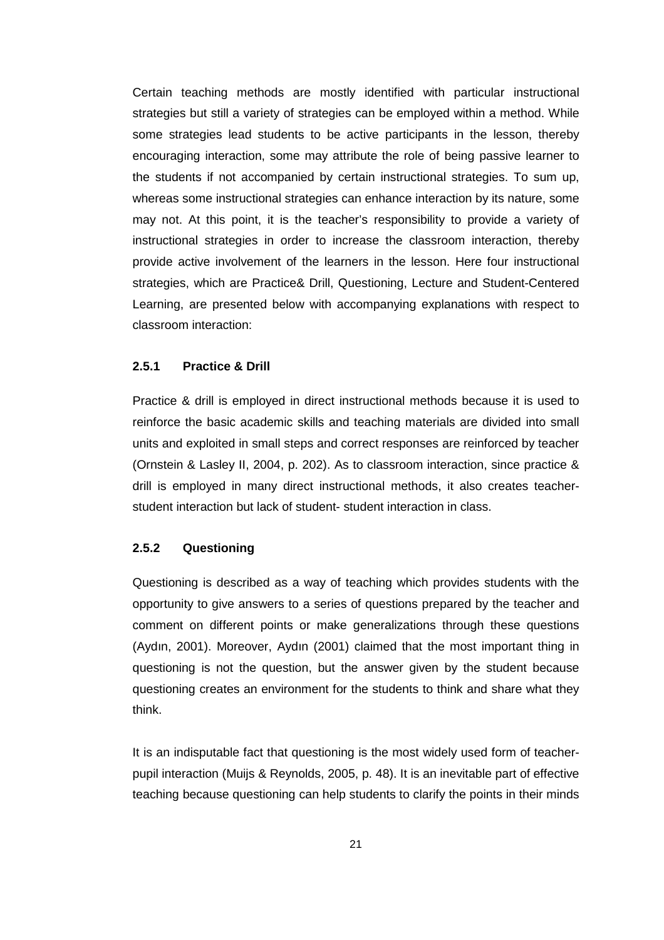Certain teaching methods are mostly identified with particular instructional strategies but still a variety of strategies can be employed within a method. While some strategies lead students to be active participants in the lesson, thereby encouraging interaction, some may attribute the role of being passive learner to the students if not accompanied by certain instructional strategies. To sum up, whereas some instructional strategies can enhance interaction by its nature, some may not. At this point, it is the teacher's responsibility to provide a variety of instructional strategies in order to increase the classroom interaction, thereby provide active involvement of the learners in the lesson. Here four instructional strategies, which are Practice& Drill, Questioning, Lecture and Student-Centered Learning, are presented below with accompanying explanations with respect to classroom interaction:

# **2.5.1 Practice & Drill**

Practice & drill is employed in direct instructional methods because it is used to reinforce the basic academic skills and teaching materials are divided into small units and exploited in small steps and correct responses are reinforced by teacher (Ornstein & Lasley II, 2004, p. 202). As to classroom interaction, since practice & drill is employed in many direct instructional methods, it also creates teacherstudent interaction but lack of student- student interaction in class.

# **2.5.2 Questioning**

Questioning is described as a way of teaching which provides students with the opportunity to give answers to a series of questions prepared by the teacher and comment on different points or make generalizations through these questions (Aydın, 2001). Moreover, Aydın (2001) claimed that the most important thing in questioning is not the question, but the answer given by the student because questioning creates an environment for the students to think and share what they think.

It is an indisputable fact that questioning is the most widely used form of teacherpupil interaction (Muijs & Reynolds, 2005, p. 48). It is an inevitable part of effective teaching because questioning can help students to clarify the points in their minds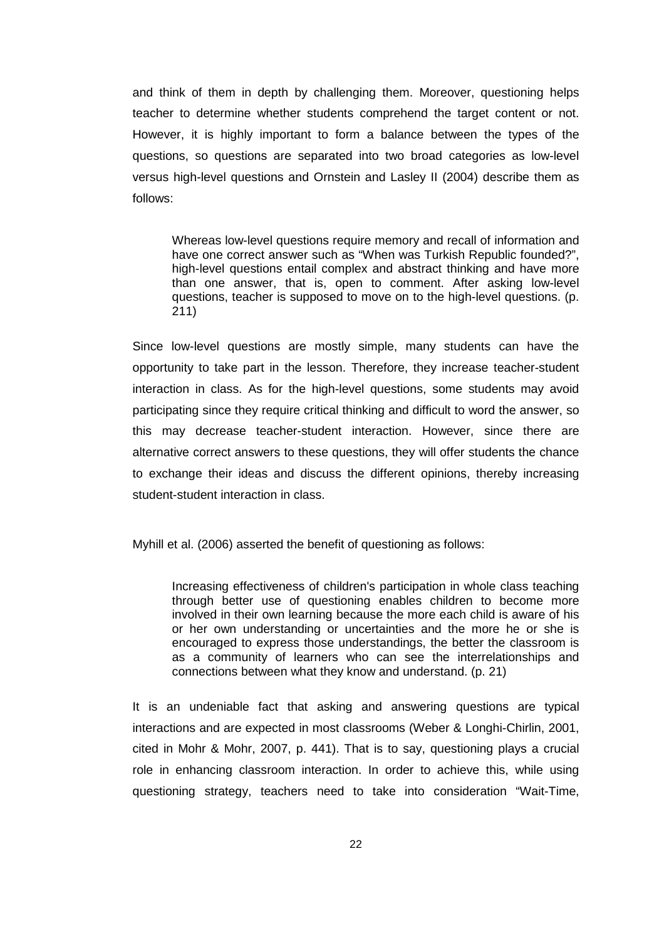and think of them in depth by challenging them. Moreover, questioning helps teacher to determine whether students comprehend the target content or not. However, it is highly important to form a balance between the types of the questions, so questions are separated into two broad categories as low-level versus high-level questions and Ornstein and Lasley II (2004) describe them as follows:

Whereas low-level questions require memory and recall of information and have one correct answer such as "When was Turkish Republic founded?", high-level questions entail complex and abstract thinking and have more than one answer, that is, open to comment. After asking low-level questions, teacher is supposed to move on to the high-level questions. (p. 211)

Since low-level questions are mostly simple, many students can have the opportunity to take part in the lesson. Therefore, they increase teacher-student interaction in class. As for the high-level questions, some students may avoid participating since they require critical thinking and difficult to word the answer, so this may decrease teacher-student interaction. However, since there are alternative correct answers to these questions, they will offer students the chance to exchange their ideas and discuss the different opinions, thereby increasing student-student interaction in class.

Myhill et al. (2006) asserted the benefit of questioning as follows:

Increasing effectiveness of children's participation in whole class teaching through better use of questioning enables children to become more involved in their own learning because the more each child is aware of his or her own understanding or uncertainties and the more he or she is encouraged to express those understandings, the better the classroom is as a community of learners who can see the interrelationships and connections between what they know and understand. (p. 21)

It is an undeniable fact that asking and answering questions are typical interactions and are expected in most classrooms (Weber & Longhi-Chirlin, 2001, cited in Mohr & Mohr, 2007, p. 441). That is to say, questioning plays a crucial role in enhancing classroom interaction. In order to achieve this, while using questioning strategy, teachers need to take into consideration "Wait-Time,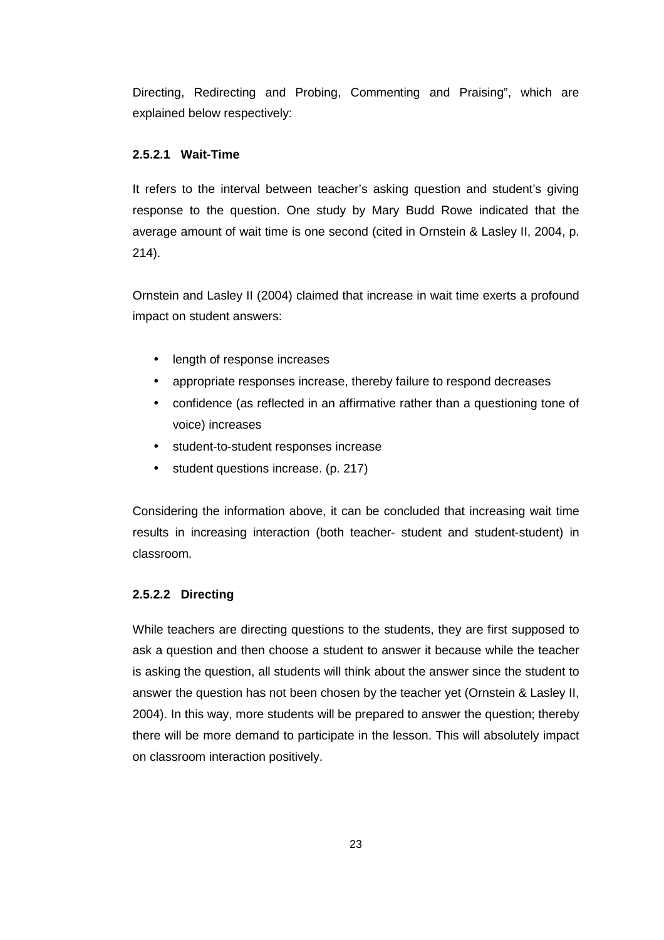Directing, Redirecting and Probing, Commenting and Praising", which are explained below respectively:

# **2.5.2.1 Wait-Time**

It refers to the interval between teacher's asking question and student's giving response to the question. One study by Mary Budd Rowe indicated that the average amount of wait time is one second (cited in Ornstein & Lasley II, 2004, p. 214).

Ornstein and Lasley II (2004) claimed that increase in wait time exerts a profound impact on student answers:

- length of response increases
- appropriate responses increase, thereby failure to respond decreases
- confidence (as reflected in an affirmative rather than a questioning tone of voice) increases
- student-to-student responses increase
- student questions increase. (p. 217)

Considering the information above, it can be concluded that increasing wait time results in increasing interaction (both teacher- student and student-student) in classroom.

# **2.5.2.2 Directing**

While teachers are directing questions to the students, they are first supposed to ask a question and then choose a student to answer it because while the teacher is asking the question, all students will think about the answer since the student to answer the question has not been chosen by the teacher yet (Ornstein & Lasley II, 2004). In this way, more students will be prepared to answer the question; thereby there will be more demand to participate in the lesson. This will absolutely impact on classroom interaction positively.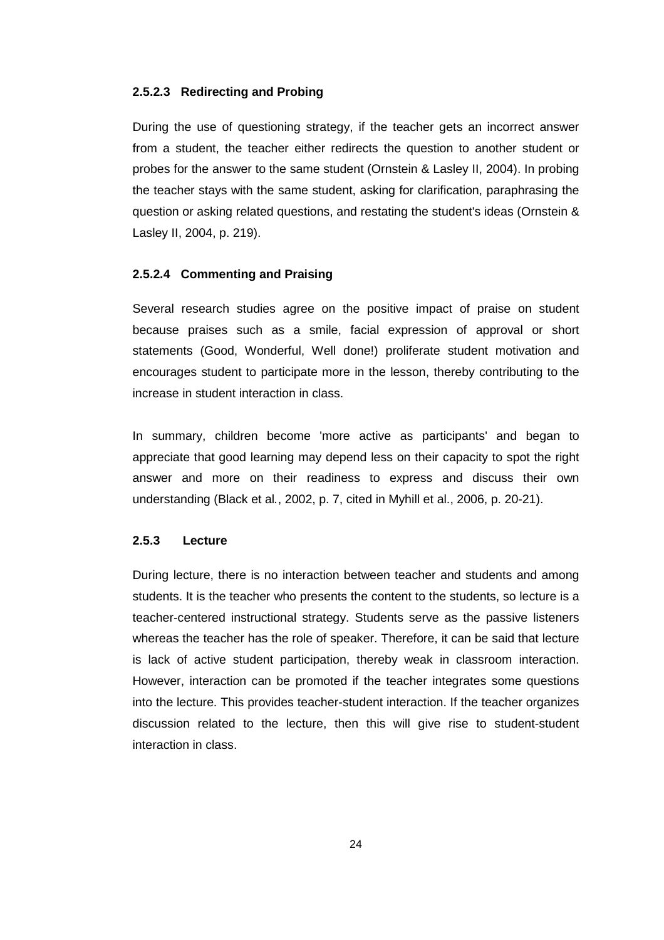# **2.5.2.3 Redirecting and Probing**

During the use of questioning strategy, if the teacher gets an incorrect answer from a student, the teacher either redirects the question to another student or probes for the answer to the same student (Ornstein & Lasley II, 2004). In probing the teacher stays with the same student, asking for clarification, paraphrasing the question or asking related questions, and restating the student's ideas (Ornstein & Lasley II, 2004, p. 219).

# **2.5.2.4 Commenting and Praising**

Several research studies agree on the positive impact of praise on student because praises such as a smile, facial expression of approval or short statements (Good, Wonderful, Well done!) proliferate student motivation and encourages student to participate more in the lesson, thereby contributing to the increase in student interaction in class.

In summary, children become 'more active as participants' and began to appreciate that good learning may depend less on their capacity to spot the right answer and more on their readiness to express and discuss their own understanding (Black et al., 2002, p. 7, cited in Myhill et al., 2006, p. 20-21).

### **2.5.3 Lecture**

During lecture, there is no interaction between teacher and students and among students. It is the teacher who presents the content to the students, so lecture is a teacher-centered instructional strategy. Students serve as the passive listeners whereas the teacher has the role of speaker. Therefore, it can be said that lecture is lack of active student participation, thereby weak in classroom interaction. However, interaction can be promoted if the teacher integrates some questions into the lecture. This provides teacher-student interaction. If the teacher organizes discussion related to the lecture, then this will give rise to student-student interaction in class.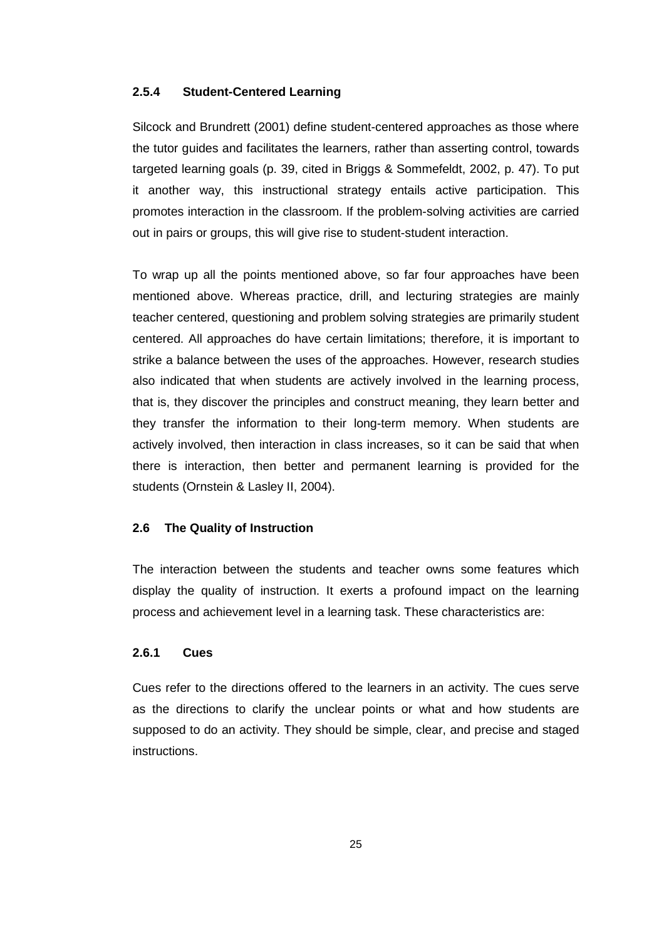# **2.5.4 Student-Centered Learning**

Silcock and Brundrett (2001) define student-centered approaches as those where the tutor guides and facilitates the learners, rather than asserting control, towards targeted learning goals (p. 39, cited in Briggs & Sommefeldt, 2002, p. 47). To put it another way, this instructional strategy entails active participation. This promotes interaction in the classroom. If the problem-solving activities are carried out in pairs or groups, this will give rise to student-student interaction.

To wrap up all the points mentioned above, so far four approaches have been mentioned above. Whereas practice, drill, and lecturing strategies are mainly teacher centered, questioning and problem solving strategies are primarily student centered. All approaches do have certain limitations; therefore, it is important to strike a balance between the uses of the approaches. However, research studies also indicated that when students are actively involved in the learning process, that is, they discover the principles and construct meaning, they learn better and they transfer the information to their long-term memory. When students are actively involved, then interaction in class increases, so it can be said that when there is interaction, then better and permanent learning is provided for the students (Ornstein & Lasley II, 2004).

#### **2.6 The Quality of Instruction**

The interaction between the students and teacher owns some features which display the quality of instruction. It exerts a profound impact on the learning process and achievement level in a learning task. These characteristics are:

# **2.6.1 Cues**

Cues refer to the directions offered to the learners in an activity. The cues serve as the directions to clarify the unclear points or what and how students are supposed to do an activity. They should be simple, clear, and precise and staged instructions.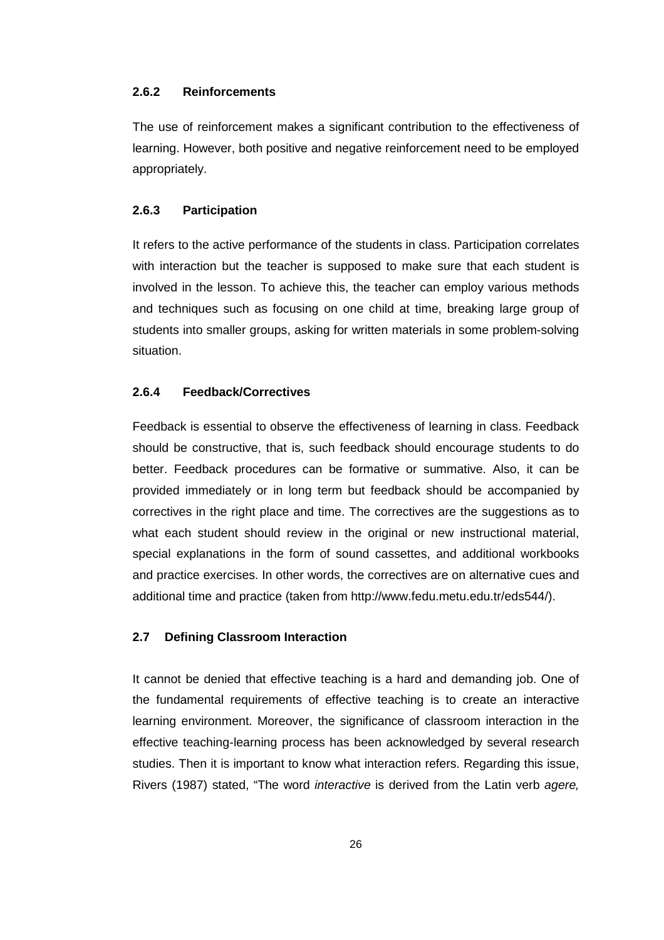# **2.6.2 Reinforcements**

The use of reinforcement makes a significant contribution to the effectiveness of learning. However, both positive and negative reinforcement need to be employed appropriately.

### **2.6.3 Participation**

It refers to the active performance of the students in class. Participation correlates with interaction but the teacher is supposed to make sure that each student is involved in the lesson. To achieve this, the teacher can employ various methods and techniques such as focusing on one child at time, breaking large group of students into smaller groups, asking for written materials in some problem-solving situation.

#### **2.6.4 Feedback/Correctives**

Feedback is essential to observe the effectiveness of learning in class. Feedback should be constructive, that is, such feedback should encourage students to do better. Feedback procedures can be formative or summative. Also, it can be provided immediately or in long term but feedback should be accompanied by correctives in the right place and time. The correctives are the suggestions as to what each student should review in the original or new instructional material, special explanations in the form of sound cassettes, and additional workbooks and practice exercises. In other words, the correctives are on alternative cues and additional time and practice (taken from http://www.fedu.metu.edu.tr/eds544/).

# **2.7 Defining Classroom Interaction**

It cannot be denied that effective teaching is a hard and demanding job. One of the fundamental requirements of effective teaching is to create an interactive learning environment. Moreover, the significance of classroom interaction in the effective teaching-learning process has been acknowledged by several research studies. Then it is important to know what interaction refers. Regarding this issue, Rivers (1987) stated, "The word *interactive* is derived from the Latin verb agere,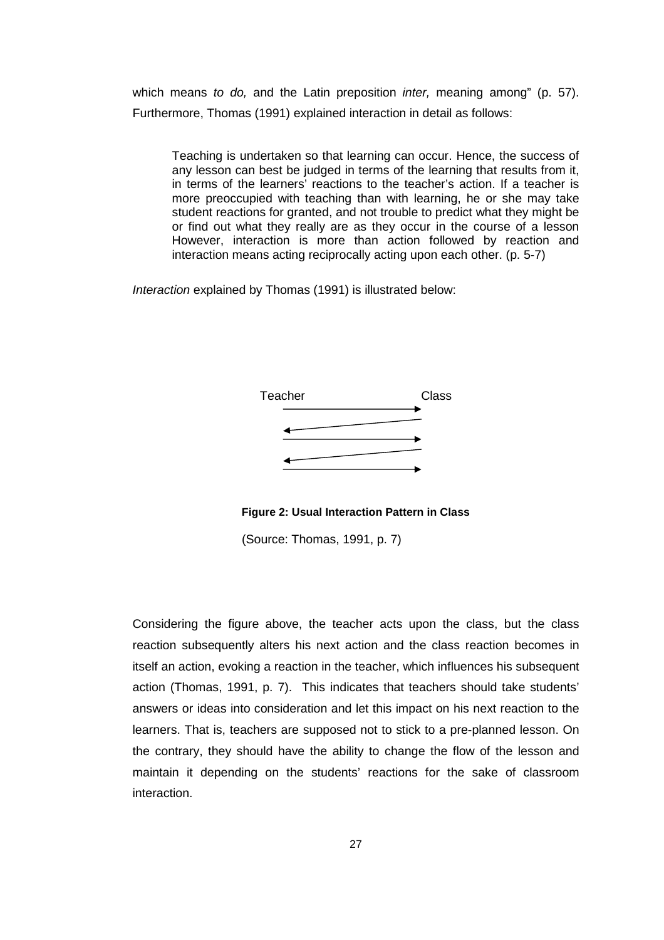which means to do, and the Latin preposition *inter*, meaning among" (p. 57). Furthermore, Thomas (1991) explained interaction in detail as follows:

Teaching is undertaken so that learning can occur. Hence, the success of any lesson can best be judged in terms of the learning that results from it, in terms of the learners' reactions to the teacher's action. If a teacher is more preoccupied with teaching than with learning, he or she may take student reactions for granted, and not trouble to predict what they might be or find out what they really are as they occur in the course of a lesson However, interaction is more than action followed by reaction and interaction means acting reciprocally acting upon each other. (p. 5-7)

Interaction explained by Thomas (1991) is illustrated below:



**Figure 2: Usual Interaction Pattern in Class** 

(Source: Thomas, 1991, p. 7)

Considering the figure above, the teacher acts upon the class, but the class reaction subsequently alters his next action and the class reaction becomes in itself an action, evoking a reaction in the teacher, which influences his subsequent action (Thomas, 1991, p. 7). This indicates that teachers should take students' answers or ideas into consideration and let this impact on his next reaction to the learners. That is, teachers are supposed not to stick to a pre-planned lesson. On the contrary, they should have the ability to change the flow of the lesson and maintain it depending on the students' reactions for the sake of classroom interaction.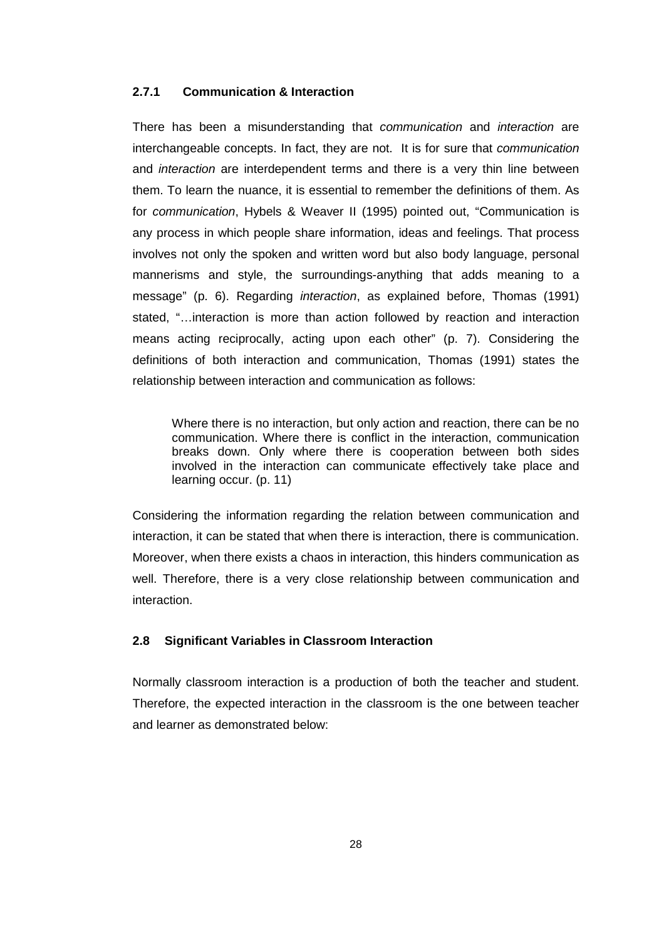# **2.7.1 Communication & Interaction**

There has been a misunderstanding that communication and interaction are interchangeable concepts. In fact, they are not. It is for sure that communication and *interaction* are interdependent terms and there is a very thin line between them. To learn the nuance, it is essential to remember the definitions of them. As for communication, Hybels & Weaver II (1995) pointed out, "Communication is any process in which people share information, ideas and feelings. That process involves not only the spoken and written word but also body language, personal mannerisms and style, the surroundings-anything that adds meaning to a message" (p. 6). Regarding interaction, as explained before, Thomas (1991) stated, "…interaction is more than action followed by reaction and interaction means acting reciprocally, acting upon each other" (p. 7). Considering the definitions of both interaction and communication, Thomas (1991) states the relationship between interaction and communication as follows:

Where there is no interaction, but only action and reaction, there can be no communication. Where there is conflict in the interaction, communication breaks down. Only where there is cooperation between both sides involved in the interaction can communicate effectively take place and learning occur. (p. 11)

Considering the information regarding the relation between communication and interaction, it can be stated that when there is interaction, there is communication. Moreover, when there exists a chaos in interaction, this hinders communication as well. Therefore, there is a very close relationship between communication and interaction.

# **2.8 Significant Variables in Classroom Interaction**

Normally classroom interaction is a production of both the teacher and student. Therefore, the expected interaction in the classroom is the one between teacher and learner as demonstrated below: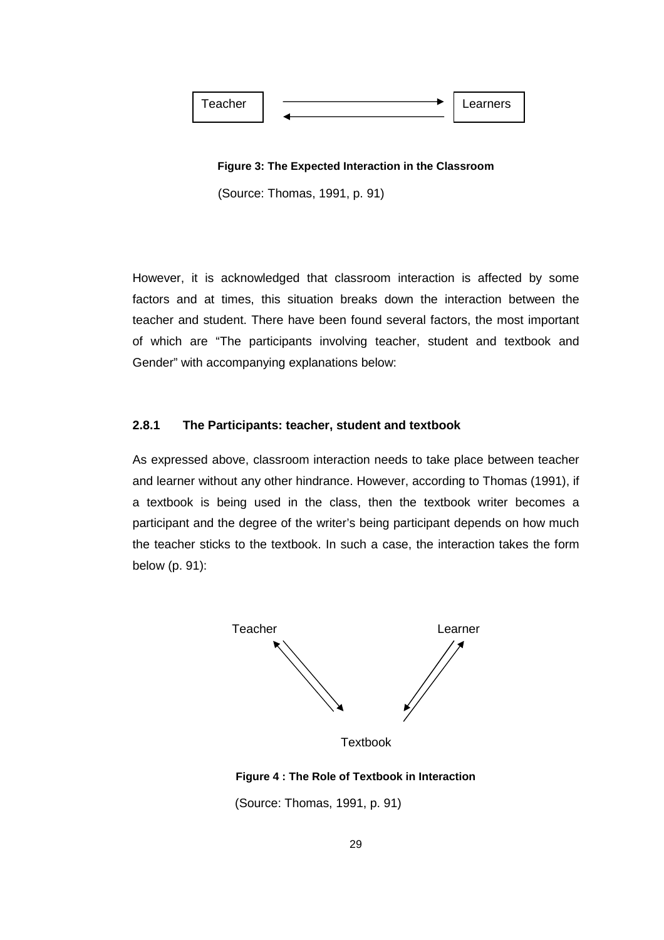

**Figure 3: The Expected Interaction in the Classroom**

(Source: Thomas, 1991, p. 91)

However, it is acknowledged that classroom interaction is affected by some factors and at times, this situation breaks down the interaction between the teacher and student. There have been found several factors, the most important of which are "The participants involving teacher, student and textbook and Gender" with accompanying explanations below:

# **2.8.1 The Participants: teacher, student and textbook**

As expressed above, classroom interaction needs to take place between teacher and learner without any other hindrance. However, according to Thomas (1991), if a textbook is being used in the class, then the textbook writer becomes a participant and the degree of the writer's being participant depends on how much the teacher sticks to the textbook. In such a case, the interaction takes the form below (p. 91):



**Textbook** 

# **Figure 4 : The Role of Textbook in Interaction**

(Source: Thomas, 1991, p. 91)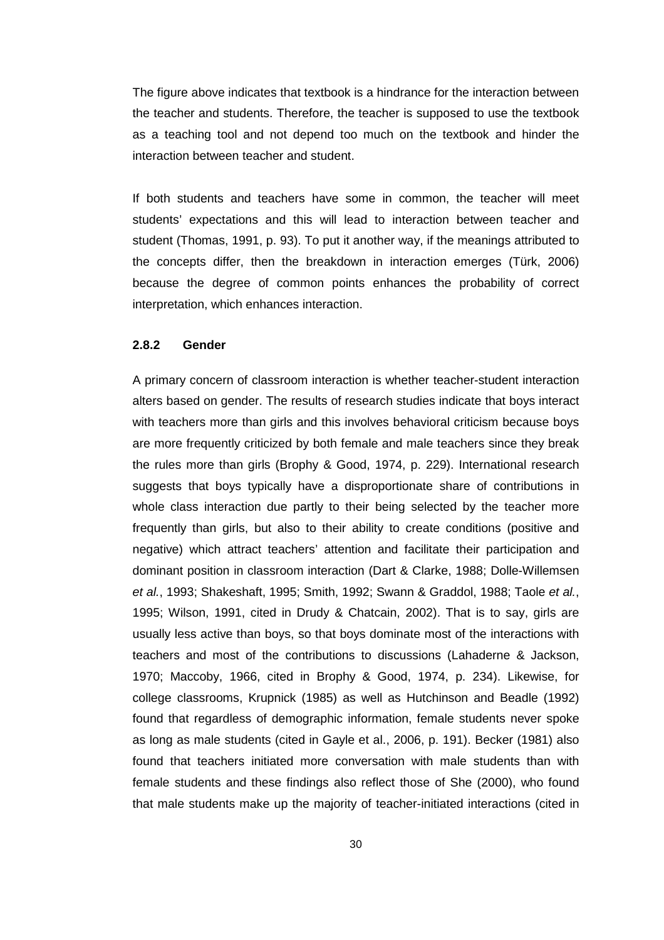The figure above indicates that textbook is a hindrance for the interaction between the teacher and students. Therefore, the teacher is supposed to use the textbook as a teaching tool and not depend too much on the textbook and hinder the interaction between teacher and student.

If both students and teachers have some in common, the teacher will meet students' expectations and this will lead to interaction between teacher and student (Thomas, 1991, p. 93). To put it another way, if the meanings attributed to the concepts differ, then the breakdown in interaction emerges (Türk, 2006) because the degree of common points enhances the probability of correct interpretation, which enhances interaction.

# **2.8.2 Gender**

A primary concern of classroom interaction is whether teacher-student interaction alters based on gender. The results of research studies indicate that boys interact with teachers more than girls and this involves behavioral criticism because boys are more frequently criticized by both female and male teachers since they break the rules more than girls (Brophy & Good, 1974, p. 229). International research suggests that boys typically have a disproportionate share of contributions in whole class interaction due partly to their being selected by the teacher more frequently than girls, but also to their ability to create conditions (positive and negative) which attract teachers' attention and facilitate their participation and dominant position in classroom interaction (Dart & Clarke, 1988; Dolle-Willemsen et al., 1993; Shakeshaft, 1995; Smith, 1992; Swann & Graddol, 1988; Taole et al., 1995; Wilson, 1991, cited in Drudy & Chatcain, 2002). That is to say, girls are usually less active than boys, so that boys dominate most of the interactions with teachers and most of the contributions to discussions (Lahaderne & Jackson, 1970; Maccoby, 1966, cited in Brophy & Good, 1974, p. 234). Likewise, for college classrooms, Krupnick (1985) as well as Hutchinson and Beadle (1992) found that regardless of demographic information, female students never spoke as long as male students (cited in Gayle et al., 2006, p. 191). Becker (1981) also found that teachers initiated more conversation with male students than with female students and these findings also reflect those of She (2000), who found that male students make up the majority of teacher-initiated interactions (cited in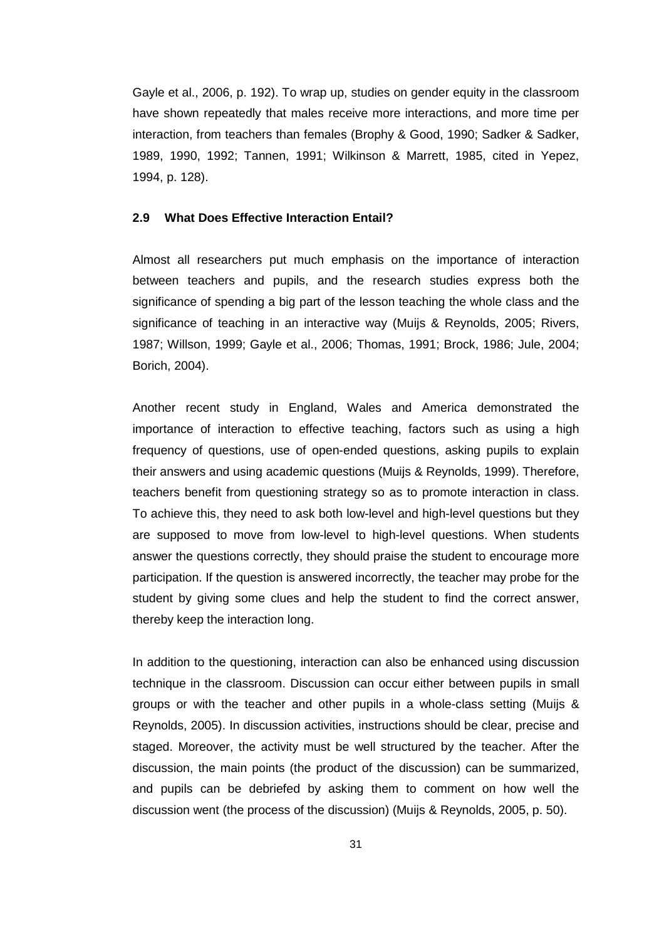Gayle et al., 2006, p. 192). To wrap up, studies on gender equity in the classroom have shown repeatedly that males receive more interactions, and more time per interaction, from teachers than females (Brophy & Good, 1990; Sadker & Sadker, 1989, 1990, 1992; Tannen, 1991; Wilkinson & Marrett, 1985, cited in Yepez, 1994, p. 128).

### **2.9 What Does Effective Interaction Entail?**

Almost all researchers put much emphasis on the importance of interaction between teachers and pupils, and the research studies express both the significance of spending a big part of the lesson teaching the whole class and the significance of teaching in an interactive way (Muijs & Reynolds, 2005; Rivers, 1987; Willson, 1999; Gayle et al., 2006; Thomas, 1991; Brock, 1986; Jule, 2004; Borich, 2004).

Another recent study in England, Wales and America demonstrated the importance of interaction to effective teaching, factors such as using a high frequency of questions, use of open-ended questions, asking pupils to explain their answers and using academic questions (Muijs & Reynolds, 1999). Therefore, teachers benefit from questioning strategy so as to promote interaction in class. To achieve this, they need to ask both low-level and high-level questions but they are supposed to move from low-level to high-level questions. When students answer the questions correctly, they should praise the student to encourage more participation. If the question is answered incorrectly, the teacher may probe for the student by giving some clues and help the student to find the correct answer, thereby keep the interaction long.

In addition to the questioning, interaction can also be enhanced using discussion technique in the classroom. Discussion can occur either between pupils in small groups or with the teacher and other pupils in a whole-class setting (Muijs & Reynolds, 2005). In discussion activities, instructions should be clear, precise and staged. Moreover, the activity must be well structured by the teacher. After the discussion, the main points (the product of the discussion) can be summarized, and pupils can be debriefed by asking them to comment on how well the discussion went (the process of the discussion) (Muijs & Reynolds, 2005, p. 50).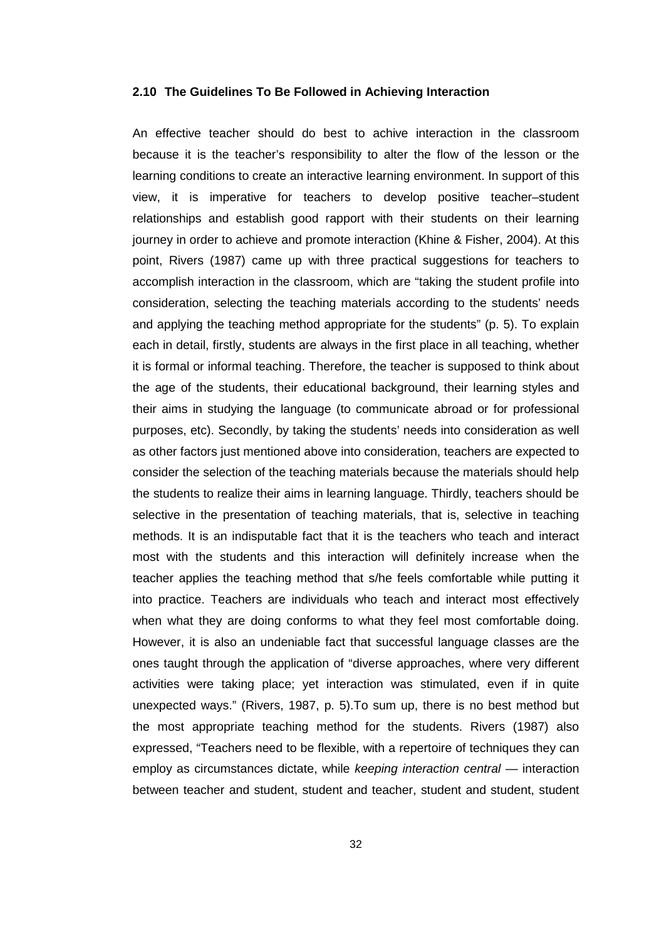#### **2.10 The Guidelines To Be Followed in Achieving Interaction**

An effective teacher should do best to achive interaction in the classroom because it is the teacher's responsibility to alter the flow of the lesson or the learning conditions to create an interactive learning environment. In support of this view, it is imperative for teachers to develop positive teacher–student relationships and establish good rapport with their students on their learning journey in order to achieve and promote interaction (Khine & Fisher, 2004). At this point, Rivers (1987) came up with three practical suggestions for teachers to accomplish interaction in the classroom, which are "taking the student profile into consideration, selecting the teaching materials according to the students' needs and applying the teaching method appropriate for the students" (p. 5). To explain each in detail, firstly, students are always in the first place in all teaching, whether it is formal or informal teaching. Therefore, the teacher is supposed to think about the age of the students, their educational background, their learning styles and their aims in studying the language (to communicate abroad or for professional purposes, etc). Secondly, by taking the students' needs into consideration as well as other factors just mentioned above into consideration, teachers are expected to consider the selection of the teaching materials because the materials should help the students to realize their aims in learning language. Thirdly, teachers should be selective in the presentation of teaching materials, that is, selective in teaching methods. It is an indisputable fact that it is the teachers who teach and interact most with the students and this interaction will definitely increase when the teacher applies the teaching method that s/he feels comfortable while putting it into practice. Teachers are individuals who teach and interact most effectively when what they are doing conforms to what they feel most comfortable doing. However, it is also an undeniable fact that successful language classes are the ones taught through the application of "diverse approaches, where very different activities were taking place; yet interaction was stimulated, even if in quite unexpected ways." (Rivers, 1987, p. 5).To sum up, there is no best method but the most appropriate teaching method for the students. Rivers (1987) also expressed, "Teachers need to be flexible, with a repertoire of techniques they can employ as circumstances dictate, while keeping interaction central - interaction between teacher and student, student and teacher, student and student, student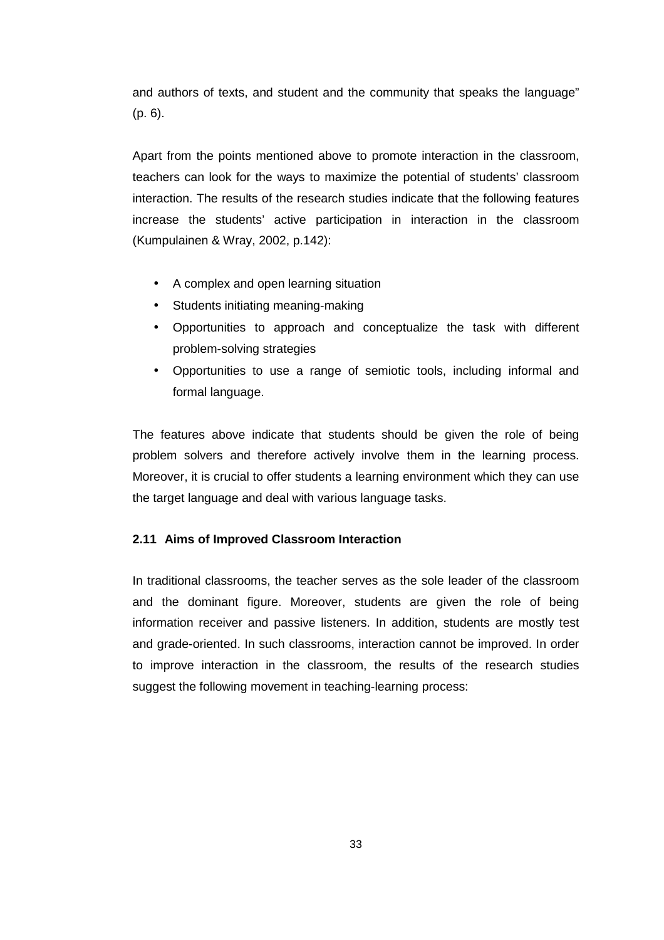and authors of texts, and student and the community that speaks the language" (p. 6).

Apart from the points mentioned above to promote interaction in the classroom, teachers can look for the ways to maximize the potential of students' classroom interaction. The results of the research studies indicate that the following features increase the students' active participation in interaction in the classroom (Kumpulainen & Wray, 2002, p.142):

- A complex and open learning situation
- Students initiating meaning-making
- Opportunities to approach and conceptualize the task with different problem-solving strategies
- Opportunities to use a range of semiotic tools, including informal and formal language.

The features above indicate that students should be given the role of being problem solvers and therefore actively involve them in the learning process. Moreover, it is crucial to offer students a learning environment which they can use the target language and deal with various language tasks.

# **2.11 Aims of Improved Classroom Interaction**

In traditional classrooms, the teacher serves as the sole leader of the classroom and the dominant figure. Moreover, students are given the role of being information receiver and passive listeners. In addition, students are mostly test and grade-oriented. In such classrooms, interaction cannot be improved. In order to improve interaction in the classroom, the results of the research studies suggest the following movement in teaching-learning process: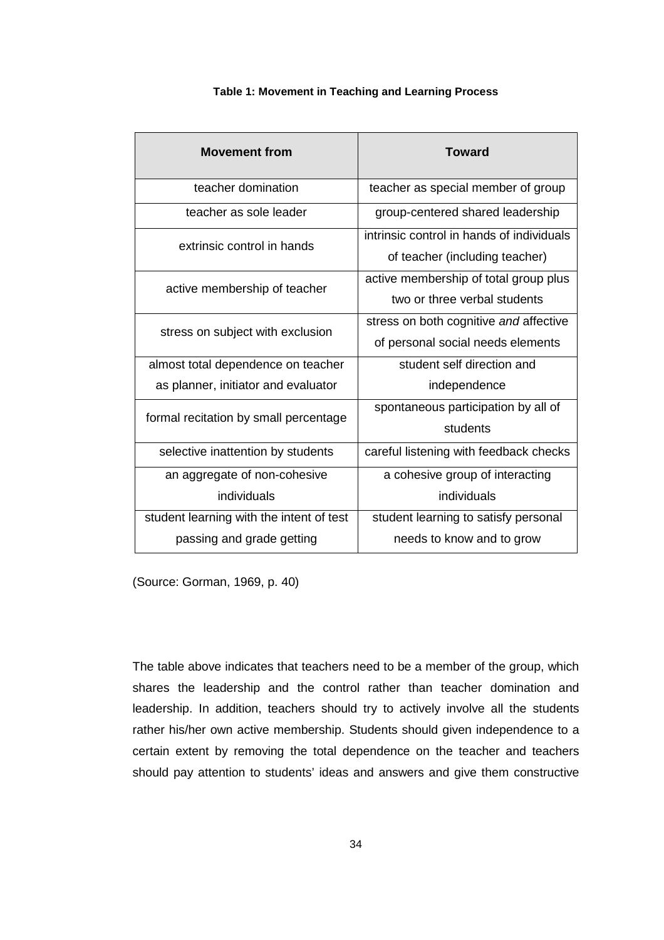| <b>Movement from</b>                     | <b>Toward</b>                                                               |
|------------------------------------------|-----------------------------------------------------------------------------|
| teacher domination                       | teacher as special member of group                                          |
| teacher as sole leader                   | group-centered shared leadership                                            |
| extrinsic control in hands               | intrinsic control in hands of individuals<br>of teacher (including teacher) |
| active membership of teacher             | active membership of total group plus<br>two or three verbal students       |
| stress on subject with exclusion         | stress on both cognitive and affective<br>of personal social needs elements |
| almost total dependence on teacher       | student self direction and                                                  |
| as planner, initiator and evaluator      | independence                                                                |
| formal recitation by small percentage    | spontaneous participation by all of<br>students                             |
| selective inattention by students        | careful listening with feedback checks                                      |
| an aggregate of non-cohesive             | a cohesive group of interacting                                             |
| individuals                              | individuals                                                                 |
| student learning with the intent of test | student learning to satisfy personal                                        |
| passing and grade getting                | needs to know and to grow                                                   |

# **Table 1: Movement in Teaching and Learning Process**

(Source: Gorman, 1969, p. 40)

The table above indicates that teachers need to be a member of the group, which shares the leadership and the control rather than teacher domination and leadership. In addition, teachers should try to actively involve all the students rather his/her own active membership. Students should given independence to a certain extent by removing the total dependence on the teacher and teachers should pay attention to students' ideas and answers and give them constructive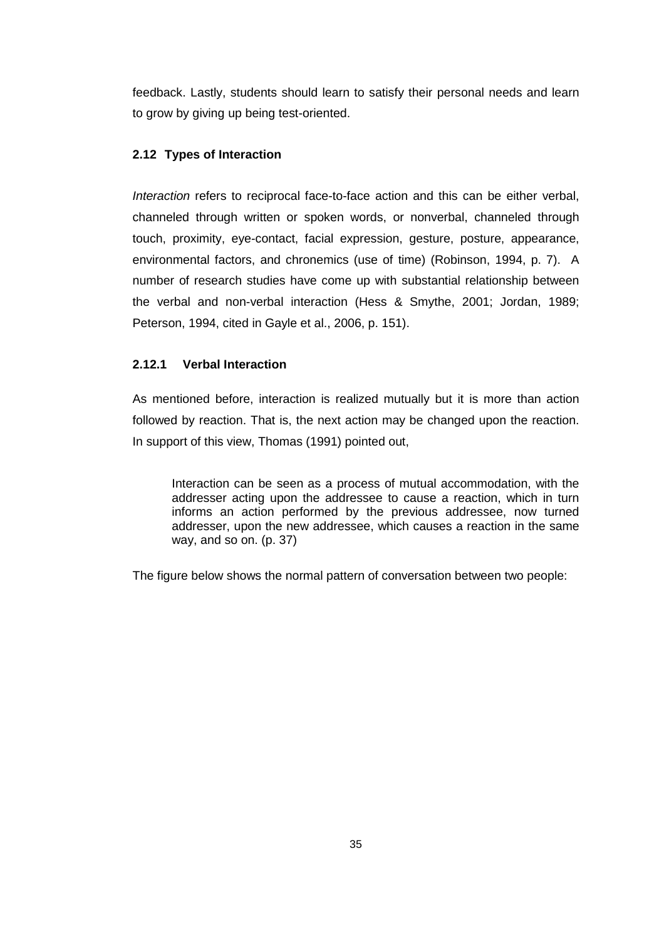feedback. Lastly, students should learn to satisfy their personal needs and learn to grow by giving up being test-oriented.

# **2.12 Types of Interaction**

Interaction refers to reciprocal face-to-face action and this can be either verbal, channeled through written or spoken words, or nonverbal, channeled through touch, proximity, eye-contact, facial expression, gesture, posture, appearance, environmental factors, and chronemics (use of time) (Robinson, 1994, p. 7). A number of research studies have come up with substantial relationship between the verbal and non-verbal interaction (Hess & Smythe, 2001; Jordan, 1989; Peterson, 1994, cited in Gayle et al., 2006, p. 151).

# **2.12.1 Verbal Interaction**

As mentioned before, interaction is realized mutually but it is more than action followed by reaction. That is, the next action may be changed upon the reaction. In support of this view, Thomas (1991) pointed out,

Interaction can be seen as a process of mutual accommodation, with the addresser acting upon the addressee to cause a reaction, which in turn informs an action performed by the previous addressee, now turned addresser, upon the new addressee, which causes a reaction in the same way, and so on. (p. 37)

The figure below shows the normal pattern of conversation between two people: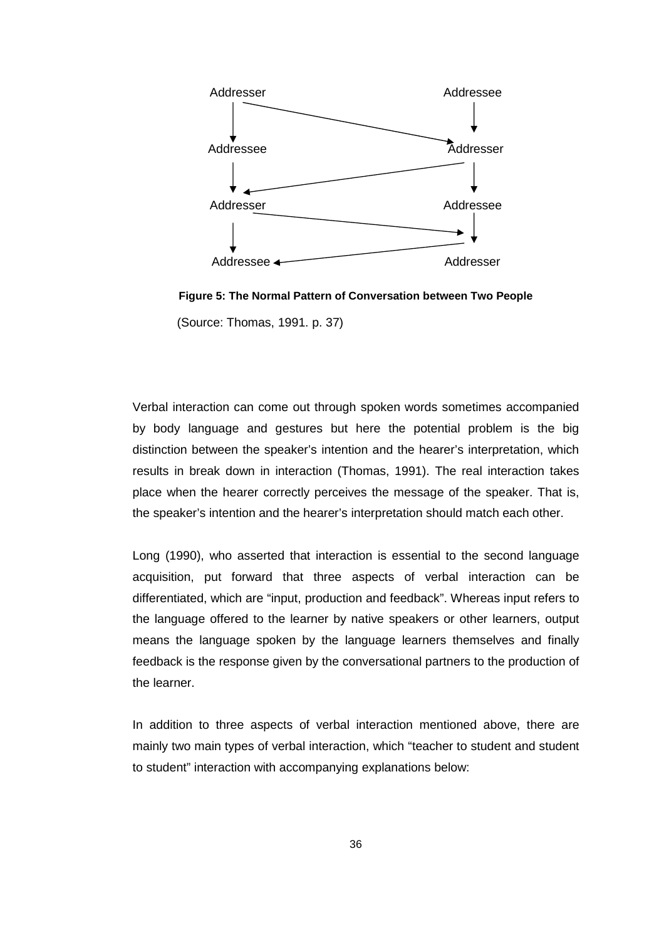

**Figure 5: The Normal Pattern of Conversation between Two People**  (Source: Thomas, 1991. p. 37)

Verbal interaction can come out through spoken words sometimes accompanied by body language and gestures but here the potential problem is the big distinction between the speaker's intention and the hearer's interpretation, which results in break down in interaction (Thomas, 1991). The real interaction takes place when the hearer correctly perceives the message of the speaker. That is, the speaker's intention and the hearer's interpretation should match each other.

Long (1990), who asserted that interaction is essential to the second language acquisition, put forward that three aspects of verbal interaction can be differentiated, which are "input, production and feedback". Whereas input refers to the language offered to the learner by native speakers or other learners, output means the language spoken by the language learners themselves and finally feedback is the response given by the conversational partners to the production of the learner.

In addition to three aspects of verbal interaction mentioned above, there are mainly two main types of verbal interaction, which "teacher to student and student to student" interaction with accompanying explanations below: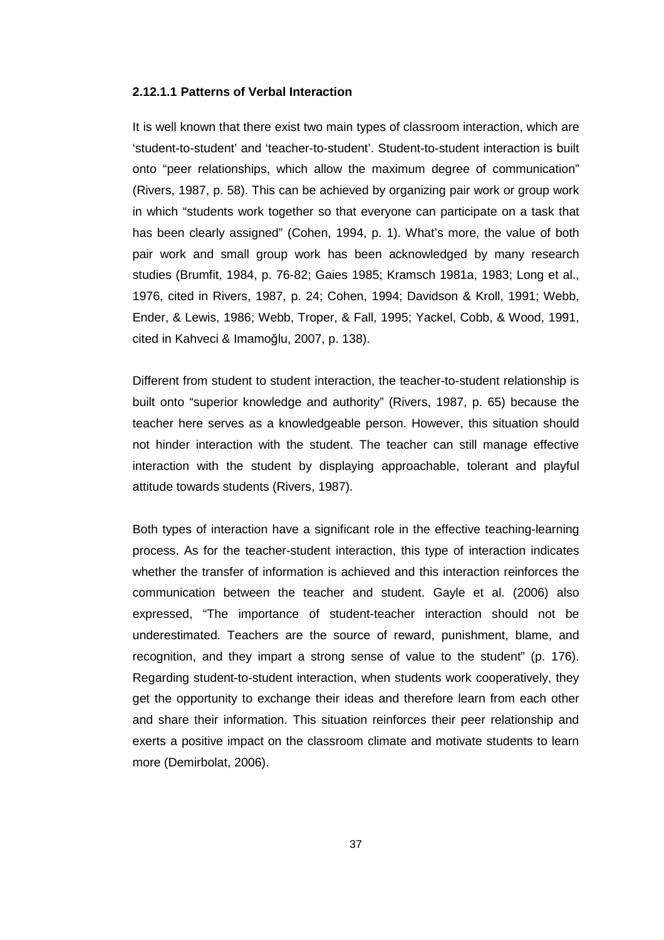### **2.12.1.1 Patterns of Verbal Interaction**

It is well known that there exist two main types of classroom interaction, which are 'student-to-student' and 'teacher-to-student'. Student-to-student interaction is built onto "peer relationships, which allow the maximum degree of communication" (Rivers, 1987, p. 58). This can be achieved by organizing pair work or group work in which "students work together so that everyone can participate on a task that has been clearly assigned" (Cohen, 1994, p. 1). What's more, the value of both pair work and small group work has been acknowledged by many research studies (Brumfit, 1984, p. 76-82; Gaies 1985; Kramsch 1981a, 1983; Long et al., 1976, cited in Rivers, 1987, p. 24; Cohen, 1994; Davidson & Kroll, 1991; Webb, Ender, & Lewis, 1986; Webb, Troper, & Fall, 1995; Yackel, Cobb, & Wood, 1991, cited in Kahveci & Imamoğlu, 2007, p. 138).

Different from student to student interaction, the teacher-to-student relationship is built onto "superior knowledge and authority" (Rivers, 1987, p. 65) because the teacher here serves as a knowledgeable person. However, this situation should not hinder interaction with the student. The teacher can still manage effective interaction with the student by displaying approachable, tolerant and playful attitude towards students (Rivers, 1987).

Both types of interaction have a significant role in the effective teaching-learning process. As for the teacher-student interaction, this type of interaction indicates whether the transfer of information is achieved and this interaction reinforces the communication between the teacher and student. Gayle et al. (2006) also expressed, "The importance of student-teacher interaction should not be underestimated. Teachers are the source of reward, punishment, blame, and recognition, and they impart a strong sense of value to the student" (p. 176). Regarding student-to-student interaction, when students work cooperatively, they get the opportunity to exchange their ideas and therefore learn from each other and share their information. This situation reinforces their peer relationship and exerts a positive impact on the classroom climate and motivate students to learn more (Demirbolat, 2006).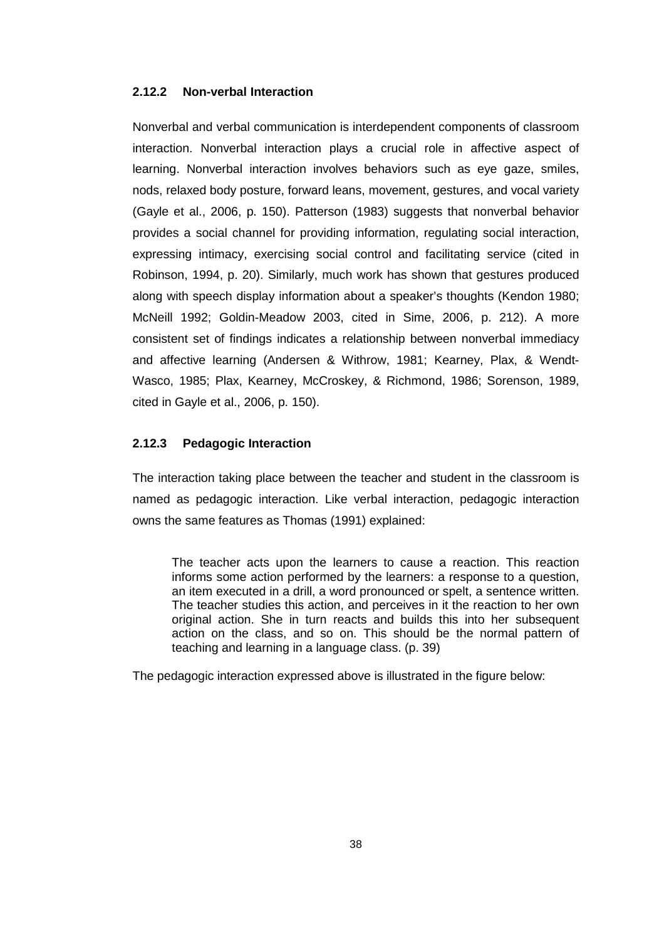# **2.12.2 Non-verbal Interaction**

Nonverbal and verbal communication is interdependent components of classroom interaction. Nonverbal interaction plays a crucial role in affective aspect of learning. Nonverbal interaction involves behaviors such as eye gaze, smiles, nods, relaxed body posture, forward leans, movement, gestures, and vocal variety (Gayle et al., 2006, p. 150). Patterson (1983) suggests that nonverbal behavior provides a social channel for providing information, regulating social interaction, expressing intimacy, exercising social control and facilitating service (cited in Robinson, 1994, p. 20). Similarly, much work has shown that gestures produced along with speech display information about a speaker's thoughts (Kendon 1980; McNeill 1992; Goldin-Meadow 2003, cited in Sime, 2006, p. 212). A more consistent set of findings indicates a relationship between nonverbal immediacy and affective learning (Andersen & Withrow, 1981; Kearney, Plax, & Wendt-Wasco, 1985; Plax, Kearney, McCroskey, & Richmond, 1986; Sorenson, 1989, cited in Gayle et al., 2006, p. 150).

# **2.12.3 Pedagogic Interaction**

The interaction taking place between the teacher and student in the classroom is named as pedagogic interaction. Like verbal interaction, pedagogic interaction owns the same features as Thomas (1991) explained:

The teacher acts upon the learners to cause a reaction. This reaction informs some action performed by the learners: a response to a question, an item executed in a drill, a word pronounced or spelt, a sentence written. The teacher studies this action, and perceives in it the reaction to her own original action. She in turn reacts and builds this into her subsequent action on the class, and so on. This should be the normal pattern of teaching and learning in a language class. (p. 39)

The pedagogic interaction expressed above is illustrated in the figure below: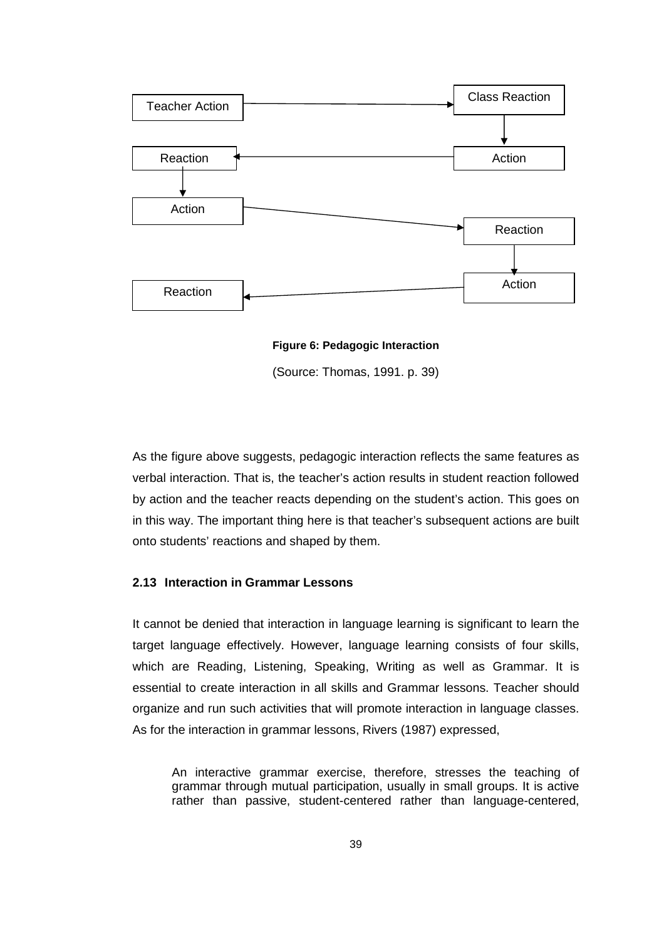

**Figure 6: Pedagogic Interaction** 

(Source: Thomas, 1991. p. 39)

As the figure above suggests, pedagogic interaction reflects the same features as verbal interaction. That is, the teacher's action results in student reaction followed by action and the teacher reacts depending on the student's action. This goes on in this way. The important thing here is that teacher's subsequent actions are built onto students' reactions and shaped by them.

# **2.13 Interaction in Grammar Lessons**

It cannot be denied that interaction in language learning is significant to learn the target language effectively. However, language learning consists of four skills, which are Reading, Listening, Speaking, Writing as well as Grammar. It is essential to create interaction in all skills and Grammar lessons. Teacher should organize and run such activities that will promote interaction in language classes. As for the interaction in grammar lessons, Rivers (1987) expressed,

An interactive grammar exercise, therefore, stresses the teaching of grammar through mutual participation, usually in small groups. It is active rather than passive, student-centered rather than language-centered,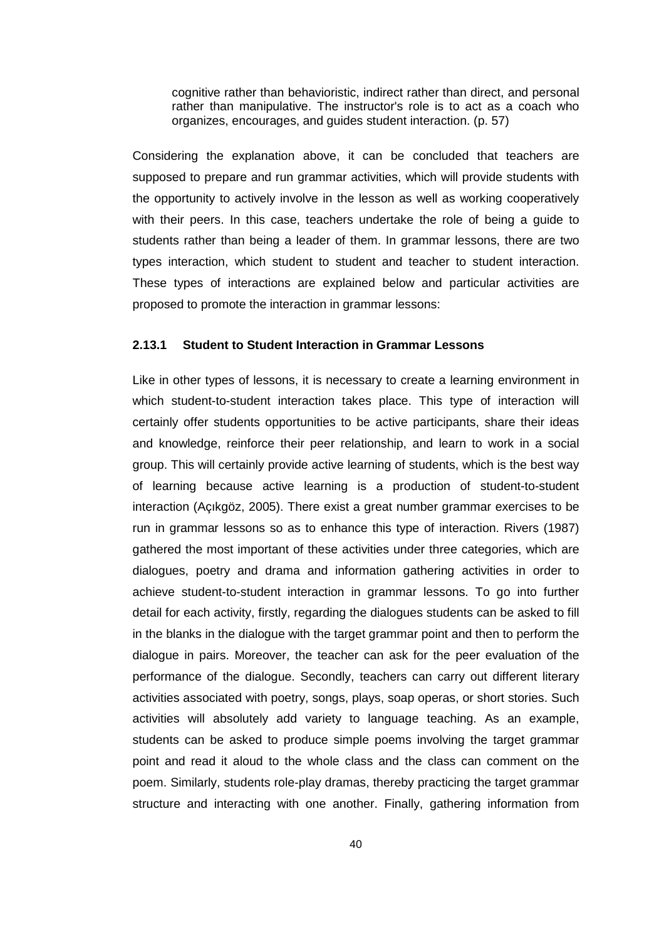cognitive rather than behavioristic, indirect rather than direct, and personal rather than manipulative. The instructor's role is to act as a coach who organizes, encourages, and guides student interaction. (p. 57)

Considering the explanation above, it can be concluded that teachers are supposed to prepare and run grammar activities, which will provide students with the opportunity to actively involve in the lesson as well as working cooperatively with their peers. In this case, teachers undertake the role of being a guide to students rather than being a leader of them. In grammar lessons, there are two types interaction, which student to student and teacher to student interaction. These types of interactions are explained below and particular activities are proposed to promote the interaction in grammar lessons:

# **2.13.1 Student to Student Interaction in Grammar Lessons**

Like in other types of lessons, it is necessary to create a learning environment in which student-to-student interaction takes place. This type of interaction will certainly offer students opportunities to be active participants, share their ideas and knowledge, reinforce their peer relationship, and learn to work in a social group. This will certainly provide active learning of students, which is the best way of learning because active learning is a production of student-to-student interaction (Açıkgöz, 2005). There exist a great number grammar exercises to be run in grammar lessons so as to enhance this type of interaction. Rivers (1987) gathered the most important of these activities under three categories, which are dialogues, poetry and drama and information gathering activities in order to achieve student-to-student interaction in grammar lessons. To go into further detail for each activity, firstly, regarding the dialogues students can be asked to fill in the blanks in the dialogue with the target grammar point and then to perform the dialogue in pairs. Moreover, the teacher can ask for the peer evaluation of the performance of the dialogue. Secondly, teachers can carry out different literary activities associated with poetry, songs, plays, soap operas, or short stories. Such activities will absolutely add variety to language teaching. As an example, students can be asked to produce simple poems involving the target grammar point and read it aloud to the whole class and the class can comment on the poem. Similarly, students role-play dramas, thereby practicing the target grammar structure and interacting with one another. Finally, gathering information from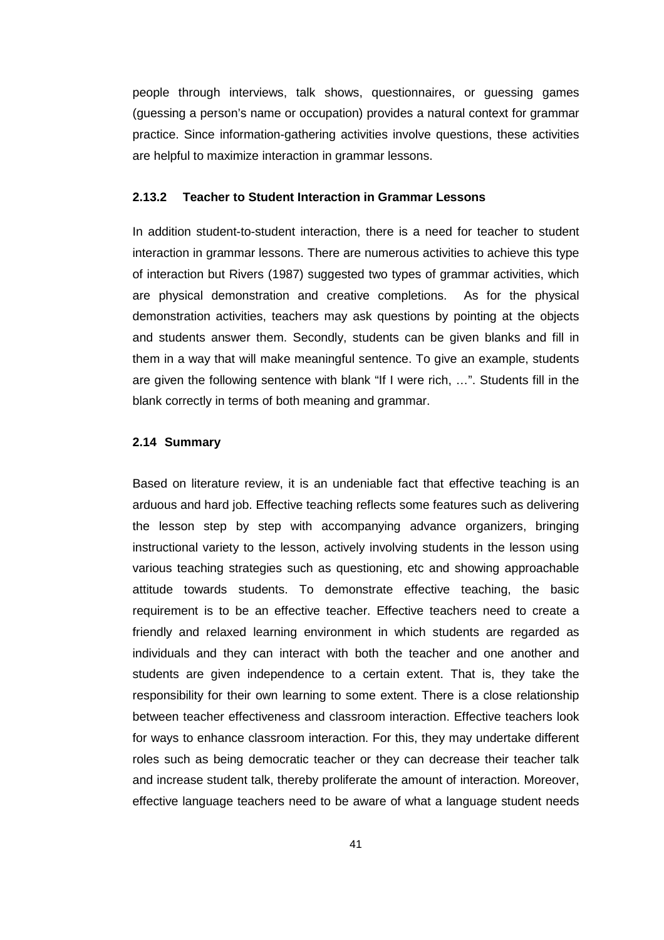people through interviews, talk shows, questionnaires, or guessing games (guessing a person's name or occupation) provides a natural context for grammar practice. Since information-gathering activities involve questions, these activities are helpful to maximize interaction in grammar lessons.

#### **2.13.2 Teacher to Student Interaction in Grammar Lessons**

In addition student-to-student interaction, there is a need for teacher to student interaction in grammar lessons. There are numerous activities to achieve this type of interaction but Rivers (1987) suggested two types of grammar activities, which are physical demonstration and creative completions. As for the physical demonstration activities, teachers may ask questions by pointing at the objects and students answer them. Secondly, students can be given blanks and fill in them in a way that will make meaningful sentence. To give an example, students are given the following sentence with blank "If I were rich, …". Students fill in the blank correctly in terms of both meaning and grammar.

#### **2.14 Summary**

Based on literature review, it is an undeniable fact that effective teaching is an arduous and hard job. Effective teaching reflects some features such as delivering the lesson step by step with accompanying advance organizers, bringing instructional variety to the lesson, actively involving students in the lesson using various teaching strategies such as questioning, etc and showing approachable attitude towards students. To demonstrate effective teaching, the basic requirement is to be an effective teacher. Effective teachers need to create a friendly and relaxed learning environment in which students are regarded as individuals and they can interact with both the teacher and one another and students are given independence to a certain extent. That is, they take the responsibility for their own learning to some extent. There is a close relationship between teacher effectiveness and classroom interaction. Effective teachers look for ways to enhance classroom interaction. For this, they may undertake different roles such as being democratic teacher or they can decrease their teacher talk and increase student talk, thereby proliferate the amount of interaction. Moreover, effective language teachers need to be aware of what a language student needs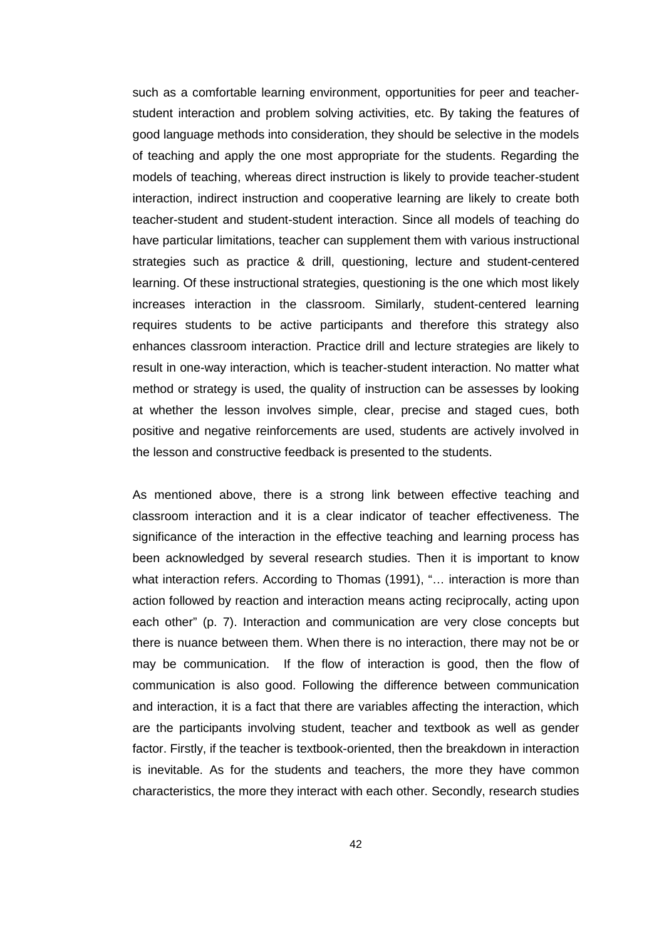such as a comfortable learning environment, opportunities for peer and teacherstudent interaction and problem solving activities, etc. By taking the features of good language methods into consideration, they should be selective in the models of teaching and apply the one most appropriate for the students. Regarding the models of teaching, whereas direct instruction is likely to provide teacher-student interaction, indirect instruction and cooperative learning are likely to create both teacher-student and student-student interaction. Since all models of teaching do have particular limitations, teacher can supplement them with various instructional strategies such as practice & drill, questioning, lecture and student-centered learning. Of these instructional strategies, questioning is the one which most likely increases interaction in the classroom. Similarly, student-centered learning requires students to be active participants and therefore this strategy also enhances classroom interaction. Practice drill and lecture strategies are likely to result in one-way interaction, which is teacher-student interaction. No matter what method or strategy is used, the quality of instruction can be assesses by looking at whether the lesson involves simple, clear, precise and staged cues, both positive and negative reinforcements are used, students are actively involved in the lesson and constructive feedback is presented to the students.

As mentioned above, there is a strong link between effective teaching and classroom interaction and it is a clear indicator of teacher effectiveness. The significance of the interaction in the effective teaching and learning process has been acknowledged by several research studies. Then it is important to know what interaction refers. According to Thomas (1991), "… interaction is more than action followed by reaction and interaction means acting reciprocally, acting upon each other" (p. 7). Interaction and communication are very close concepts but there is nuance between them. When there is no interaction, there may not be or may be communication. If the flow of interaction is good, then the flow of communication is also good. Following the difference between communication and interaction, it is a fact that there are variables affecting the interaction, which are the participants involving student, teacher and textbook as well as gender factor. Firstly, if the teacher is textbook-oriented, then the breakdown in interaction is inevitable. As for the students and teachers, the more they have common characteristics, the more they interact with each other. Secondly, research studies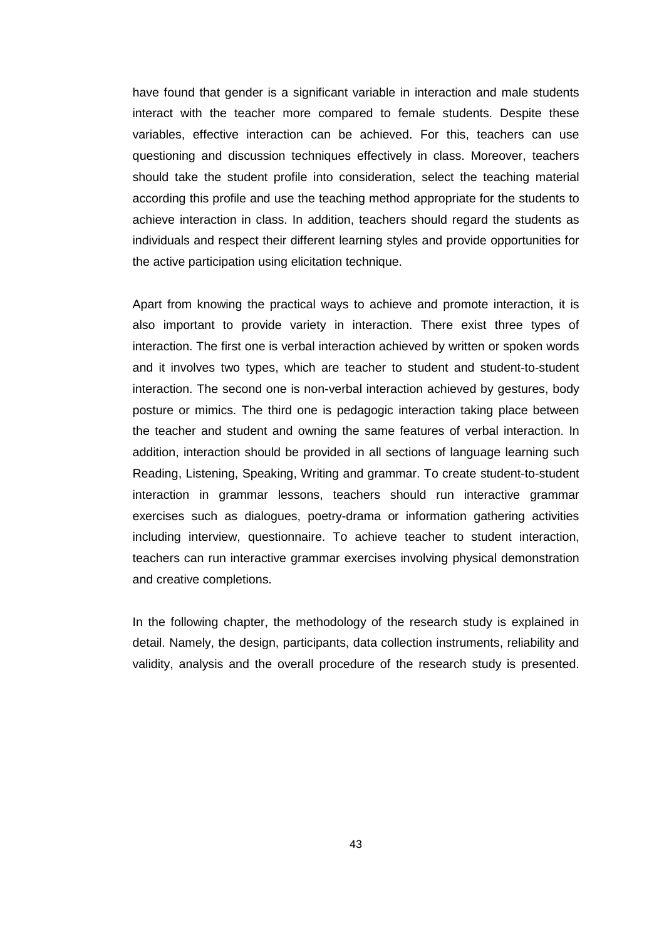have found that gender is a significant variable in interaction and male students interact with the teacher more compared to female students. Despite these variables, effective interaction can be achieved. For this, teachers can use questioning and discussion techniques effectively in class. Moreover, teachers should take the student profile into consideration, select the teaching material according this profile and use the teaching method appropriate for the students to achieve interaction in class. In addition, teachers should regard the students as individuals and respect their different learning styles and provide opportunities for the active participation using elicitation technique.

Apart from knowing the practical ways to achieve and promote interaction, it is also important to provide variety in interaction. There exist three types of interaction. The first one is verbal interaction achieved by written or spoken words and it involves two types, which are teacher to student and student-to-student interaction. The second one is non-verbal interaction achieved by gestures, body posture or mimics. The third one is pedagogic interaction taking place between the teacher and student and owning the same features of verbal interaction. In addition, interaction should be provided in all sections of language learning such Reading, Listening, Speaking, Writing and grammar. To create student-to-student interaction in grammar lessons, teachers should run interactive grammar exercises such as dialogues, poetry-drama or information gathering activities including interview, questionnaire. To achieve teacher to student interaction, teachers can run interactive grammar exercises involving physical demonstration and creative completions.

In the following chapter, the methodology of the research study is explained in detail. Namely, the design, participants, data collection instruments, reliability and validity, analysis and the overall procedure of the research study is presented.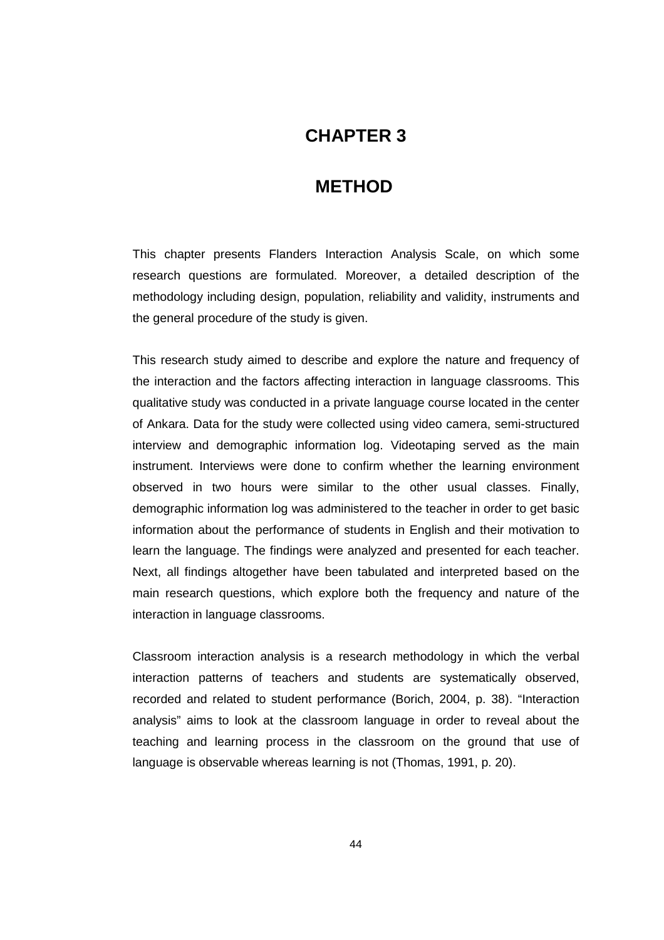# **CHAPTER 3**

# **3 METHOD**

This chapter presents Flanders Interaction Analysis Scale, on which some research questions are formulated. Moreover, a detailed description of the methodology including design, population, reliability and validity, instruments and the general procedure of the study is given.

This research study aimed to describe and explore the nature and frequency of the interaction and the factors affecting interaction in language classrooms. This qualitative study was conducted in a private language course located in the center of Ankara. Data for the study were collected using video camera, semi-structured interview and demographic information log. Videotaping served as the main instrument. Interviews were done to confirm whether the learning environment observed in two hours were similar to the other usual classes. Finally, demographic information log was administered to the teacher in order to get basic information about the performance of students in English and their motivation to learn the language. The findings were analyzed and presented for each teacher. Next, all findings altogether have been tabulated and interpreted based on the main research questions, which explore both the frequency and nature of the interaction in language classrooms.

Classroom interaction analysis is a research methodology in which the verbal interaction patterns of teachers and students are systematically observed, recorded and related to student performance (Borich, 2004, p. 38). "Interaction analysis" aims to look at the classroom language in order to reveal about the teaching and learning process in the classroom on the ground that use of language is observable whereas learning is not (Thomas, 1991, p. 20).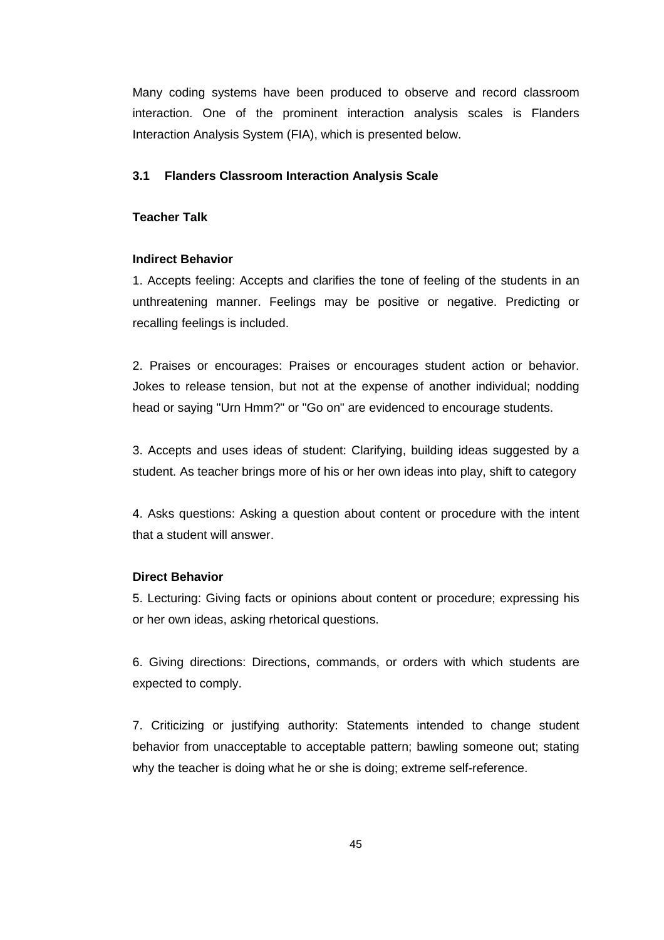Many coding systems have been produced to observe and record classroom interaction. One of the prominent interaction analysis scales is Flanders Interaction Analysis System (FIA), which is presented below.

### **3.1 Flanders Classroom Interaction Analysis Scale**

# **Teacher Talk**

#### **Indirect Behavior**

1. Accepts feeling: Accepts and clarifies the tone of feeling of the students in an unthreatening manner. Feelings may be positive or negative. Predicting or recalling feelings is included.

2. Praises or encourages: Praises or encourages student action or behavior. Jokes to release tension, but not at the expense of another individual; nodding head or saying "Urn Hmm?" or "Go on" are evidenced to encourage students.

3. Accepts and uses ideas of student: Clarifying, building ideas suggested by a student. As teacher brings more of his or her own ideas into play, shift to category

4. Asks questions: Asking a question about content or procedure with the intent that a student will answer.

#### **Direct Behavior**

5. Lecturing: Giving facts or opinions about content or procedure; expressing his or her own ideas, asking rhetorical questions.

6. Giving directions: Directions, commands, or orders with which students are expected to comply.

7. Criticizing or justifying authority: Statements intended to change student behavior from unacceptable to acceptable pattern; bawling someone out; stating why the teacher is doing what he or she is doing; extreme self-reference.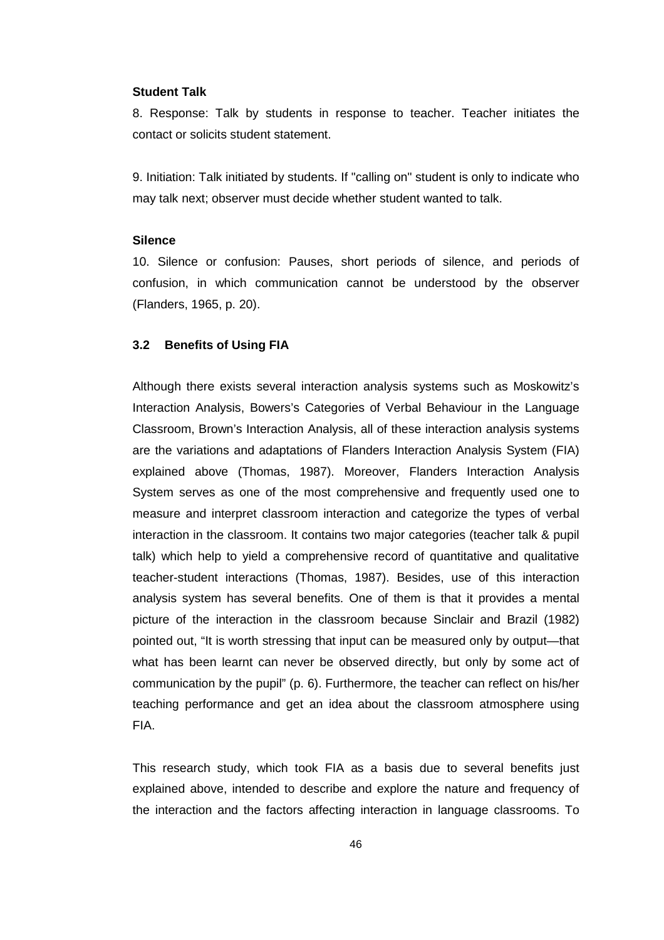#### **Student Talk**

8. Response: Talk by students in response to teacher. Teacher initiates the contact or solicits student statement.

9. Initiation: Talk initiated by students. If "calling on" student is only to indicate who may talk next; observer must decide whether student wanted to talk.

# **Silence**

10. Silence or confusion: Pauses, short periods of silence, and periods of confusion, in which communication cannot be understood by the observer (Flanders, 1965, p. 20).

#### **3.2 Benefits of Using FIA**

Although there exists several interaction analysis systems such as Moskowitz's Interaction Analysis, Bowers's Categories of Verbal Behaviour in the Language Classroom, Brown's Interaction Analysis, all of these interaction analysis systems are the variations and adaptations of Flanders Interaction Analysis System (FIA) explained above (Thomas, 1987). Moreover, Flanders Interaction Analysis System serves as one of the most comprehensive and frequently used one to measure and interpret classroom interaction and categorize the types of verbal interaction in the classroom. It contains two major categories (teacher talk & pupil talk) which help to yield a comprehensive record of quantitative and qualitative teacher-student interactions (Thomas, 1987). Besides, use of this interaction analysis system has several benefits. One of them is that it provides a mental picture of the interaction in the classroom because Sinclair and Brazil (1982) pointed out, "It is worth stressing that input can be measured only by output—that what has been learnt can never be observed directly, but only by some act of communication by the pupil" (p. 6). Furthermore, the teacher can reflect on his/her teaching performance and get an idea about the classroom atmosphere using FIA.

This research study, which took FIA as a basis due to several benefits just explained above, intended to describe and explore the nature and frequency of the interaction and the factors affecting interaction in language classrooms. To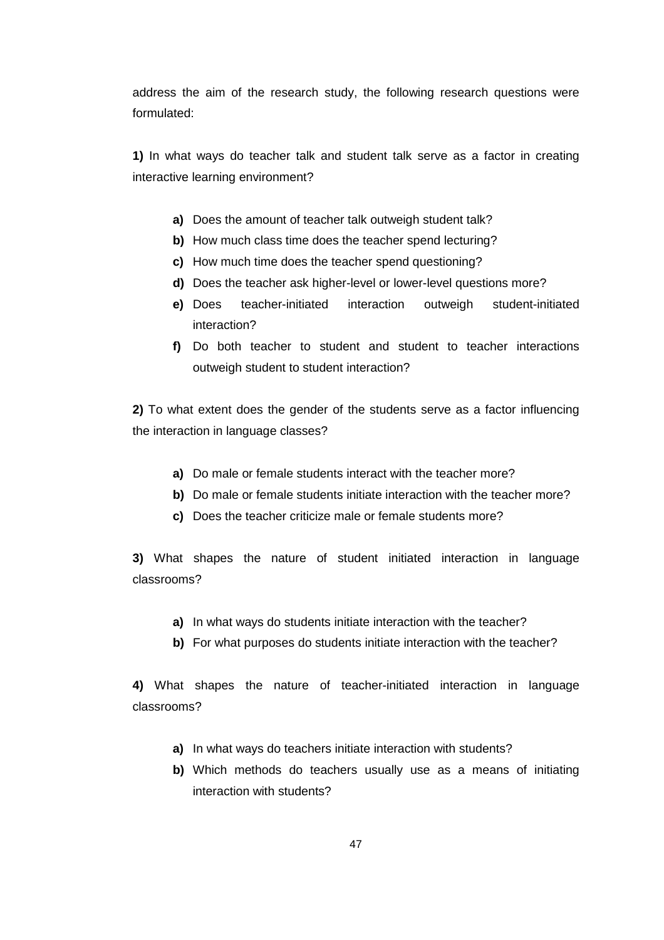address the aim of the research study, the following research questions were formulated:

**1)** In what ways do teacher talk and student talk serve as a factor in creating interactive learning environment?

- **a)** Does the amount of teacher talk outweigh student talk?
- **b)** How much class time does the teacher spend lecturing?
- **c)** How much time does the teacher spend questioning?
- **d)** Does the teacher ask higher-level or lower-level questions more?
- **e)** Does teacher-initiated interaction outweigh student-initiated interaction?
- **f)** Do both teacher to student and student to teacher interactions outweigh student to student interaction?

**2)** To what extent does the gender of the students serve as a factor influencing the interaction in language classes?

- **a)** Do male or female students interact with the teacher more?
- **b)** Do male or female students initiate interaction with the teacher more?
- **c)** Does the teacher criticize male or female students more?

**3)** What shapes the nature of student initiated interaction in language classrooms?

- **a)** In what ways do students initiate interaction with the teacher?
- **b)** For what purposes do students initiate interaction with the teacher?

**4)** What shapes the nature of teacher-initiated interaction in language classrooms?

- **a)** In what ways do teachers initiate interaction with students?
- **b)** Which methods do teachers usually use as a means of initiating interaction with students?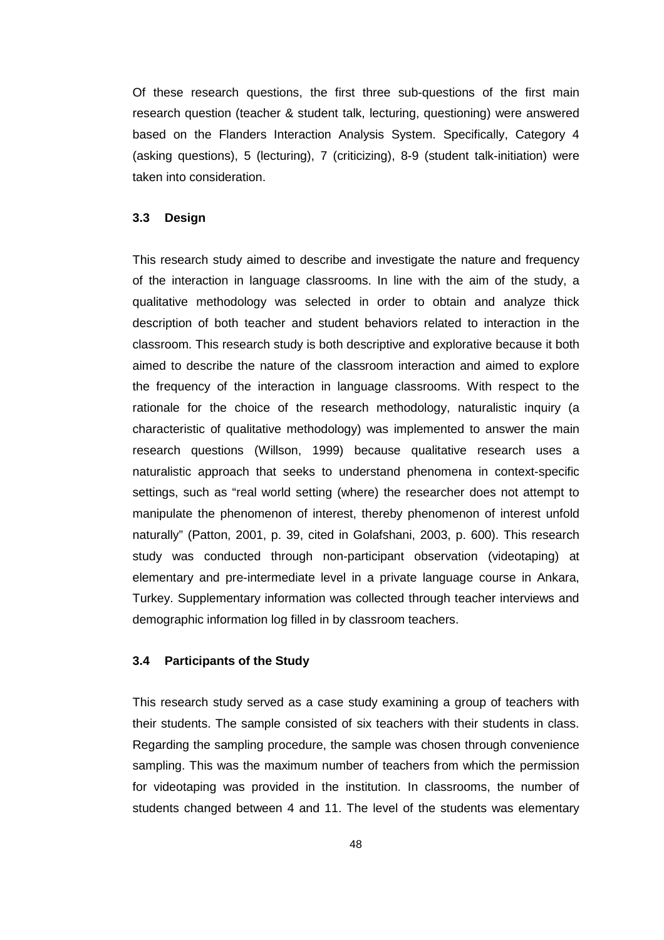Of these research questions, the first three sub-questions of the first main research question (teacher & student talk, lecturing, questioning) were answered based on the Flanders Interaction Analysis System. Specifically, Category 4 (asking questions), 5 (lecturing), 7 (criticizing), 8-9 (student talk-initiation) were taken into consideration.

# **3.3 Design**

This research study aimed to describe and investigate the nature and frequency of the interaction in language classrooms. In line with the aim of the study, a qualitative methodology was selected in order to obtain and analyze thick description of both teacher and student behaviors related to interaction in the classroom. This research study is both descriptive and explorative because it both aimed to describe the nature of the classroom interaction and aimed to explore the frequency of the interaction in language classrooms. With respect to the rationale for the choice of the research methodology, naturalistic inquiry (a characteristic of qualitative methodology) was implemented to answer the main research questions (Willson, 1999) because qualitative research uses a naturalistic approach that seeks to understand phenomena in context-specific settings, such as "real world setting (where) the researcher does not attempt to manipulate the phenomenon of interest, thereby phenomenon of interest unfold naturally" (Patton, 2001, p. 39, cited in Golafshani, 2003, p. 600). This research study was conducted through non-participant observation (videotaping) at elementary and pre-intermediate level in a private language course in Ankara, Turkey. Supplementary information was collected through teacher interviews and demographic information log filled in by classroom teachers.

#### **3.4 Participants of the Study**

This research study served as a case study examining a group of teachers with their students. The sample consisted of six teachers with their students in class. Regarding the sampling procedure, the sample was chosen through convenience sampling. This was the maximum number of teachers from which the permission for videotaping was provided in the institution. In classrooms, the number of students changed between 4 and 11. The level of the students was elementary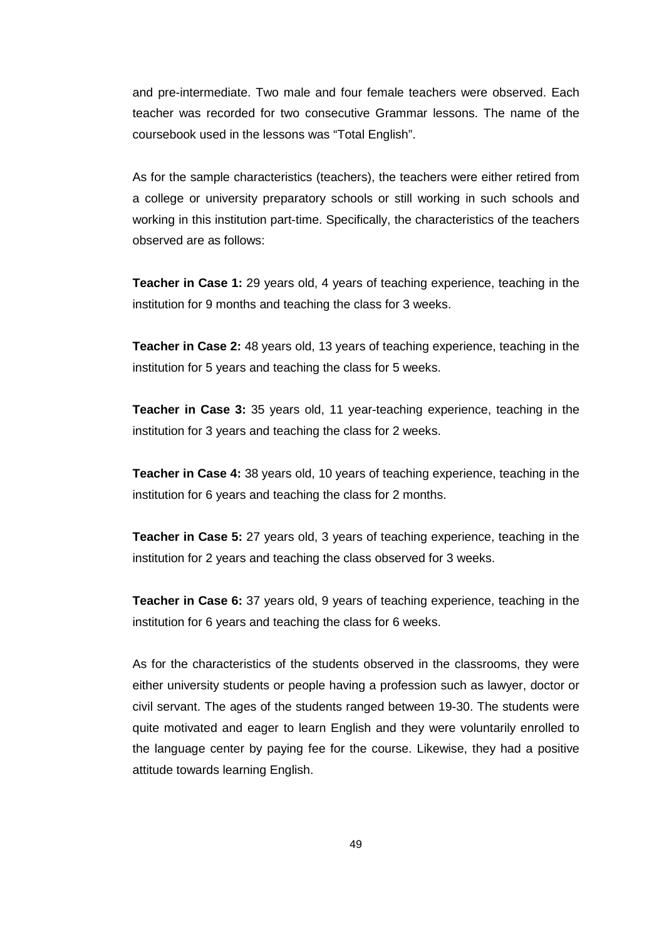and pre-intermediate. Two male and four female teachers were observed. Each teacher was recorded for two consecutive Grammar lessons. The name of the coursebook used in the lessons was "Total English".

As for the sample characteristics (teachers), the teachers were either retired from a college or university preparatory schools or still working in such schools and working in this institution part-time. Specifically, the characteristics of the teachers observed are as follows:

**Teacher in Case 1:** 29 years old, 4 years of teaching experience, teaching in the institution for 9 months and teaching the class for 3 weeks.

**Teacher in Case 2:** 48 years old, 13 years of teaching experience, teaching in the institution for 5 years and teaching the class for 5 weeks.

**Teacher in Case 3:** 35 years old, 11 year-teaching experience, teaching in the institution for 3 years and teaching the class for 2 weeks.

**Teacher in Case 4:** 38 years old, 10 years of teaching experience, teaching in the institution for 6 years and teaching the class for 2 months.

**Teacher in Case 5:** 27 years old, 3 years of teaching experience, teaching in the institution for 2 years and teaching the class observed for 3 weeks.

**Teacher in Case 6:** 37 years old, 9 years of teaching experience, teaching in the institution for 6 years and teaching the class for 6 weeks.

As for the characteristics of the students observed in the classrooms, they were either university students or people having a profession such as lawyer, doctor or civil servant. The ages of the students ranged between 19-30. The students were quite motivated and eager to learn English and they were voluntarily enrolled to the language center by paying fee for the course. Likewise, they had a positive attitude towards learning English.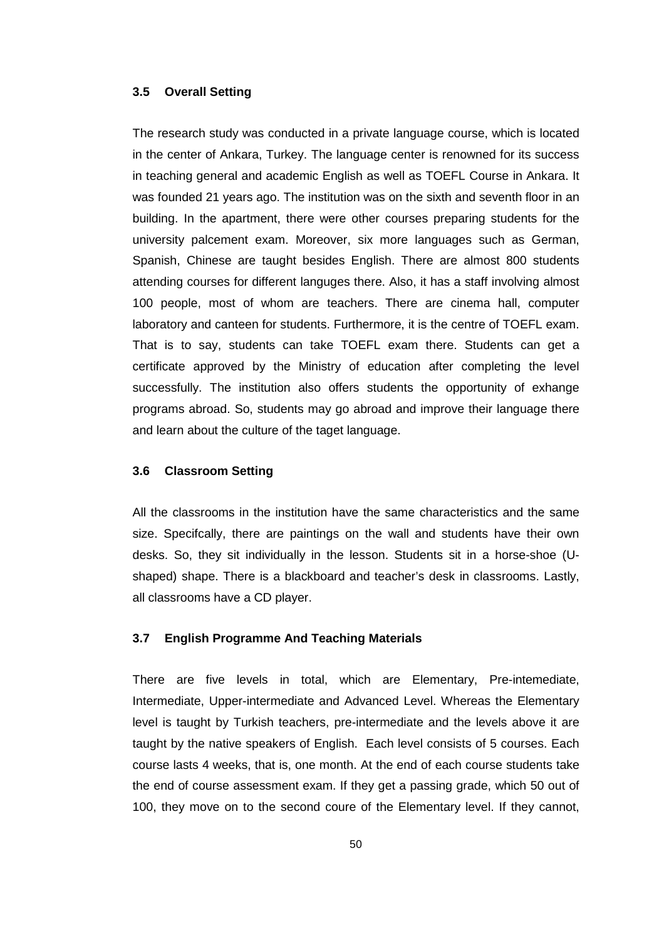# **3.5 Overall Setting**

The research study was conducted in a private language course, which is located in the center of Ankara, Turkey. The language center is renowned for its success in teaching general and academic English as well as TOEFL Course in Ankara. It was founded 21 years ago. The institution was on the sixth and seventh floor in an building. In the apartment, there were other courses preparing students for the university palcement exam. Moreover, six more languages such as German, Spanish, Chinese are taught besides English. There are almost 800 students attending courses for different languges there. Also, it has a staff involving almost 100 people, most of whom are teachers. There are cinema hall, computer laboratory and canteen for students. Furthermore, it is the centre of TOEFL exam. That is to say, students can take TOEFL exam there. Students can get a certificate approved by the Ministry of education after completing the level successfully. The institution also offers students the opportunity of exhange programs abroad. So, students may go abroad and improve their language there and learn about the culture of the taget language.

# **3.6 Classroom Setting**

All the classrooms in the institution have the same characteristics and the same size. Specifcally, there are paintings on the wall and students have their own desks. So, they sit individually in the lesson. Students sit in a horse-shoe (Ushaped) shape. There is a blackboard and teacher's desk in classrooms. Lastly, all classrooms have a CD player.

#### **3.7 English Programme And Teaching Materials**

There are five levels in total, which are Elementary, Pre-intemediate, Intermediate, Upper-intermediate and Advanced Level. Whereas the Elementary level is taught by Turkish teachers, pre-intermediate and the levels above it are taught by the native speakers of English. Each level consists of 5 courses. Each course lasts 4 weeks, that is, one month. At the end of each course students take the end of course assessment exam. If they get a passing grade, which 50 out of 100, they move on to the second coure of the Elementary level. If they cannot,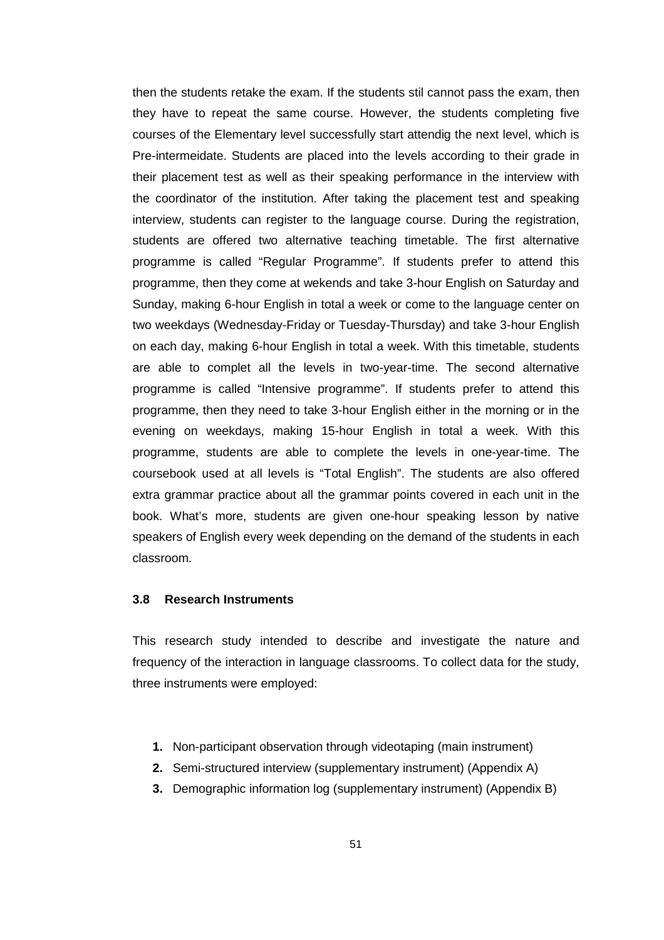then the students retake the exam. If the students stil cannot pass the exam, then they have to repeat the same course. However, the students completing five courses of the Elementary level successfully start attendig the next level, which is Pre-intermeidate. Students are placed into the levels according to their grade in their placement test as well as their speaking performance in the interview with the coordinator of the institution. After taking the placement test and speaking interview, students can register to the language course. During the registration, students are offered two alternative teaching timetable. The first alternative programme is called "Regular Programme". If students prefer to attend this programme, then they come at wekends and take 3-hour English on Saturday and Sunday, making 6-hour English in total a week or come to the language center on two weekdays (Wednesday-Friday or Tuesday-Thursday) and take 3-hour English on each day, making 6-hour English in total a week. With this timetable, students are able to complet all the levels in two-year-time. The second alternative programme is called "Intensive programme". If students prefer to attend this programme, then they need to take 3-hour English either in the morning or in the evening on weekdays, making 15-hour English in total a week. With this programme, students are able to complete the levels in one-year-time. The coursebook used at all levels is "Total English". The students are also offered extra grammar practice about all the grammar points covered in each unit in the book. What's more, students are given one-hour speaking lesson by native speakers of English every week depending on the demand of the students in each classroom.

# **3.8 Research Instruments**

This research study intended to describe and investigate the nature and frequency of the interaction in language classrooms. To collect data for the study, three instruments were employed:

- **1.** Non-participant observation through videotaping (main instrument)
- **2.** Semi-structured interview (supplementary instrument) (Appendix A)
- **3.** Demographic information log (supplementary instrument) (Appendix B)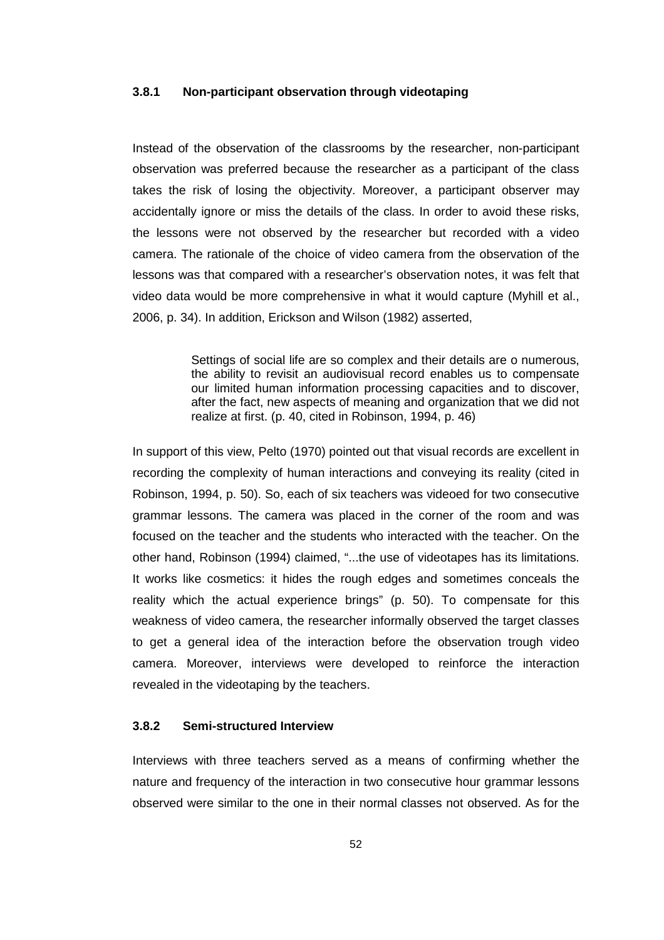### **3.8.1 Non-participant observation through videotaping**

Instead of the observation of the classrooms by the researcher, non-participant observation was preferred because the researcher as a participant of the class takes the risk of losing the objectivity. Moreover, a participant observer may accidentally ignore or miss the details of the class. In order to avoid these risks, the lessons were not observed by the researcher but recorded with a video camera. The rationale of the choice of video camera from the observation of the lessons was that compared with a researcher's observation notes, it was felt that video data would be more comprehensive in what it would capture (Myhill et al., 2006, p. 34). In addition, Erickson and Wilson (1982) asserted,

> Settings of social life are so complex and their details are o numerous, the ability to revisit an audiovisual record enables us to compensate our limited human information processing capacities and to discover, after the fact, new aspects of meaning and organization that we did not realize at first. (p. 40, cited in Robinson, 1994, p. 46)

In support of this view, Pelto (1970) pointed out that visual records are excellent in recording the complexity of human interactions and conveying its reality (cited in Robinson, 1994, p. 50). So, each of six teachers was videoed for two consecutive grammar lessons. The camera was placed in the corner of the room and was focused on the teacher and the students who interacted with the teacher. On the other hand, Robinson (1994) claimed, "...the use of videotapes has its limitations. It works like cosmetics: it hides the rough edges and sometimes conceals the reality which the actual experience brings" (p. 50). To compensate for this weakness of video camera, the researcher informally observed the target classes to get a general idea of the interaction before the observation trough video camera. Moreover, interviews were developed to reinforce the interaction revealed in the videotaping by the teachers.

### **3.8.2 Semi-structured Interview**

Interviews with three teachers served as a means of confirming whether the nature and frequency of the interaction in two consecutive hour grammar lessons observed were similar to the one in their normal classes not observed. As for the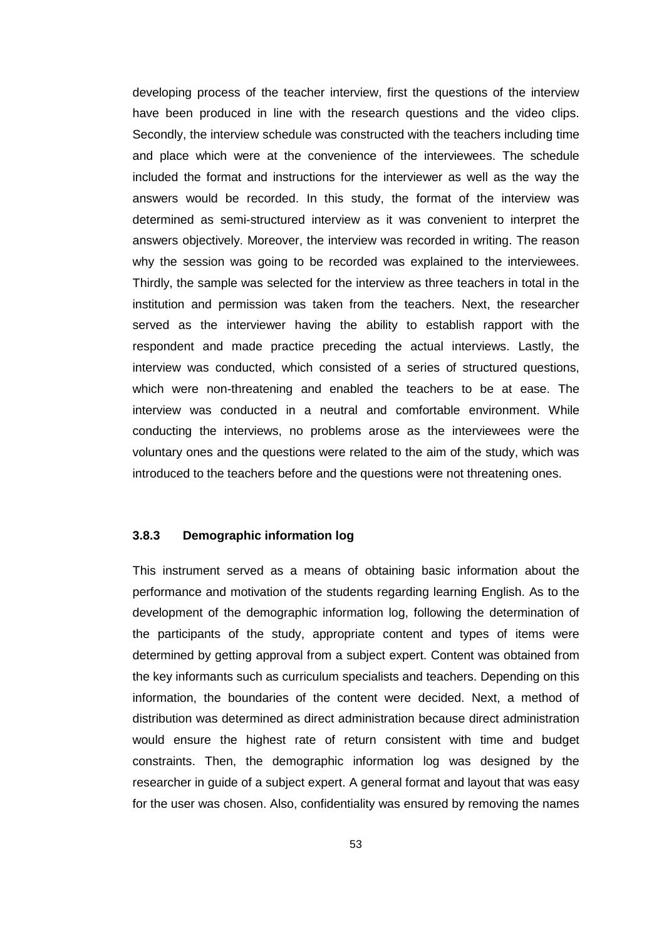developing process of the teacher interview, first the questions of the interview have been produced in line with the research questions and the video clips. Secondly, the interview schedule was constructed with the teachers including time and place which were at the convenience of the interviewees. The schedule included the format and instructions for the interviewer as well as the way the answers would be recorded. In this study, the format of the interview was determined as semi-structured interview as it was convenient to interpret the answers objectively. Moreover, the interview was recorded in writing. The reason why the session was going to be recorded was explained to the interviewees. Thirdly, the sample was selected for the interview as three teachers in total in the institution and permission was taken from the teachers. Next, the researcher served as the interviewer having the ability to establish rapport with the respondent and made practice preceding the actual interviews. Lastly, the interview was conducted, which consisted of a series of structured questions, which were non-threatening and enabled the teachers to be at ease. The interview was conducted in a neutral and comfortable environment. While conducting the interviews, no problems arose as the interviewees were the voluntary ones and the questions were related to the aim of the study, which was introduced to the teachers before and the questions were not threatening ones.

### **3.8.3 Demographic information log**

This instrument served as a means of obtaining basic information about the performance and motivation of the students regarding learning English. As to the development of the demographic information log, following the determination of the participants of the study, appropriate content and types of items were determined by getting approval from a subject expert. Content was obtained from the key informants such as curriculum specialists and teachers. Depending on this information, the boundaries of the content were decided. Next, a method of distribution was determined as direct administration because direct administration would ensure the highest rate of return consistent with time and budget constraints. Then, the demographic information log was designed by the researcher in guide of a subject expert. A general format and layout that was easy for the user was chosen. Also, confidentiality was ensured by removing the names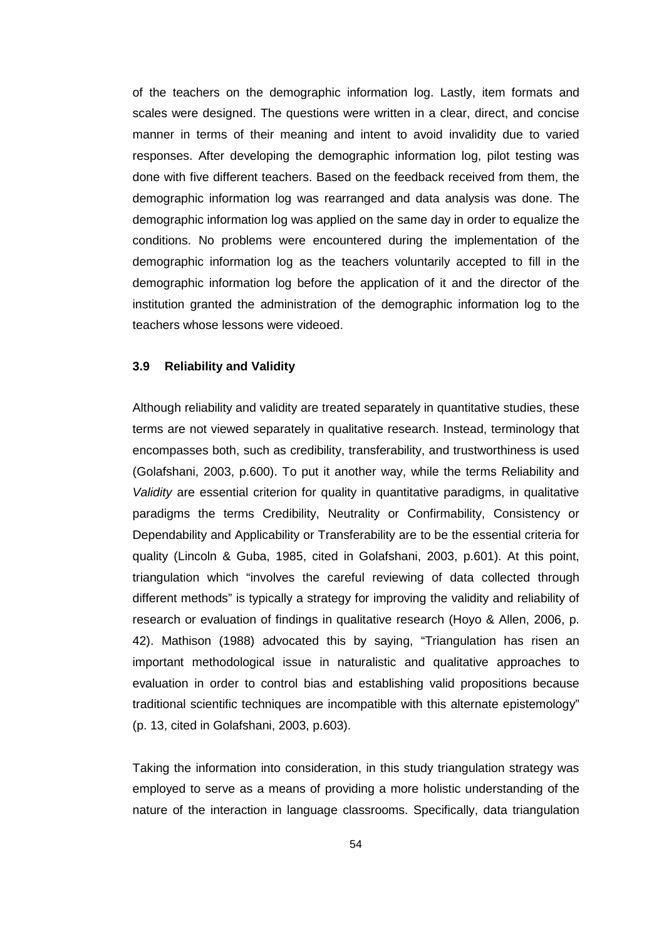of the teachers on the demographic information log. Lastly, item formats and scales were designed. The questions were written in a clear, direct, and concise manner in terms of their meaning and intent to avoid invalidity due to varied responses. After developing the demographic information log, pilot testing was done with five different teachers. Based on the feedback received from them, the demographic information log was rearranged and data analysis was done. The demographic information log was applied on the same day in order to equalize the conditions. No problems were encountered during the implementation of the demographic information log as the teachers voluntarily accepted to fill in the demographic information log before the application of it and the director of the institution granted the administration of the demographic information log to the teachers whose lessons were videoed.

#### **3.9 Reliability and Validity**

Although reliability and validity are treated separately in quantitative studies, these terms are not viewed separately in qualitative research. Instead, terminology that encompasses both, such as credibility, transferability, and trustworthiness is used (Golafshani, 2003, p.600). To put it another way, while the terms Reliability and Validity are essential criterion for quality in quantitative paradigms, in qualitative paradigms the terms Credibility, Neutrality or Confirmability, Consistency or Dependability and Applicability or Transferability are to be the essential criteria for quality (Lincoln & Guba, 1985, cited in Golafshani, 2003, p.601). At this point, triangulation which "involves the careful reviewing of data collected through different methods" is typically a strategy for improving the validity and reliability of research or evaluation of findings in qualitative research (Hoyo & Allen, 2006, p. 42). Mathison (1988) advocated this by saying, "Triangulation has risen an important methodological issue in naturalistic and qualitative approaches to evaluation in order to control bias and establishing valid propositions because traditional scientific techniques are incompatible with this alternate epistemology" (p. 13, cited in Golafshani, 2003, p.603).

Taking the information into consideration, in this study triangulation strategy was employed to serve as a means of providing a more holistic understanding of the nature of the interaction in language classrooms. Specifically, data triangulation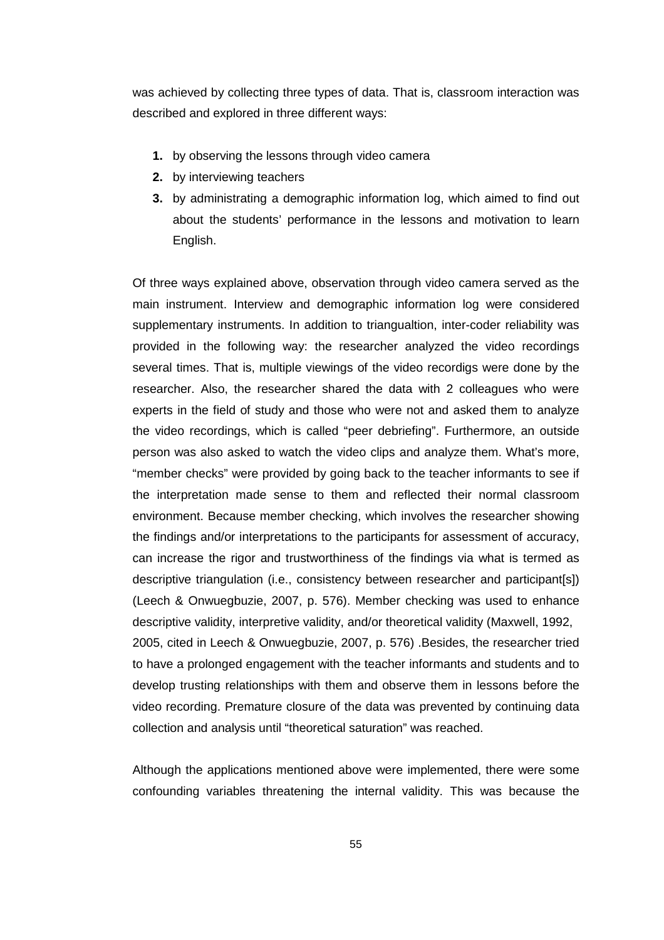was achieved by collecting three types of data. That is, classroom interaction was described and explored in three different ways:

- **1.** by observing the lessons through video camera
- **2.** by interviewing teachers
- **3.** by administrating a demographic information log, which aimed to find out about the students' performance in the lessons and motivation to learn English.

Of three ways explained above, observation through video camera served as the main instrument. Interview and demographic information log were considered supplementary instruments. In addition to triangualtion, inter-coder reliability was provided in the following way: the researcher analyzed the video recordings several times. That is, multiple viewings of the video recordigs were done by the researcher. Also, the researcher shared the data with 2 colleagues who were experts in the field of study and those who were not and asked them to analyze the video recordings, which is called "peer debriefing". Furthermore, an outside person was also asked to watch the video clips and analyze them. What's more, "member checks" were provided by going back to the teacher informants to see if the interpretation made sense to them and reflected their normal classroom environment. Because member checking, which involves the researcher showing the findings and/or interpretations to the participants for assessment of accuracy, can increase the rigor and trustworthiness of the findings via what is termed as descriptive triangulation (i.e., consistency between researcher and participant[s]) (Leech & Onwuegbuzie, 2007, p. 576). Member checking was used to enhance descriptive validity, interpretive validity, and/or theoretical validity (Maxwell, 1992, 2005, cited in Leech & Onwuegbuzie, 2007, p. 576) .Besides, the researcher tried to have a prolonged engagement with the teacher informants and students and to develop trusting relationships with them and observe them in lessons before the video recording. Premature closure of the data was prevented by continuing data collection and analysis until "theoretical saturation" was reached.

Although the applications mentioned above were implemented, there were some confounding variables threatening the internal validity. This was because the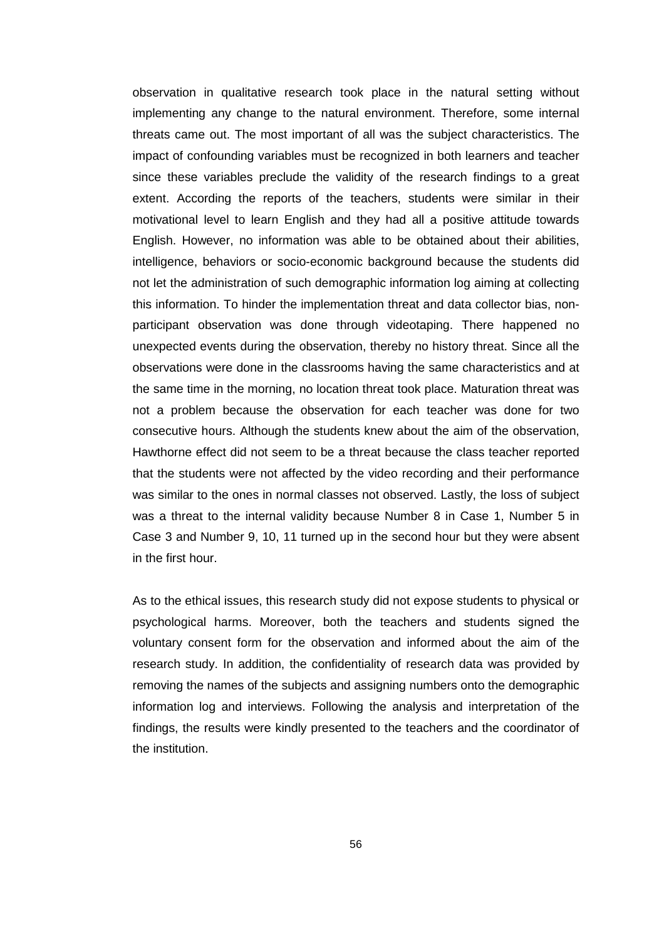observation in qualitative research took place in the natural setting without implementing any change to the natural environment. Therefore, some internal threats came out. The most important of all was the subject characteristics. The impact of confounding variables must be recognized in both learners and teacher since these variables preclude the validity of the research findings to a great extent. According the reports of the teachers, students were similar in their motivational level to learn English and they had all a positive attitude towards English. However, no information was able to be obtained about their abilities, intelligence, behaviors or socio-economic background because the students did not let the administration of such demographic information log aiming at collecting this information. To hinder the implementation threat and data collector bias, nonparticipant observation was done through videotaping. There happened no unexpected events during the observation, thereby no history threat. Since all the observations were done in the classrooms having the same characteristics and at the same time in the morning, no location threat took place. Maturation threat was not a problem because the observation for each teacher was done for two consecutive hours. Although the students knew about the aim of the observation, Hawthorne effect did not seem to be a threat because the class teacher reported that the students were not affected by the video recording and their performance was similar to the ones in normal classes not observed. Lastly, the loss of subject was a threat to the internal validity because Number 8 in Case 1, Number 5 in Case 3 and Number 9, 10, 11 turned up in the second hour but they were absent in the first hour.

As to the ethical issues, this research study did not expose students to physical or psychological harms. Moreover, both the teachers and students signed the voluntary consent form for the observation and informed about the aim of the research study. In addition, the confidentiality of research data was provided by removing the names of the subjects and assigning numbers onto the demographic information log and interviews. Following the analysis and interpretation of the findings, the results were kindly presented to the teachers and the coordinator of the institution.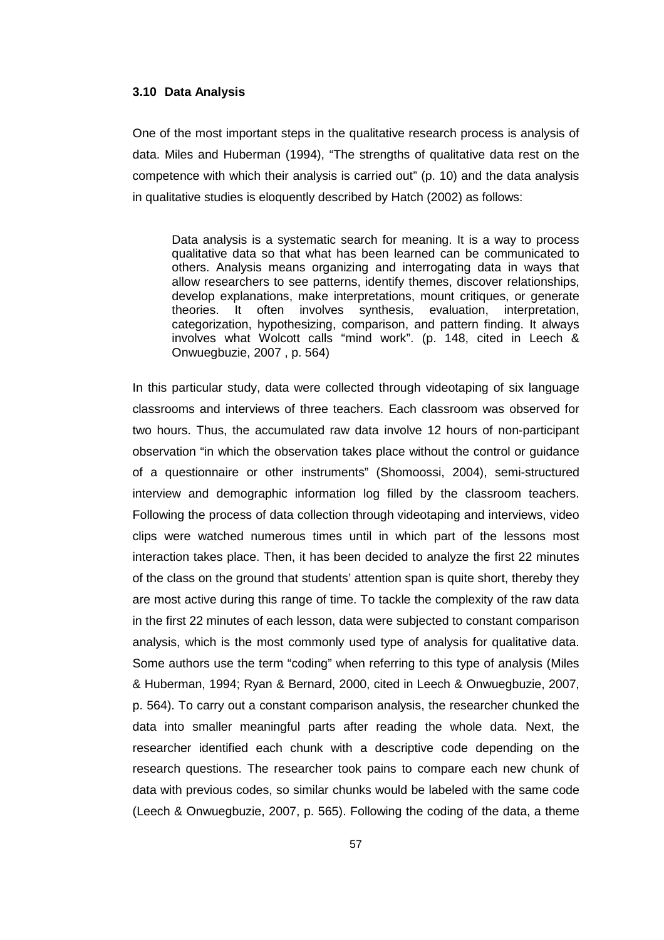#### **3.10 Data Analysis**

One of the most important steps in the qualitative research process is analysis of data. Miles and Huberman (1994), "The strengths of qualitative data rest on the competence with which their analysis is carried out" (p. 10) and the data analysis in qualitative studies is eloquently described by Hatch (2002) as follows:

Data analysis is a systematic search for meaning. It is a way to process qualitative data so that what has been learned can be communicated to others. Analysis means organizing and interrogating data in ways that allow researchers to see patterns, identify themes, discover relationships, develop explanations, make interpretations, mount critiques, or generate theories. It often involves synthesis, evaluation, interpretation, categorization, hypothesizing, comparison, and pattern finding. It always involves what Wolcott calls "mind work". (p. 148, cited in Leech & Onwuegbuzie, 2007 , p. 564)

In this particular study, data were collected through videotaping of six language classrooms and interviews of three teachers. Each classroom was observed for two hours. Thus, the accumulated raw data involve 12 hours of non-participant observation "in which the observation takes place without the control or guidance of a questionnaire or other instruments" (Shomoossi, 2004), semi-structured interview and demographic information log filled by the classroom teachers. Following the process of data collection through videotaping and interviews, video clips were watched numerous times until in which part of the lessons most interaction takes place. Then, it has been decided to analyze the first 22 minutes of the class on the ground that students' attention span is quite short, thereby they are most active during this range of time. To tackle the complexity of the raw data in the first 22 minutes of each lesson, data were subjected to constant comparison analysis, which is the most commonly used type of analysis for qualitative data. Some authors use the term "coding" when referring to this type of analysis (Miles & Huberman, 1994; Ryan & Bernard, 2000, cited in Leech & Onwuegbuzie, 2007, p. 564). To carry out a constant comparison analysis, the researcher chunked the data into smaller meaningful parts after reading the whole data. Next, the researcher identified each chunk with a descriptive code depending on the research questions. The researcher took pains to compare each new chunk of data with previous codes, so similar chunks would be labeled with the same code (Leech & Onwuegbuzie, 2007, p. 565). Following the coding of the data, a theme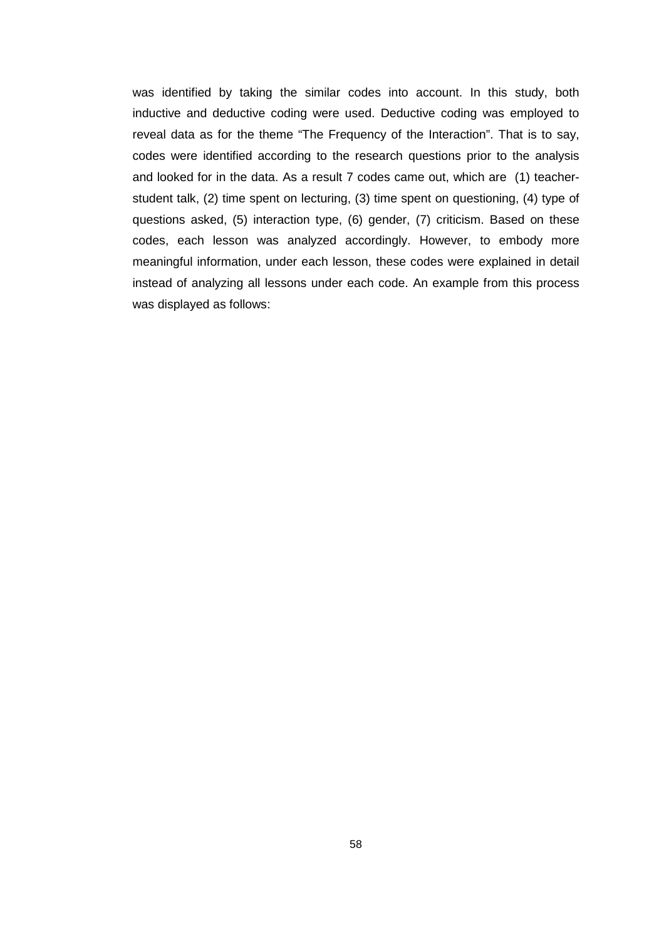was identified by taking the similar codes into account. In this study, both inductive and deductive coding were used. Deductive coding was employed to reveal data as for the theme "The Frequency of the Interaction". That is to say, codes were identified according to the research questions prior to the analysis and looked for in the data. As a result 7 codes came out, which are (1) teacherstudent talk, (2) time spent on lecturing, (3) time spent on questioning, (4) type of questions asked, (5) interaction type, (6) gender, (7) criticism. Based on these codes, each lesson was analyzed accordingly. However, to embody more meaningful information, under each lesson, these codes were explained in detail instead of analyzing all lessons under each code. An example from this process was displayed as follows: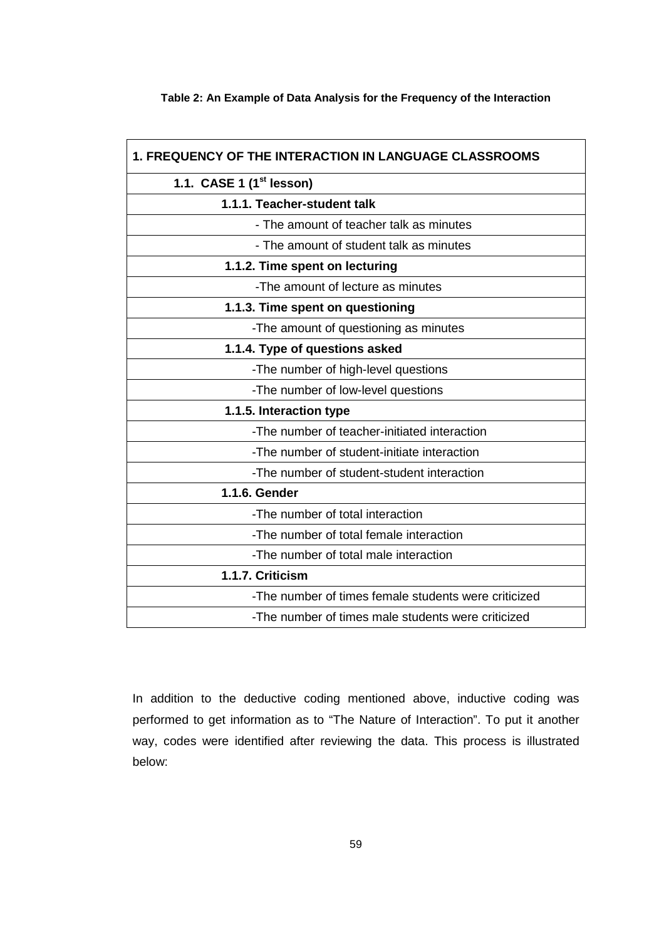### **Table 2: An Example of Data Analysis for the Frequency of the Interaction**

 $\overline{1}$ 

| <b>1. FREQUENCY OF THE INTERACTION IN LANGUAGE CLASSROOMS</b> |  |  |
|---------------------------------------------------------------|--|--|
| 1.1. CASE 1 (1 <sup>st</sup> lesson)                          |  |  |
| 1.1.1. Teacher-student talk                                   |  |  |
| - The amount of teacher talk as minutes                       |  |  |
| - The amount of student talk as minutes                       |  |  |
| 1.1.2. Time spent on lecturing                                |  |  |
| -The amount of lecture as minutes                             |  |  |
| 1.1.3. Time spent on questioning                              |  |  |
| -The amount of questioning as minutes                         |  |  |
| 1.1.4. Type of questions asked                                |  |  |
| -The number of high-level questions                           |  |  |
| -The number of low-level questions                            |  |  |
| 1.1.5. Interaction type                                       |  |  |
| -The number of teacher-initiated interaction                  |  |  |
| -The number of student-initiate interaction                   |  |  |
| -The number of student-student interaction                    |  |  |
| 1.1.6. Gender                                                 |  |  |
| -The number of total interaction                              |  |  |
| -The number of total female interaction                       |  |  |
| -The number of total male interaction                         |  |  |
| 1.1.7. Criticism                                              |  |  |
| -The number of times female students were criticized          |  |  |
| -The number of times male students were criticized            |  |  |

In addition to the deductive coding mentioned above, inductive coding was performed to get information as to "The Nature of Interaction". To put it another way, codes were identified after reviewing the data. This process is illustrated below: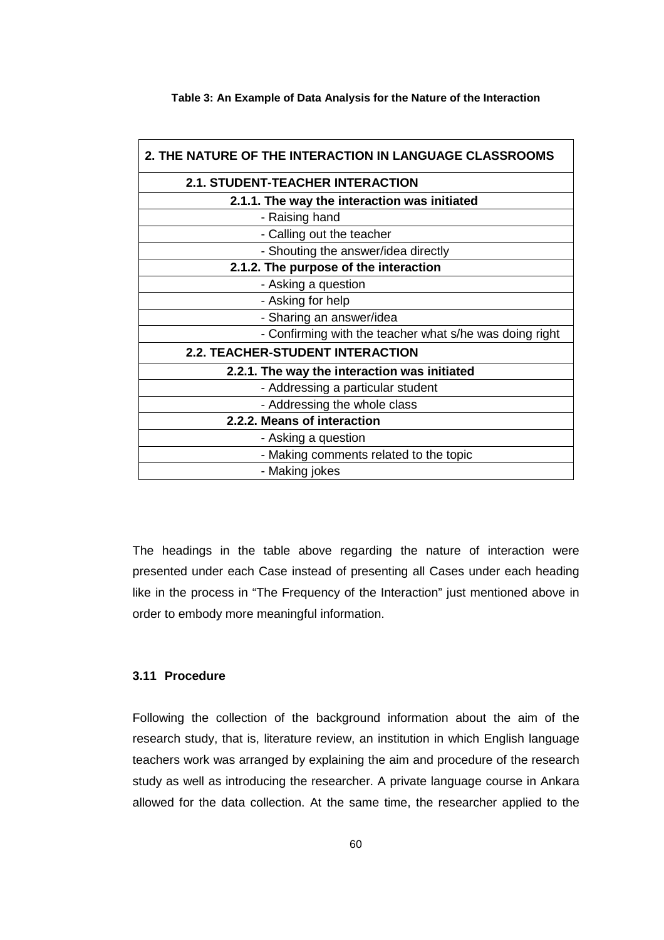| 2. THE NATURE OF THE INTERACTION IN LANGUAGE CLASSROOMS |  |  |
|---------------------------------------------------------|--|--|
| <b>2.1. STUDENT-TEACHER INTERACTION</b>                 |  |  |
| 2.1.1. The way the interaction was initiated            |  |  |
| - Raising hand                                          |  |  |
| - Calling out the teacher                               |  |  |
| - Shouting the answer/idea directly                     |  |  |
| 2.1.2. The purpose of the interaction                   |  |  |
| - Asking a question                                     |  |  |
| - Asking for help                                       |  |  |
| - Sharing an answer/idea                                |  |  |
| - Confirming with the teacher what s/he was doing right |  |  |
| <b>2.2. TEACHER-STUDENT INTERACTION</b>                 |  |  |
| 2.2.1. The way the interaction was initiated            |  |  |
| - Addressing a particular student                       |  |  |
| - Addressing the whole class                            |  |  |
| 2.2.2. Means of interaction                             |  |  |
| - Asking a question                                     |  |  |
| - Making comments related to the topic                  |  |  |
| - Making jokes                                          |  |  |

**Table 3: An Example of Data Analysis for the Nature of the Interaction** 

The headings in the table above regarding the nature of interaction were presented under each Case instead of presenting all Cases under each heading like in the process in "The Frequency of the Interaction" just mentioned above in order to embody more meaningful information.

### **3.11 Procedure**

Following the collection of the background information about the aim of the research study, that is, literature review, an institution in which English language teachers work was arranged by explaining the aim and procedure of the research study as well as introducing the researcher. A private language course in Ankara allowed for the data collection. At the same time, the researcher applied to the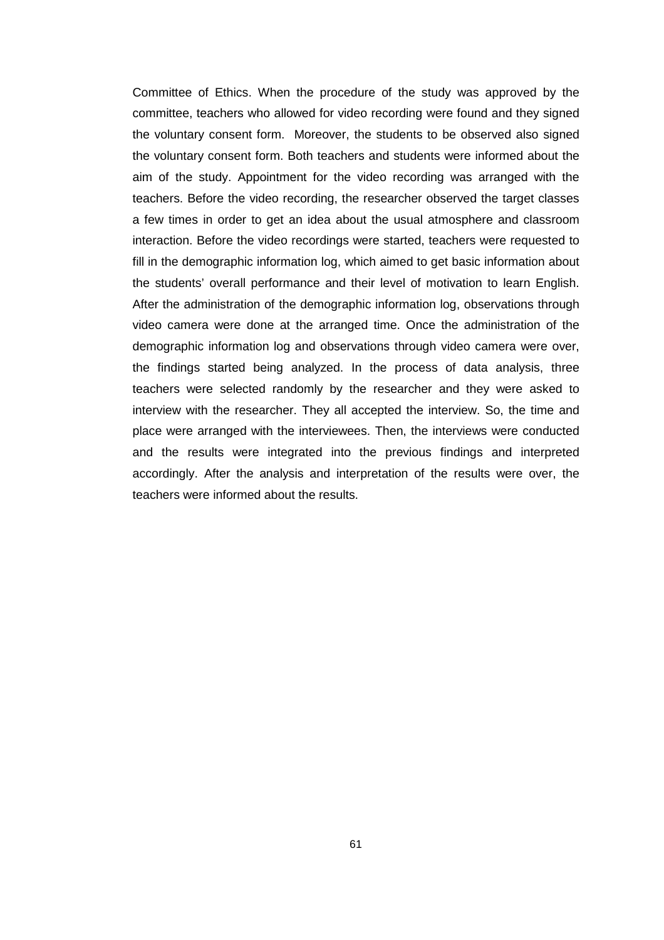Committee of Ethics. When the procedure of the study was approved by the committee, teachers who allowed for video recording were found and they signed the voluntary consent form. Moreover, the students to be observed also signed the voluntary consent form. Both teachers and students were informed about the aim of the study. Appointment for the video recording was arranged with the teachers. Before the video recording, the researcher observed the target classes a few times in order to get an idea about the usual atmosphere and classroom interaction. Before the video recordings were started, teachers were requested to fill in the demographic information log, which aimed to get basic information about the students' overall performance and their level of motivation to learn English. After the administration of the demographic information log, observations through video camera were done at the arranged time. Once the administration of the demographic information log and observations through video camera were over, the findings started being analyzed. In the process of data analysis, three teachers were selected randomly by the researcher and they were asked to interview with the researcher. They all accepted the interview. So, the time and place were arranged with the interviewees. Then, the interviews were conducted and the results were integrated into the previous findings and interpreted accordingly. After the analysis and interpretation of the results were over, the teachers were informed about the results.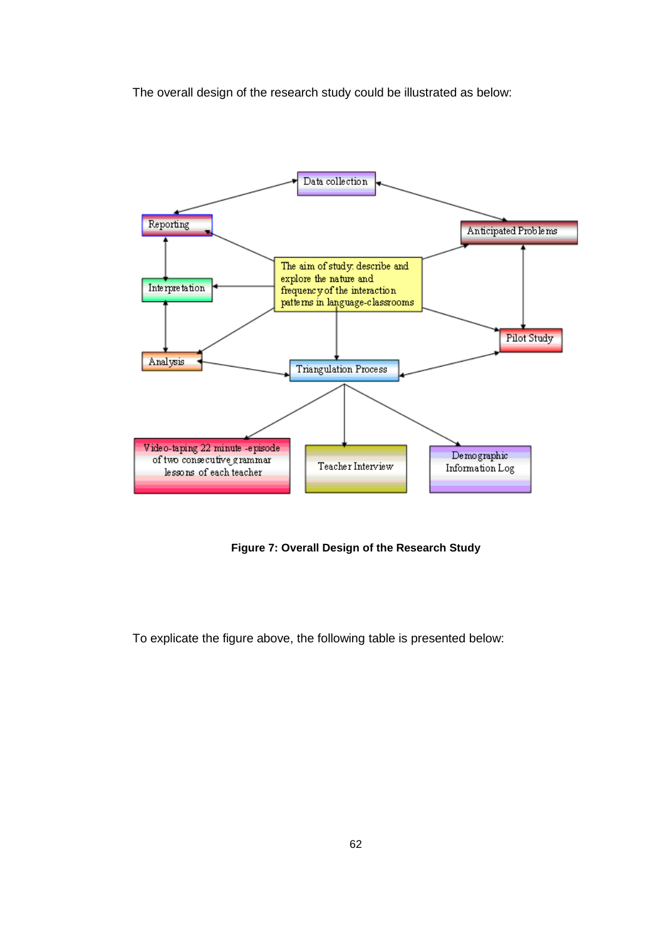The overall design of the research study could be illustrated as below:



**Figure 7: Overall Design of the Research Study** 

To explicate the figure above, the following table is presented below: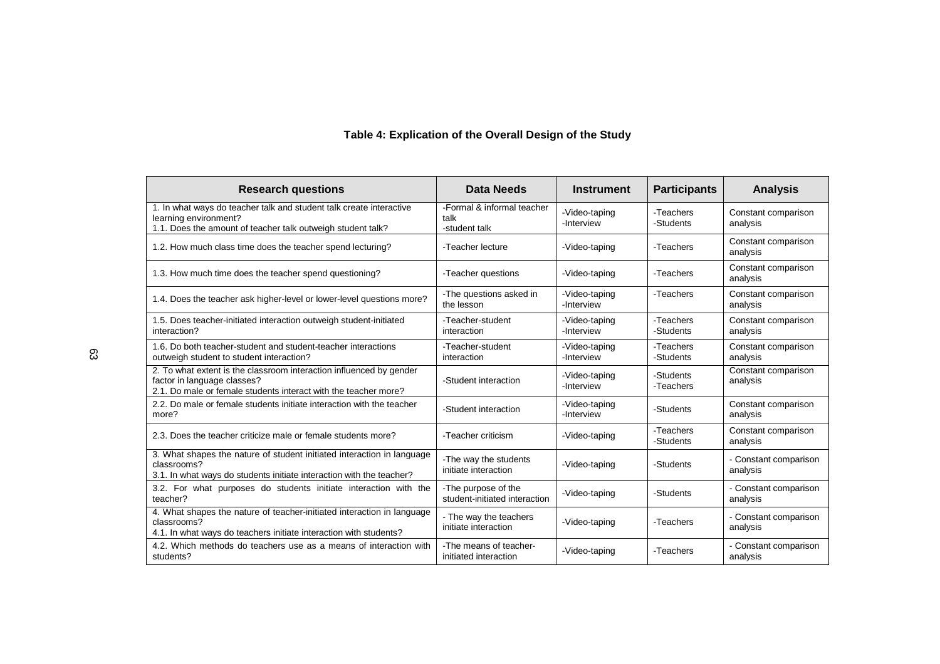# **Table 4: Explication of the Overall Design of the Study**

| <b>Research questions</b>                                                                                                                                             | <b>Data Needs</b>                                    | <b>Instrument</b>           | <b>Participants</b>    | <b>Analysis</b>                   |
|-----------------------------------------------------------------------------------------------------------------------------------------------------------------------|------------------------------------------------------|-----------------------------|------------------------|-----------------------------------|
| 1. In what ways do teacher talk and student talk create interactive<br>learning environment?<br>1.1. Does the amount of teacher talk outweigh student talk?           | -Formal & informal teacher<br>talk<br>-student talk  | -Video-taping<br>-Interview | -Teachers<br>-Students | Constant comparison<br>analysis   |
| 1.2. How much class time does the teacher spend lecturing?                                                                                                            | -Teacher lecture                                     | -Video-taping               | -Teachers              | Constant comparison<br>analysis   |
| 1.3. How much time does the teacher spend questioning?                                                                                                                | -Teacher questions                                   | -Video-taping               | -Teachers              | Constant comparison<br>analysis   |
| 1.4. Does the teacher ask higher-level or lower-level questions more?                                                                                                 | -The questions asked in<br>the lesson                | -Video-taping<br>-Interview | -Teachers              | Constant comparison<br>analysis   |
| 1.5. Does teacher-initiated interaction outweigh student-initiated<br>interaction?                                                                                    | -Teacher-student<br>interaction                      | -Video-taping<br>-Interview | -Teachers<br>-Students | Constant comparison<br>analysis   |
| 1.6. Do both teacher-student and student-teacher interactions<br>outweigh student to student interaction?                                                             | -Teacher-student<br>interaction                      | -Video-taping<br>-Interview | -Teachers<br>-Students | Constant comparison<br>analysis   |
| 2. To what extent is the classroom interaction influenced by gender<br>factor in language classes?<br>2.1. Do male or female students interact with the teacher more? | -Student interaction                                 | -Video-taping<br>-Interview | -Students<br>-Teachers | Constant comparison<br>analysis   |
| 2.2. Do male or female students initiate interaction with the teacher<br>more?                                                                                        | -Student interaction                                 | -Video-taping<br>-Interview | -Students              | Constant comparison<br>analysis   |
| 2.3. Does the teacher criticize male or female students more?                                                                                                         | -Teacher criticism                                   | -Video-taping               | -Teachers<br>-Students | Constant comparison<br>analysis   |
| 3. What shapes the nature of student initiated interaction in language<br>classrooms?<br>3.1. In what ways do students initiate interaction with the teacher?         | -The way the students<br>initiate interaction        | -Video-taping               | -Students              | - Constant comparison<br>analysis |
| 3.2. For what purposes do students initiate interaction with the<br>teacher?                                                                                          | -The purpose of the<br>student-initiated interaction | -Video-taping               | -Students              | - Constant comparison<br>analysis |
| 4. What shapes the nature of teacher-initiated interaction in language<br>classrooms?<br>4.1. In what ways do teachers initiate interaction with students?            | - The way the teachers<br>initiate interaction       | -Video-taping               | -Teachers              | - Constant comparison<br>analysis |
| 4.2. Which methods do teachers use as a means of interaction with<br>students?                                                                                        | -The means of teacher-<br>initiated interaction      | -Video-taping               | -Teachers              | - Constant comparison<br>analysis |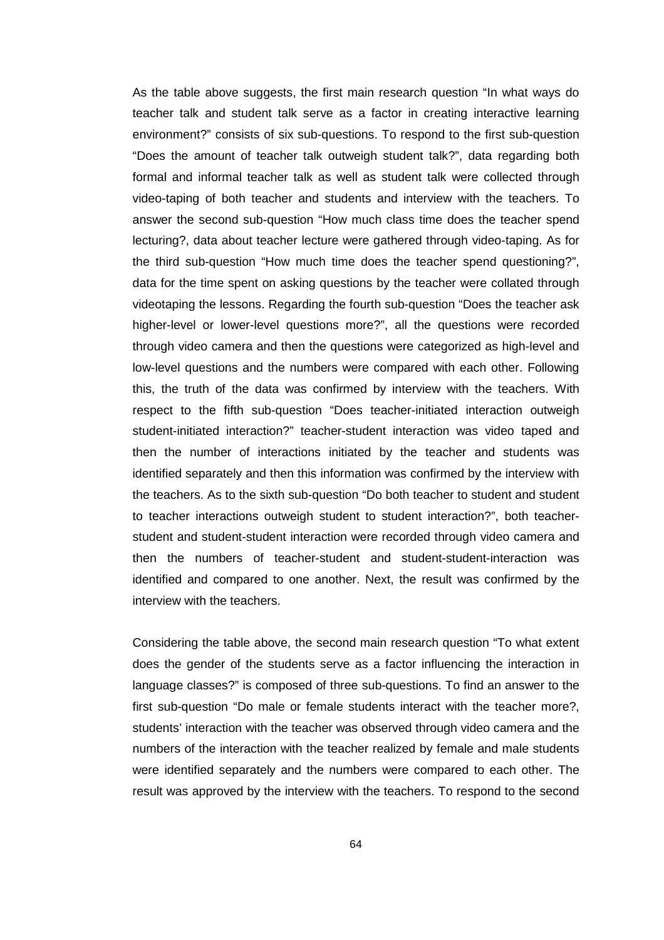As the table above suggests, the first main research question "In what ways do teacher talk and student talk serve as a factor in creating interactive learning environment?" consists of six sub-questions. To respond to the first sub-question "Does the amount of teacher talk outweigh student talk?", data regarding both formal and informal teacher talk as well as student talk were collected through video-taping of both teacher and students and interview with the teachers. To answer the second sub-question "How much class time does the teacher spend lecturing?, data about teacher lecture were gathered through video-taping. As for the third sub-question "How much time does the teacher spend questioning?", data for the time spent on asking questions by the teacher were collated through videotaping the lessons. Regarding the fourth sub-question "Does the teacher ask higher-level or lower-level questions more?", all the questions were recorded through video camera and then the questions were categorized as high-level and low-level questions and the numbers were compared with each other. Following this, the truth of the data was confirmed by interview with the teachers. With respect to the fifth sub-question "Does teacher-initiated interaction outweigh student-initiated interaction?" teacher-student interaction was video taped and then the number of interactions initiated by the teacher and students was identified separately and then this information was confirmed by the interview with the teachers. As to the sixth sub-question "Do both teacher to student and student to teacher interactions outweigh student to student interaction?", both teacherstudent and student-student interaction were recorded through video camera and then the numbers of teacher-student and student-student-interaction was identified and compared to one another. Next, the result was confirmed by the interview with the teachers.

Considering the table above, the second main research question "To what extent does the gender of the students serve as a factor influencing the interaction in language classes?" is composed of three sub-questions. To find an answer to the first sub-question "Do male or female students interact with the teacher more?, students' interaction with the teacher was observed through video camera and the numbers of the interaction with the teacher realized by female and male students were identified separately and the numbers were compared to each other. The result was approved by the interview with the teachers. To respond to the second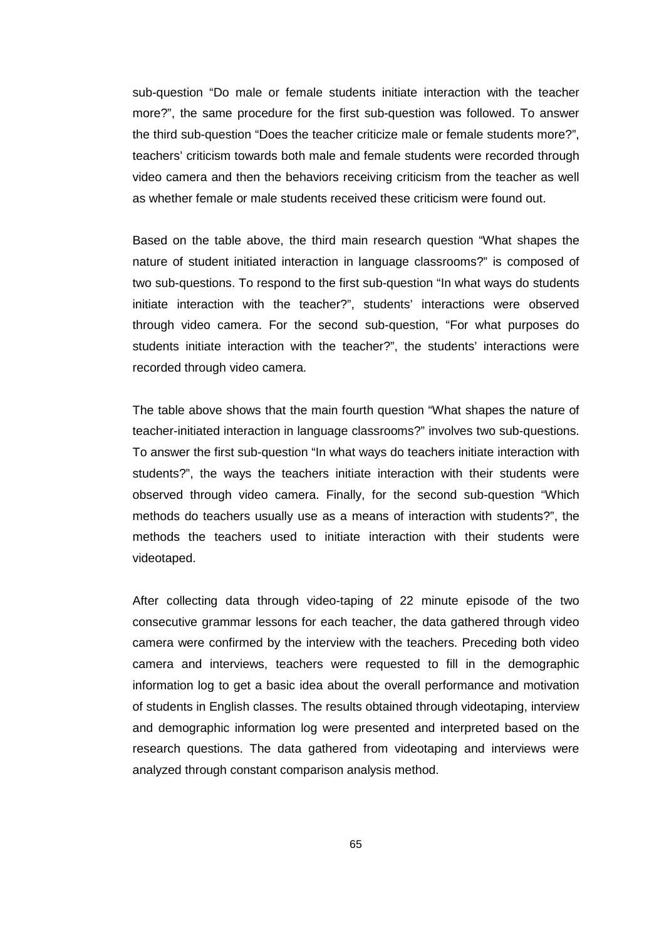sub-question "Do male or female students initiate interaction with the teacher more?", the same procedure for the first sub-question was followed. To answer the third sub-question "Does the teacher criticize male or female students more?", teachers' criticism towards both male and female students were recorded through video camera and then the behaviors receiving criticism from the teacher as well as whether female or male students received these criticism were found out.

Based on the table above, the third main research question "What shapes the nature of student initiated interaction in language classrooms?" is composed of two sub-questions. To respond to the first sub-question "In what ways do students initiate interaction with the teacher?", students' interactions were observed through video camera. For the second sub-question, "For what purposes do students initiate interaction with the teacher?", the students' interactions were recorded through video camera.

The table above shows that the main fourth question "What shapes the nature of teacher-initiated interaction in language classrooms?" involves two sub-questions. To answer the first sub-question "In what ways do teachers initiate interaction with students?", the ways the teachers initiate interaction with their students were observed through video camera. Finally, for the second sub-question "Which methods do teachers usually use as a means of interaction with students?", the methods the teachers used to initiate interaction with their students were videotaped.

After collecting data through video-taping of 22 minute episode of the two consecutive grammar lessons for each teacher, the data gathered through video camera were confirmed by the interview with the teachers. Preceding both video camera and interviews, teachers were requested to fill in the demographic information log to get a basic idea about the overall performance and motivation of students in English classes. The results obtained through videotaping, interview and demographic information log were presented and interpreted based on the research questions. The data gathered from videotaping and interviews were analyzed through constant comparison analysis method.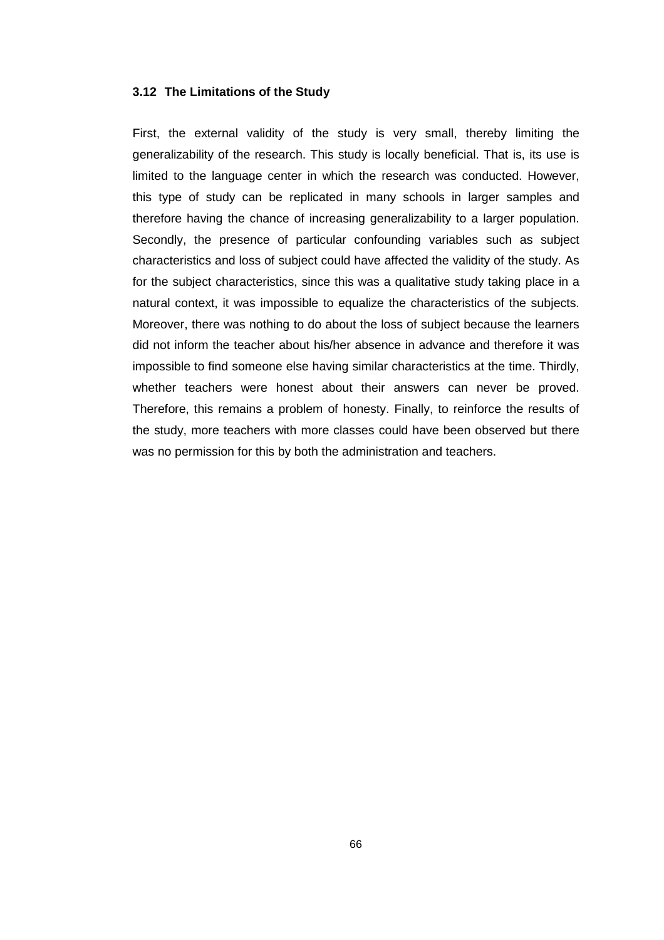### **3.12 The Limitations of the Study**

First, the external validity of the study is very small, thereby limiting the generalizability of the research. This study is locally beneficial. That is, its use is limited to the language center in which the research was conducted. However, this type of study can be replicated in many schools in larger samples and therefore having the chance of increasing generalizability to a larger population. Secondly, the presence of particular confounding variables such as subject characteristics and loss of subject could have affected the validity of the study. As for the subject characteristics, since this was a qualitative study taking place in a natural context, it was impossible to equalize the characteristics of the subjects. Moreover, there was nothing to do about the loss of subject because the learners did not inform the teacher about his/her absence in advance and therefore it was impossible to find someone else having similar characteristics at the time. Thirdly, whether teachers were honest about their answers can never be proved. Therefore, this remains a problem of honesty. Finally, to reinforce the results of the study, more teachers with more classes could have been observed but there was no permission for this by both the administration and teachers.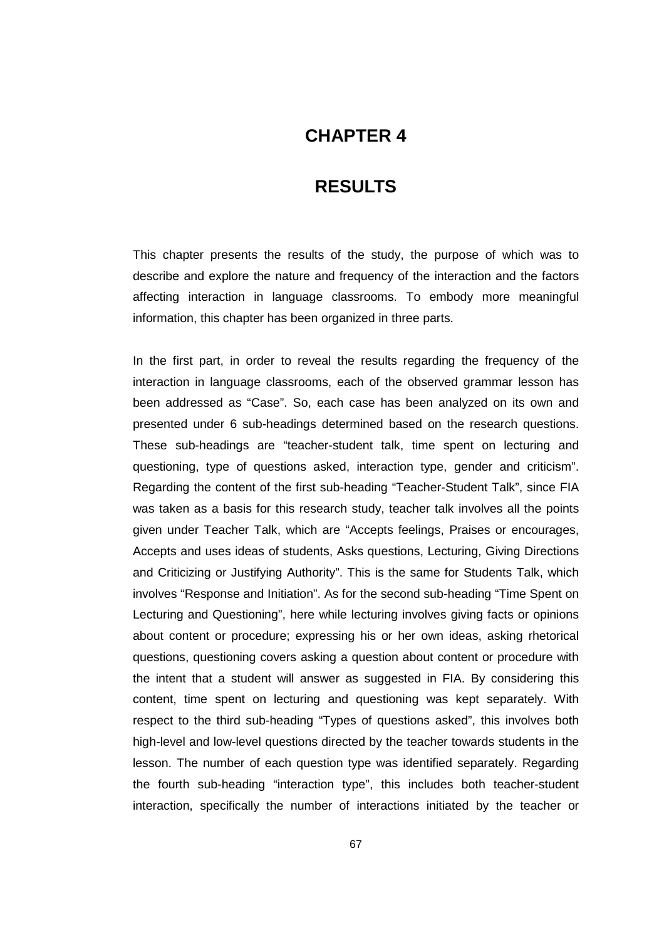# **CHAPTER 4**

# **4 RESULTS**

This chapter presents the results of the study, the purpose of which was to describe and explore the nature and frequency of the interaction and the factors affecting interaction in language classrooms. To embody more meaningful information, this chapter has been organized in three parts.

In the first part, in order to reveal the results regarding the frequency of the interaction in language classrooms, each of the observed grammar lesson has been addressed as "Case". So, each case has been analyzed on its own and presented under 6 sub-headings determined based on the research questions. These sub-headings are "teacher-student talk, time spent on lecturing and questioning, type of questions asked, interaction type, gender and criticism". Regarding the content of the first sub-heading "Teacher-Student Talk", since FIA was taken as a basis for this research study, teacher talk involves all the points given under Teacher Talk, which are "Accepts feelings, Praises or encourages, Accepts and uses ideas of students, Asks questions, Lecturing, Giving Directions and Criticizing or Justifying Authority". This is the same for Students Talk, which involves "Response and Initiation". As for the second sub-heading "Time Spent on Lecturing and Questioning", here while lecturing involves giving facts or opinions about content or procedure; expressing his or her own ideas, asking rhetorical questions, questioning covers asking a question about content or procedure with the intent that a student will answer as suggested in FIA. By considering this content, time spent on lecturing and questioning was kept separately. With respect to the third sub-heading "Types of questions asked", this involves both high-level and low-level questions directed by the teacher towards students in the lesson. The number of each question type was identified separately. Regarding the fourth sub-heading "interaction type", this includes both teacher-student interaction, specifically the number of interactions initiated by the teacher or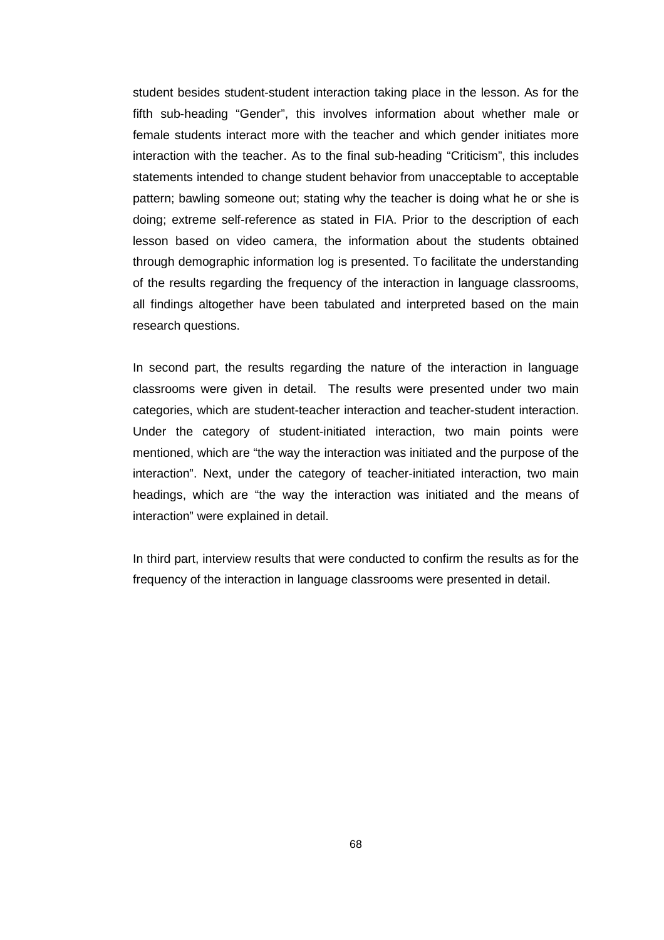student besides student-student interaction taking place in the lesson. As for the fifth sub-heading "Gender", this involves information about whether male or female students interact more with the teacher and which gender initiates more interaction with the teacher. As to the final sub-heading "Criticism", this includes statements intended to change student behavior from unacceptable to acceptable pattern; bawling someone out; stating why the teacher is doing what he or she is doing; extreme self-reference as stated in FIA. Prior to the description of each lesson based on video camera, the information about the students obtained through demographic information log is presented. To facilitate the understanding of the results regarding the frequency of the interaction in language classrooms, all findings altogether have been tabulated and interpreted based on the main research questions.

In second part, the results regarding the nature of the interaction in language classrooms were given in detail. The results were presented under two main categories, which are student-teacher interaction and teacher-student interaction. Under the category of student-initiated interaction, two main points were mentioned, which are "the way the interaction was initiated and the purpose of the interaction". Next, under the category of teacher-initiated interaction, two main headings, which are "the way the interaction was initiated and the means of interaction" were explained in detail.

In third part, interview results that were conducted to confirm the results as for the frequency of the interaction in language classrooms were presented in detail.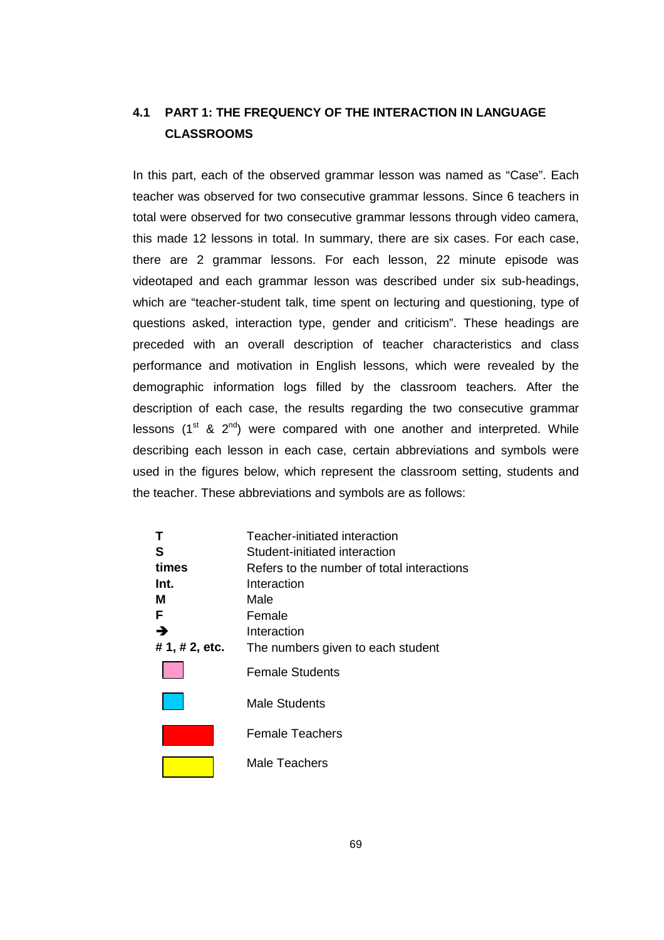# **4.1 PART 1: THE FREQUENCY OF THE INTERACTION IN LANGUAGE CLASSROOMS**

In this part, each of the observed grammar lesson was named as "Case". Each teacher was observed for two consecutive grammar lessons. Since 6 teachers in total were observed for two consecutive grammar lessons through video camera, this made 12 lessons in total. In summary, there are six cases. For each case, there are 2 grammar lessons. For each lesson, 22 minute episode was videotaped and each grammar lesson was described under six sub-headings, which are "teacher-student talk, time spent on lecturing and questioning, type of questions asked, interaction type, gender and criticism". These headings are preceded with an overall description of teacher characteristics and class performance and motivation in English lessons, which were revealed by the demographic information logs filled by the classroom teachers. After the description of each case, the results regarding the two consecutive grammar lessons ( $1<sup>st</sup>$  &  $2<sup>nd</sup>$ ) were compared with one another and interpreted. While describing each lesson in each case, certain abbreviations and symbols were used in the figures below, which represent the classroom setting, students and the teacher. These abbreviations and symbols are as follows:

| S              | Teacher-initiated interaction<br>Student-initiated interaction |
|----------------|----------------------------------------------------------------|
| times          | Refers to the number of total interactions                     |
| Int.           | Interaction                                                    |
| м              | Male                                                           |
| F              | Female                                                         |
| →              | Interaction                                                    |
| # 1, # 2, etc. | The numbers given to each student                              |
|                | <b>Female Students</b>                                         |
|                | <b>Male Students</b>                                           |
|                | Female Teachers                                                |
|                | Male Teachers                                                  |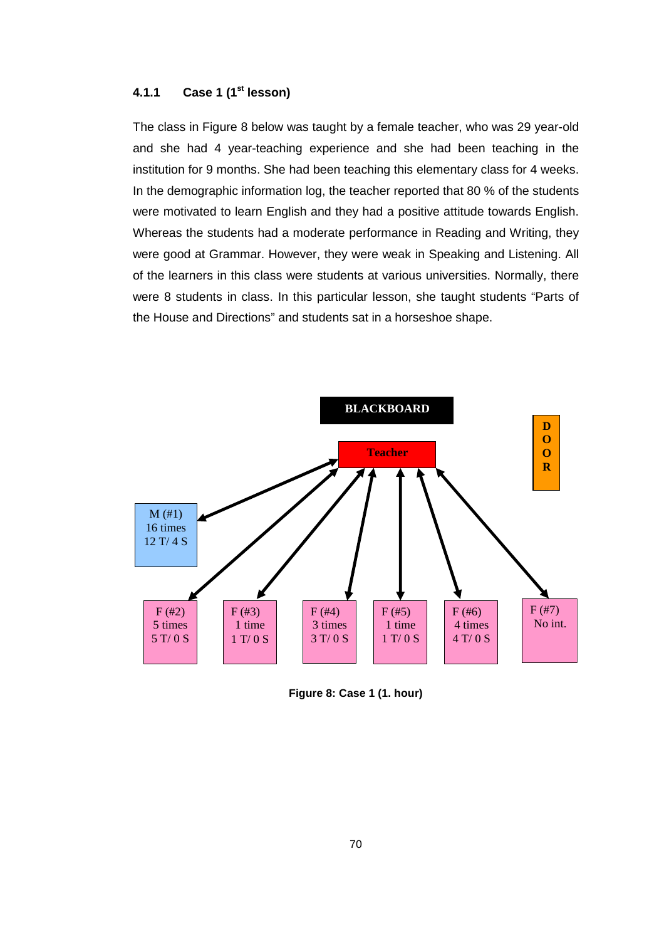## **4.1.1 Case 1 (1st lesson)**

The class in Figure 8 below was taught by a female teacher, who was 29 year-old and she had 4 year-teaching experience and she had been teaching in the institution for 9 months. She had been teaching this elementary class for 4 weeks. In the demographic information log, the teacher reported that 80 % of the students were motivated to learn English and they had a positive attitude towards English. Whereas the students had a moderate performance in Reading and Writing, they were good at Grammar. However, they were weak in Speaking and Listening. All of the learners in this class were students at various universities. Normally, there were 8 students in class. In this particular lesson, she taught students "Parts of the House and Directions" and students sat in a horseshoe shape.



**Figure 8: Case 1 (1. hour)**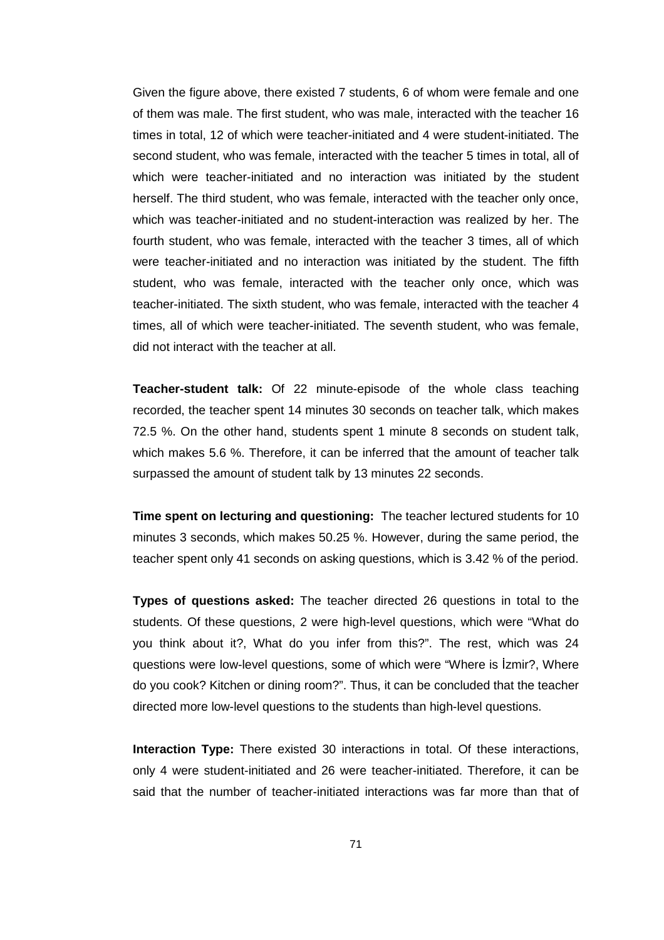Given the figure above, there existed 7 students, 6 of whom were female and one of them was male. The first student, who was male, interacted with the teacher 16 times in total, 12 of which were teacher-initiated and 4 were student-initiated. The second student, who was female, interacted with the teacher 5 times in total, all of which were teacher-initiated and no interaction was initiated by the student herself. The third student, who was female, interacted with the teacher only once, which was teacher-initiated and no student-interaction was realized by her. The fourth student, who was female, interacted with the teacher 3 times, all of which were teacher-initiated and no interaction was initiated by the student. The fifth student, who was female, interacted with the teacher only once, which was teacher-initiated. The sixth student, who was female, interacted with the teacher 4 times, all of which were teacher-initiated. The seventh student, who was female, did not interact with the teacher at all.

**Teacher-student talk:** Of 22 minute-episode of the whole class teaching recorded, the teacher spent 14 minutes 30 seconds on teacher talk, which makes 72.5 %. On the other hand, students spent 1 minute 8 seconds on student talk, which makes 5.6 %. Therefore, it can be inferred that the amount of teacher talk surpassed the amount of student talk by 13 minutes 22 seconds.

**Time spent on lecturing and questioning:** The teacher lectured students for 10 minutes 3 seconds, which makes 50.25 %. However, during the same period, the teacher spent only 41 seconds on asking questions, which is 3.42 % of the period.

**Types of questions asked:** The teacher directed 26 questions in total to the students. Of these questions, 2 were high-level questions, which were "What do you think about it?, What do you infer from this?". The rest, which was 24 questions were low-level questions, some of which were "Where is İzmir?, Where do you cook? Kitchen or dining room?". Thus, it can be concluded that the teacher directed more low-level questions to the students than high-level questions.

**Interaction Type:** There existed 30 interactions in total. Of these interactions, only 4 were student-initiated and 26 were teacher-initiated. Therefore, it can be said that the number of teacher-initiated interactions was far more than that of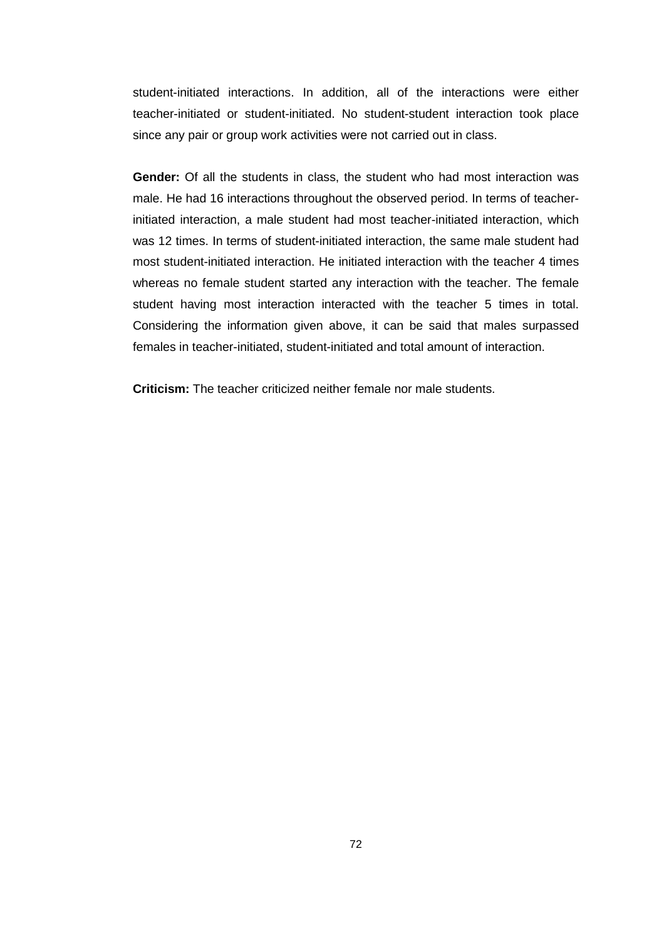student-initiated interactions. In addition, all of the interactions were either teacher-initiated or student-initiated. No student-student interaction took place since any pair or group work activities were not carried out in class.

**Gender:** Of all the students in class, the student who had most interaction was male. He had 16 interactions throughout the observed period. In terms of teacherinitiated interaction, a male student had most teacher-initiated interaction, which was 12 times. In terms of student-initiated interaction, the same male student had most student-initiated interaction. He initiated interaction with the teacher 4 times whereas no female student started any interaction with the teacher. The female student having most interaction interacted with the teacher 5 times in total. Considering the information given above, it can be said that males surpassed females in teacher-initiated, student-initiated and total amount of interaction.

**Criticism:** The teacher criticized neither female nor male students.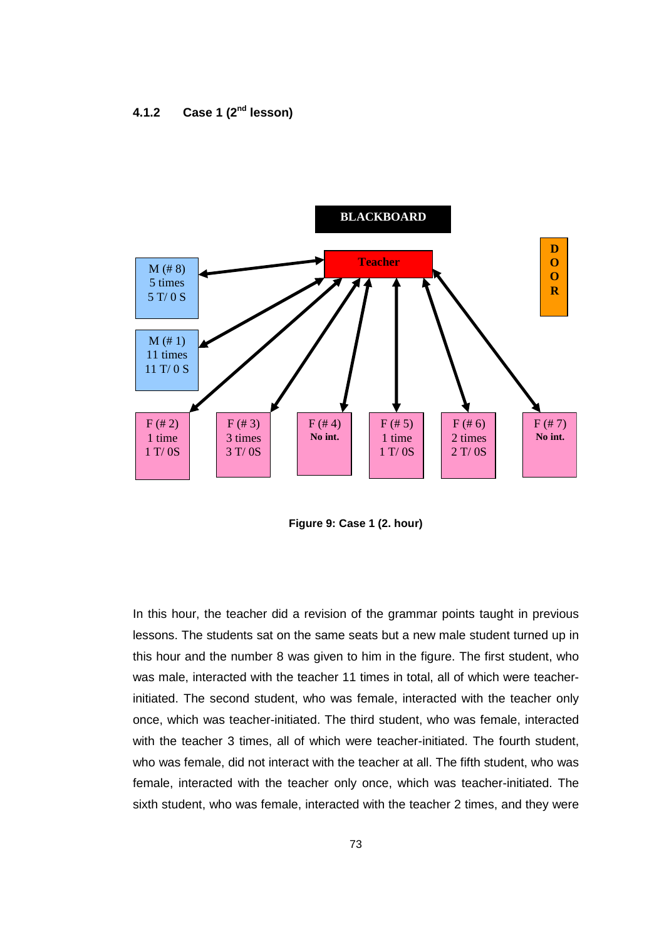# **4.1.2 Case 1 (2nd lesson)**



**Figure 9: Case 1 (2. hour)** 

In this hour, the teacher did a revision of the grammar points taught in previous lessons. The students sat on the same seats but a new male student turned up in this hour and the number 8 was given to him in the figure. The first student, who was male, interacted with the teacher 11 times in total, all of which were teacherinitiated. The second student, who was female, interacted with the teacher only once, which was teacher-initiated. The third student, who was female, interacted with the teacher 3 times, all of which were teacher-initiated. The fourth student, who was female, did not interact with the teacher at all. The fifth student, who was female, interacted with the teacher only once, which was teacher-initiated. The sixth student, who was female, interacted with the teacher 2 times, and they were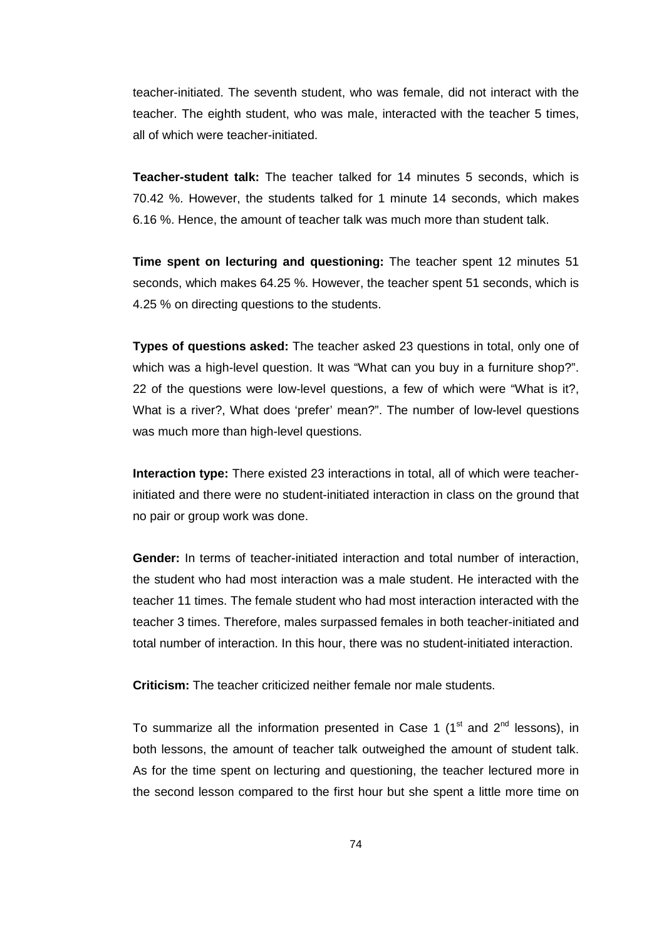teacher-initiated. The seventh student, who was female, did not interact with the teacher. The eighth student, who was male, interacted with the teacher 5 times, all of which were teacher-initiated.

**Teacher-student talk:** The teacher talked for 14 minutes 5 seconds, which is 70.42 %. However, the students talked for 1 minute 14 seconds, which makes 6.16 %. Hence, the amount of teacher talk was much more than student talk.

**Time spent on lecturing and questioning:** The teacher spent 12 minutes 51 seconds, which makes 64.25 %. However, the teacher spent 51 seconds, which is 4.25 % on directing questions to the students.

**Types of questions asked:** The teacher asked 23 questions in total, only one of which was a high-level question. It was "What can you buy in a furniture shop?". 22 of the questions were low-level questions, a few of which were "What is it?, What is a river?, What does 'prefer' mean?". The number of low-level questions was much more than high-level questions.

**Interaction type:** There existed 23 interactions in total, all of which were teacherinitiated and there were no student-initiated interaction in class on the ground that no pair or group work was done.

**Gender:** In terms of teacher-initiated interaction and total number of interaction, the student who had most interaction was a male student. He interacted with the teacher 11 times. The female student who had most interaction interacted with the teacher 3 times. Therefore, males surpassed females in both teacher-initiated and total number of interaction. In this hour, there was no student-initiated interaction.

**Criticism:** The teacher criticized neither female nor male students.

To summarize all the information presented in Case 1  $(1<sup>st</sup>$  and  $2<sup>nd</sup>$  lessons), in both lessons, the amount of teacher talk outweighed the amount of student talk. As for the time spent on lecturing and questioning, the teacher lectured more in the second lesson compared to the first hour but she spent a little more time on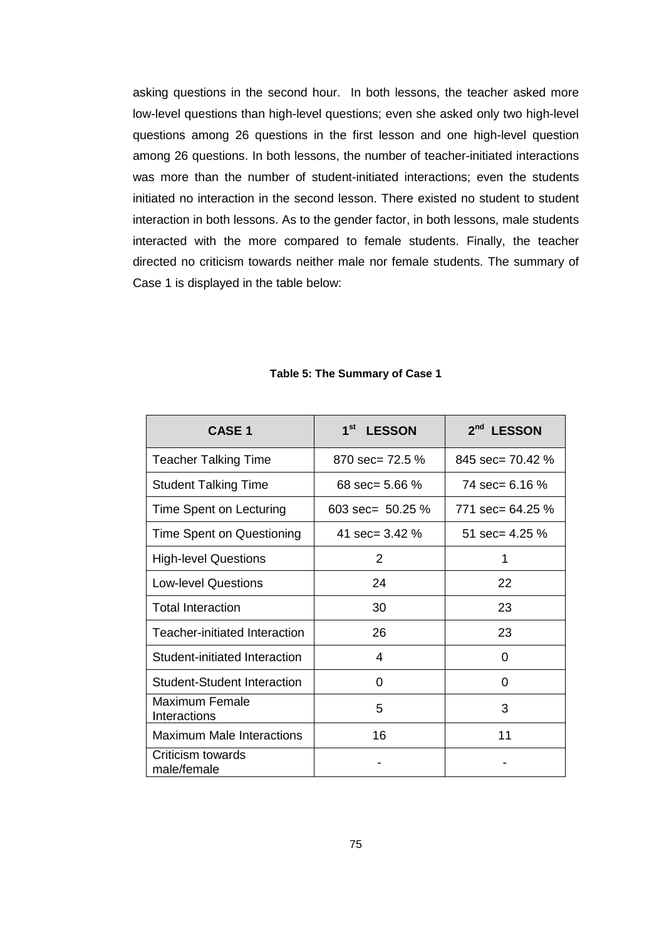asking questions in the second hour. In both lessons, the teacher asked more low-level questions than high-level questions; even she asked only two high-level questions among 26 questions in the first lesson and one high-level question among 26 questions. In both lessons, the number of teacher-initiated interactions was more than the number of student-initiated interactions; even the students initiated no interaction in the second lesson. There existed no student to student interaction in both lessons. As to the gender factor, in both lessons, male students interacted with the more compared to female students. Finally, the teacher directed no criticism towards neither male nor female students. The summary of Case 1 is displayed in the table below:

| <b>CASE 1</b>                    | $1^{\rm st}$<br><b>LESSON</b> | 2 <sup>nd</sup> LESSON |
|----------------------------------|-------------------------------|------------------------|
| <b>Teacher Talking Time</b>      | 870 $sec = 72.5 \%$           | 845 sec= 70.42 %       |
| <b>Student Talking Time</b>      | 68 $sec = 5.66 \%$            | 74 sec= 6.16 %         |
| Time Spent on Lecturing          | 603 sec= $50.25\%$            | 771 $sec = 64.25 \%$   |
| Time Spent on Questioning        | 41 sec= $3.42\%$              | 51 sec= $4.25\%$       |
| <b>High-level Questions</b>      | 2                             | 1                      |
| <b>Low-level Questions</b>       | 24                            | 22                     |
| <b>Total Interaction</b>         | 30                            | 23                     |
| Teacher-initiated Interaction    | 26                            | 23                     |
| Student-initiated Interaction    | 4                             | 0                      |
| Student-Student Interaction      | 0                             | 0                      |
| Maximum Female<br>Interactions   | 5                             | 3                      |
| <b>Maximum Male Interactions</b> | 16                            | 11                     |
| Criticism towards<br>male/female |                               |                        |

### **Table 5: The Summary of Case 1**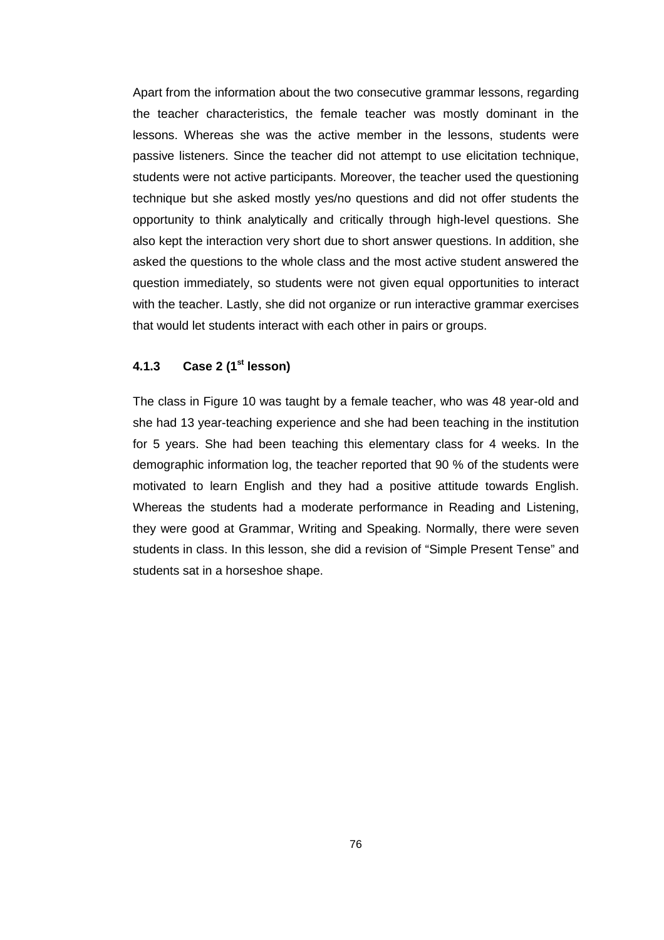Apart from the information about the two consecutive grammar lessons, regarding the teacher characteristics, the female teacher was mostly dominant in the lessons. Whereas she was the active member in the lessons, students were passive listeners. Since the teacher did not attempt to use elicitation technique, students were not active participants. Moreover, the teacher used the questioning technique but she asked mostly yes/no questions and did not offer students the opportunity to think analytically and critically through high-level questions. She also kept the interaction very short due to short answer questions. In addition, she asked the questions to the whole class and the most active student answered the question immediately, so students were not given equal opportunities to interact with the teacher. Lastly, she did not organize or run interactive grammar exercises that would let students interact with each other in pairs or groups.

## **4.1.3 Case 2 (1st lesson)**

The class in Figure 10 was taught by a female teacher, who was 48 year-old and she had 13 year-teaching experience and she had been teaching in the institution for 5 years. She had been teaching this elementary class for 4 weeks. In the demographic information log, the teacher reported that 90 % of the students were motivated to learn English and they had a positive attitude towards English. Whereas the students had a moderate performance in Reading and Listening, they were good at Grammar, Writing and Speaking. Normally, there were seven students in class. In this lesson, she did a revision of "Simple Present Tense" and students sat in a horseshoe shape.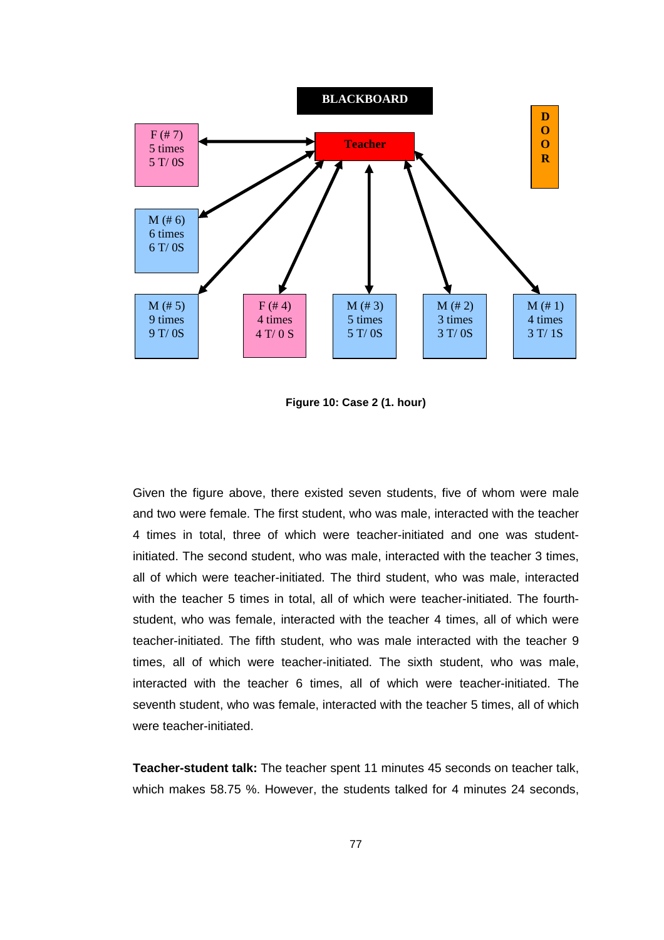

**Figure 10: Case 2 (1. hour)** 

Given the figure above, there existed seven students, five of whom were male and two were female. The first student, who was male, interacted with the teacher 4 times in total, three of which were teacher-initiated and one was studentinitiated. The second student, who was male, interacted with the teacher 3 times, all of which were teacher-initiated. The third student, who was male, interacted with the teacher 5 times in total, all of which were teacher-initiated. The fourthstudent, who was female, interacted with the teacher 4 times, all of which were teacher-initiated. The fifth student, who was male interacted with the teacher 9 times, all of which were teacher-initiated. The sixth student, who was male, interacted with the teacher 6 times, all of which were teacher-initiated. The seventh student, who was female, interacted with the teacher 5 times, all of which were teacher-initiated.

**Teacher-student talk:** The teacher spent 11 minutes 45 seconds on teacher talk, which makes 58.75 %. However, the students talked for 4 minutes 24 seconds,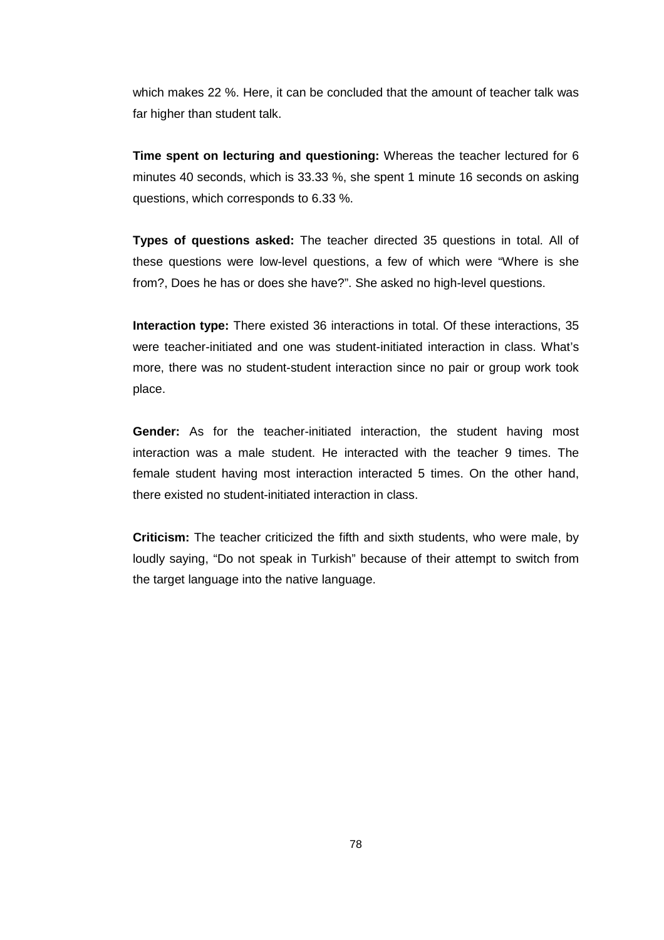which makes 22 %. Here, it can be concluded that the amount of teacher talk was far higher than student talk.

**Time spent on lecturing and questioning:** Whereas the teacher lectured for 6 minutes 40 seconds, which is 33.33 %, she spent 1 minute 16 seconds on asking questions, which corresponds to 6.33 %.

**Types of questions asked:** The teacher directed 35 questions in total. All of these questions were low-level questions, a few of which were "Where is she from?, Does he has or does she have?". She asked no high-level questions.

**Interaction type:** There existed 36 interactions in total. Of these interactions, 35 were teacher-initiated and one was student-initiated interaction in class. What's more, there was no student-student interaction since no pair or group work took place.

**Gender:** As for the teacher-initiated interaction, the student having most interaction was a male student. He interacted with the teacher 9 times. The female student having most interaction interacted 5 times. On the other hand, there existed no student-initiated interaction in class.

**Criticism:** The teacher criticized the fifth and sixth students, who were male, by loudly saying, "Do not speak in Turkish" because of their attempt to switch from the target language into the native language.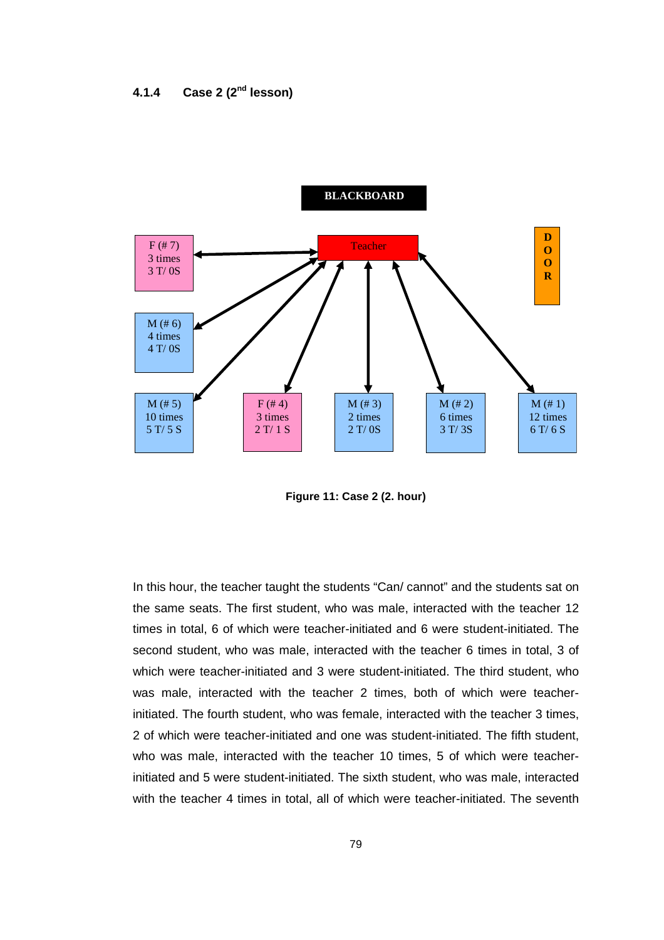

**Figure 11: Case 2 (2. hour)** 

In this hour, the teacher taught the students "Can/ cannot" and the students sat on the same seats. The first student, who was male, interacted with the teacher 12 times in total, 6 of which were teacher-initiated and 6 were student-initiated. The second student, who was male, interacted with the teacher 6 times in total, 3 of which were teacher-initiated and 3 were student-initiated. The third student, who was male, interacted with the teacher 2 times, both of which were teacherinitiated. The fourth student, who was female, interacted with the teacher 3 times, 2 of which were teacher-initiated and one was student-initiated. The fifth student, who was male, interacted with the teacher 10 times, 5 of which were teacherinitiated and 5 were student-initiated. The sixth student, who was male, interacted with the teacher 4 times in total, all of which were teacher-initiated. The seventh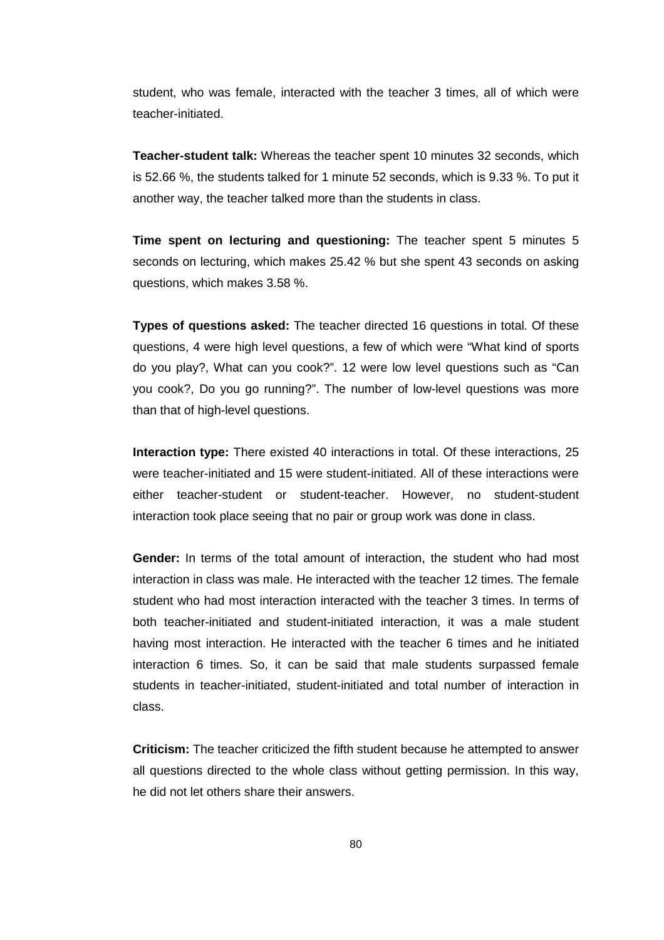student, who was female, interacted with the teacher 3 times, all of which were teacher-initiated.

**Teacher-student talk:** Whereas the teacher spent 10 minutes 32 seconds, which is 52.66 %, the students talked for 1 minute 52 seconds, which is 9.33 %. To put it another way, the teacher talked more than the students in class.

**Time spent on lecturing and questioning:** The teacher spent 5 minutes 5 seconds on lecturing, which makes 25.42 % but she spent 43 seconds on asking questions, which makes 3.58 %.

**Types of questions asked:** The teacher directed 16 questions in total. Of these questions, 4 were high level questions, a few of which were "What kind of sports do you play?, What can you cook?". 12 were low level questions such as "Can you cook?, Do you go running?". The number of low-level questions was more than that of high-level questions.

**Interaction type:** There existed 40 interactions in total. Of these interactions, 25 were teacher-initiated and 15 were student-initiated. All of these interactions were either teacher-student or student-teacher. However, no student-student interaction took place seeing that no pair or group work was done in class.

**Gender:** In terms of the total amount of interaction, the student who had most interaction in class was male. He interacted with the teacher 12 times. The female student who had most interaction interacted with the teacher 3 times. In terms of both teacher-initiated and student-initiated interaction, it was a male student having most interaction. He interacted with the teacher 6 times and he initiated interaction 6 times. So, it can be said that male students surpassed female students in teacher-initiated, student-initiated and total number of interaction in class.

**Criticism:** The teacher criticized the fifth student because he attempted to answer all questions directed to the whole class without getting permission. In this way, he did not let others share their answers.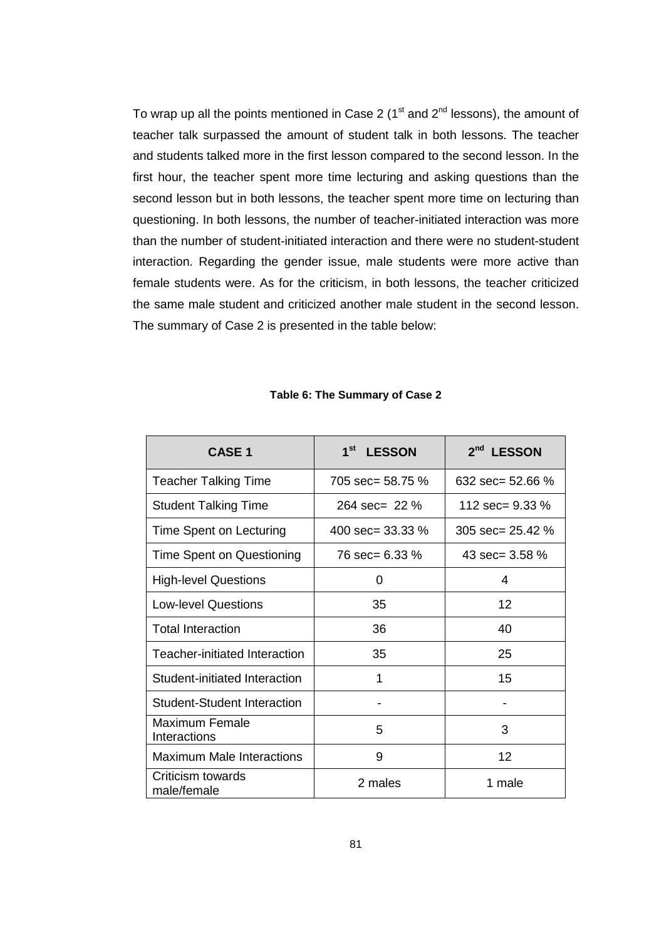To wrap up all the points mentioned in Case 2 ( $1<sup>st</sup>$  and  $2<sup>nd</sup>$  lessons), the amount of teacher talk surpassed the amount of student talk in both lessons. The teacher and students talked more in the first lesson compared to the second lesson. In the first hour, the teacher spent more time lecturing and asking questions than the second lesson but in both lessons, the teacher spent more time on lecturing than questioning. In both lessons, the number of teacher-initiated interaction was more than the number of student-initiated interaction and there were no student-student interaction. Regarding the gender issue, male students were more active than female students were. As for the criticism, in both lessons, the teacher criticized the same male student and criticized another male student in the second lesson. The summary of Case 2 is presented in the table below:

| <b>CASE 1</b>                    | $1^{\rm st}$<br><b>LESSON</b> | 2 <sup>nd</sup> LESSON |
|----------------------------------|-------------------------------|------------------------|
| <b>Teacher Talking Time</b>      | 705 $sec = 58.75$ %           | 632 sec= 52.66 $%$     |
| <b>Student Talking Time</b>      | $264 \text{ sec} = 22 \%$     | 112 sec= $9.33\%$      |
| Time Spent on Lecturing          | 400 sec= $33.33\%$            | 305 $sec = 25.42$ %    |
| Time Spent on Questioning        | 76 sec= 6.33 %                | 43 sec= $3.58\%$       |
| <b>High-level Questions</b>      | 0                             | 4                      |
| <b>Low-level Questions</b>       | 35                            | 12                     |
| <b>Total Interaction</b>         | 36                            | 40                     |
| Teacher-initiated Interaction    | 35                            | 25                     |
| Student-initiated Interaction    | 1                             | 15                     |
| Student-Student Interaction      |                               |                        |
| Maximum Female<br>Interactions   | 5                             | 3                      |
| <b>Maximum Male Interactions</b> | 9                             | 12                     |
| Criticism towards<br>male/female | 2 males                       | 1 male                 |

#### **Table 6: The Summary of Case 2**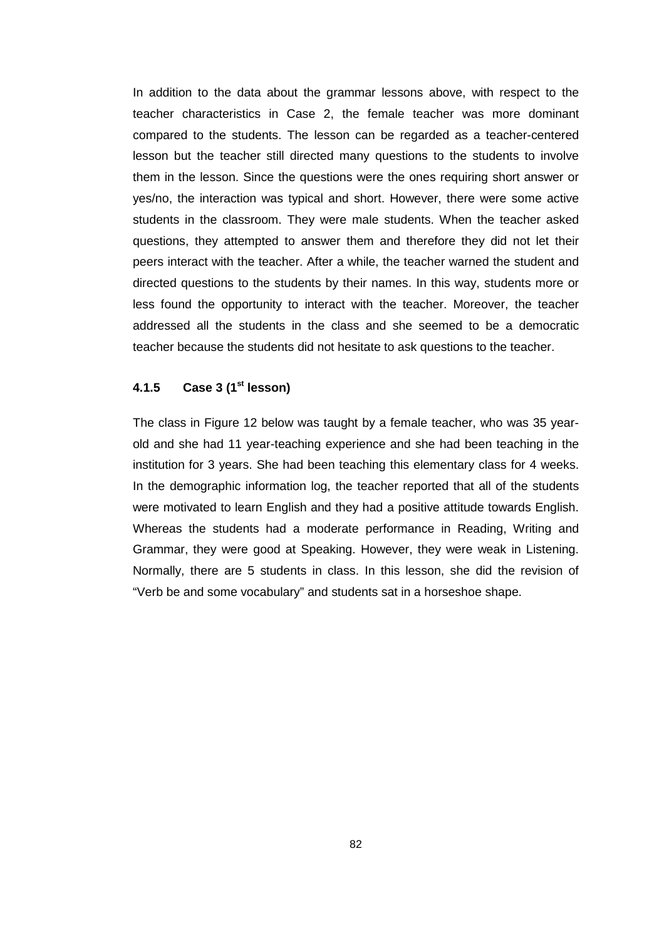In addition to the data about the grammar lessons above, with respect to the teacher characteristics in Case 2, the female teacher was more dominant compared to the students. The lesson can be regarded as a teacher-centered lesson but the teacher still directed many questions to the students to involve them in the lesson. Since the questions were the ones requiring short answer or yes/no, the interaction was typical and short. However, there were some active students in the classroom. They were male students. When the teacher asked questions, they attempted to answer them and therefore they did not let their peers interact with the teacher. After a while, the teacher warned the student and directed questions to the students by their names. In this way, students more or less found the opportunity to interact with the teacher. Moreover, the teacher addressed all the students in the class and she seemed to be a democratic teacher because the students did not hesitate to ask questions to the teacher.

## **4.1.5 Case 3 (1st lesson)**

The class in Figure 12 below was taught by a female teacher, who was 35 yearold and she had 11 year-teaching experience and she had been teaching in the institution for 3 years. She had been teaching this elementary class for 4 weeks. In the demographic information log, the teacher reported that all of the students were motivated to learn English and they had a positive attitude towards English. Whereas the students had a moderate performance in Reading, Writing and Grammar, they were good at Speaking. However, they were weak in Listening. Normally, there are 5 students in class. In this lesson, she did the revision of "Verb be and some vocabulary" and students sat in a horseshoe shape.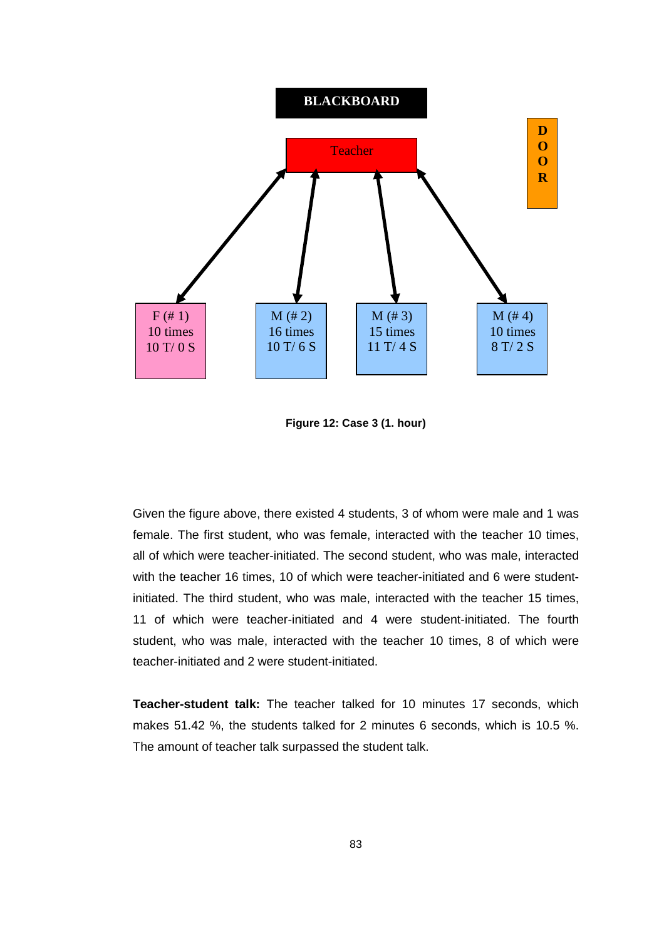

**Figure 12: Case 3 (1. hour)** 

Given the figure above, there existed 4 students, 3 of whom were male and 1 was female. The first student, who was female, interacted with the teacher 10 times, all of which were teacher-initiated. The second student, who was male, interacted with the teacher 16 times, 10 of which were teacher-initiated and 6 were studentinitiated. The third student, who was male, interacted with the teacher 15 times, 11 of which were teacher-initiated and 4 were student-initiated. The fourth student, who was male, interacted with the teacher 10 times, 8 of which were teacher-initiated and 2 were student-initiated.

**Teacher-student talk:** The teacher talked for 10 minutes 17 seconds, which makes 51.42 %, the students talked for 2 minutes 6 seconds, which is 10.5 %. The amount of teacher talk surpassed the student talk.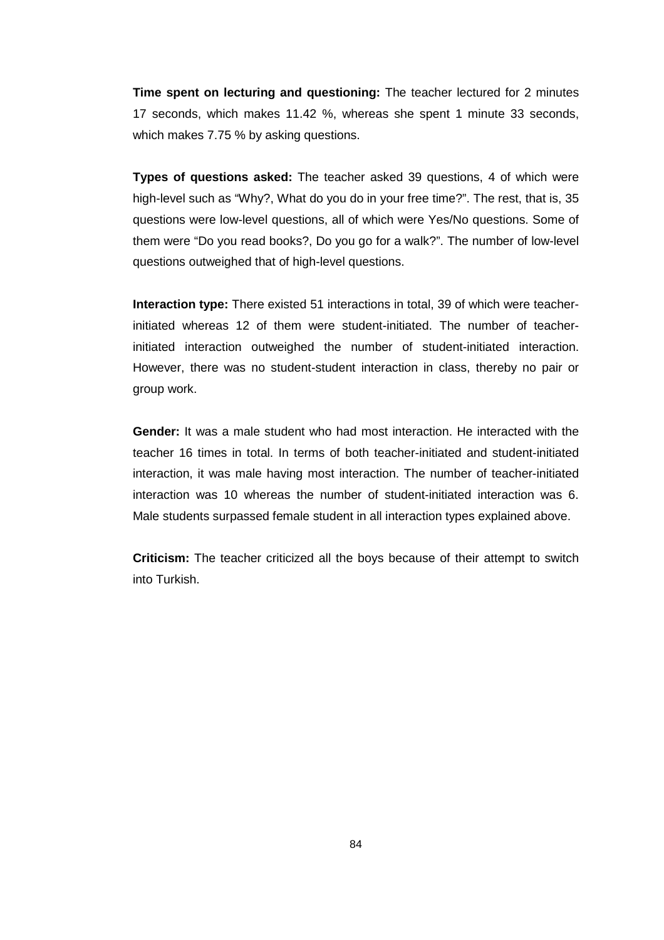**Time spent on lecturing and questioning:** The teacher lectured for 2 minutes 17 seconds, which makes 11.42 %, whereas she spent 1 minute 33 seconds, which makes 7.75 % by asking questions.

**Types of questions asked:** The teacher asked 39 questions, 4 of which were high-level such as "Why?, What do you do in your free time?". The rest, that is, 35 questions were low-level questions, all of which were Yes/No questions. Some of them were "Do you read books?, Do you go for a walk?". The number of low-level questions outweighed that of high-level questions.

**Interaction type:** There existed 51 interactions in total, 39 of which were teacherinitiated whereas 12 of them were student-initiated. The number of teacherinitiated interaction outweighed the number of student-initiated interaction. However, there was no student-student interaction in class, thereby no pair or group work.

**Gender:** It was a male student who had most interaction. He interacted with the teacher 16 times in total. In terms of both teacher-initiated and student-initiated interaction, it was male having most interaction. The number of teacher-initiated interaction was 10 whereas the number of student-initiated interaction was 6. Male students surpassed female student in all interaction types explained above.

**Criticism:** The teacher criticized all the boys because of their attempt to switch into Turkish.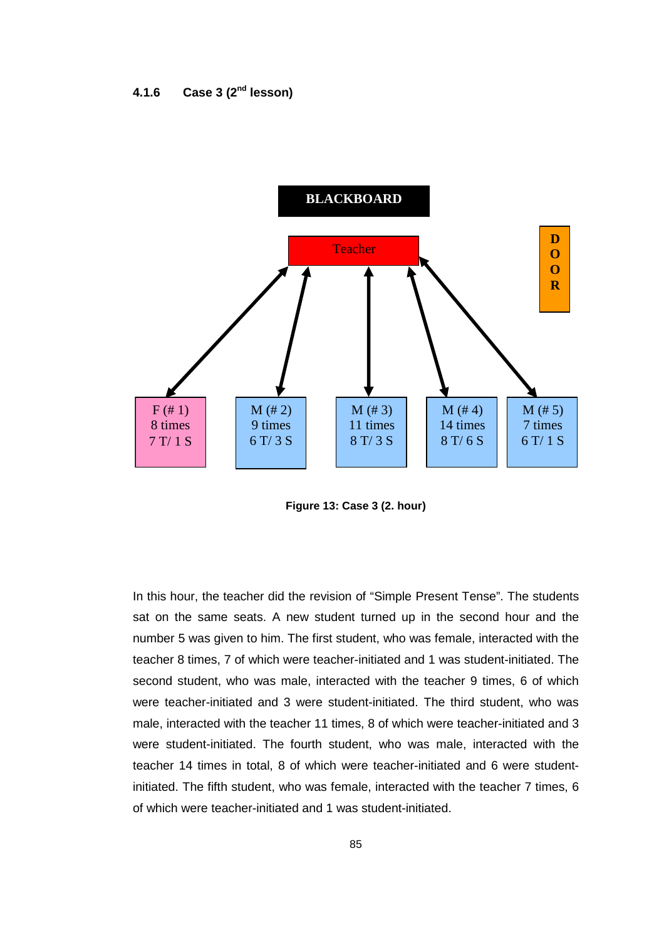

**Figure 13: Case 3 (2. hour)** 

In this hour, the teacher did the revision of "Simple Present Tense". The students sat on the same seats. A new student turned up in the second hour and the number 5 was given to him. The first student, who was female, interacted with the teacher 8 times, 7 of which were teacher-initiated and 1 was student-initiated. The second student, who was male, interacted with the teacher 9 times, 6 of which were teacher-initiated and 3 were student-initiated. The third student, who was male, interacted with the teacher 11 times, 8 of which were teacher-initiated and 3 were student-initiated. The fourth student, who was male, interacted with the teacher 14 times in total, 8 of which were teacher-initiated and 6 were studentinitiated. The fifth student, who was female, interacted with the teacher 7 times, 6 of which were teacher-initiated and 1 was student-initiated.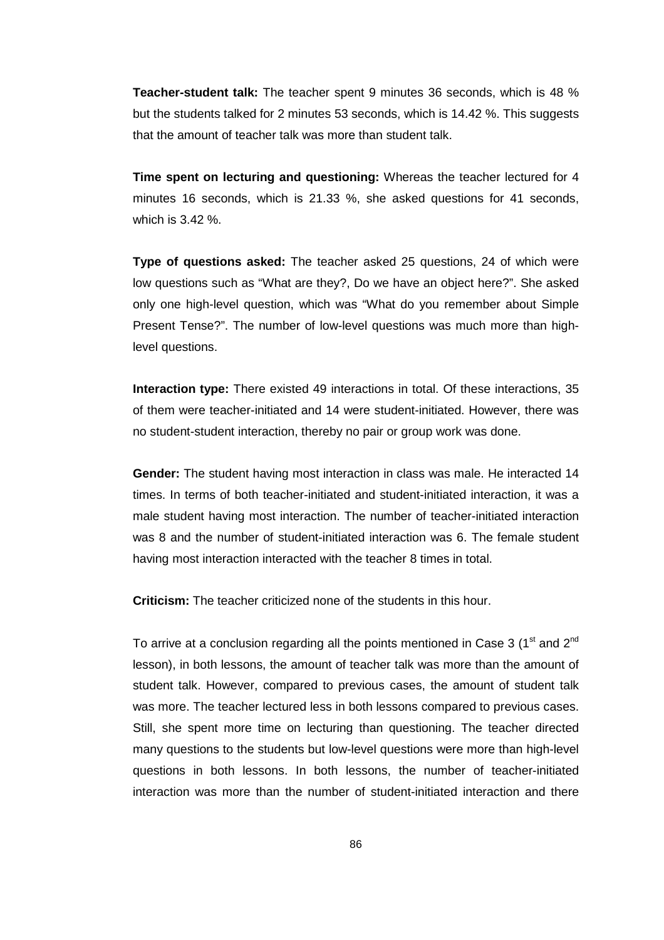**Teacher-student talk:** The teacher spent 9 minutes 36 seconds, which is 48 % but the students talked for 2 minutes 53 seconds, which is 14.42 %. This suggests that the amount of teacher talk was more than student talk.

**Time spent on lecturing and questioning:** Whereas the teacher lectured for 4 minutes 16 seconds, which is 21.33 %, she asked questions for 41 seconds, which is 3.42 %.

**Type of questions asked:** The teacher asked 25 questions, 24 of which were low questions such as "What are they?, Do we have an object here?". She asked only one high-level question, which was "What do you remember about Simple Present Tense?". The number of low-level questions was much more than highlevel questions.

**Interaction type:** There existed 49 interactions in total. Of these interactions, 35 of them were teacher-initiated and 14 were student-initiated. However, there was no student-student interaction, thereby no pair or group work was done.

**Gender:** The student having most interaction in class was male. He interacted 14 times. In terms of both teacher-initiated and student-initiated interaction, it was a male student having most interaction. The number of teacher-initiated interaction was 8 and the number of student-initiated interaction was 6. The female student having most interaction interacted with the teacher 8 times in total.

**Criticism:** The teacher criticized none of the students in this hour.

To arrive at a conclusion regarding all the points mentioned in Case 3 ( $1<sup>st</sup>$  and  $2<sup>nd</sup>$ lesson), in both lessons, the amount of teacher talk was more than the amount of student talk. However, compared to previous cases, the amount of student talk was more. The teacher lectured less in both lessons compared to previous cases. Still, she spent more time on lecturing than questioning. The teacher directed many questions to the students but low-level questions were more than high-level questions in both lessons. In both lessons, the number of teacher-initiated interaction was more than the number of student-initiated interaction and there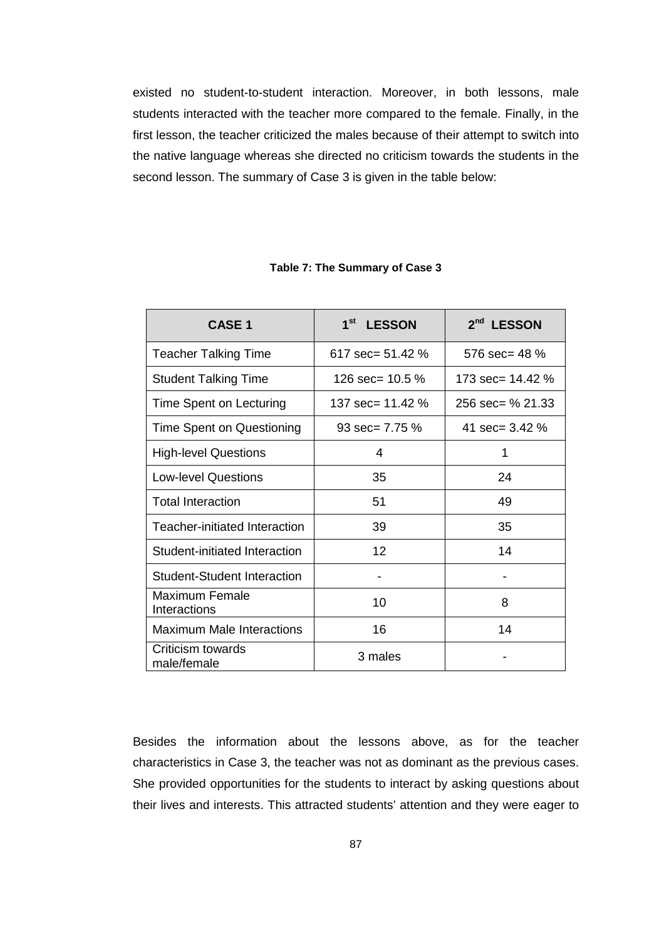existed no student-to-student interaction. Moreover, in both lessons, male students interacted with the teacher more compared to the female. Finally, in the first lesson, the teacher criticized the males because of their attempt to switch into the native language whereas she directed no criticism towards the students in the second lesson. The summary of Case 3 is given in the table below:

| <b>CASE 1</b>                      | 1 <sup>st</sup><br><b>LESSON</b> | 2 <sup>nd</sup><br><b>LESSON</b> |
|------------------------------------|----------------------------------|----------------------------------|
| <b>Teacher Talking Time</b>        | 617 sec= $51.42\%$               | 576 sec= $48\%$                  |
| <b>Student Talking Time</b>        | 126 sec= $10.5\%$                | 173 sec= $14.42\%$               |
| Time Spent on Lecturing            | 137 sec= 11.42 %                 | 256 sec= % 21.33                 |
| Time Spent on Questioning          | $93 \text{ sec} = 7.75 \%$       | 41 sec= $3.42\%$                 |
| <b>High-level Questions</b>        | 4                                | 1                                |
| <b>Low-level Questions</b>         | 35                               | 24                               |
| <b>Total Interaction</b>           | 51                               | 49                               |
| Teacher-initiated Interaction      | 39                               | 35                               |
| Student-initiated Interaction      | 12                               | 14                               |
| <b>Student-Student Interaction</b> |                                  |                                  |
| Maximum Female<br>Interactions     | 10                               | 8                                |
| Maximum Male Interactions          | 16                               | 14                               |
| Criticism towards<br>male/female   | 3 males                          |                                  |

#### **Table 7: The Summary of Case 3**

Besides the information about the lessons above, as for the teacher characteristics in Case 3, the teacher was not as dominant as the previous cases. She provided opportunities for the students to interact by asking questions about their lives and interests. This attracted students' attention and they were eager to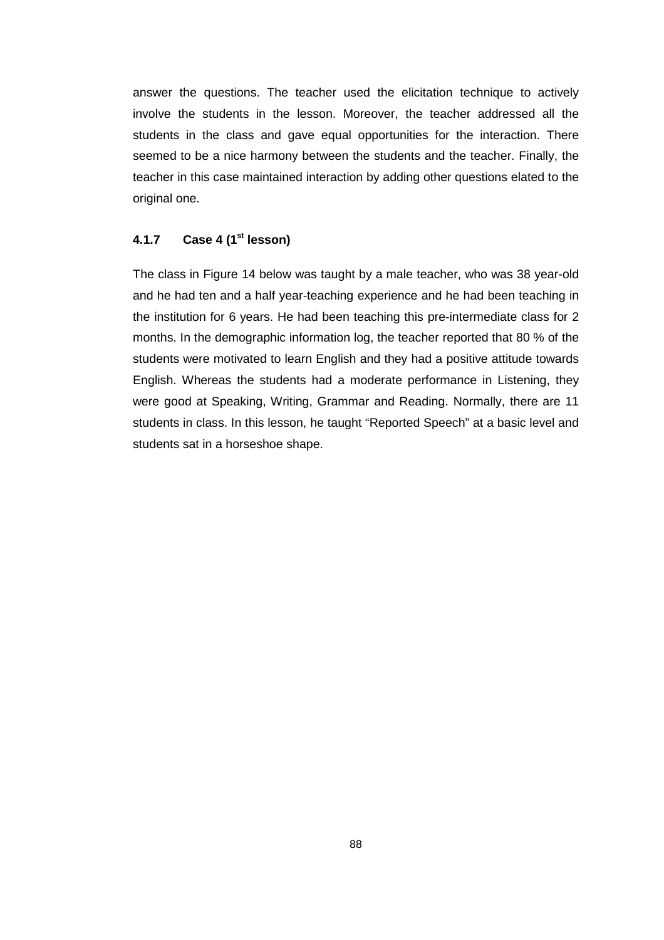answer the questions. The teacher used the elicitation technique to actively involve the students in the lesson. Moreover, the teacher addressed all the students in the class and gave equal opportunities for the interaction. There seemed to be a nice harmony between the students and the teacher. Finally, the teacher in this case maintained interaction by adding other questions elated to the original one.

### **4.1.7 Case 4 (1st lesson)**

The class in Figure 14 below was taught by a male teacher, who was 38 year-old and he had ten and a half year-teaching experience and he had been teaching in the institution for 6 years. He had been teaching this pre-intermediate class for 2 months. In the demographic information log, the teacher reported that 80 % of the students were motivated to learn English and they had a positive attitude towards English. Whereas the students had a moderate performance in Listening, they were good at Speaking, Writing, Grammar and Reading. Normally, there are 11 students in class. In this lesson, he taught "Reported Speech" at a basic level and students sat in a horseshoe shape.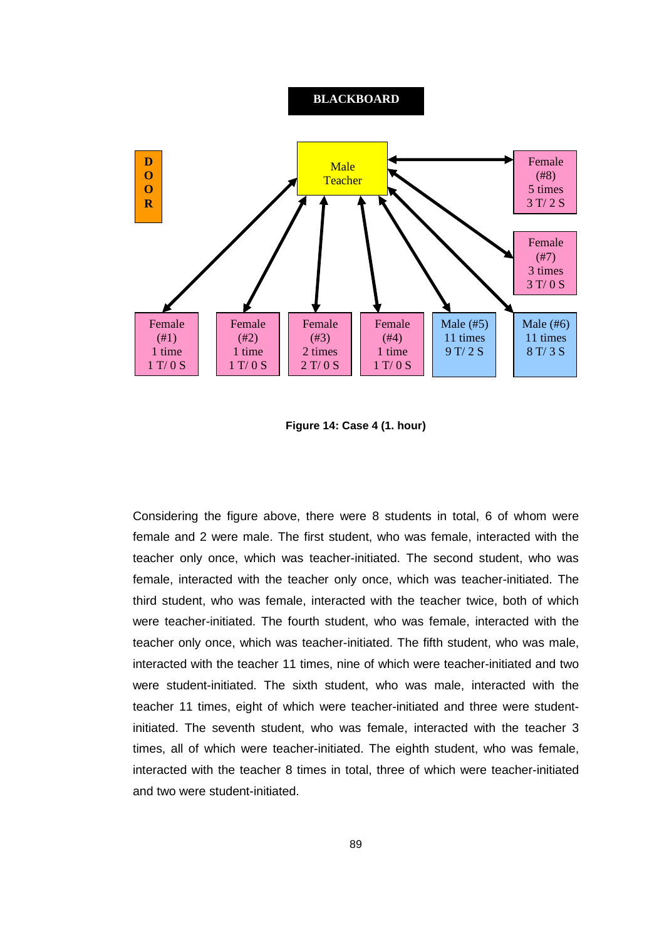#### **BLACKBOARD**



**Figure 14: Case 4 (1. hour)** 

Considering the figure above, there were 8 students in total, 6 of whom were female and 2 were male. The first student, who was female, interacted with the teacher only once, which was teacher-initiated. The second student, who was female, interacted with the teacher only once, which was teacher-initiated. The third student, who was female, interacted with the teacher twice, both of which were teacher-initiated. The fourth student, who was female, interacted with the teacher only once, which was teacher-initiated. The fifth student, who was male, interacted with the teacher 11 times, nine of which were teacher-initiated and two were student-initiated. The sixth student, who was male, interacted with the teacher 11 times, eight of which were teacher-initiated and three were studentinitiated. The seventh student, who was female, interacted with the teacher 3 times, all of which were teacher-initiated. The eighth student, who was female, interacted with the teacher 8 times in total, three of which were teacher-initiated and two were student-initiated.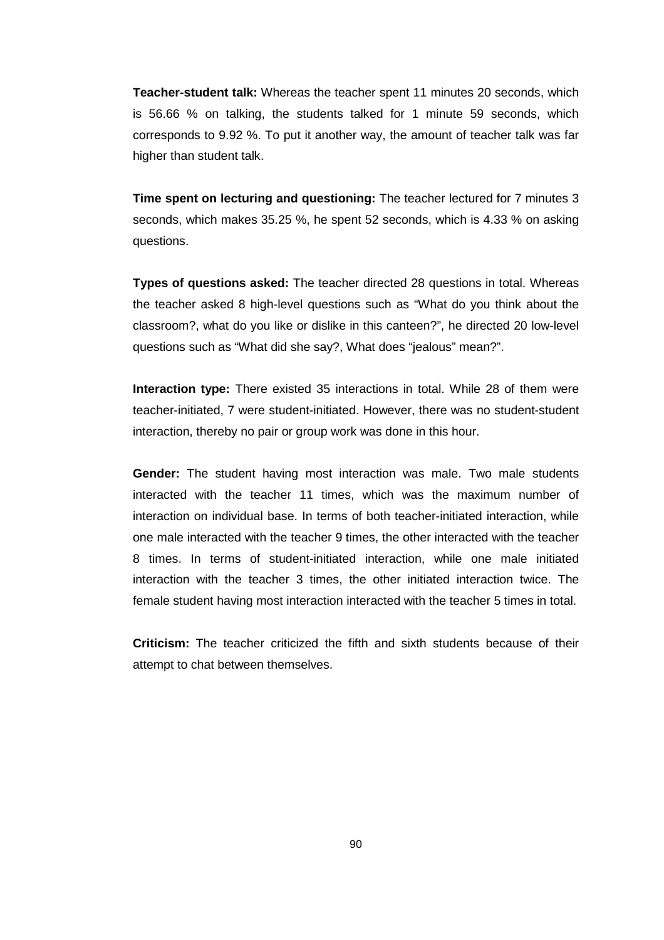**Teacher-student talk:** Whereas the teacher spent 11 minutes 20 seconds, which is 56.66 % on talking, the students talked for 1 minute 59 seconds, which corresponds to 9.92 %. To put it another way, the amount of teacher talk was far higher than student talk.

**Time spent on lecturing and questioning:** The teacher lectured for 7 minutes 3 seconds, which makes 35.25 %, he spent 52 seconds, which is 4.33 % on asking questions.

**Types of questions asked:** The teacher directed 28 questions in total. Whereas the teacher asked 8 high-level questions such as "What do you think about the classroom?, what do you like or dislike in this canteen?", he directed 20 low-level questions such as "What did she say?, What does "jealous" mean?".

**Interaction type:** There existed 35 interactions in total. While 28 of them were teacher-initiated, 7 were student-initiated. However, there was no student-student interaction, thereby no pair or group work was done in this hour.

**Gender:** The student having most interaction was male. Two male students interacted with the teacher 11 times, which was the maximum number of interaction on individual base. In terms of both teacher-initiated interaction, while one male interacted with the teacher 9 times, the other interacted with the teacher 8 times. In terms of student-initiated interaction, while one male initiated interaction with the teacher 3 times, the other initiated interaction twice. The female student having most interaction interacted with the teacher 5 times in total.

**Criticism:** The teacher criticized the fifth and sixth students because of their attempt to chat between themselves.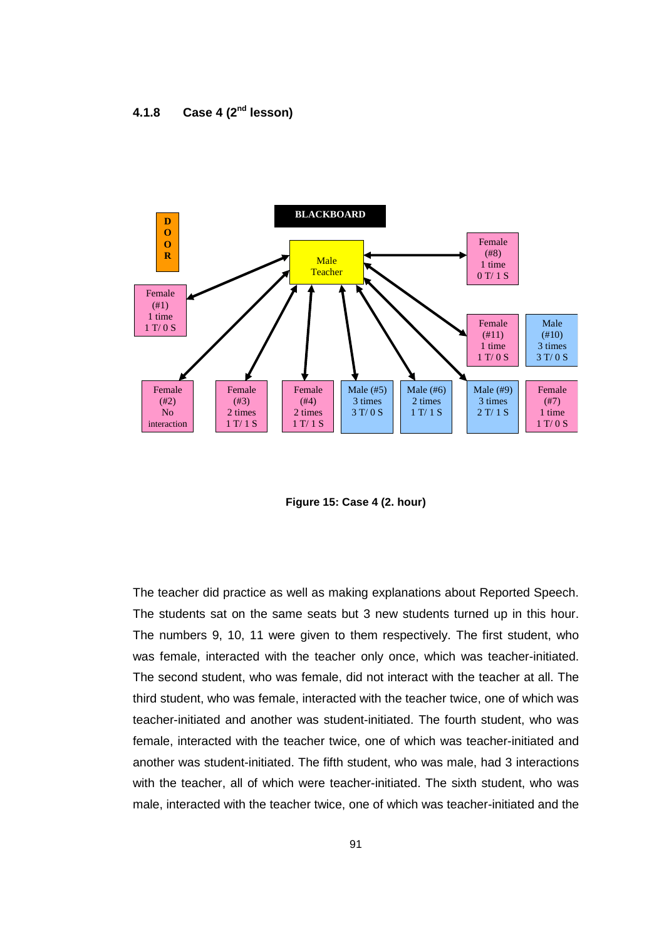## **4.1.8 Case 4 (2nd lesson)**



**Figure 15: Case 4 (2. hour)** 

The teacher did practice as well as making explanations about Reported Speech. The students sat on the same seats but 3 new students turned up in this hour. The numbers 9, 10, 11 were given to them respectively. The first student, who was female, interacted with the teacher only once, which was teacher-initiated. The second student, who was female, did not interact with the teacher at all. The third student, who was female, interacted with the teacher twice, one of which was teacher-initiated and another was student-initiated. The fourth student, who was female, interacted with the teacher twice, one of which was teacher-initiated and another was student-initiated. The fifth student, who was male, had 3 interactions with the teacher, all of which were teacher-initiated. The sixth student, who was male, interacted with the teacher twice, one of which was teacher-initiated and the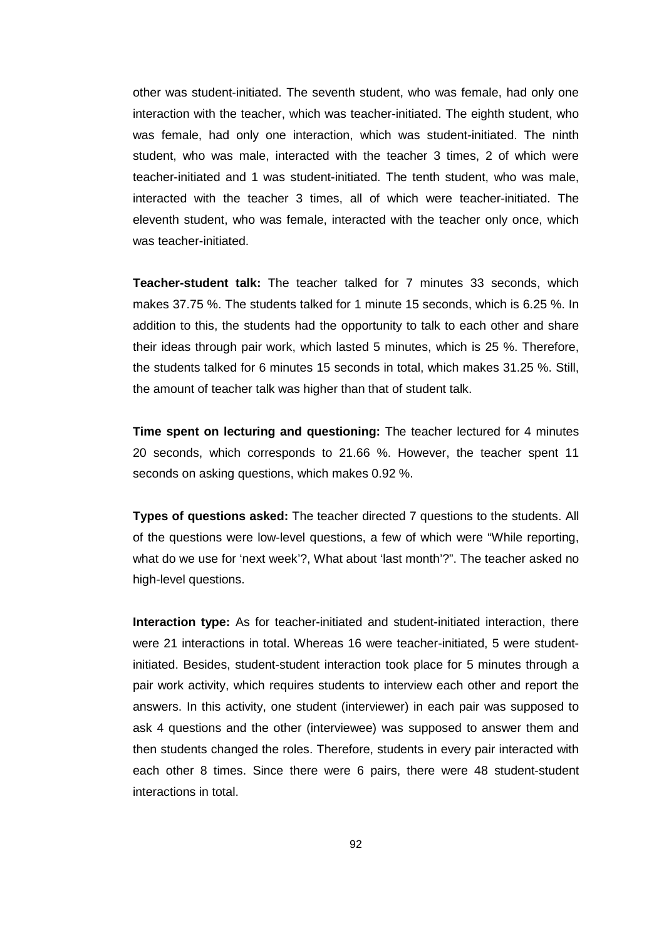other was student-initiated. The seventh student, who was female, had only one interaction with the teacher, which was teacher-initiated. The eighth student, who was female, had only one interaction, which was student-initiated. The ninth student, who was male, interacted with the teacher 3 times, 2 of which were teacher-initiated and 1 was student-initiated. The tenth student, who was male, interacted with the teacher 3 times, all of which were teacher-initiated. The eleventh student, who was female, interacted with the teacher only once, which was teacher-initiated.

**Teacher-student talk:** The teacher talked for 7 minutes 33 seconds, which makes 37.75 %. The students talked for 1 minute 15 seconds, which is 6.25 %. In addition to this, the students had the opportunity to talk to each other and share their ideas through pair work, which lasted 5 minutes, which is 25 %. Therefore, the students talked for 6 minutes 15 seconds in total, which makes 31.25 %. Still, the amount of teacher talk was higher than that of student talk.

**Time spent on lecturing and questioning:** The teacher lectured for 4 minutes 20 seconds, which corresponds to 21.66 %. However, the teacher spent 11 seconds on asking questions, which makes 0.92 %.

**Types of questions asked:** The teacher directed 7 questions to the students. All of the questions were low-level questions, a few of which were "While reporting, what do we use for 'next week'?, What about 'last month'?". The teacher asked no high-level questions.

**Interaction type:** As for teacher-initiated and student-initiated interaction, there were 21 interactions in total. Whereas 16 were teacher-initiated, 5 were studentinitiated. Besides, student-student interaction took place for 5 minutes through a pair work activity, which requires students to interview each other and report the answers. In this activity, one student (interviewer) in each pair was supposed to ask 4 questions and the other (interviewee) was supposed to answer them and then students changed the roles. Therefore, students in every pair interacted with each other 8 times. Since there were 6 pairs, there were 48 student-student interactions in total.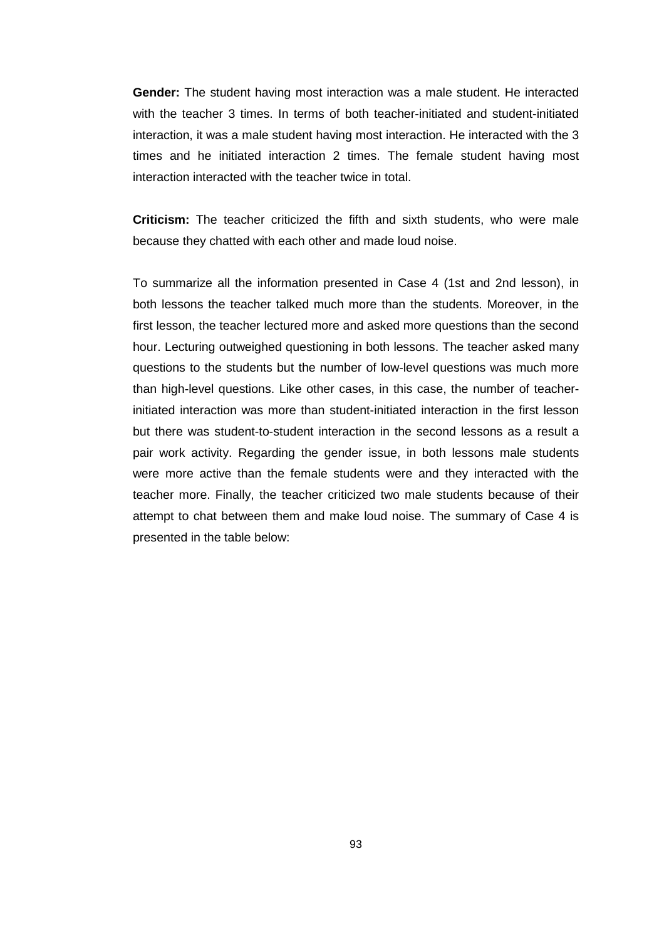**Gender:** The student having most interaction was a male student. He interacted with the teacher 3 times. In terms of both teacher-initiated and student-initiated interaction, it was a male student having most interaction. He interacted with the 3 times and he initiated interaction 2 times. The female student having most interaction interacted with the teacher twice in total.

**Criticism:** The teacher criticized the fifth and sixth students, who were male because they chatted with each other and made loud noise.

To summarize all the information presented in Case 4 (1st and 2nd lesson), in both lessons the teacher talked much more than the students. Moreover, in the first lesson, the teacher lectured more and asked more questions than the second hour. Lecturing outweighed questioning in both lessons. The teacher asked many questions to the students but the number of low-level questions was much more than high-level questions. Like other cases, in this case, the number of teacherinitiated interaction was more than student-initiated interaction in the first lesson but there was student-to-student interaction in the second lessons as a result a pair work activity. Regarding the gender issue, in both lessons male students were more active than the female students were and they interacted with the teacher more. Finally, the teacher criticized two male students because of their attempt to chat between them and make loud noise. The summary of Case 4 is presented in the table below: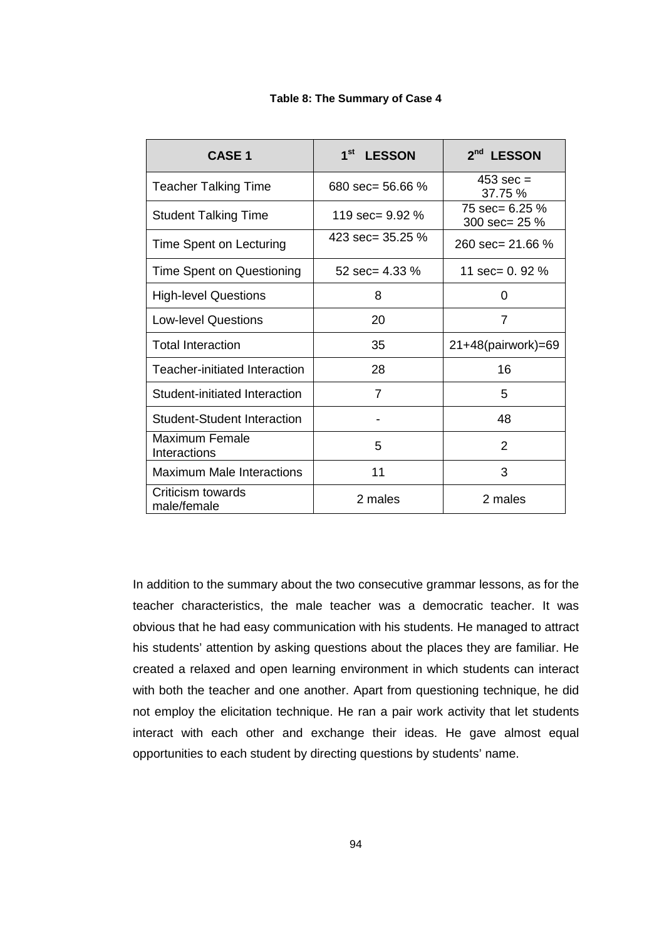| <b>CASE 1</b>                      | 1 <sup>st</sup><br><b>LESSON</b> | 2 <sup>nd</sup> LESSON            |
|------------------------------------|----------------------------------|-----------------------------------|
| <b>Teacher Talking Time</b>        | 680 $sec = 56.66 \%$             | $453 \text{ sec} =$<br>37.75 %    |
| <b>Student Talking Time</b>        | 119 sec= 9.92 %                  | 75 sec= $6.25\%$<br>300 sec= 25 % |
| Time Spent on Lecturing            | 423 sec= $35.25\%$               | 260 sec= 21.66 $%$                |
| Time Spent on Questioning          | 52 sec= $4.33\%$                 | 11 sec= $0.92\%$                  |
| <b>High-level Questions</b>        | 8                                | 0                                 |
| <b>Low-level Questions</b>         | 20                               | 7                                 |
| <b>Total Interaction</b>           | 35                               | 21+48(pairwork)=69                |
| Teacher-initiated Interaction      | 28                               | 16                                |
| Student-initiated Interaction      | $\overline{7}$                   | 5                                 |
| <b>Student-Student Interaction</b> |                                  | 48                                |
| Maximum Female<br>Interactions     | 5                                | 2                                 |
| Maximum Male Interactions          | 11                               | 3                                 |
| Criticism towards<br>male/female   | 2 males                          | 2 males                           |

**Table 8: The Summary of Case 4** 

In addition to the summary about the two consecutive grammar lessons, as for the teacher characteristics, the male teacher was a democratic teacher. It was obvious that he had easy communication with his students. He managed to attract his students' attention by asking questions about the places they are familiar. He created a relaxed and open learning environment in which students can interact with both the teacher and one another. Apart from questioning technique, he did not employ the elicitation technique. He ran a pair work activity that let students interact with each other and exchange their ideas. He gave almost equal opportunities to each student by directing questions by students' name.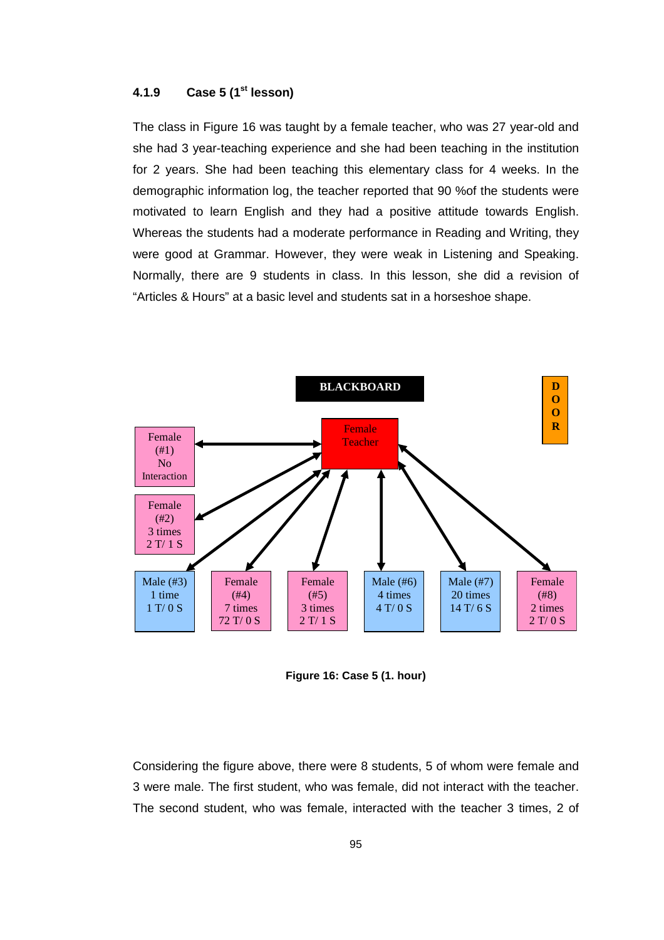### **4.1.9 Case 5 (1st lesson)**

The class in Figure 16 was taught by a female teacher, who was 27 year-old and she had 3 year-teaching experience and she had been teaching in the institution for 2 years. She had been teaching this elementary class for 4 weeks. In the demographic information log, the teacher reported that 90 %of the students were motivated to learn English and they had a positive attitude towards English. Whereas the students had a moderate performance in Reading and Writing, they were good at Grammar. However, they were weak in Listening and Speaking. Normally, there are 9 students in class. In this lesson, she did a revision of "Articles & Hours" at a basic level and students sat in a horseshoe shape.



**Figure 16: Case 5 (1. hour)** 

Considering the figure above, there were 8 students, 5 of whom were female and 3 were male. The first student, who was female, did not interact with the teacher. The second student, who was female, interacted with the teacher 3 times, 2 of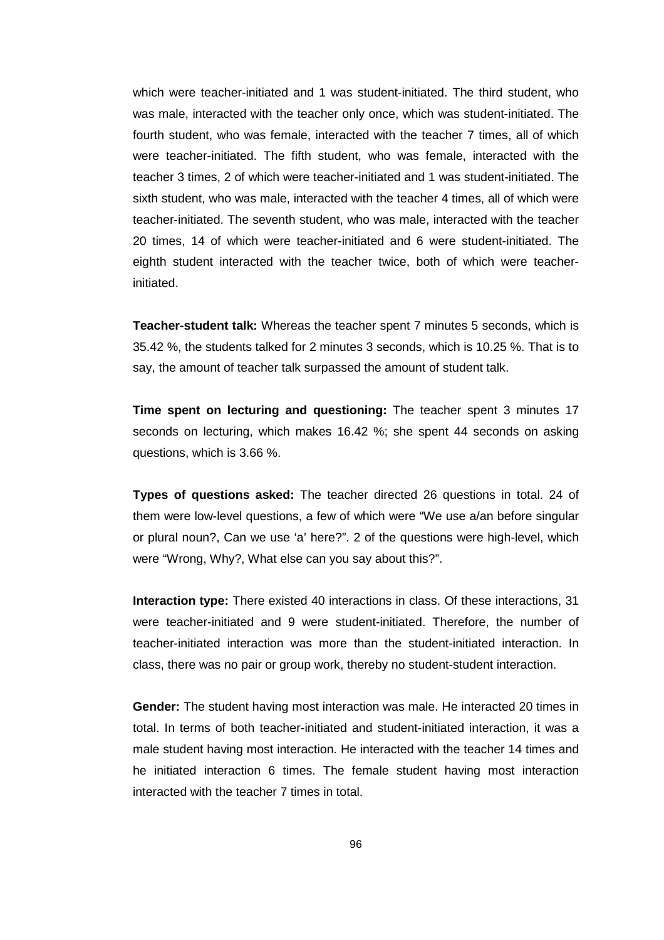which were teacher-initiated and 1 was student-initiated. The third student, who was male, interacted with the teacher only once, which was student-initiated. The fourth student, who was female, interacted with the teacher 7 times, all of which were teacher-initiated. The fifth student, who was female, interacted with the teacher 3 times, 2 of which were teacher-initiated and 1 was student-initiated. The sixth student, who was male, interacted with the teacher 4 times, all of which were teacher-initiated. The seventh student, who was male, interacted with the teacher 20 times, 14 of which were teacher-initiated and 6 were student-initiated. The eighth student interacted with the teacher twice, both of which were teacherinitiated.

**Teacher-student talk:** Whereas the teacher spent 7 minutes 5 seconds, which is 35.42 %, the students talked for 2 minutes 3 seconds, which is 10.25 %. That is to say, the amount of teacher talk surpassed the amount of student talk.

**Time spent on lecturing and questioning:** The teacher spent 3 minutes 17 seconds on lecturing, which makes 16.42 %; she spent 44 seconds on asking questions, which is 3.66 %.

**Types of questions asked:** The teacher directed 26 questions in total. 24 of them were low-level questions, a few of which were "We use a/an before singular or plural noun?, Can we use 'a' here?". 2 of the questions were high-level, which were "Wrong, Why?, What else can you say about this?".

**Interaction type:** There existed 40 interactions in class. Of these interactions, 31 were teacher-initiated and 9 were student-initiated. Therefore, the number of teacher-initiated interaction was more than the student-initiated interaction. In class, there was no pair or group work, thereby no student-student interaction.

**Gender:** The student having most interaction was male. He interacted 20 times in total. In terms of both teacher-initiated and student-initiated interaction, it was a male student having most interaction. He interacted with the teacher 14 times and he initiated interaction 6 times. The female student having most interaction interacted with the teacher 7 times in total.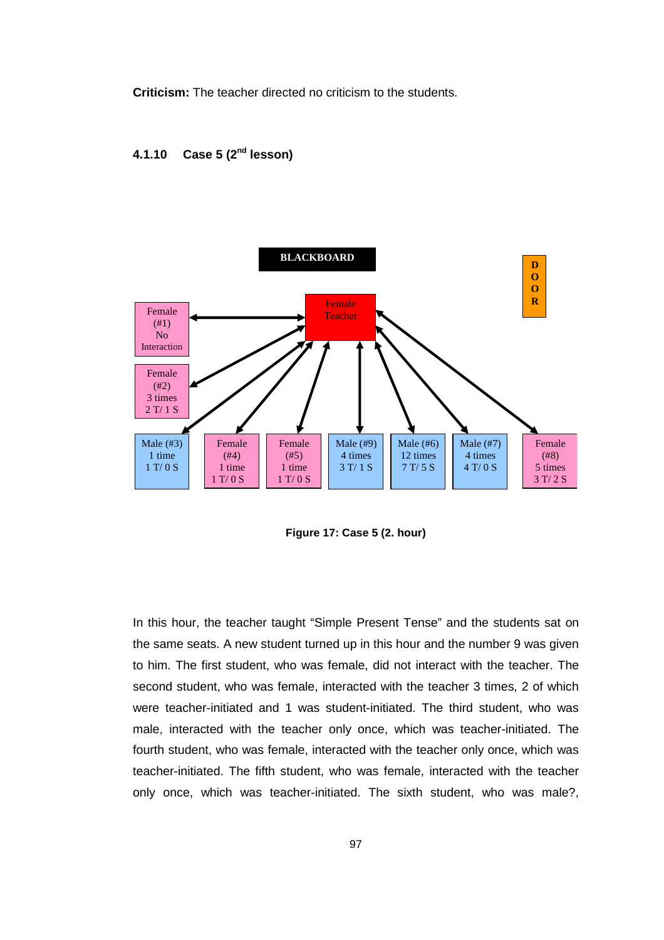**Criticism:** The teacher directed no criticism to the students.

## **4.1.10 Case 5 (2nd lesson)**



**Figure 17: Case 5 (2. hour)** 

In this hour, the teacher taught "Simple Present Tense" and the students sat on the same seats. A new student turned up in this hour and the number 9 was given to him. The first student, who was female, did not interact with the teacher. The second student, who was female, interacted with the teacher 3 times, 2 of which were teacher-initiated and 1 was student-initiated. The third student, who was male, interacted with the teacher only once, which was teacher-initiated. The fourth student, who was female, interacted with the teacher only once, which was teacher-initiated. The fifth student, who was female, interacted with the teacher only once, which was teacher-initiated. The sixth student, who was male?,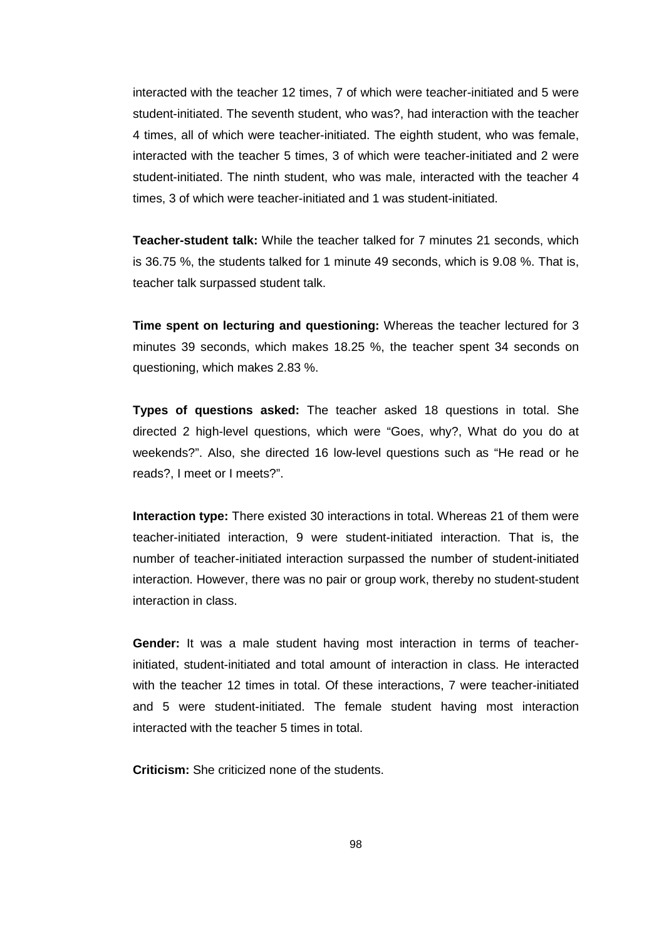interacted with the teacher 12 times, 7 of which were teacher-initiated and 5 were student-initiated. The seventh student, who was?, had interaction with the teacher 4 times, all of which were teacher-initiated. The eighth student, who was female, interacted with the teacher 5 times, 3 of which were teacher-initiated and 2 were student-initiated. The ninth student, who was male, interacted with the teacher 4 times, 3 of which were teacher-initiated and 1 was student-initiated.

**Teacher-student talk:** While the teacher talked for 7 minutes 21 seconds, which is 36.75 %, the students talked for 1 minute 49 seconds, which is 9.08 %. That is, teacher talk surpassed student talk.

**Time spent on lecturing and questioning:** Whereas the teacher lectured for 3 minutes 39 seconds, which makes 18.25 %, the teacher spent 34 seconds on questioning, which makes 2.83 %.

**Types of questions asked:** The teacher asked 18 questions in total. She directed 2 high-level questions, which were "Goes, why?, What do you do at weekends?". Also, she directed 16 low-level questions such as "He read or he reads?, I meet or I meets?".

**Interaction type:** There existed 30 interactions in total. Whereas 21 of them were teacher-initiated interaction, 9 were student-initiated interaction. That is, the number of teacher-initiated interaction surpassed the number of student-initiated interaction. However, there was no pair or group work, thereby no student-student interaction in class.

**Gender:** It was a male student having most interaction in terms of teacherinitiated, student-initiated and total amount of interaction in class. He interacted with the teacher 12 times in total. Of these interactions, 7 were teacher-initiated and 5 were student-initiated. The female student having most interaction interacted with the teacher 5 times in total.

**Criticism:** She criticized none of the students.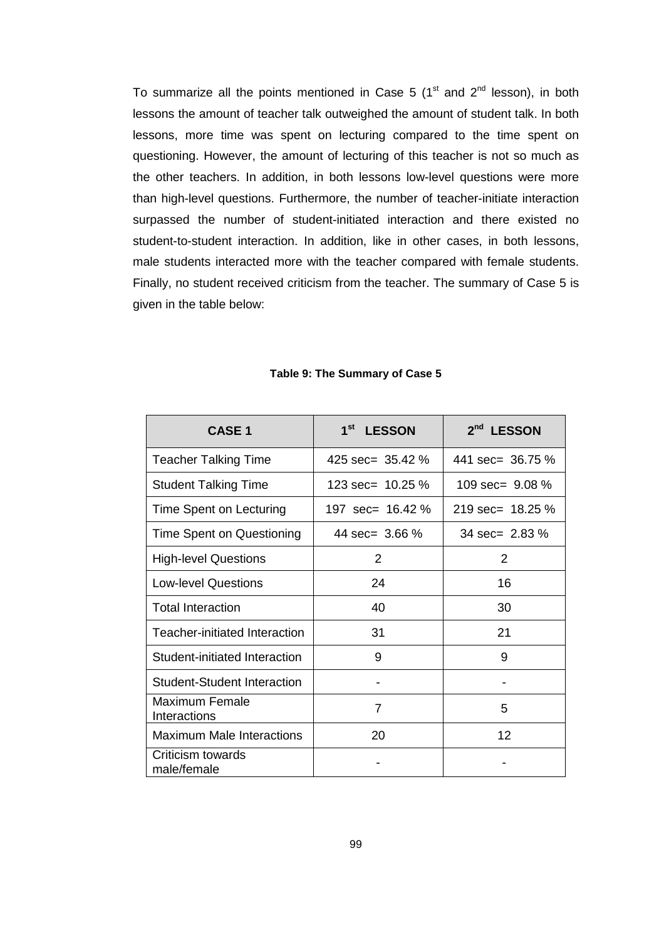To summarize all the points mentioned in Case 5  $(1<sup>st</sup>$  and  $2<sup>nd</sup>$  lesson), in both lessons the amount of teacher talk outweighed the amount of student talk. In both lessons, more time was spent on lecturing compared to the time spent on questioning. However, the amount of lecturing of this teacher is not so much as the other teachers. In addition, in both lessons low-level questions were more than high-level questions. Furthermore, the number of teacher-initiate interaction surpassed the number of student-initiated interaction and there existed no student-to-student interaction. In addition, like in other cases, in both lessons, male students interacted more with the teacher compared with female students. Finally, no student received criticism from the teacher. The summary of Case 5 is given in the table below:

| <b>CASE 1</b>                        | 1 <sup>st</sup><br><b>LESSON</b> | 2 <sup>nd</sup> LESSON     |
|--------------------------------------|----------------------------------|----------------------------|
| <b>Teacher Talking Time</b>          | 425 sec= $35.42\%$               | 441 sec= 36.75 %           |
| <b>Student Talking Time</b>          | 123 sec= 10.25 %                 | 109 $sec = 9.08\%$         |
| Time Spent on Lecturing              | 197 $sec = 16.42\%$              | 219 sec= $18.25\%$         |
| Time Spent on Questioning            | 44 $sec = 3.66 \%$               | $34 \text{ sec} = 2.83 \%$ |
| <b>High-level Questions</b>          | 2                                | 2                          |
| <b>Low-level Questions</b>           | 24                               | 16                         |
| <b>Total Interaction</b>             | 40                               | 30                         |
| <b>Teacher-initiated Interaction</b> | 31                               | 21                         |
| Student-initiated Interaction        | 9                                | 9                          |
| <b>Student-Student Interaction</b>   |                                  |                            |
| Maximum Female<br>Interactions       | 7                                | 5                          |
| <b>Maximum Male Interactions</b>     | 20                               | 12                         |
| Criticism towards<br>male/female     |                                  |                            |

#### **Table 9: The Summary of Case 5**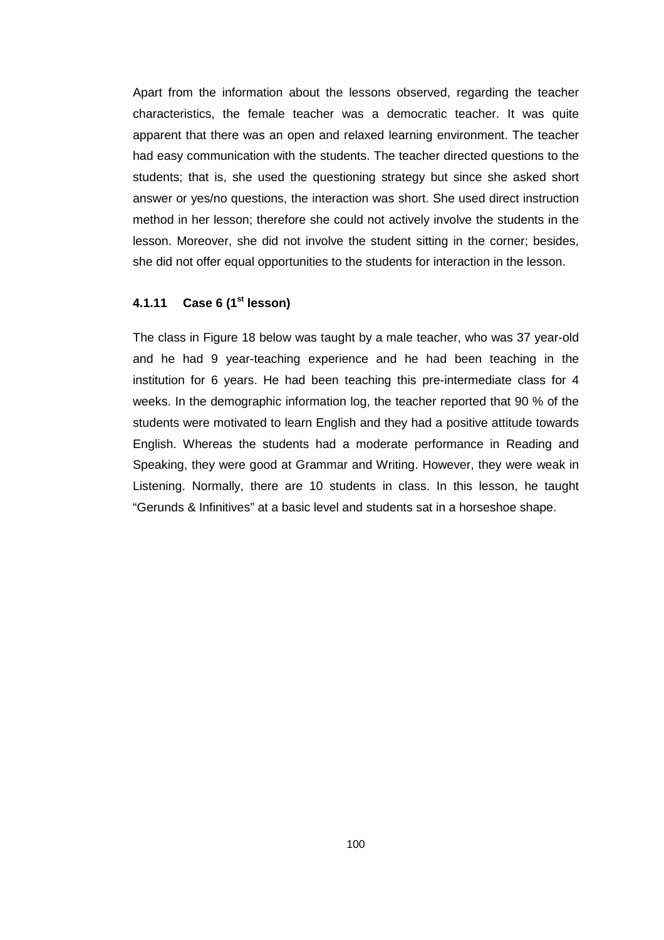Apart from the information about the lessons observed, regarding the teacher characteristics, the female teacher was a democratic teacher. It was quite apparent that there was an open and relaxed learning environment. The teacher had easy communication with the students. The teacher directed questions to the students; that is, she used the questioning strategy but since she asked short answer or yes/no questions, the interaction was short. She used direct instruction method in her lesson; therefore she could not actively involve the students in the lesson. Moreover, she did not involve the student sitting in the corner; besides, she did not offer equal opportunities to the students for interaction in the lesson.

#### **4.1.11 Case 6 (1st lesson)**

The class in Figure 18 below was taught by a male teacher, who was 37 year-old and he had 9 year-teaching experience and he had been teaching in the institution for 6 years. He had been teaching this pre-intermediate class for 4 weeks. In the demographic information log, the teacher reported that 90 % of the students were motivated to learn English and they had a positive attitude towards English. Whereas the students had a moderate performance in Reading and Speaking, they were good at Grammar and Writing. However, they were weak in Listening. Normally, there are 10 students in class. In this lesson, he taught "Gerunds & Infinitives" at a basic level and students sat in a horseshoe shape.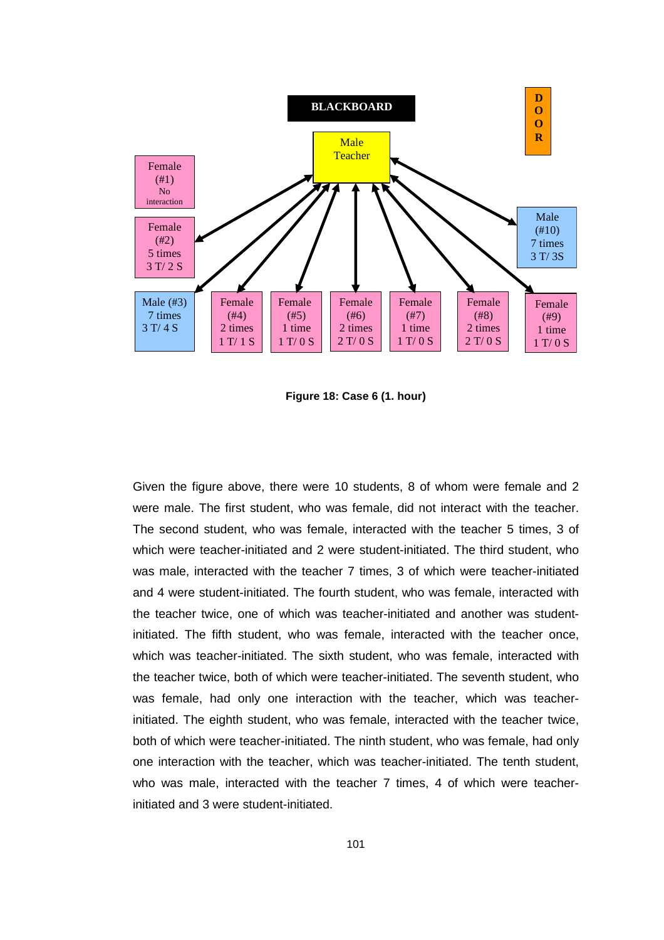

**Figure 18: Case 6 (1. hour)** 

Given the figure above, there were 10 students, 8 of whom were female and 2 were male. The first student, who was female, did not interact with the teacher. The second student, who was female, interacted with the teacher 5 times, 3 of which were teacher-initiated and 2 were student-initiated. The third student, who was male, interacted with the teacher 7 times, 3 of which were teacher-initiated and 4 were student-initiated. The fourth student, who was female, interacted with the teacher twice, one of which was teacher-initiated and another was studentinitiated. The fifth student, who was female, interacted with the teacher once, which was teacher-initiated. The sixth student, who was female, interacted with the teacher twice, both of which were teacher-initiated. The seventh student, who was female, had only one interaction with the teacher, which was teacherinitiated. The eighth student, who was female, interacted with the teacher twice, both of which were teacher-initiated. The ninth student, who was female, had only one interaction with the teacher, which was teacher-initiated. The tenth student, who was male, interacted with the teacher 7 times, 4 of which were teacherinitiated and 3 were student-initiated.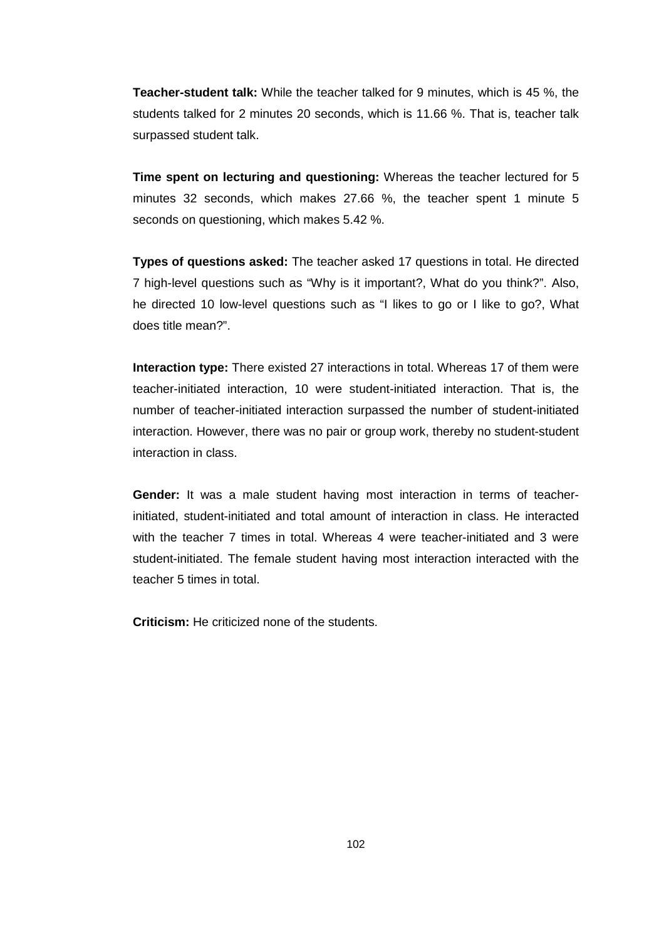**Teacher-student talk:** While the teacher talked for 9 minutes, which is 45 %, the students talked for 2 minutes 20 seconds, which is 11.66 %. That is, teacher talk surpassed student talk.

**Time spent on lecturing and questioning:** Whereas the teacher lectured for 5 minutes 32 seconds, which makes 27.66 %, the teacher spent 1 minute 5 seconds on questioning, which makes 5.42 %.

**Types of questions asked:** The teacher asked 17 questions in total. He directed 7 high-level questions such as "Why is it important?, What do you think?". Also, he directed 10 low-level questions such as "I likes to go or I like to go?, What does title mean?".

**Interaction type:** There existed 27 interactions in total. Whereas 17 of them were teacher-initiated interaction, 10 were student-initiated interaction. That is, the number of teacher-initiated interaction surpassed the number of student-initiated interaction. However, there was no pair or group work, thereby no student-student interaction in class.

**Gender:** It was a male student having most interaction in terms of teacherinitiated, student-initiated and total amount of interaction in class. He interacted with the teacher 7 times in total. Whereas 4 were teacher-initiated and 3 were student-initiated. The female student having most interaction interacted with the teacher 5 times in total.

**Criticism:** He criticized none of the students.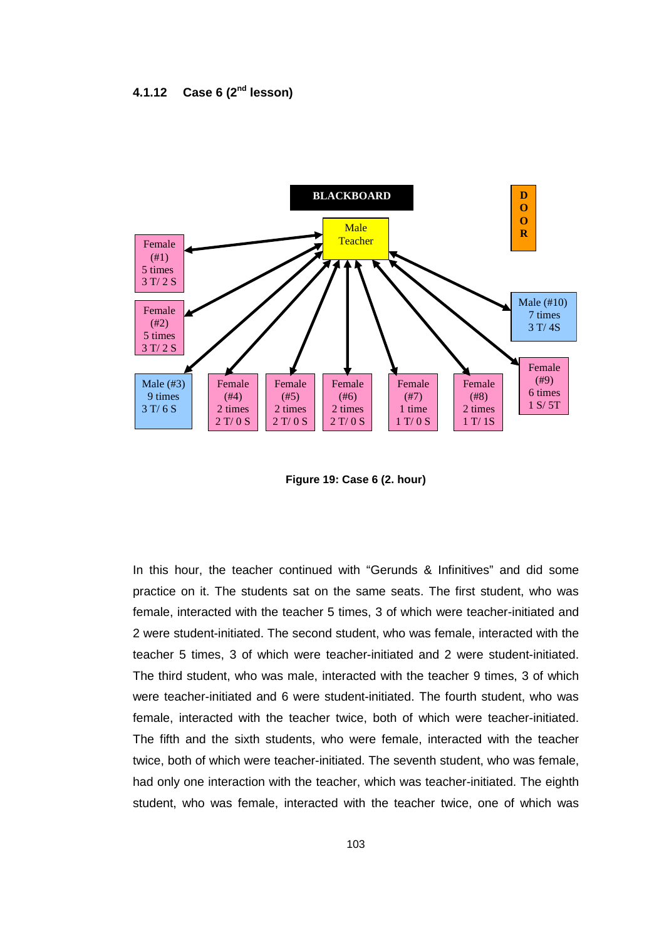

**Figure 19: Case 6 (2. hour)** 

In this hour, the teacher continued with "Gerunds & Infinitives" and did some practice on it. The students sat on the same seats. The first student, who was female, interacted with the teacher 5 times, 3 of which were teacher-initiated and 2 were student-initiated. The second student, who was female, interacted with the teacher 5 times, 3 of which were teacher-initiated and 2 were student-initiated. The third student, who was male, interacted with the teacher 9 times, 3 of which were teacher-initiated and 6 were student-initiated. The fourth student, who was female, interacted with the teacher twice, both of which were teacher-initiated. The fifth and the sixth students, who were female, interacted with the teacher twice, both of which were teacher-initiated. The seventh student, who was female, had only one interaction with the teacher, which was teacher-initiated. The eighth student, who was female, interacted with the teacher twice, one of which was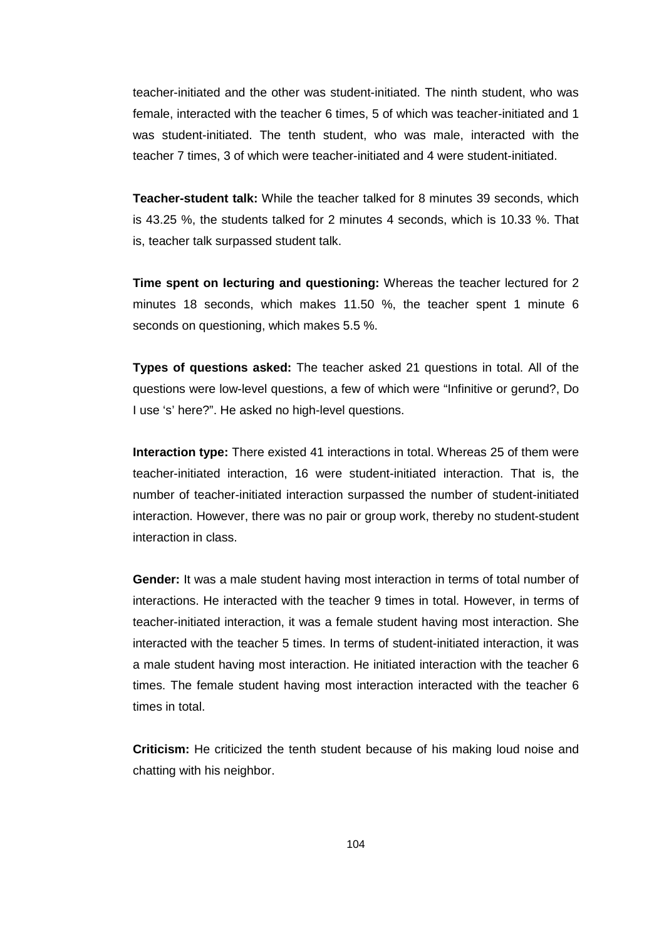teacher-initiated and the other was student-initiated. The ninth student, who was female, interacted with the teacher 6 times, 5 of which was teacher-initiated and 1 was student-initiated. The tenth student, who was male, interacted with the teacher 7 times, 3 of which were teacher-initiated and 4 were student-initiated.

**Teacher-student talk:** While the teacher talked for 8 minutes 39 seconds, which is 43.25 %, the students talked for 2 minutes 4 seconds, which is 10.33 %. That is, teacher talk surpassed student talk.

**Time spent on lecturing and questioning:** Whereas the teacher lectured for 2 minutes 18 seconds, which makes 11.50 %, the teacher spent 1 minute 6 seconds on questioning, which makes 5.5 %.

**Types of questions asked:** The teacher asked 21 questions in total. All of the questions were low-level questions, a few of which were "Infinitive or gerund?, Do I use 's' here?". He asked no high-level questions.

**Interaction type:** There existed 41 interactions in total. Whereas 25 of them were teacher-initiated interaction, 16 were student-initiated interaction. That is, the number of teacher-initiated interaction surpassed the number of student-initiated interaction. However, there was no pair or group work, thereby no student-student interaction in class.

**Gender:** It was a male student having most interaction in terms of total number of interactions. He interacted with the teacher 9 times in total. However, in terms of teacher-initiated interaction, it was a female student having most interaction. She interacted with the teacher 5 times. In terms of student-initiated interaction, it was a male student having most interaction. He initiated interaction with the teacher 6 times. The female student having most interaction interacted with the teacher 6 times in total.

**Criticism:** He criticized the tenth student because of his making loud noise and chatting with his neighbor.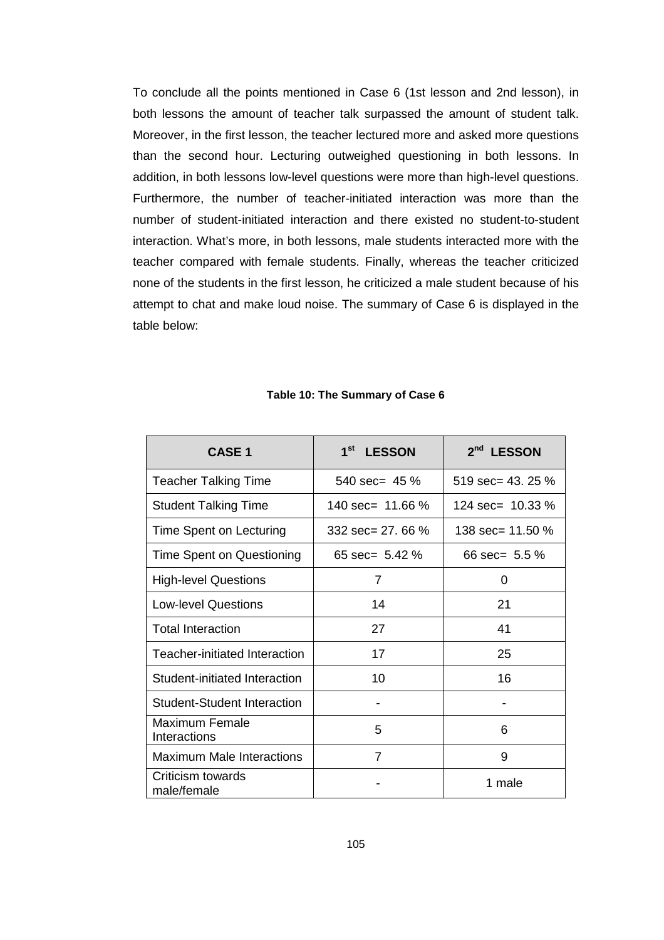To conclude all the points mentioned in Case 6 (1st lesson and 2nd lesson), in both lessons the amount of teacher talk surpassed the amount of student talk. Moreover, in the first lesson, the teacher lectured more and asked more questions than the second hour. Lecturing outweighed questioning in both lessons. In addition, in both lessons low-level questions were more than high-level questions. Furthermore, the number of teacher-initiated interaction was more than the number of student-initiated interaction and there existed no student-to-student interaction. What's more, in both lessons, male students interacted more with the teacher compared with female students. Finally, whereas the teacher criticized none of the students in the first lesson, he criticized a male student because of his attempt to chat and make loud noise. The summary of Case 6 is displayed in the table below:

| <b>CASE 1</b>                      | 1 <sup>st</sup><br><b>LESSON</b> | 2 <sup>nd</sup><br><b>LESSON</b> |
|------------------------------------|----------------------------------|----------------------------------|
| <b>Teacher Talking Time</b>        | 540 sec= $45\%$                  | $519 \text{ sec} = 43.25 \%$     |
| <b>Student Talking Time</b>        | 140 sec= $11.66\%$               | 124 sec= $10.33\%$               |
| Time Spent on Lecturing            | 332 sec= 27, 66 $%$              | 138 sec= 11.50 %                 |
| Time Spent on Questioning          | 65 sec= $5.42\%$                 | 66 sec= $5.5\%$                  |
| <b>High-level Questions</b>        | 7                                | 0                                |
| <b>Low-level Questions</b>         | 14                               | 21                               |
| <b>Total Interaction</b>           | 27                               | 41                               |
| Teacher-initiated Interaction      | 17                               | 25                               |
| Student-initiated Interaction      | 10                               | 16                               |
| <b>Student-Student Interaction</b> |                                  |                                  |
| Maximum Female<br>Interactions     | 5                                | 6                                |
| <b>Maximum Male Interactions</b>   | 7                                | 9                                |
| Criticism towards<br>male/female   |                                  | 1 male                           |

#### **Table 10: The Summary of Case 6**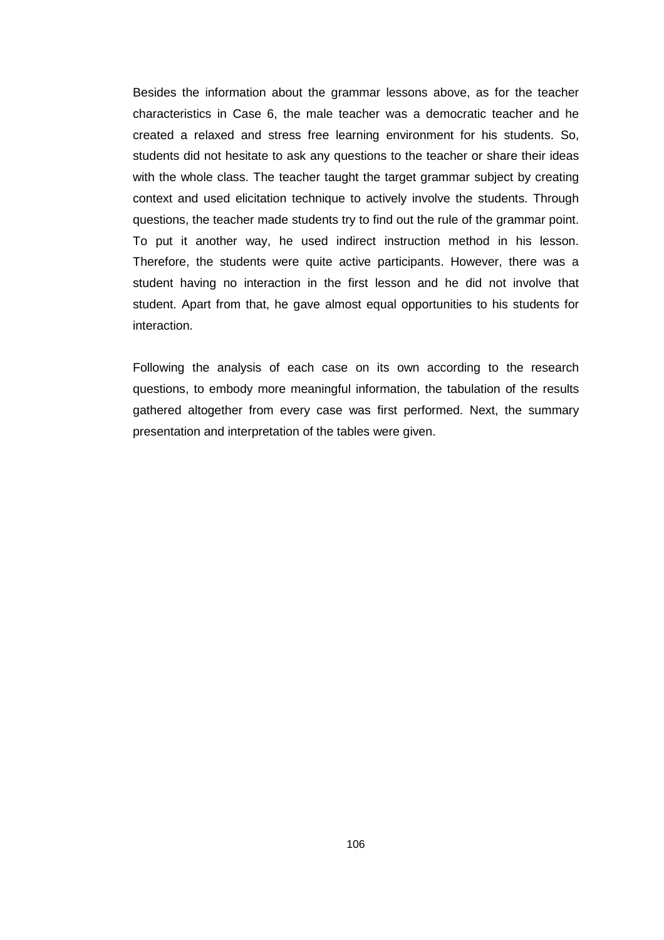Besides the information about the grammar lessons above, as for the teacher characteristics in Case 6, the male teacher was a democratic teacher and he created a relaxed and stress free learning environment for his students. So, students did not hesitate to ask any questions to the teacher or share their ideas with the whole class. The teacher taught the target grammar subject by creating context and used elicitation technique to actively involve the students. Through questions, the teacher made students try to find out the rule of the grammar point. To put it another way, he used indirect instruction method in his lesson. Therefore, the students were quite active participants. However, there was a student having no interaction in the first lesson and he did not involve that student. Apart from that, he gave almost equal opportunities to his students for interaction.

Following the analysis of each case on its own according to the research questions, to embody more meaningful information, the tabulation of the results gathered altogether from every case was first performed. Next, the summary presentation and interpretation of the tables were given.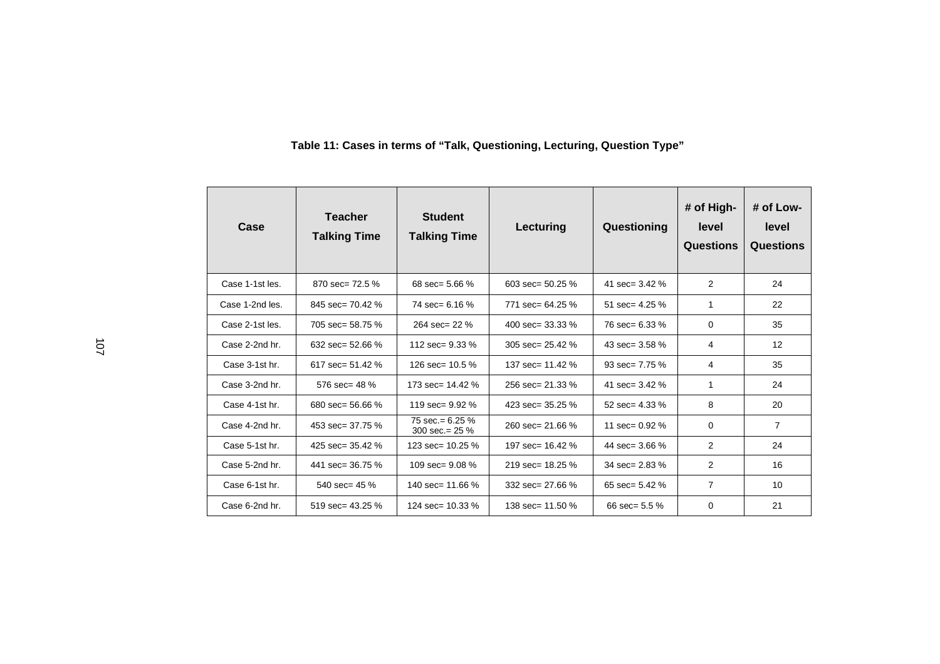| Case            | <b>Teacher</b><br><b>Talking Time</b> | <b>Student</b><br><b>Talking Time</b>   | <b>Lecturing</b>             | Questioning                | # of High-<br>level<br>Questions | # of Low-<br>level<br>Questions |
|-----------------|---------------------------------------|-----------------------------------------|------------------------------|----------------------------|----------------------------------|---------------------------------|
| Case 1-1st les. | 870 sec= $72.5\%$                     | 68 sec= 5.66 $%$                        | $603 \text{ sec} = 50.25 \%$ | 41 sec= $3.42\%$           | 2                                | 24                              |
| Case 1-2nd les. | $845$ sec= 70.42 %                    | 74 $sec = 6.16$ %                       | 771 sec= 64.25 %             | 51 sec= $4.25\%$           | 1                                | 22                              |
| Case 2-1st les. | 705 sec= 58.75 %                      | $264 \text{ sec} = 22 \%$               | 400 sec= $33.33\%$           | 76 $sec = 6.33 \%$         | 0                                | 35                              |
| Case 2-2nd hr.  | 632 sec= $52.66\%$                    | 112 sec= $9.33\%$                       | 305 sec= $25.42\%$           | 43 sec= $3.58\%$           | 4                                | 12                              |
| Case 3-1st hr.  | 617 sec= 51.42 %                      | 126 sec= $10.5\%$                       | 137 sec= 11.42 %             | $93 \text{ sec} = 7.75 \%$ | 4                                | 35                              |
| Case 3-2nd hr.  | 576 sec= $48\%$                       | 173 sec= $14.42\%$                      | 256 sec= $21.33\%$           | 41 sec= $3.42\%$           | 1                                | 24                              |
| Case 4-1st hr.  | 680 sec= 56.66 %                      | 119 sec= $9.92\%$                       | 423 sec= $35.25\%$           | 52 sec= $4.33\%$           | 8                                | 20                              |
| Case 4-2nd hr.  | 453 sec= 37.75 %                      | 75 sec. = $6.25\%$<br>300 sec. = $25\%$ | $260$ sec= 21.66 %           | 11 sec= $0.92\%$           | 0                                | 7                               |
| Case 5-1st hr.  | 425 sec= 35.42 %                      | 123 sec= 10.25 %                        | 197 sec= 16.42 %             | 44 sec= $3.66\%$           | 2                                | 24                              |
| Case 5-2nd hr.  | 441 sec= $36.75\%$                    | 109 $sec = 9.08$ %                      | 219 sec= $18.25\%$           | 34 sec= $2.83\%$           | 2                                | 16                              |
| Case 6-1st hr.  | 540 sec= $45\%$                       | 140 sec= 11.66 %                        | 332 sec= $27.66\%$           | 65 sec= $5.42\%$           | $\overline{7}$                   | 10                              |
| Case 6-2nd hr.  | 519 sec= $43.25\%$                    | 124 sec= 10.33 %                        | 138 sec= 11.50 %             | 66 sec= $5.5\%$            | 0                                | 21                              |

#### **Table 11: Cases in terms of "Talk, Questioning, Lecturing, Question Type"**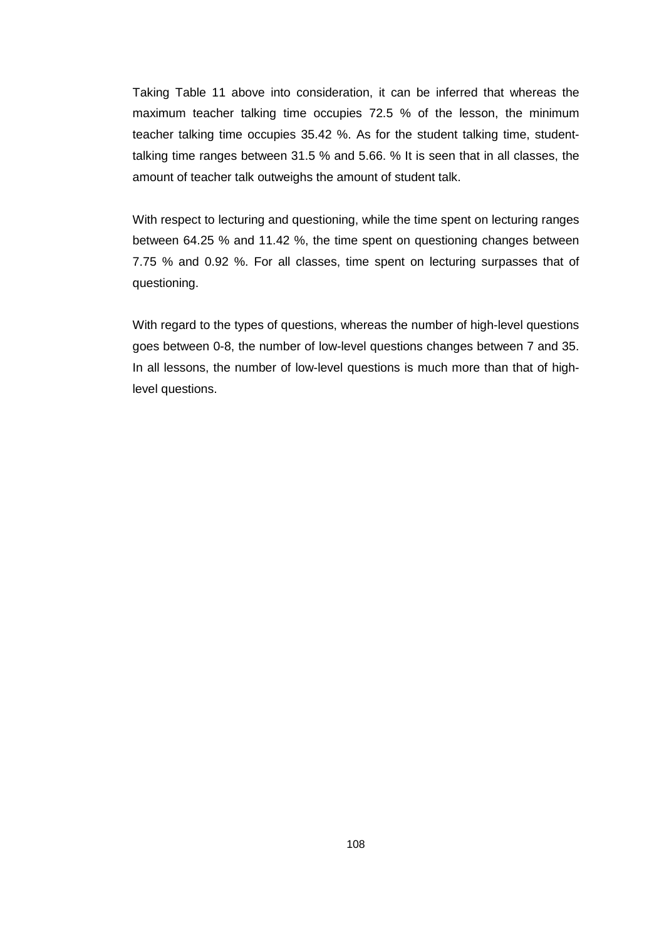Taking Table 11 above into consideration, it can be inferred that whereas the maximum teacher talking time occupies 72.5 % of the lesson, the minimum teacher talking time occupies 35.42 %. As for the student talking time, studenttalking time ranges between 31.5 % and 5.66. % It is seen that in all classes, the amount of teacher talk outweighs the amount of student talk.

With respect to lecturing and questioning, while the time spent on lecturing ranges between 64.25 % and 11.42 %, the time spent on questioning changes between 7.75 % and 0.92 %. For all classes, time spent on lecturing surpasses that of questioning.

With regard to the types of questions, whereas the number of high-level questions goes between 0-8, the number of low-level questions changes between 7 and 35. In all lessons, the number of low-level questions is much more than that of highlevel questions.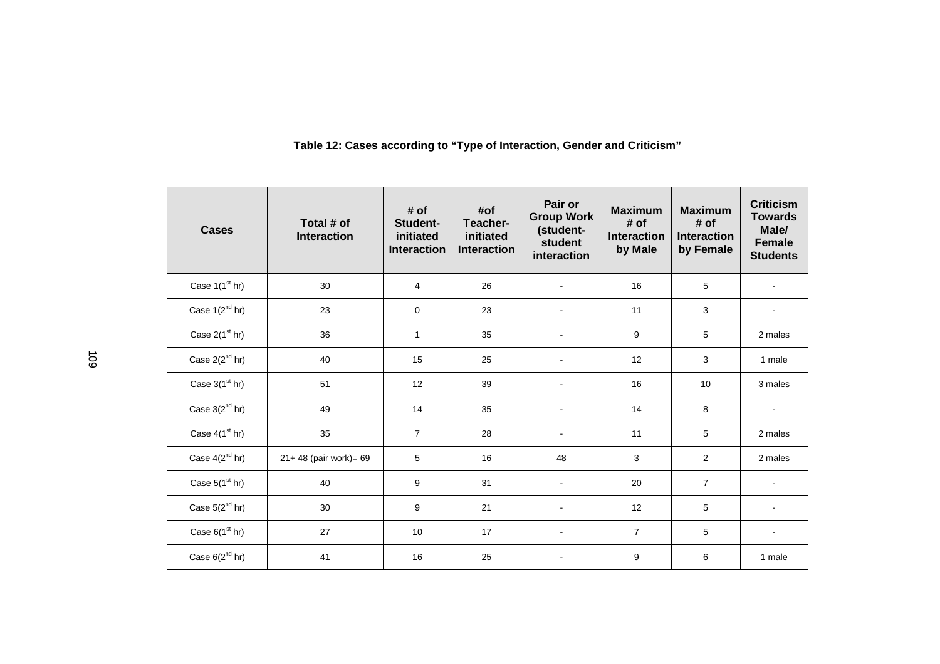| <b>Cases</b>               | Total # of<br><b>Interaction</b> | # of<br>Student-<br>initiated<br><b>Interaction</b> | #of<br>Teacher-<br>initiated<br><b>Interaction</b> | Pair or<br><b>Group Work</b><br>(student-<br>student<br>interaction | <b>Maximum</b><br># of<br><b>Interaction</b><br>by Male | <b>Maximum</b><br># of<br><b>Interaction</b><br>by Female | <b>Criticism</b><br><b>Towards</b><br>Male/<br><b>Female</b><br><b>Students</b> |
|----------------------------|----------------------------------|-----------------------------------------------------|----------------------------------------------------|---------------------------------------------------------------------|---------------------------------------------------------|-----------------------------------------------------------|---------------------------------------------------------------------------------|
| Case $1(1st hr)$           | 30                               | $\overline{4}$                                      | 26                                                 |                                                                     | 16                                                      | 5                                                         |                                                                                 |
| Case $1(2^{nd}$ hr)        | 23                               | $\mathbf 0$                                         | 23                                                 |                                                                     | 11                                                      | 3                                                         |                                                                                 |
| Case $2(1st hr)$           | 36                               | $\mathbf{1}$                                        | 35                                                 | ÷.                                                                  | 9                                                       | 5                                                         | 2 males                                                                         |
| Case $2(2^{nd}$ hr)        | 40                               | 15                                                  | 25                                                 | $\blacksquare$                                                      | 12                                                      | 3                                                         | 1 male                                                                          |
| Case $3(1st hr)$           | 51                               | 12                                                  | 39                                                 |                                                                     | 16                                                      | 10                                                        | 3 males                                                                         |
| Case $3(2^{nd}$ hr)        | 49                               | 14                                                  | 35                                                 |                                                                     | 14                                                      | 8                                                         |                                                                                 |
| Case $4(1^{\text{st}}$ hr) | 35                               | $\overline{7}$                                      | 28                                                 |                                                                     | 11                                                      | 5                                                         | 2 males                                                                         |
| Case $4(2^{nd}$ hr)        | 21+48 (pair work)= 69            | 5                                                   | 16                                                 | 48                                                                  | 3                                                       | $\overline{2}$                                            | 2 males                                                                         |
| Case $5(1st hr)$           | 40                               | 9                                                   | 31                                                 | $\blacksquare$                                                      | 20                                                      | $\overline{7}$                                            |                                                                                 |
| Case $5(2^{nd}$ hr)        | 30                               | 9                                                   | 21                                                 |                                                                     | 12                                                      | 5                                                         | $\mathbf{r}$                                                                    |
| Case $6(1^{\text{st}}$ hr) | 27                               | 10                                                  | 17                                                 | $\blacksquare$                                                      | $\overline{7}$                                          | 5                                                         | $\sim$                                                                          |
| Case $6(2^{nd}$ hr)        | 41                               | 16                                                  | 25                                                 |                                                                     | 9                                                       | 6                                                         | 1 male                                                                          |

#### **Table 12: Cases according to "Type of Interaction, Gender and Criticism"**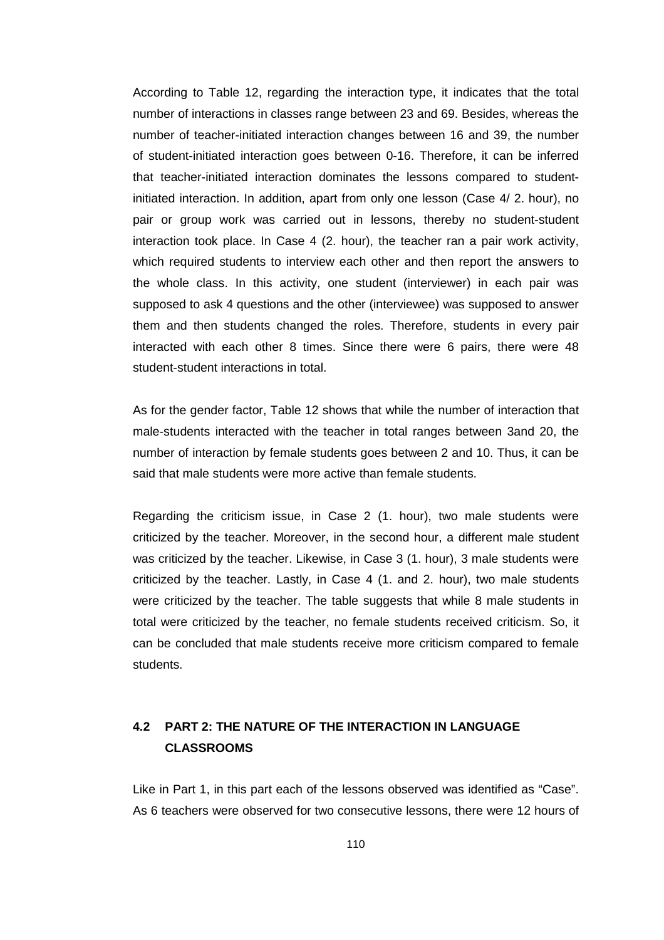According to Table 12, regarding the interaction type, it indicates that the total number of interactions in classes range between 23 and 69. Besides, whereas the number of teacher-initiated interaction changes between 16 and 39, the number of student-initiated interaction goes between 0-16. Therefore, it can be inferred that teacher-initiated interaction dominates the lessons compared to studentinitiated interaction. In addition, apart from only one lesson (Case 4/ 2. hour), no pair or group work was carried out in lessons, thereby no student-student interaction took place. In Case 4 (2. hour), the teacher ran a pair work activity, which required students to interview each other and then report the answers to the whole class. In this activity, one student (interviewer) in each pair was supposed to ask 4 questions and the other (interviewee) was supposed to answer them and then students changed the roles. Therefore, students in every pair interacted with each other 8 times. Since there were 6 pairs, there were 48 student-student interactions in total.

As for the gender factor, Table 12 shows that while the number of interaction that male-students interacted with the teacher in total ranges between 3and 20, the number of interaction by female students goes between 2 and 10. Thus, it can be said that male students were more active than female students.

Regarding the criticism issue, in Case 2 (1. hour), two male students were criticized by the teacher. Moreover, in the second hour, a different male student was criticized by the teacher. Likewise, in Case 3 (1. hour), 3 male students were criticized by the teacher. Lastly, in Case 4 (1. and 2. hour), two male students were criticized by the teacher. The table suggests that while 8 male students in total were criticized by the teacher, no female students received criticism. So, it can be concluded that male students receive more criticism compared to female students.

# **4.2 PART 2: THE NATURE OF THE INTERACTION IN LANGUAGE CLASSROOMS**

Like in Part 1, in this part each of the lessons observed was identified as "Case". As 6 teachers were observed for two consecutive lessons, there were 12 hours of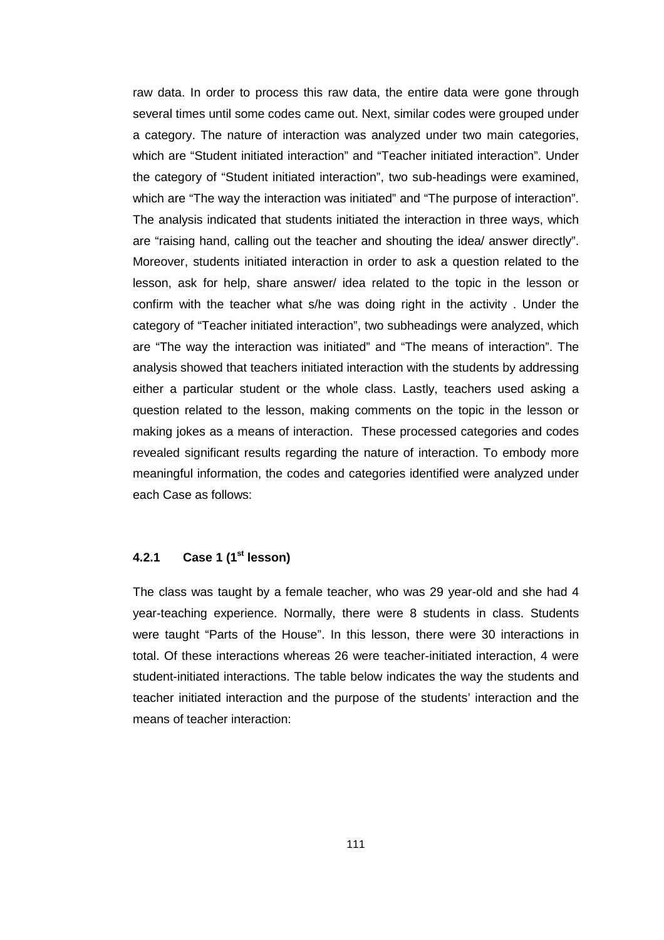raw data. In order to process this raw data, the entire data were gone through several times until some codes came out. Next, similar codes were grouped under a category. The nature of interaction was analyzed under two main categories, which are "Student initiated interaction" and "Teacher initiated interaction". Under the category of "Student initiated interaction", two sub-headings were examined, which are "The way the interaction was initiated" and "The purpose of interaction". The analysis indicated that students initiated the interaction in three ways, which are "raising hand, calling out the teacher and shouting the idea/ answer directly". Moreover, students initiated interaction in order to ask a question related to the lesson, ask for help, share answer/ idea related to the topic in the lesson or confirm with the teacher what s/he was doing right in the activity . Under the category of "Teacher initiated interaction", two subheadings were analyzed, which are "The way the interaction was initiated" and "The means of interaction". The analysis showed that teachers initiated interaction with the students by addressing either a particular student or the whole class. Lastly, teachers used asking a question related to the lesson, making comments on the topic in the lesson or making jokes as a means of interaction. These processed categories and codes revealed significant results regarding the nature of interaction. To embody more meaningful information, the codes and categories identified were analyzed under each Case as follows:

### **4.2.1 Case 1 (1st lesson)**

The class was taught by a female teacher, who was 29 year-old and she had 4 year-teaching experience. Normally, there were 8 students in class. Students were taught "Parts of the House". In this lesson, there were 30 interactions in total. Of these interactions whereas 26 were teacher-initiated interaction, 4 were student-initiated interactions. The table below indicates the way the students and teacher initiated interaction and the purpose of the students' interaction and the means of teacher interaction: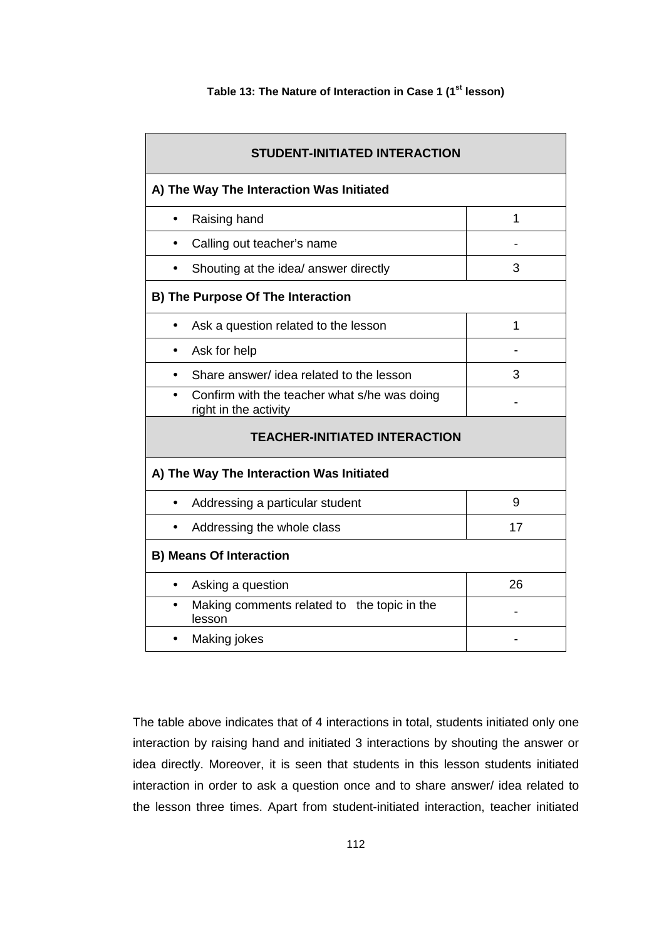| <b>STUDENT-INITIATED INTERACTION</b>                                  |    |  |  |
|-----------------------------------------------------------------------|----|--|--|
| A) The Way The Interaction Was Initiated                              |    |  |  |
| Raising hand<br>$\bullet$                                             | 1  |  |  |
| Calling out teacher's name                                            |    |  |  |
| Shouting at the idea/ answer directly                                 | 3  |  |  |
| B) The Purpose Of The Interaction                                     |    |  |  |
| Ask a question related to the lesson                                  | 1  |  |  |
| Ask for help                                                          |    |  |  |
| Share answer/ idea related to the lesson<br>$\bullet$                 | З  |  |  |
| Confirm with the teacher what s/he was doing<br>right in the activity |    |  |  |
| <b>TEACHER-INITIATED INTERACTION</b>                                  |    |  |  |
| A) The Way The Interaction Was Initiated                              |    |  |  |
| Addressing a particular student<br>$\bullet$                          | 9  |  |  |
| Addressing the whole class                                            | 17 |  |  |
| <b>B) Means Of Interaction</b>                                        |    |  |  |
| Asking a question<br>$\bullet$                                        | 26 |  |  |
| Making comments related to the topic in the<br>$\bullet$<br>lesson    |    |  |  |
| Making jokes                                                          |    |  |  |

#### **Table 13: The Nature of Interaction in Case 1 (1st lesson)**

The table above indicates that of 4 interactions in total, students initiated only one interaction by raising hand and initiated 3 interactions by shouting the answer or idea directly. Moreover, it is seen that students in this lesson students initiated interaction in order to ask a question once and to share answer/ idea related to the lesson three times. Apart from student-initiated interaction, teacher initiated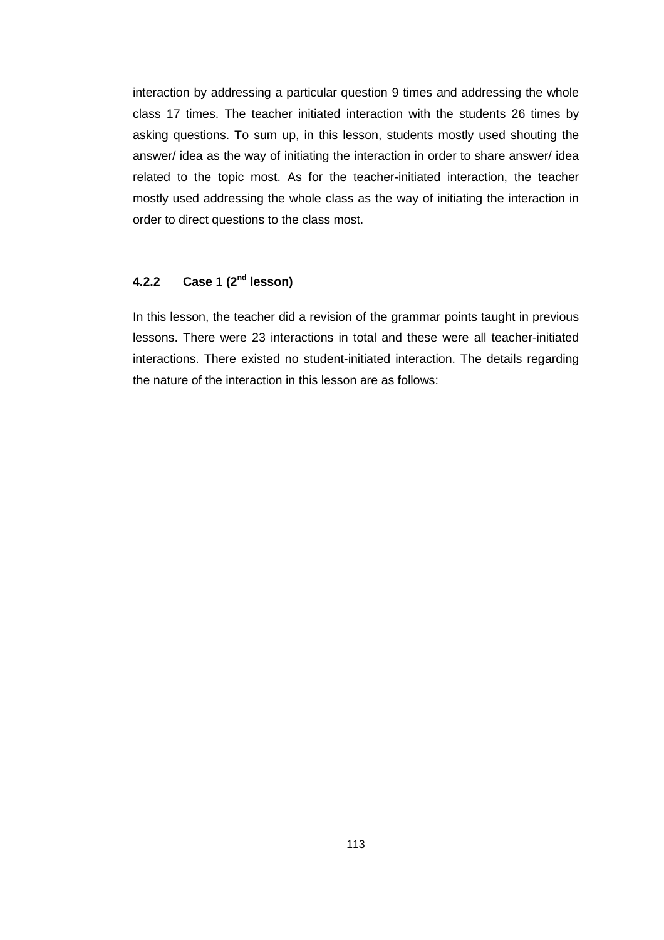interaction by addressing a particular question 9 times and addressing the whole class 17 times. The teacher initiated interaction with the students 26 times by asking questions. To sum up, in this lesson, students mostly used shouting the answer/ idea as the way of initiating the interaction in order to share answer/ idea related to the topic most. As for the teacher-initiated interaction, the teacher mostly used addressing the whole class as the way of initiating the interaction in order to direct questions to the class most.

# **4.2.2 Case 1 (2nd lesson)**

In this lesson, the teacher did a revision of the grammar points taught in previous lessons. There were 23 interactions in total and these were all teacher-initiated interactions. There existed no student-initiated interaction. The details regarding the nature of the interaction in this lesson are as follows: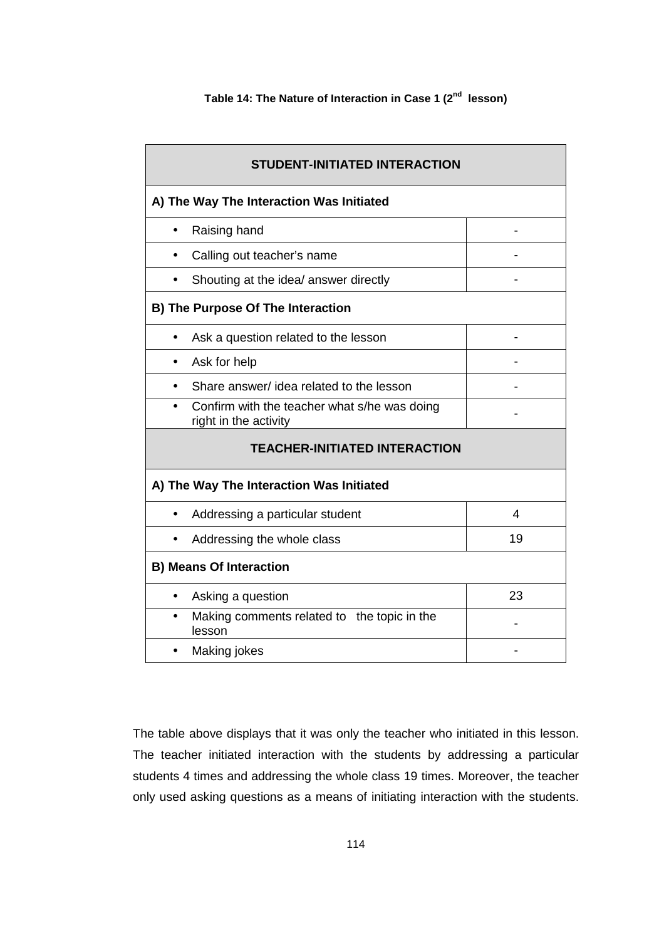| <b>STUDENT-INITIATED INTERACTION</b>                                  |    |
|-----------------------------------------------------------------------|----|
| A) The Way The Interaction Was Initiated                              |    |
| Raising hand<br>$\bullet$                                             |    |
| Calling out teacher's name                                            |    |
| Shouting at the idea/ answer directly                                 |    |
| <b>B) The Purpose Of The Interaction</b>                              |    |
| Ask a question related to the lesson                                  |    |
| Ask for help<br>$\bullet$                                             |    |
| Share answer/ idea related to the lesson                              |    |
| Confirm with the teacher what s/he was doing<br>right in the activity |    |
| <b>TEACHER-INITIATED INTERACTION</b>                                  |    |
| A) The Way The Interaction Was Initiated                              |    |
| Addressing a particular student                                       | 4  |
| Addressing the whole class                                            | 19 |
| <b>B) Means Of Interaction</b>                                        |    |
| Asking a question<br>$\bullet$                                        | 23 |
| Making comments related to the topic in the<br>$\bullet$<br>lesson    |    |
| Making jokes                                                          |    |

The table above displays that it was only the teacher who initiated in this lesson. The teacher initiated interaction with the students by addressing a particular students 4 times and addressing the whole class 19 times. Moreover, the teacher only used asking questions as a means of initiating interaction with the students.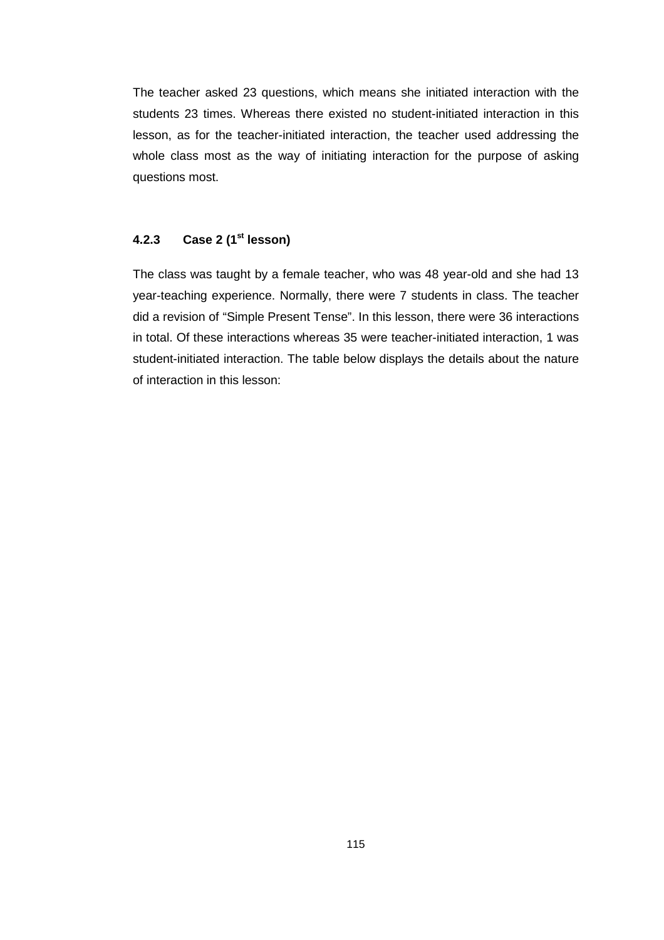The teacher asked 23 questions, which means she initiated interaction with the students 23 times. Whereas there existed no student-initiated interaction in this lesson, as for the teacher-initiated interaction, the teacher used addressing the whole class most as the way of initiating interaction for the purpose of asking questions most.

#### **4.2.3 Case 2 (1st lesson)**

The class was taught by a female teacher, who was 48 year-old and she had 13 year-teaching experience. Normally, there were 7 students in class. The teacher did a revision of "Simple Present Tense". In this lesson, there were 36 interactions in total. Of these interactions whereas 35 were teacher-initiated interaction, 1 was student-initiated interaction. The table below displays the details about the nature of interaction in this lesson: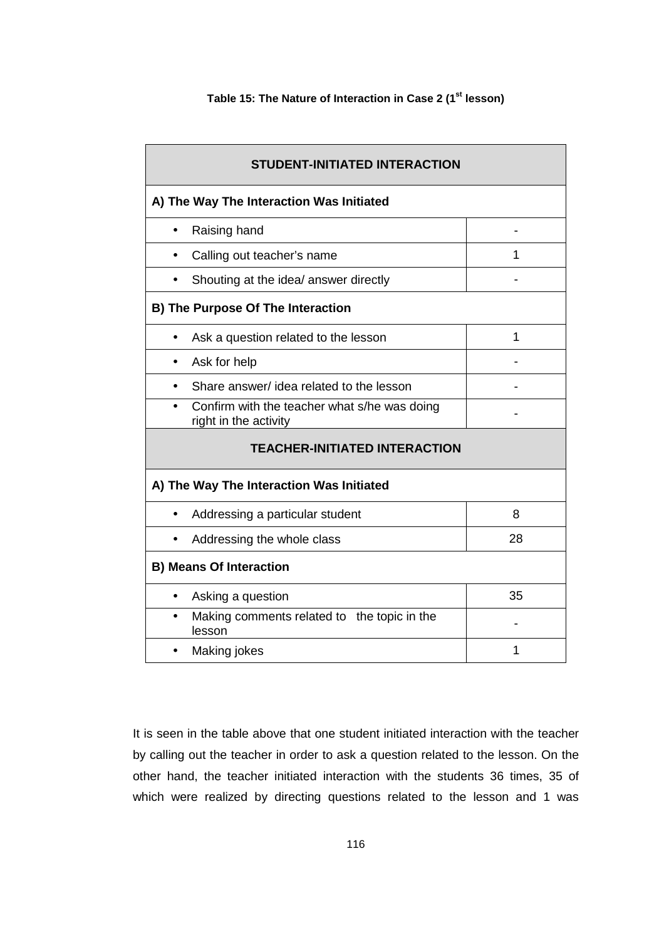## **Table 15: The Nature of Interaction in Case 2 (1st lesson)**

| <b>STUDENT-INITIATED INTERACTION</b>                                  |    |
|-----------------------------------------------------------------------|----|
| A) The Way The Interaction Was Initiated                              |    |
| Raising hand<br>$\bullet$                                             |    |
| Calling out teacher's name                                            | 1  |
| Shouting at the idea/ answer directly                                 |    |
| <b>B) The Purpose Of The Interaction</b>                              |    |
| Ask a question related to the lesson                                  | 1  |
| Ask for help                                                          |    |
| Share answer/ idea related to the lesson                              |    |
| Confirm with the teacher what s/he was doing<br>right in the activity |    |
| <b>TEACHER-INITIATED INTERACTION</b>                                  |    |
| A) The Way The Interaction Was Initiated                              |    |
| Addressing a particular student                                       | 8  |
| Addressing the whole class                                            | 28 |
| <b>B) Means Of Interaction</b>                                        |    |
| Asking a question<br>$\bullet$                                        | 35 |
| Making comments related to the topic in the<br>$\bullet$<br>lesson    |    |
| Making jokes                                                          | 1  |

It is seen in the table above that one student initiated interaction with the teacher by calling out the teacher in order to ask a question related to the lesson. On the other hand, the teacher initiated interaction with the students 36 times, 35 of which were realized by directing questions related to the lesson and 1 was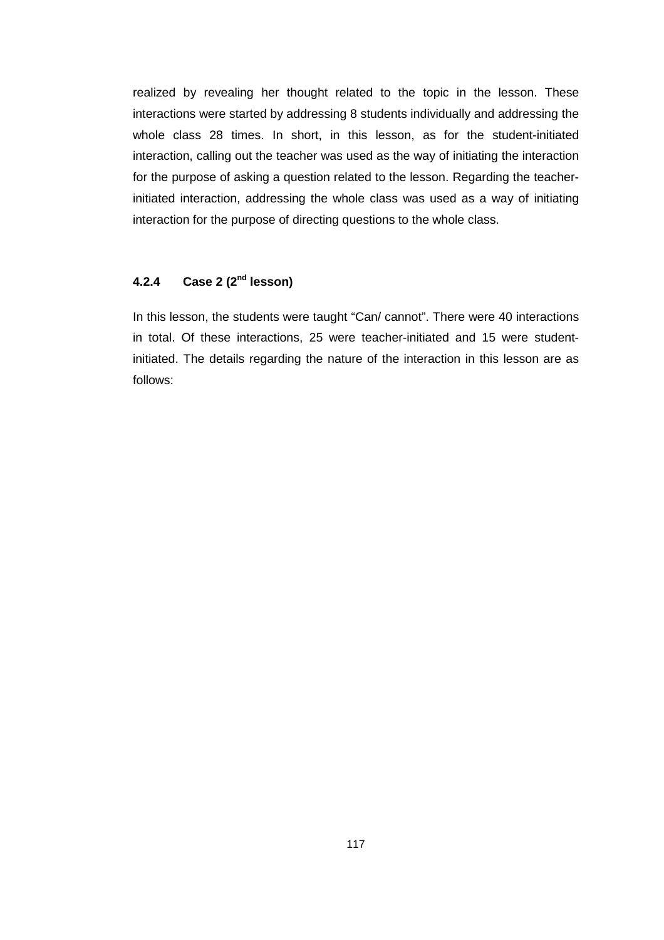realized by revealing her thought related to the topic in the lesson. These interactions were started by addressing 8 students individually and addressing the whole class 28 times. In short, in this lesson, as for the student-initiated interaction, calling out the teacher was used as the way of initiating the interaction for the purpose of asking a question related to the lesson. Regarding the teacherinitiated interaction, addressing the whole class was used as a way of initiating interaction for the purpose of directing questions to the whole class.

# **4.2.4 Case 2 (2nd lesson)**

In this lesson, the students were taught "Can/ cannot". There were 40 interactions in total. Of these interactions, 25 were teacher-initiated and 15 were studentinitiated. The details regarding the nature of the interaction in this lesson are as follows: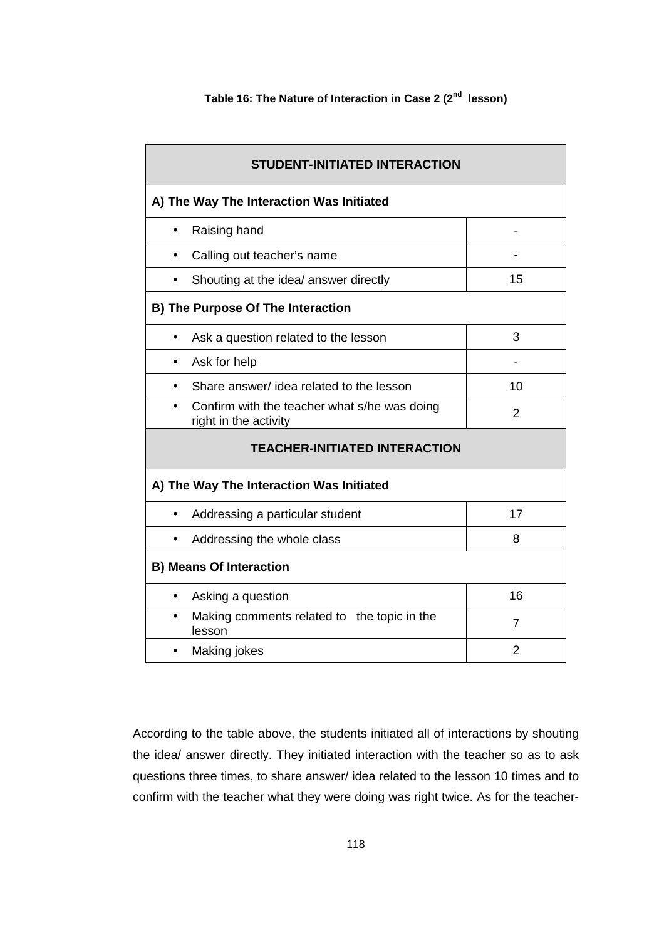| <b>STUDENT-INITIATED INTERACTION</b>                                  |    |
|-----------------------------------------------------------------------|----|
| A) The Way The Interaction Was Initiated                              |    |
| Raising hand                                                          |    |
| Calling out teacher's name                                            |    |
| Shouting at the idea/ answer directly                                 | 15 |
| <b>B) The Purpose Of The Interaction</b>                              |    |
| Ask a question related to the lesson                                  | 3  |
| Ask for help                                                          |    |
| Share answer/ idea related to the lesson                              | 10 |
| Confirm with the teacher what s/he was doing<br>right in the activity | 2  |
| <b>TEACHER-INITIATED INTERACTION</b>                                  |    |
| A) The Way The Interaction Was Initiated                              |    |
| Addressing a particular student<br>$\bullet$                          | 17 |
| Addressing the whole class                                            | 8  |
| <b>B) Means Of Interaction</b>                                        |    |
| Asking a question<br>$\bullet$                                        | 16 |
| Making comments related to the topic in the<br>$\bullet$<br>lesson    | 7  |
| Making jokes                                                          | 2  |

According to the table above, the students initiated all of interactions by shouting the idea/ answer directly. They initiated interaction with the teacher so as to ask questions three times, to share answer/ idea related to the lesson 10 times and to confirm with the teacher what they were doing was right twice. As for the teacher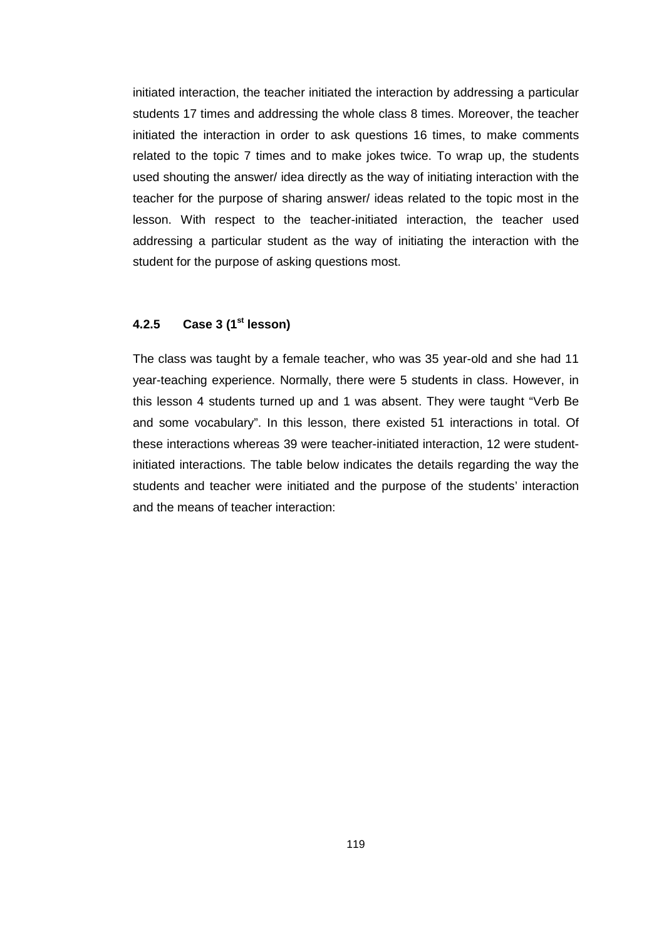initiated interaction, the teacher initiated the interaction by addressing a particular students 17 times and addressing the whole class 8 times. Moreover, the teacher initiated the interaction in order to ask questions 16 times, to make comments related to the topic 7 times and to make jokes twice. To wrap up, the students used shouting the answer/ idea directly as the way of initiating interaction with the teacher for the purpose of sharing answer/ ideas related to the topic most in the lesson. With respect to the teacher-initiated interaction, the teacher used addressing a particular student as the way of initiating the interaction with the student for the purpose of asking questions most.

### **4.2.5 Case 3 (1st lesson)**

The class was taught by a female teacher, who was 35 year-old and she had 11 year-teaching experience. Normally, there were 5 students in class. However, in this lesson 4 students turned up and 1 was absent. They were taught "Verb Be and some vocabulary". In this lesson, there existed 51 interactions in total. Of these interactions whereas 39 were teacher-initiated interaction, 12 were studentinitiated interactions. The table below indicates the details regarding the way the students and teacher were initiated and the purpose of the students' interaction and the means of teacher interaction: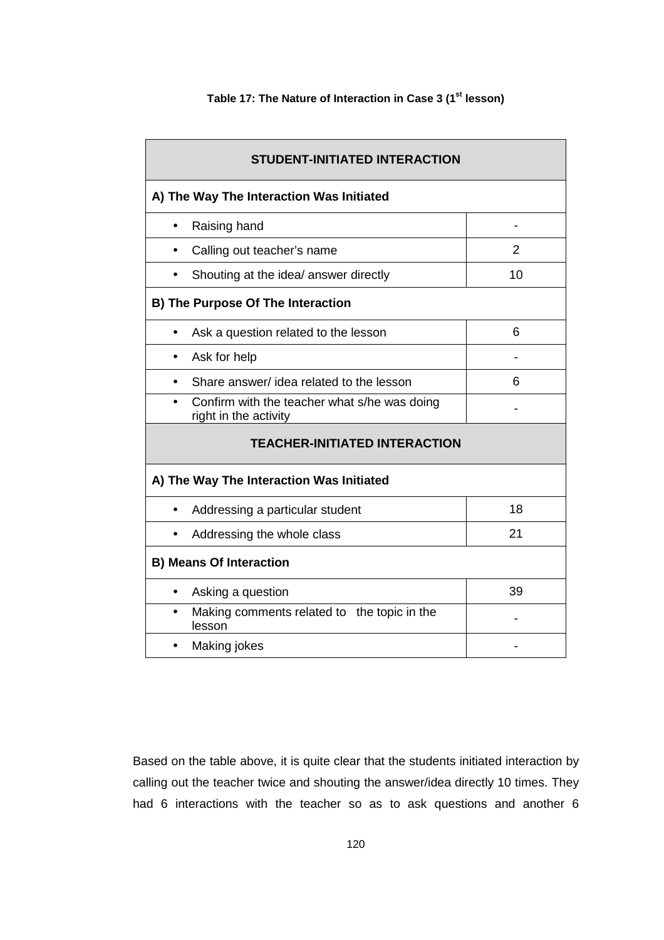| STUDENT-INITIATED INTERACTION                                         |                |  |  |  |
|-----------------------------------------------------------------------|----------------|--|--|--|
| A) The Way The Interaction Was Initiated                              |                |  |  |  |
| Raising hand<br>$\bullet$                                             | $\blacksquare$ |  |  |  |
| Calling out teacher's name                                            | $\overline{2}$ |  |  |  |
| Shouting at the idea/ answer directly                                 | 10             |  |  |  |
| <b>B) The Purpose Of The Interaction</b>                              |                |  |  |  |
| Ask a question related to the lesson                                  | 6              |  |  |  |
| Ask for help                                                          |                |  |  |  |
| Share answer/ idea related to the lesson                              | 6              |  |  |  |
| Confirm with the teacher what s/he was doing<br>right in the activity |                |  |  |  |
| <b>TEACHER-INITIATED INTERACTION</b>                                  |                |  |  |  |
| A) The Way The Interaction Was Initiated                              |                |  |  |  |
| Addressing a particular student<br>$\bullet$                          | 18             |  |  |  |
| Addressing the whole class                                            | 21             |  |  |  |
| <b>B) Means Of Interaction</b>                                        |                |  |  |  |
| Asking a question<br>$\bullet$                                        | 39             |  |  |  |
| Making comments related to the topic in the<br>lesson                 |                |  |  |  |
| Making jokes                                                          |                |  |  |  |

## **Table 17: The Nature of Interaction in Case 3 (1st lesson)**

Based on the table above, it is quite clear that the students initiated interaction by calling out the teacher twice and shouting the answer/idea directly 10 times. They had 6 interactions with the teacher so as to ask questions and another 6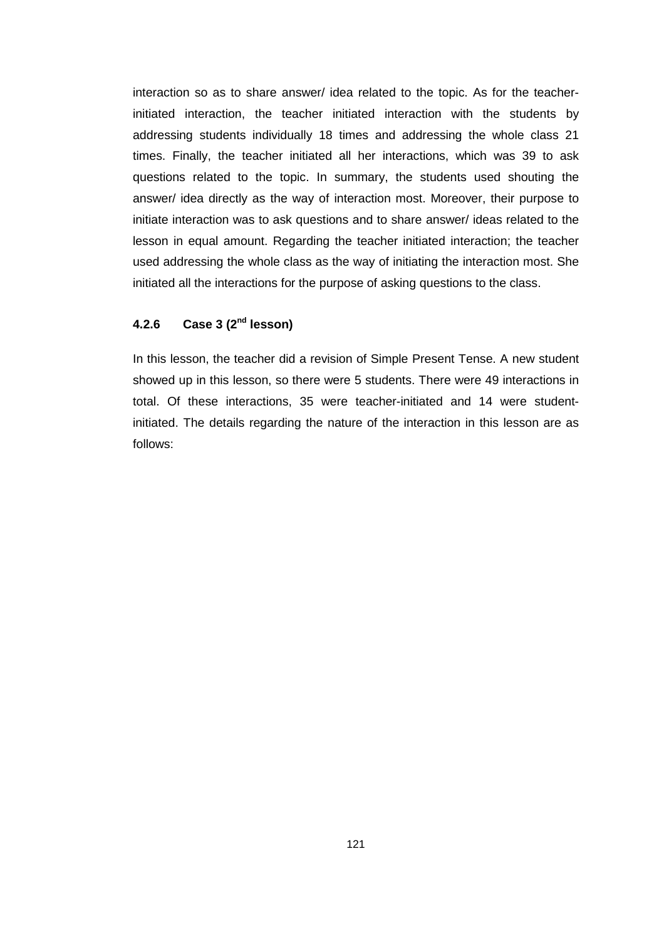interaction so as to share answer/ idea related to the topic. As for the teacherinitiated interaction, the teacher initiated interaction with the students by addressing students individually 18 times and addressing the whole class 21 times. Finally, the teacher initiated all her interactions, which was 39 to ask questions related to the topic. In summary, the students used shouting the answer/ idea directly as the way of interaction most. Moreover, their purpose to initiate interaction was to ask questions and to share answer/ ideas related to the lesson in equal amount. Regarding the teacher initiated interaction; the teacher used addressing the whole class as the way of initiating the interaction most. She initiated all the interactions for the purpose of asking questions to the class.

### **4.2.6 Case 3 (2nd lesson)**

In this lesson, the teacher did a revision of Simple Present Tense. A new student showed up in this lesson, so there were 5 students. There were 49 interactions in total. Of these interactions, 35 were teacher-initiated and 14 were studentinitiated. The details regarding the nature of the interaction in this lesson are as follows: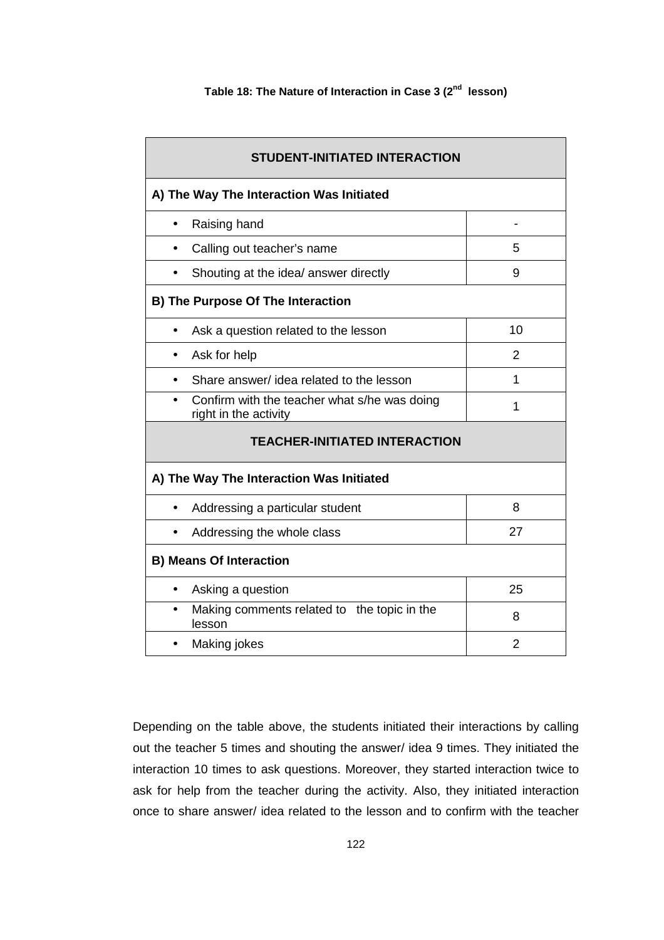|  | Table 18: The Nature of Interaction in Case 3 (2 <sup>nd</sup> lesson) |  |  |  |  |
|--|------------------------------------------------------------------------|--|--|--|--|
|--|------------------------------------------------------------------------|--|--|--|--|

| <b>STUDENT-INITIATED INTERACTION</b>                                  |                |
|-----------------------------------------------------------------------|----------------|
| A) The Way The Interaction Was Initiated                              |                |
| Raising hand<br>$\bullet$                                             |                |
| Calling out teacher's name                                            | 5              |
| Shouting at the idea/ answer directly                                 | 9              |
| <b>B) The Purpose Of The Interaction</b>                              |                |
| Ask a question related to the lesson                                  | 10             |
| Ask for help<br>$\bullet$                                             | 2              |
| Share answer/ idea related to the lesson                              | 1              |
| Confirm with the teacher what s/he was doing<br>right in the activity | 1              |
| <b>TEACHER-INITIATED INTERACTION</b>                                  |                |
| A) The Way The Interaction Was Initiated                              |                |
| Addressing a particular student                                       | 8              |
| Addressing the whole class                                            | 27             |
| <b>B) Means Of Interaction</b>                                        |                |
| Asking a question<br>$\bullet$                                        | 25             |
| Making comments related to the topic in the<br>$\bullet$<br>lesson    | 8              |
| Making jokes                                                          | $\overline{2}$ |

Depending on the table above, the students initiated their interactions by calling out the teacher 5 times and shouting the answer/ idea 9 times. They initiated the interaction 10 times to ask questions. Moreover, they started interaction twice to ask for help from the teacher during the activity. Also, they initiated interaction once to share answer/ idea related to the lesson and to confirm with the teacher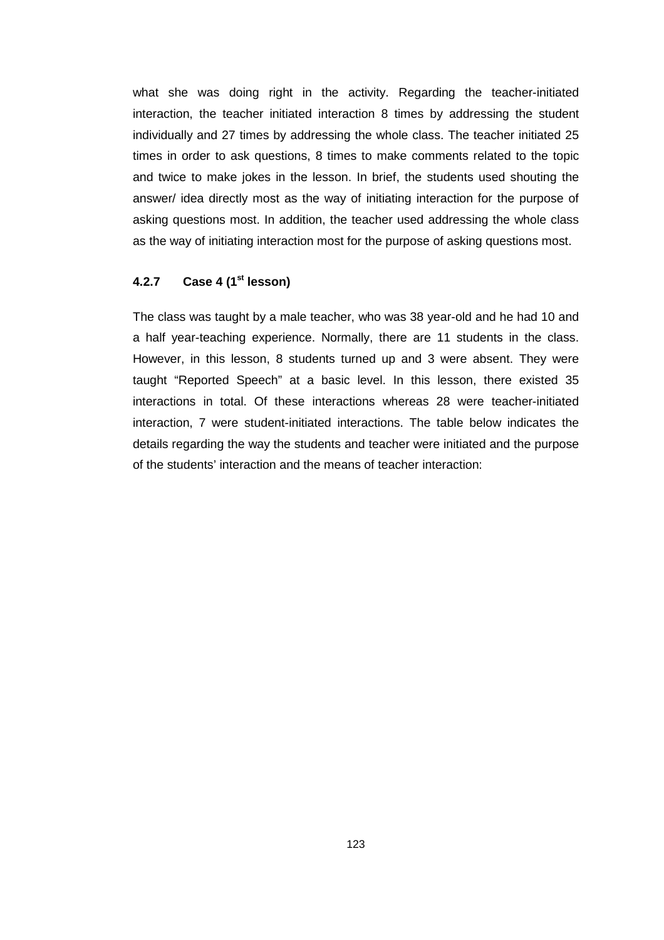what she was doing right in the activity. Regarding the teacher-initiated interaction, the teacher initiated interaction 8 times by addressing the student individually and 27 times by addressing the whole class. The teacher initiated 25 times in order to ask questions, 8 times to make comments related to the topic and twice to make jokes in the lesson. In brief, the students used shouting the answer/ idea directly most as the way of initiating interaction for the purpose of asking questions most. In addition, the teacher used addressing the whole class as the way of initiating interaction most for the purpose of asking questions most.

### **4.2.7 Case 4 (1st lesson)**

The class was taught by a male teacher, who was 38 year-old and he had 10 and a half year-teaching experience. Normally, there are 11 students in the class. However, in this lesson, 8 students turned up and 3 were absent. They were taught "Reported Speech" at a basic level. In this lesson, there existed 35 interactions in total. Of these interactions whereas 28 were teacher-initiated interaction, 7 were student-initiated interactions. The table below indicates the details regarding the way the students and teacher were initiated and the purpose of the students' interaction and the means of teacher interaction: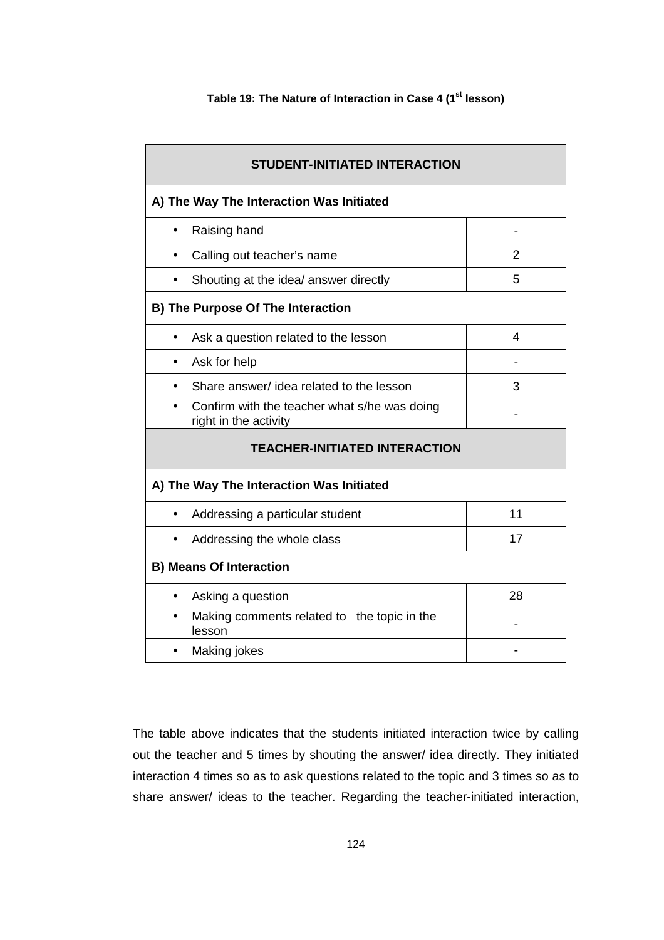#### **Table 19: The Nature of Interaction in Case 4 (1st lesson)**

| <b>STUDENT-INITIATED INTERACTION</b><br>A) The Way The Interaction Was Initiated |                |
|----------------------------------------------------------------------------------|----------------|
|                                                                                  |                |
| Calling out teacher's name                                                       | $\overline{2}$ |
| Shouting at the idea/ answer directly                                            | 5              |
| <b>B) The Purpose Of The Interaction</b>                                         |                |
| Ask a question related to the lesson                                             | 4              |
| Ask for help                                                                     |                |
| Share answer/ idea related to the lesson                                         | 3              |
| Confirm with the teacher what s/he was doing<br>right in the activity            |                |
| <b>TEACHER-INITIATED INTERACTION</b>                                             |                |
| A) The Way The Interaction Was Initiated                                         |                |
| Addressing a particular student<br>$\bullet$                                     | 11             |
| Addressing the whole class                                                       | 17             |
| <b>B) Means Of Interaction</b>                                                   |                |
| Asking a question<br>$\bullet$                                                   | 28             |
| Making comments related to the topic in the<br>$\bullet$<br>lesson               |                |
| Making jokes                                                                     |                |

The table above indicates that the students initiated interaction twice by calling out the teacher and 5 times by shouting the answer/ idea directly. They initiated interaction 4 times so as to ask questions related to the topic and 3 times so as to share answer/ ideas to the teacher. Regarding the teacher-initiated interaction,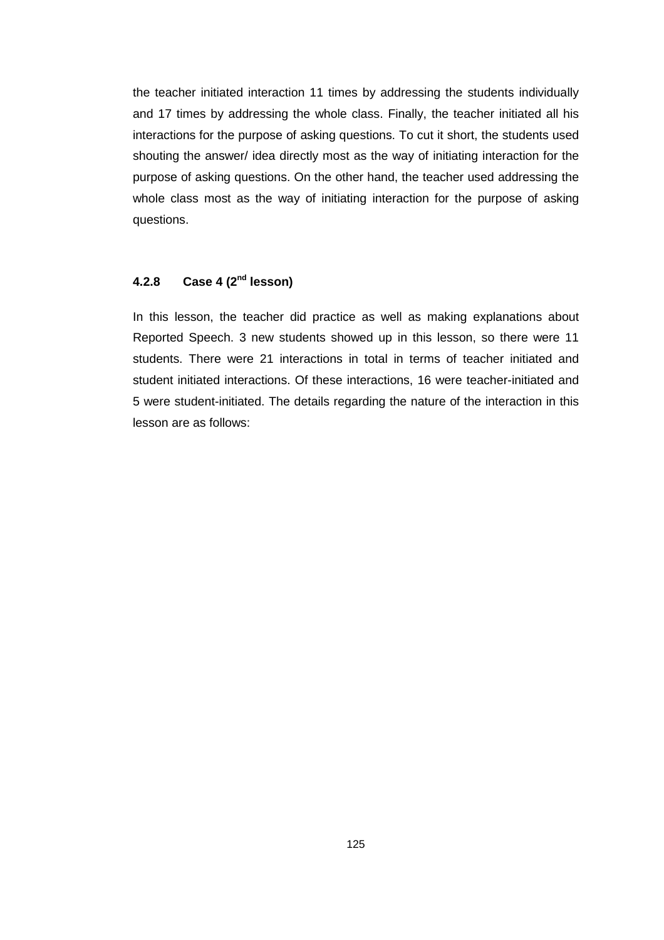the teacher initiated interaction 11 times by addressing the students individually and 17 times by addressing the whole class. Finally, the teacher initiated all his interactions for the purpose of asking questions. To cut it short, the students used shouting the answer/ idea directly most as the way of initiating interaction for the purpose of asking questions. On the other hand, the teacher used addressing the whole class most as the way of initiating interaction for the purpose of asking questions.

## **4.2.8 Case 4 (2nd lesson)**

In this lesson, the teacher did practice as well as making explanations about Reported Speech. 3 new students showed up in this lesson, so there were 11 students. There were 21 interactions in total in terms of teacher initiated and student initiated interactions. Of these interactions, 16 were teacher-initiated and 5 were student-initiated. The details regarding the nature of the interaction in this lesson are as follows: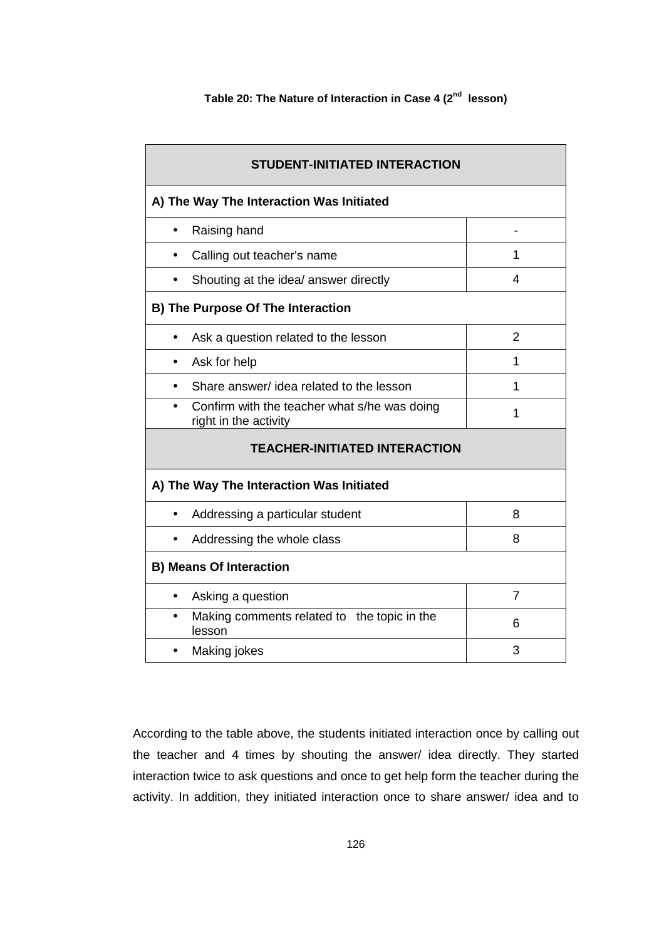| <b>STUDENT-INITIATED INTERACTION</b>                                  |   |
|-----------------------------------------------------------------------|---|
| A) The Way The Interaction Was Initiated                              |   |
| Raising hand                                                          |   |
| Calling out teacher's name                                            | 1 |
| Shouting at the idea/ answer directly                                 | 4 |
| <b>B) The Purpose Of The Interaction</b>                              |   |
| Ask a question related to the lesson                                  | 2 |
| Ask for help                                                          | 1 |
| Share answer/ idea related to the lesson                              | 1 |
| Confirm with the teacher what s/he was doing<br>right in the activity | 1 |
| <b>TEACHER-INITIATED INTERACTION</b>                                  |   |
| A) The Way The Interaction Was Initiated                              |   |
| Addressing a particular student                                       | 8 |
| Addressing the whole class                                            | 8 |
| <b>B) Means Of Interaction</b>                                        |   |
| Asking a question<br>$\bullet$                                        | 7 |
| Making comments related to the topic in the<br>$\bullet$<br>lesson    | 6 |
| Making jokes                                                          | 3 |

According to the table above, the students initiated interaction once by calling out the teacher and 4 times by shouting the answer/ idea directly. They started interaction twice to ask questions and once to get help form the teacher during the activity. In addition, they initiated interaction once to share answer/ idea and to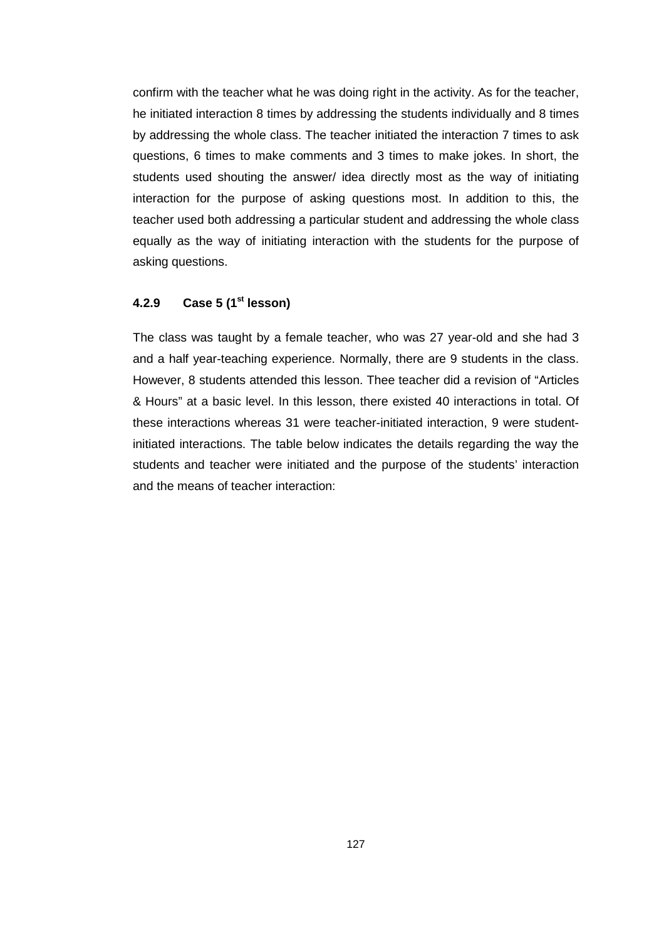confirm with the teacher what he was doing right in the activity. As for the teacher, he initiated interaction 8 times by addressing the students individually and 8 times by addressing the whole class. The teacher initiated the interaction 7 times to ask questions, 6 times to make comments and 3 times to make jokes. In short, the students used shouting the answer/ idea directly most as the way of initiating interaction for the purpose of asking questions most. In addition to this, the teacher used both addressing a particular student and addressing the whole class equally as the way of initiating interaction with the students for the purpose of asking questions.

#### **4.2.9 Case 5 (1st lesson)**

The class was taught by a female teacher, who was 27 year-old and she had 3 and a half year-teaching experience. Normally, there are 9 students in the class. However, 8 students attended this lesson. Thee teacher did a revision of "Articles & Hours" at a basic level. In this lesson, there existed 40 interactions in total. Of these interactions whereas 31 were teacher-initiated interaction, 9 were studentinitiated interactions. The table below indicates the details regarding the way the students and teacher were initiated and the purpose of the students' interaction and the means of teacher interaction: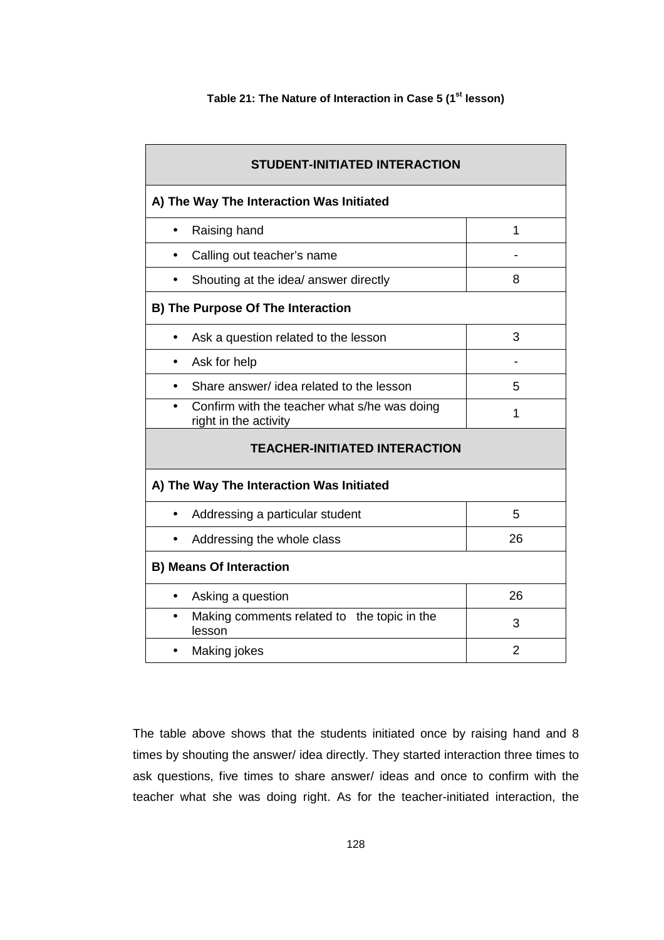#### **Table 21: The Nature of Interaction in Case 5 (1st lesson)**

| <b>STUDENT-INITIATED INTERACTION</b>                                  |    |  |  |  |  |
|-----------------------------------------------------------------------|----|--|--|--|--|
| A) The Way The Interaction Was Initiated                              |    |  |  |  |  |
| Raising hand<br>$\bullet$                                             | 1  |  |  |  |  |
| Calling out teacher's name                                            |    |  |  |  |  |
| Shouting at the idea/ answer directly                                 | 8  |  |  |  |  |
| <b>B) The Purpose Of The Interaction</b>                              |    |  |  |  |  |
| 3<br>Ask a question related to the lesson                             |    |  |  |  |  |
| Ask for help                                                          |    |  |  |  |  |
| Share answer/ idea related to the lesson                              | 5  |  |  |  |  |
| Confirm with the teacher what s/he was doing<br>right in the activity | 1  |  |  |  |  |
| <b>TEACHER-INITIATED INTERACTION</b>                                  |    |  |  |  |  |
| A) The Way The Interaction Was Initiated                              |    |  |  |  |  |
| Addressing a particular student                                       | 5  |  |  |  |  |
| Addressing the whole class                                            | 26 |  |  |  |  |
| <b>B) Means Of Interaction</b>                                        |    |  |  |  |  |
| Asking a question<br>$\bullet$                                        | 26 |  |  |  |  |
| Making comments related to the topic in the<br>$\bullet$<br>lesson    | 3  |  |  |  |  |
| Making jokes                                                          | 2  |  |  |  |  |

The table above shows that the students initiated once by raising hand and 8 times by shouting the answer/ idea directly. They started interaction three times to ask questions, five times to share answer/ ideas and once to confirm with the teacher what she was doing right. As for the teacher-initiated interaction, the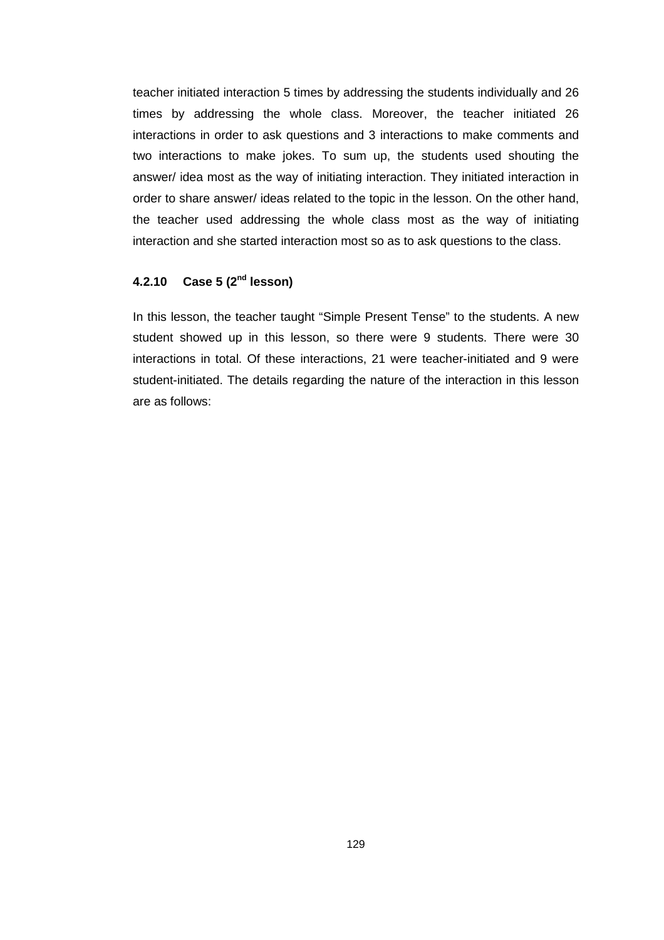teacher initiated interaction 5 times by addressing the students individually and 26 times by addressing the whole class. Moreover, the teacher initiated 26 interactions in order to ask questions and 3 interactions to make comments and two interactions to make jokes. To sum up, the students used shouting the answer/ idea most as the way of initiating interaction. They initiated interaction in order to share answer/ ideas related to the topic in the lesson. On the other hand, the teacher used addressing the whole class most as the way of initiating interaction and she started interaction most so as to ask questions to the class.

## **4.2.10 Case 5 (2nd lesson)**

In this lesson, the teacher taught "Simple Present Tense" to the students. A new student showed up in this lesson, so there were 9 students. There were 30 interactions in total. Of these interactions, 21 were teacher-initiated and 9 were student-initiated. The details regarding the nature of the interaction in this lesson are as follows: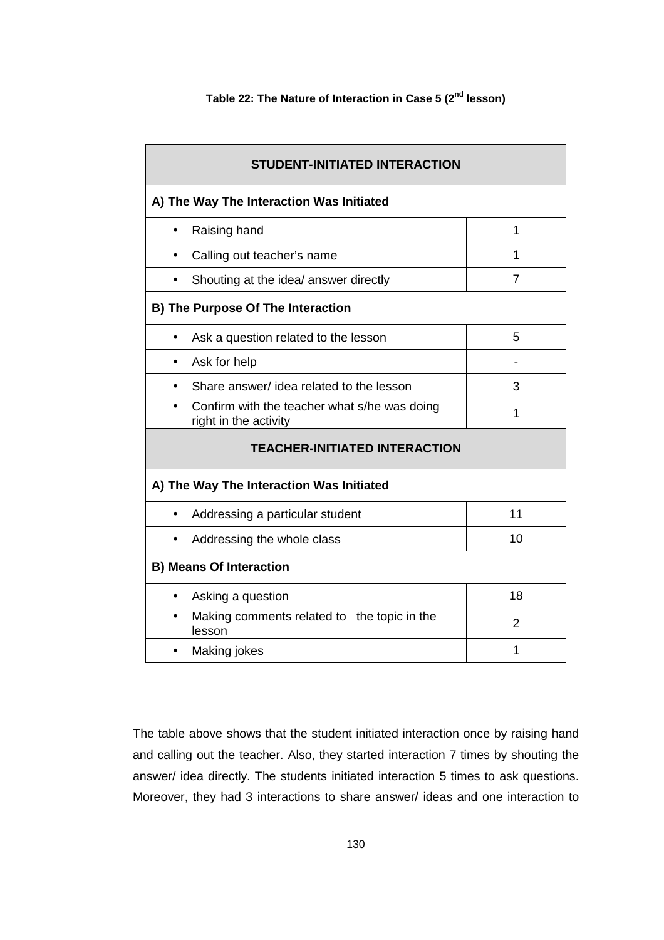### **Table 22: The Nature of Interaction in Case 5 (2nd lesson)**

| <b>STUDENT-INITIATED INTERACTION</b>                                  |                |
|-----------------------------------------------------------------------|----------------|
| A) The Way The Interaction Was Initiated                              |                |
| Raising hand<br>$\bullet$                                             | 1              |
| Calling out teacher's name                                            | 1              |
| Shouting at the idea/ answer directly                                 | 7              |
| <b>B) The Purpose Of The Interaction</b>                              |                |
| Ask a question related to the lesson                                  | 5              |
| Ask for help                                                          |                |
| Share answer/ idea related to the lesson                              | 3              |
| Confirm with the teacher what s/he was doing<br>right in the activity | 1              |
| <b>TEACHER-INITIATED INTERACTION</b>                                  |                |
| A) The Way The Interaction Was Initiated                              |                |
| Addressing a particular student<br>$\bullet$                          | 11             |
| Addressing the whole class                                            | 10             |
| <b>B) Means Of Interaction</b>                                        |                |
| Asking a question<br>$\bullet$                                        | 18             |
| Making comments related to the topic in the<br>$\bullet$<br>lesson    | $\overline{2}$ |
| Making jokes                                                          | 1              |

The table above shows that the student initiated interaction once by raising hand and calling out the teacher. Also, they started interaction 7 times by shouting the answer/ idea directly. The students initiated interaction 5 times to ask questions. Moreover, they had 3 interactions to share answer/ ideas and one interaction to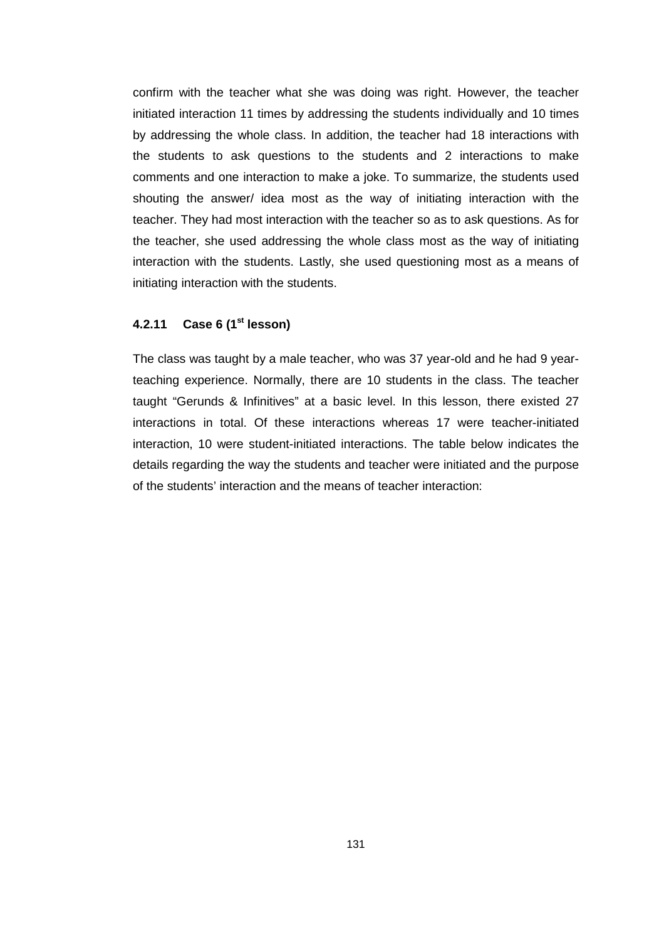confirm with the teacher what she was doing was right. However, the teacher initiated interaction 11 times by addressing the students individually and 10 times by addressing the whole class. In addition, the teacher had 18 interactions with the students to ask questions to the students and 2 interactions to make comments and one interaction to make a joke. To summarize, the students used shouting the answer/ idea most as the way of initiating interaction with the teacher. They had most interaction with the teacher so as to ask questions. As for the teacher, she used addressing the whole class most as the way of initiating interaction with the students. Lastly, she used questioning most as a means of initiating interaction with the students.

### **4.2.11 Case 6 (1st lesson)**

The class was taught by a male teacher, who was 37 year-old and he had 9 yearteaching experience. Normally, there are 10 students in the class. The teacher taught "Gerunds & Infinitives" at a basic level. In this lesson, there existed 27 interactions in total. Of these interactions whereas 17 were teacher-initiated interaction, 10 were student-initiated interactions. The table below indicates the details regarding the way the students and teacher were initiated and the purpose of the students' interaction and the means of teacher interaction: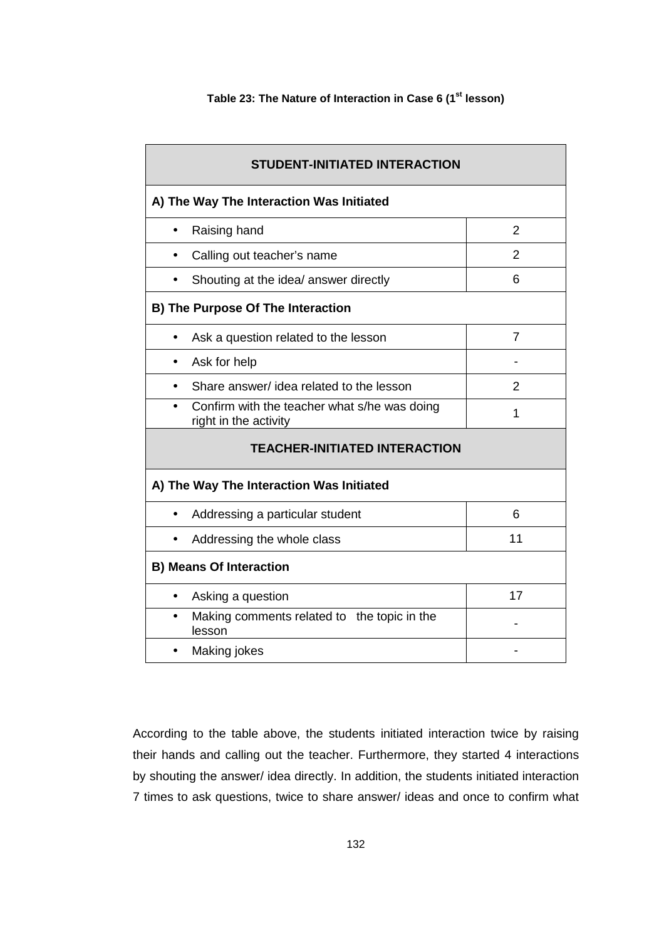#### **Table 23: The Nature of Interaction in Case 6 (1st lesson)**

| <b>STUDENT-INITIATED INTERACTION</b>                                  |                |
|-----------------------------------------------------------------------|----------------|
| A) The Way The Interaction Was Initiated                              |                |
| Raising hand<br>$\bullet$                                             | $\overline{2}$ |
| Calling out teacher's name<br>$\bullet$                               | $\mathfrak{p}$ |
| Shouting at the idea/ answer directly                                 | 6              |
| B) The Purpose Of The Interaction                                     |                |
| Ask a question related to the lesson<br>$\bullet$                     | $\overline{7}$ |
| Ask for help                                                          |                |
| Share answer/ idea related to the lesson                              | 2              |
| Confirm with the teacher what s/he was doing<br>right in the activity | 1              |
| <b>TEACHER-INITIATED INTERACTION</b>                                  |                |
| A) The Way The Interaction Was Initiated                              |                |
| Addressing a particular student<br>$\bullet$                          | 6              |
| Addressing the whole class                                            | 11             |
| <b>B) Means Of Interaction</b>                                        |                |
| Asking a question<br>$\bullet$                                        | 17             |
| Making comments related to the topic in the<br>$\bullet$<br>lesson    |                |
| Making jokes                                                          |                |

According to the table above, the students initiated interaction twice by raising their hands and calling out the teacher. Furthermore, they started 4 interactions by shouting the answer/ idea directly. In addition, the students initiated interaction 7 times to ask questions, twice to share answer/ ideas and once to confirm what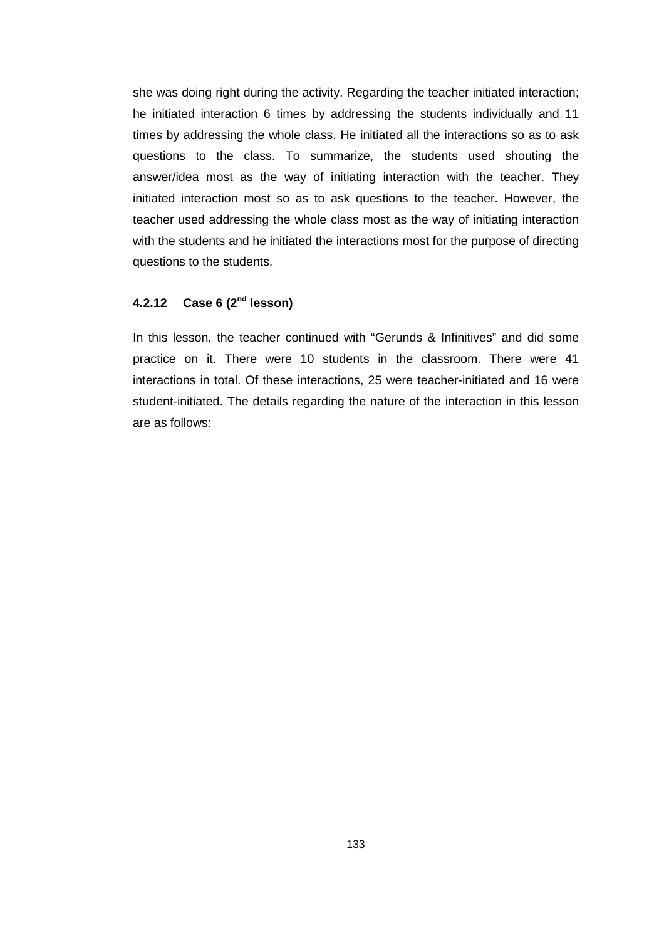she was doing right during the activity. Regarding the teacher initiated interaction; he initiated interaction 6 times by addressing the students individually and 11 times by addressing the whole class. He initiated all the interactions so as to ask questions to the class. To summarize, the students used shouting the answer/idea most as the way of initiating interaction with the teacher. They initiated interaction most so as to ask questions to the teacher. However, the teacher used addressing the whole class most as the way of initiating interaction with the students and he initiated the interactions most for the purpose of directing questions to the students.

### **4.2.12 Case 6 (2nd lesson)**

In this lesson, the teacher continued with "Gerunds & Infinitives" and did some practice on it. There were 10 students in the classroom. There were 41 interactions in total. Of these interactions, 25 were teacher-initiated and 16 were student-initiated. The details regarding the nature of the interaction in this lesson are as follows: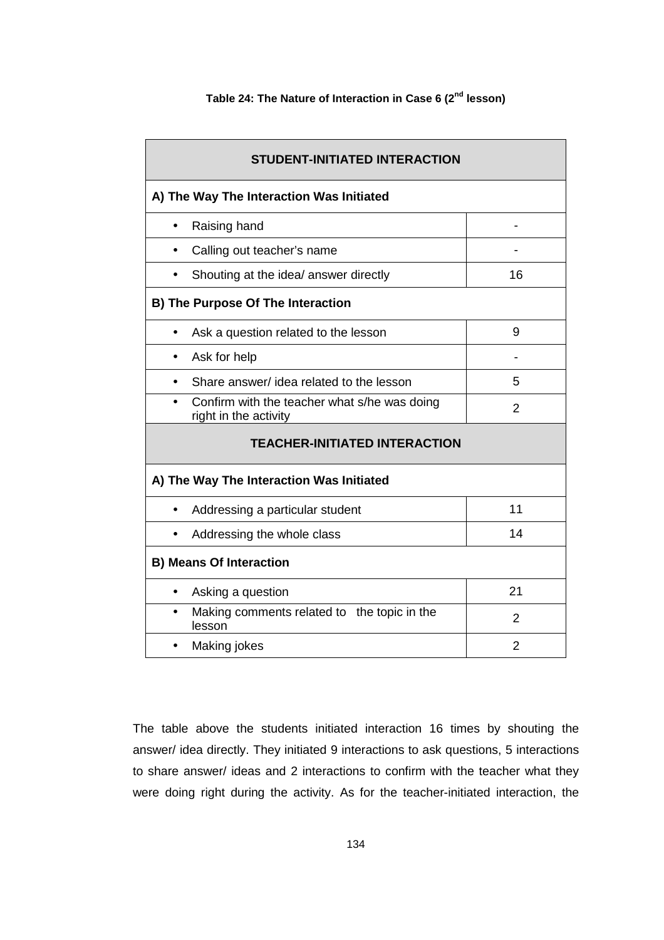| <b>STUDENT-INITIATED INTERACTION</b>                                               |                              |  |  |  |  |
|------------------------------------------------------------------------------------|------------------------------|--|--|--|--|
| A) The Way The Interaction Was Initiated                                           |                              |  |  |  |  |
| Raising hand<br>$\bullet$                                                          | $\qquad \qquad \blacksquare$ |  |  |  |  |
| Calling out teacher's name<br>$\bullet$                                            |                              |  |  |  |  |
| Shouting at the idea/ answer directly                                              | 16                           |  |  |  |  |
| B) The Purpose Of The Interaction                                                  |                              |  |  |  |  |
| Ask a question related to the lesson<br>$\bullet$                                  | 9                            |  |  |  |  |
| Ask for help                                                                       |                              |  |  |  |  |
| Share answer/ idea related to the lesson<br>$\bullet$                              | 5                            |  |  |  |  |
| Confirm with the teacher what s/he was doing<br>$\bullet$<br>right in the activity | $\overline{2}$               |  |  |  |  |
| <b>TEACHER-INITIATED INTERACTION</b>                                               |                              |  |  |  |  |
| A) The Way The Interaction Was Initiated                                           |                              |  |  |  |  |
| Addressing a particular student<br>$\bullet$                                       | 11                           |  |  |  |  |
| Addressing the whole class                                                         | 14                           |  |  |  |  |
| <b>B) Means Of Interaction</b>                                                     |                              |  |  |  |  |
| Asking a question                                                                  | 21                           |  |  |  |  |
| Making comments related to the topic in the<br>lesson                              | $\overline{2}$               |  |  |  |  |
| Making jokes                                                                       | 2                            |  |  |  |  |

## **Table 24: The Nature of Interaction in Case 6 (2nd lesson)**

The table above the students initiated interaction 16 times by shouting the answer/ idea directly. They initiated 9 interactions to ask questions, 5 interactions to share answer/ ideas and 2 interactions to confirm with the teacher what they were doing right during the activity. As for the teacher-initiated interaction, the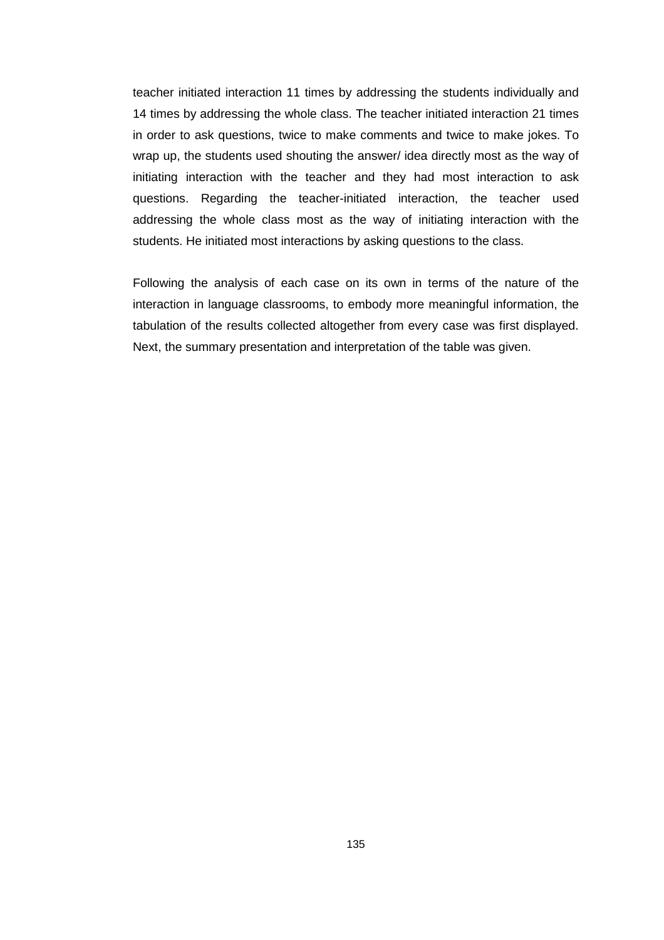teacher initiated interaction 11 times by addressing the students individually and 14 times by addressing the whole class. The teacher initiated interaction 21 times in order to ask questions, twice to make comments and twice to make jokes. To wrap up, the students used shouting the answer/ idea directly most as the way of initiating interaction with the teacher and they had most interaction to ask questions. Regarding the teacher-initiated interaction, the teacher used addressing the whole class most as the way of initiating interaction with the students. He initiated most interactions by asking questions to the class.

Following the analysis of each case on its own in terms of the nature of the interaction in language classrooms, to embody more meaningful information, the tabulation of the results collected altogether from every case was first displayed. Next, the summary presentation and interpretation of the table was given.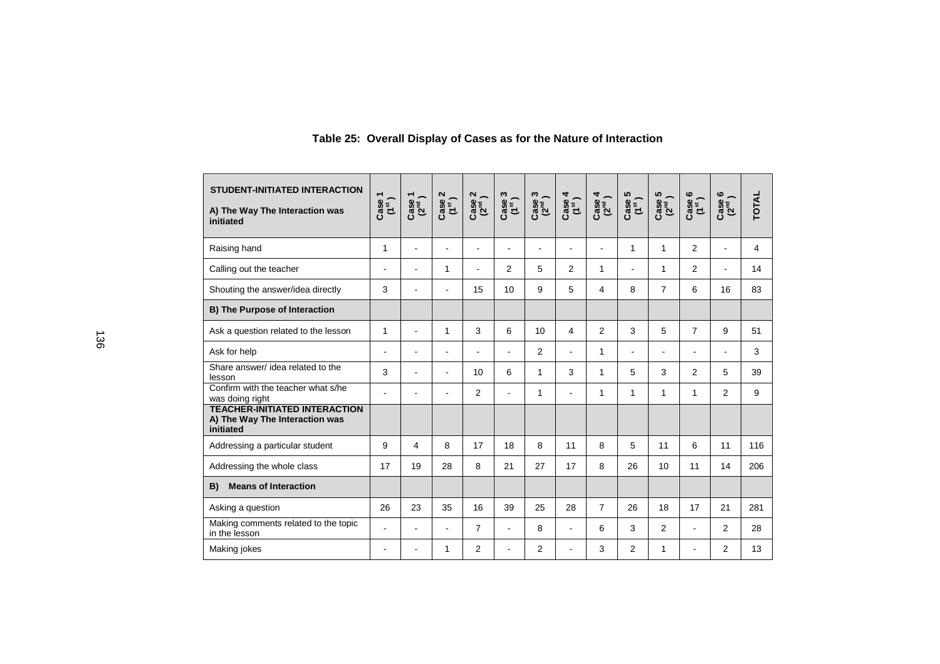| <b>STUDENT-INITIATED INTERACTION</b><br>A) The Way The Interaction was<br>initiated | $\mathop{\rm case}\limits_{(15)}$ | $\begin{pmatrix} \cosh\theta \\ \cosh\theta \end{pmatrix}$ | $Case 2$<br>$(1st)$ | $\frac{Case 2}{(2^{nd})}$ | $Case 3$<br>$(1st)$ | Case 3<br>(2 <sup>nd</sup> ) | $\frac{Case 4}{(1^{st})}$ | $\frac{\text{Case 4}}{\left(2^{nd}\right)}$ | $\begin{array}{c} \text{Case 5} \\ \text{(1st)} \end{array}$ | $Case 5$<br>( $2nd$ ) | $\begin{array}{c} \text{Case 6} \\ \text{(1}^{\text{st}}) \end{array}$ | $\begin{pmatrix} 2^{\text{nd}} \\ 2^{\text{nd}} \end{pmatrix}$ | <b>TOTAL</b> |
|-------------------------------------------------------------------------------------|-----------------------------------|------------------------------------------------------------|---------------------|---------------------------|---------------------|------------------------------|---------------------------|---------------------------------------------|--------------------------------------------------------------|-----------------------|------------------------------------------------------------------------|----------------------------------------------------------------|--------------|
| Raising hand                                                                        | 1                                 |                                                            |                     | -                         | ۰                   |                              |                           |                                             | 1                                                            | 1                     | 2                                                                      |                                                                | 4            |
| Calling out the teacher                                                             | ۰                                 |                                                            | 1                   | $\blacksquare$            | 2                   | 5                            | 2                         | 1                                           |                                                              | 1                     | 2                                                                      | $\blacksquare$                                                 | 14           |
| Shouting the answer/idea directly                                                   | 3                                 |                                                            | $\blacksquare$      | 15                        | 10                  | 9                            | 5                         | 4                                           | 8                                                            | $\overline{7}$        | 6                                                                      | 16                                                             | 83           |
| <b>B) The Purpose of Interaction</b>                                                |                                   |                                                            |                     |                           |                     |                              |                           |                                             |                                                              |                       |                                                                        |                                                                |              |
| Ask a question related to the lesson                                                | 1                                 | $\overline{a}$                                             | 1                   | 3                         | 6                   | 10                           | 4                         | $\overline{2}$                              | 3                                                            | 5                     | $\overline{7}$                                                         | 9                                                              | 51           |
| Ask for help                                                                        | $\blacksquare$                    | $\overline{\phantom{a}}$                                   | $\blacksquare$      | ä,                        | $\blacksquare$      | 2                            | $\overline{a}$            | 1                                           | $\blacksquare$                                               | $\sim$                |                                                                        | $\blacksquare$                                                 | 3            |
| Share answer/ idea related to the<br>lesson                                         | 3                                 | $\overline{a}$                                             | $\blacksquare$      | 10                        | 6                   | 1                            | 3                         | 1                                           | 5                                                            | 3                     | 2                                                                      | 5                                                              | 39           |
| Confirm with the teacher what s/he<br>was doing right                               | $\overline{a}$                    |                                                            | $\overline{a}$      | 2                         | $\blacksquare$      | 1                            | $\overline{a}$            | 1                                           | 1                                                            | 1                     | 1                                                                      | 2                                                              | 9            |
| <b>TEACHER-INITIATED INTERACTION</b><br>A) The Way The Interaction was<br>initiated |                                   |                                                            |                     |                           |                     |                              |                           |                                             |                                                              |                       |                                                                        |                                                                |              |
| Addressing a particular student                                                     | 9                                 | 4                                                          | 8                   | 17                        | 18                  | 8                            | 11                        | 8                                           | 5                                                            | 11                    | 6                                                                      | 11                                                             | 116          |
| Addressing the whole class                                                          | 17                                | 19                                                         | 28                  | 8                         | 21                  | 27                           | 17                        | 8                                           | 26                                                           | 10                    | 11                                                                     | 14                                                             | 206          |
| <b>Means of Interaction</b><br>B)                                                   |                                   |                                                            |                     |                           |                     |                              |                           |                                             |                                                              |                       |                                                                        |                                                                |              |
| Asking a question                                                                   | 26                                | 23                                                         | 35                  | 16                        | 39                  | 25                           | 28                        | $\overline{7}$                              | 26                                                           | 18                    | 17                                                                     | 21                                                             | 281          |
| Making comments related to the topic<br>in the lesson                               | ä,                                | $\overline{a}$                                             | $\sim$              | $\overline{7}$            | ä,                  | 8                            | $\overline{a}$            | 6                                           | 3                                                            | $\overline{2}$        |                                                                        | 2                                                              | 28           |
| Making jokes                                                                        |                                   |                                                            | 1                   | 2                         |                     | 2                            |                           | 3                                           | $\overline{2}$                                               | 1                     |                                                                        | $\overline{2}$                                                 | 13           |

### **Table 25: Overall Display of Cases as for the Nature of Interaction**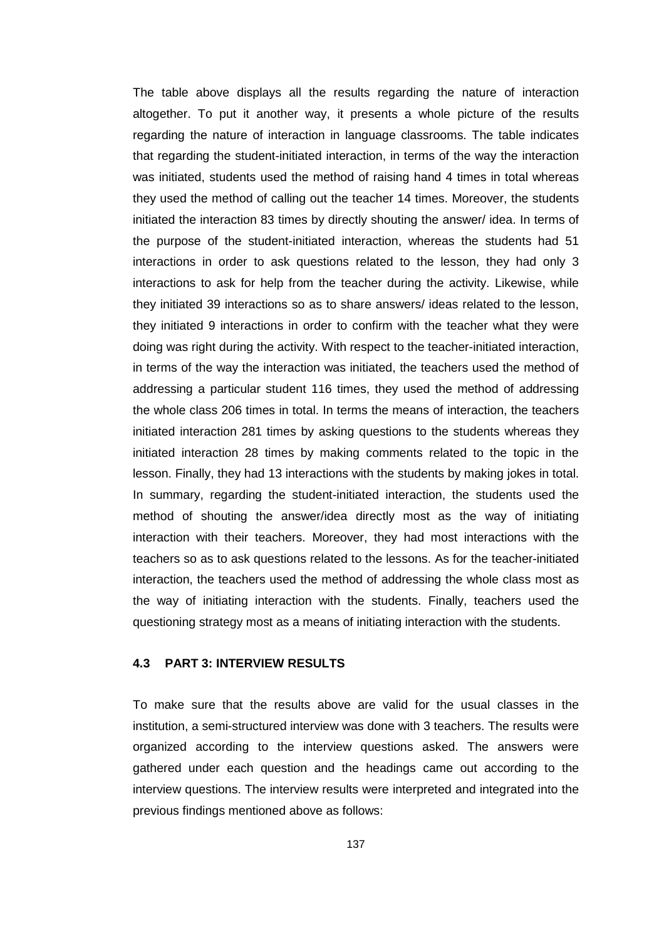The table above displays all the results regarding the nature of interaction altogether. To put it another way, it presents a whole picture of the results regarding the nature of interaction in language classrooms. The table indicates that regarding the student-initiated interaction, in terms of the way the interaction was initiated, students used the method of raising hand 4 times in total whereas they used the method of calling out the teacher 14 times. Moreover, the students initiated the interaction 83 times by directly shouting the answer/ idea. In terms of the purpose of the student-initiated interaction, whereas the students had 51 interactions in order to ask questions related to the lesson, they had only 3 interactions to ask for help from the teacher during the activity. Likewise, while they initiated 39 interactions so as to share answers/ ideas related to the lesson, they initiated 9 interactions in order to confirm with the teacher what they were doing was right during the activity. With respect to the teacher-initiated interaction, in terms of the way the interaction was initiated, the teachers used the method of addressing a particular student 116 times, they used the method of addressing the whole class 206 times in total. In terms the means of interaction, the teachers initiated interaction 281 times by asking questions to the students whereas they initiated interaction 28 times by making comments related to the topic in the lesson. Finally, they had 13 interactions with the students by making jokes in total. In summary, regarding the student-initiated interaction, the students used the method of shouting the answer/idea directly most as the way of initiating interaction with their teachers. Moreover, they had most interactions with the teachers so as to ask questions related to the lessons. As for the teacher-initiated interaction, the teachers used the method of addressing the whole class most as the way of initiating interaction with the students. Finally, teachers used the questioning strategy most as a means of initiating interaction with the students.

#### **4.3 PART 3: INTERVIEW RESULTS**

To make sure that the results above are valid for the usual classes in the institution, a semi-structured interview was done with 3 teachers. The results were organized according to the interview questions asked. The answers were gathered under each question and the headings came out according to the interview questions. The interview results were interpreted and integrated into the previous findings mentioned above as follows: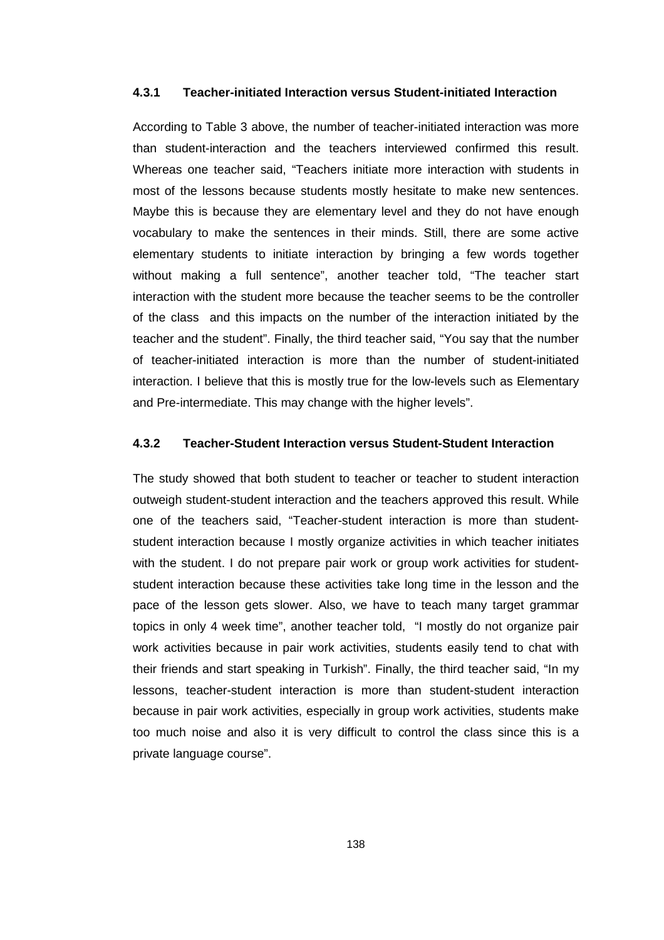#### **4.3.1 Teacher-initiated Interaction versus Student-initiated Interaction**

According to Table 3 above, the number of teacher-initiated interaction was more than student-interaction and the teachers interviewed confirmed this result. Whereas one teacher said, "Teachers initiate more interaction with students in most of the lessons because students mostly hesitate to make new sentences. Maybe this is because they are elementary level and they do not have enough vocabulary to make the sentences in their minds. Still, there are some active elementary students to initiate interaction by bringing a few words together without making a full sentence", another teacher told, "The teacher start interaction with the student more because the teacher seems to be the controller of the class and this impacts on the number of the interaction initiated by the teacher and the student". Finally, the third teacher said, "You say that the number of teacher-initiated interaction is more than the number of student-initiated interaction. I believe that this is mostly true for the low-levels such as Elementary and Pre-intermediate. This may change with the higher levels".

#### **4.3.2 Teacher-Student Interaction versus Student-Student Interaction**

The study showed that both student to teacher or teacher to student interaction outweigh student-student interaction and the teachers approved this result. While one of the teachers said, "Teacher-student interaction is more than studentstudent interaction because I mostly organize activities in which teacher initiates with the student. I do not prepare pair work or group work activities for studentstudent interaction because these activities take long time in the lesson and the pace of the lesson gets slower. Also, we have to teach many target grammar topics in only 4 week time", another teacher told, "I mostly do not organize pair work activities because in pair work activities, students easily tend to chat with their friends and start speaking in Turkish". Finally, the third teacher said, "In my lessons, teacher-student interaction is more than student-student interaction because in pair work activities, especially in group work activities, students make too much noise and also it is very difficult to control the class since this is a private language course".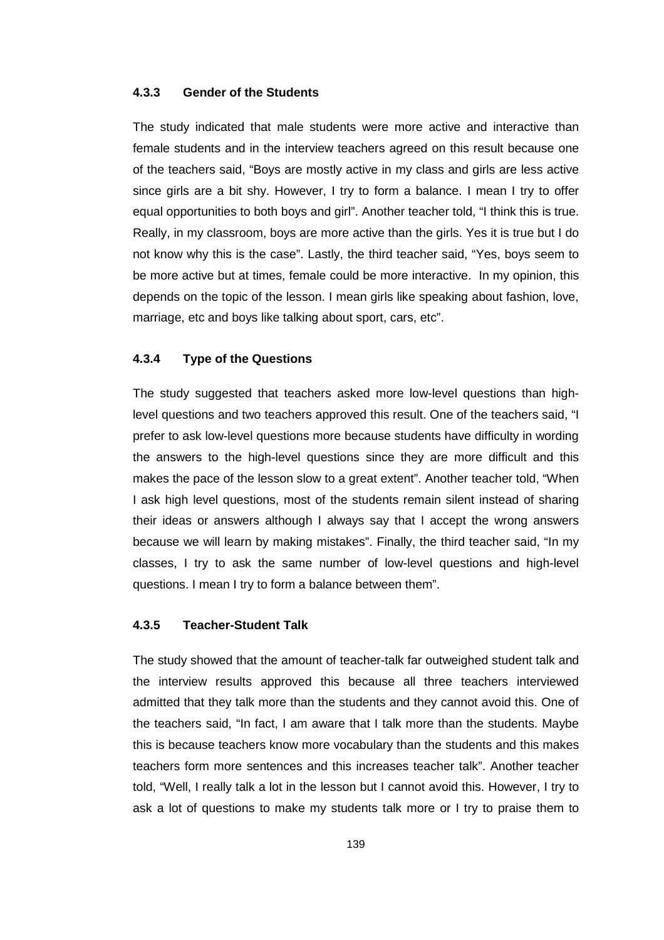#### **4.3.3 Gender of the Students**

The study indicated that male students were more active and interactive than female students and in the interview teachers agreed on this result because one of the teachers said, "Boys are mostly active in my class and girls are less active since girls are a bit shy. However, I try to form a balance. I mean I try to offer equal opportunities to both boys and girl". Another teacher told, "I think this is true. Really, in my classroom, boys are more active than the girls. Yes it is true but I do not know why this is the case". Lastly, the third teacher said, "Yes, boys seem to be more active but at times, female could be more interactive. In my opinion, this depends on the topic of the lesson. I mean girls like speaking about fashion, love, marriage, etc and boys like talking about sport, cars, etc".

#### **4.3.4 Type of the Questions**

The study suggested that teachers asked more low-level questions than highlevel questions and two teachers approved this result. One of the teachers said, "I prefer to ask low-level questions more because students have difficulty in wording the answers to the high-level questions since they are more difficult and this makes the pace of the lesson slow to a great extent". Another teacher told, "When I ask high level questions, most of the students remain silent instead of sharing their ideas or answers although I always say that I accept the wrong answers because we will learn by making mistakes". Finally, the third teacher said, "In my classes, I try to ask the same number of low-level questions and high-level questions. I mean I try to form a balance between them".

#### **4.3.5 Teacher-Student Talk**

The study showed that the amount of teacher-talk far outweighed student talk and the interview results approved this because all three teachers interviewed admitted that they talk more than the students and they cannot avoid this. One of the teachers said, "In fact, I am aware that I talk more than the students. Maybe this is because teachers know more vocabulary than the students and this makes teachers form more sentences and this increases teacher talk". Another teacher told, "Well, I really talk a lot in the lesson but I cannot avoid this. However, I try to ask a lot of questions to make my students talk more or I try to praise them to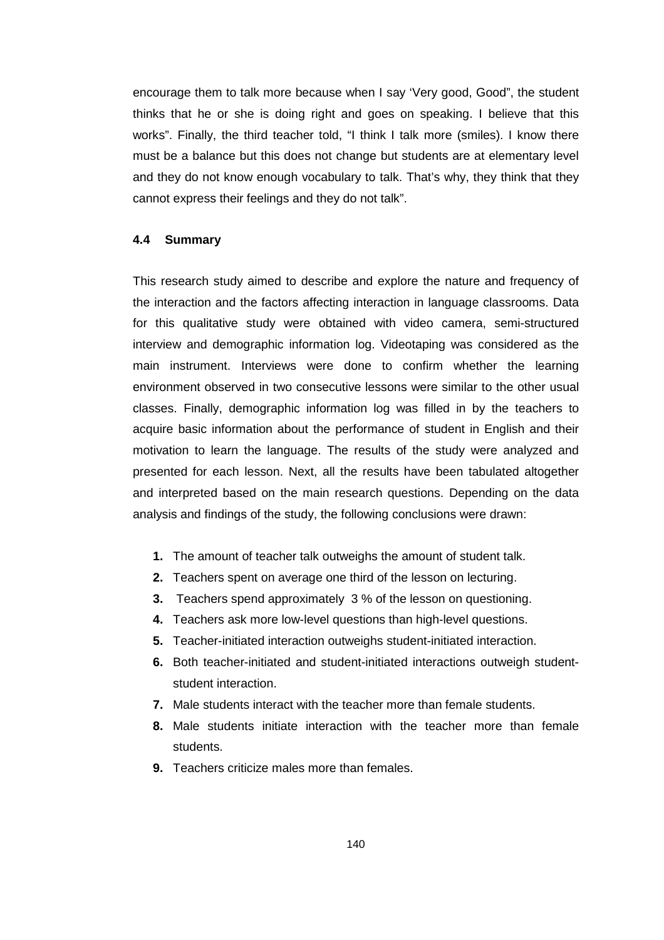encourage them to talk more because when I say 'Very good, Good", the student thinks that he or she is doing right and goes on speaking. I believe that this works". Finally, the third teacher told, "I think I talk more (smiles). I know there must be a balance but this does not change but students are at elementary level and they do not know enough vocabulary to talk. That's why, they think that they cannot express their feelings and they do not talk".

#### **4.4 Summary**

This research study aimed to describe and explore the nature and frequency of the interaction and the factors affecting interaction in language classrooms. Data for this qualitative study were obtained with video camera, semi-structured interview and demographic information log. Videotaping was considered as the main instrument. Interviews were done to confirm whether the learning environment observed in two consecutive lessons were similar to the other usual classes. Finally, demographic information log was filled in by the teachers to acquire basic information about the performance of student in English and their motivation to learn the language. The results of the study were analyzed and presented for each lesson. Next, all the results have been tabulated altogether and interpreted based on the main research questions. Depending on the data analysis and findings of the study, the following conclusions were drawn:

- **1.** The amount of teacher talk outweighs the amount of student talk.
- **2.** Teachers spent on average one third of the lesson on lecturing.
- **3.** Teachers spend approximately 3 % of the lesson on questioning.
- **4.** Teachers ask more low-level questions than high-level questions.
- **5.** Teacher-initiated interaction outweighs student-initiated interaction.
- **6.** Both teacher-initiated and student-initiated interactions outweigh studentstudent interaction.
- **7.** Male students interact with the teacher more than female students.
- **8.** Male students initiate interaction with the teacher more than female students.
- **9.** Teachers criticize males more than females.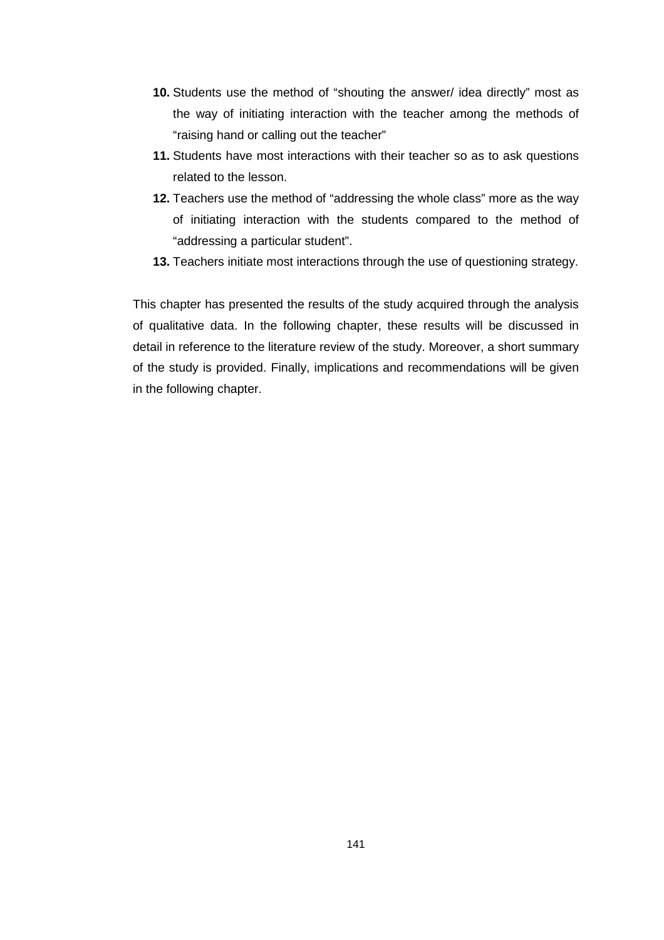- **10.** Students use the method of "shouting the answer/ idea directly" most as the way of initiating interaction with the teacher among the methods of "raising hand or calling out the teacher"
- **11.** Students have most interactions with their teacher so as to ask questions related to the lesson.
- **12.** Teachers use the method of "addressing the whole class" more as the way of initiating interaction with the students compared to the method of "addressing a particular student".
- **13.** Teachers initiate most interactions through the use of questioning strategy.

This chapter has presented the results of the study acquired through the analysis of qualitative data. In the following chapter, these results will be discussed in detail in reference to the literature review of the study. Moreover, a short summary of the study is provided. Finally, implications and recommendations will be given in the following chapter.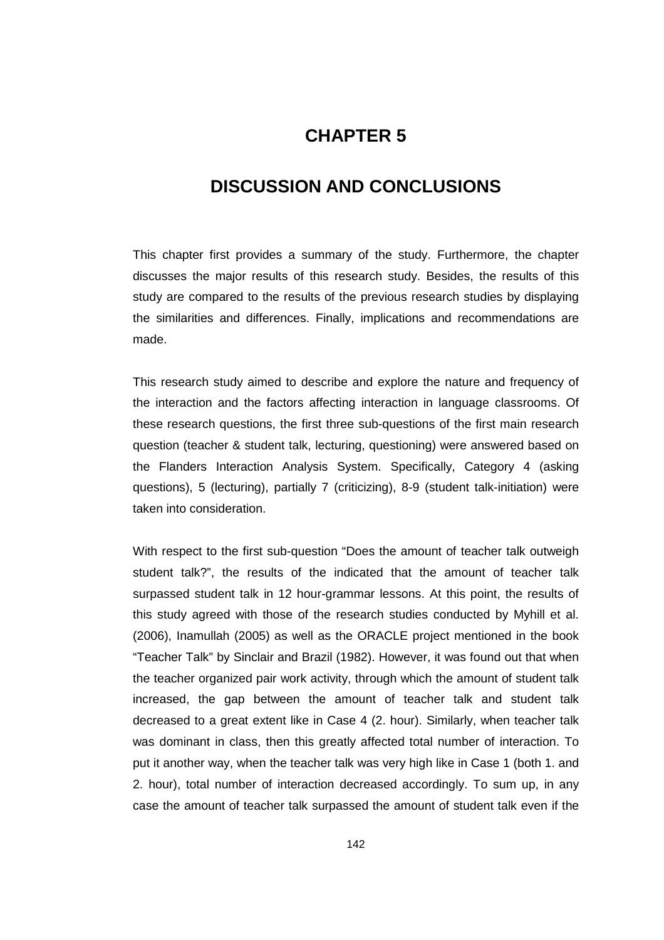## **CHAPTER 5**

## **5 DISCUSSION AND CONCLUSIONS**

This chapter first provides a summary of the study. Furthermore, the chapter discusses the major results of this research study. Besides, the results of this study are compared to the results of the previous research studies by displaying the similarities and differences. Finally, implications and recommendations are made.

This research study aimed to describe and explore the nature and frequency of the interaction and the factors affecting interaction in language classrooms. Of these research questions, the first three sub-questions of the first main research question (teacher & student talk, lecturing, questioning) were answered based on the Flanders Interaction Analysis System. Specifically, Category 4 (asking questions), 5 (lecturing), partially 7 (criticizing), 8-9 (student talk-initiation) were taken into consideration.

With respect to the first sub-question "Does the amount of teacher talk outweigh student talk?", the results of the indicated that the amount of teacher talk surpassed student talk in 12 hour-grammar lessons. At this point, the results of this study agreed with those of the research studies conducted by Myhill et al. (2006), Inamullah (2005) as well as the ORACLE project mentioned in the book "Teacher Talk" by Sinclair and Brazil (1982). However, it was found out that when the teacher organized pair work activity, through which the amount of student talk increased, the gap between the amount of teacher talk and student talk decreased to a great extent like in Case 4 (2. hour). Similarly, when teacher talk was dominant in class, then this greatly affected total number of interaction. To put it another way, when the teacher talk was very high like in Case 1 (both 1. and 2. hour), total number of interaction decreased accordingly. To sum up, in any case the amount of teacher talk surpassed the amount of student talk even if the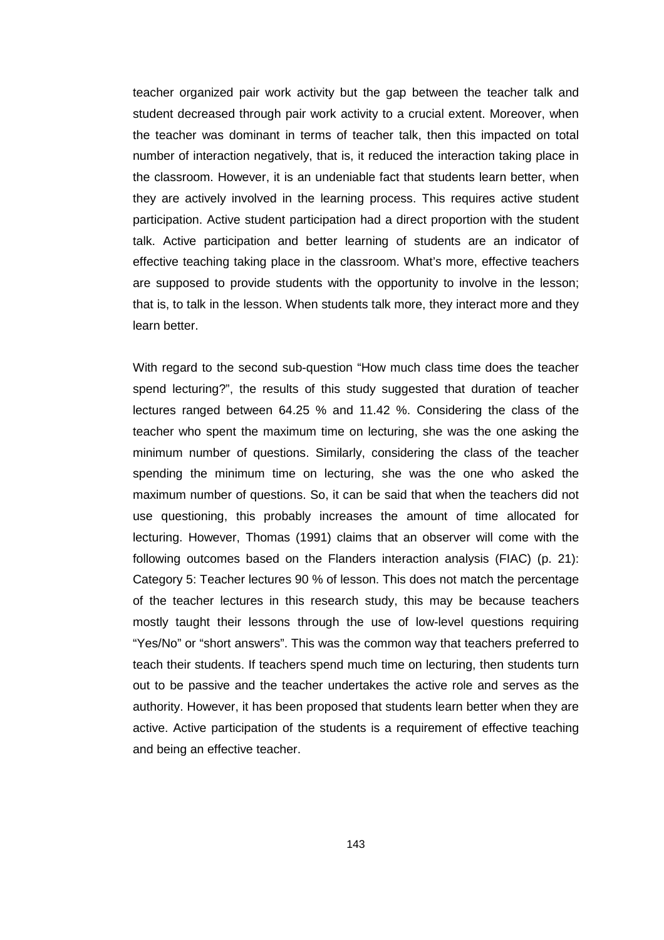teacher organized pair work activity but the gap between the teacher talk and student decreased through pair work activity to a crucial extent. Moreover, when the teacher was dominant in terms of teacher talk, then this impacted on total number of interaction negatively, that is, it reduced the interaction taking place in the classroom. However, it is an undeniable fact that students learn better, when they are actively involved in the learning process. This requires active student participation. Active student participation had a direct proportion with the student talk. Active participation and better learning of students are an indicator of effective teaching taking place in the classroom. What's more, effective teachers are supposed to provide students with the opportunity to involve in the lesson; that is, to talk in the lesson. When students talk more, they interact more and they learn better.

With regard to the second sub-question "How much class time does the teacher spend lecturing?", the results of this study suggested that duration of teacher lectures ranged between 64.25 % and 11.42 %. Considering the class of the teacher who spent the maximum time on lecturing, she was the one asking the minimum number of questions. Similarly, considering the class of the teacher spending the minimum time on lecturing, she was the one who asked the maximum number of questions. So, it can be said that when the teachers did not use questioning, this probably increases the amount of time allocated for lecturing. However, Thomas (1991) claims that an observer will come with the following outcomes based on the Flanders interaction analysis (FIAC) (p. 21): Category 5: Teacher lectures 90 % of lesson. This does not match the percentage of the teacher lectures in this research study, this may be because teachers mostly taught their lessons through the use of low-level questions requiring "Yes/No" or "short answers". This was the common way that teachers preferred to teach their students. If teachers spend much time on lecturing, then students turn out to be passive and the teacher undertakes the active role and serves as the authority. However, it has been proposed that students learn better when they are active. Active participation of the students is a requirement of effective teaching and being an effective teacher.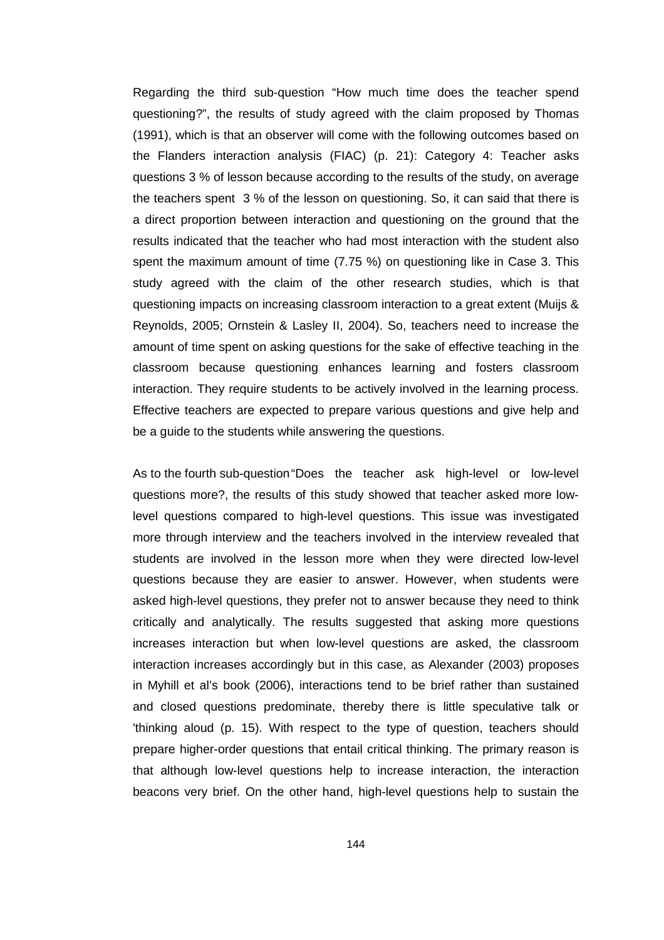Regarding the third sub-question "How much time does the teacher spend questioning?", the results of study agreed with the claim proposed by Thomas (1991), which is that an observer will come with the following outcomes based on the Flanders interaction analysis (FIAC) (p. 21): Category 4: Teacher asks questions 3 % of lesson because according to the results of the study, on average the teachers spent 3 % of the lesson on questioning. So, it can said that there is a direct proportion between interaction and questioning on the ground that the results indicated that the teacher who had most interaction with the student also spent the maximum amount of time (7.75 %) on questioning like in Case 3. This study agreed with the claim of the other research studies, which is that questioning impacts on increasing classroom interaction to a great extent (Muijs & Reynolds, 2005; Ornstein & Lasley II, 2004). So, teachers need to increase the amount of time spent on asking questions for the sake of effective teaching in the classroom because questioning enhances learning and fosters classroom interaction. They require students to be actively involved in the learning process. Effective teachers are expected to prepare various questions and give help and be a guide to the students while answering the questions.

As to the fourth sub-question "Does the teacher ask high-level or low-level questions more?, the results of this study showed that teacher asked more lowlevel questions compared to high-level questions. This issue was investigated more through interview and the teachers involved in the interview revealed that students are involved in the lesson more when they were directed low-level questions because they are easier to answer. However, when students were asked high-level questions, they prefer not to answer because they need to think critically and analytically. The results suggested that asking more questions increases interaction but when low-level questions are asked, the classroom interaction increases accordingly but in this case, as Alexander (2003) proposes in Myhill et al's book (2006), interactions tend to be brief rather than sustained and closed questions predominate, thereby there is little speculative talk or 'thinking aloud (p. 15). With respect to the type of question, teachers should prepare higher-order questions that entail critical thinking. The primary reason is that although low-level questions help to increase interaction, the interaction beacons very brief. On the other hand, high-level questions help to sustain the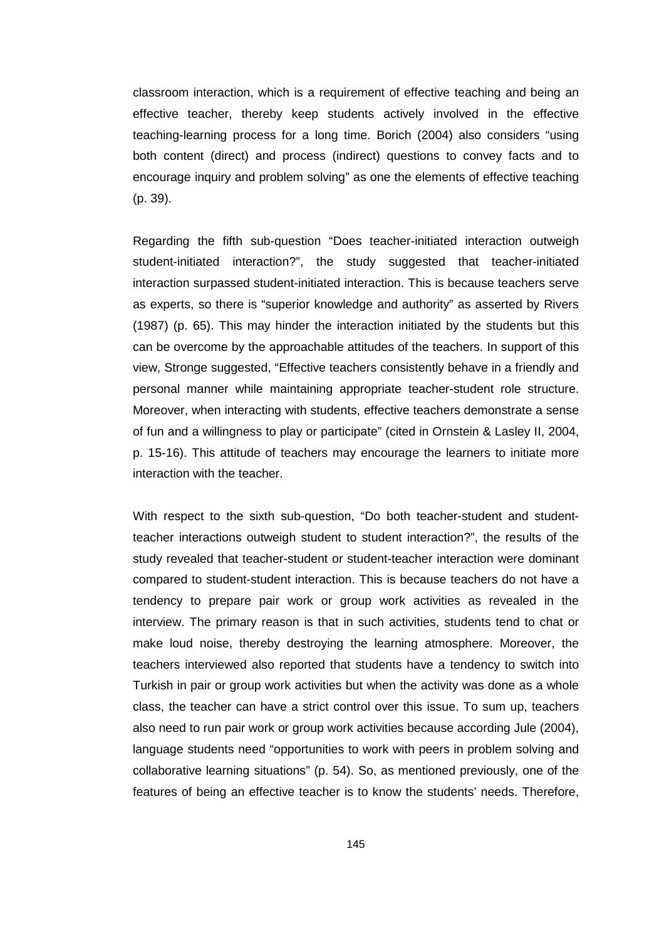classroom interaction, which is a requirement of effective teaching and being an effective teacher, thereby keep students actively involved in the effective teaching-learning process for a long time. Borich (2004) also considers "using both content (direct) and process (indirect) questions to convey facts and to encourage inquiry and problem solving" as one the elements of effective teaching (p. 39).

Regarding the fifth sub-question "Does teacher-initiated interaction outweigh student-initiated interaction?", the study suggested that teacher-initiated interaction surpassed student-initiated interaction. This is because teachers serve as experts, so there is "superior knowledge and authority" as asserted by Rivers (1987) (p. 65). This may hinder the interaction initiated by the students but this can be overcome by the approachable attitudes of the teachers. In support of this view, Stronge suggested, "Effective teachers consistently behave in a friendly and personal manner while maintaining appropriate teacher-student role structure. Moreover, when interacting with students, effective teachers demonstrate a sense of fun and a willingness to play or participate" (cited in Ornstein & Lasley II, 2004, p. 15-16). This attitude of teachers may encourage the learners to initiate more interaction with the teacher.

With respect to the sixth sub-question, "Do both teacher-student and studentteacher interactions outweigh student to student interaction?", the results of the study revealed that teacher-student or student-teacher interaction were dominant compared to student-student interaction. This is because teachers do not have a tendency to prepare pair work or group work activities as revealed in the interview. The primary reason is that in such activities, students tend to chat or make loud noise, thereby destroying the learning atmosphere. Moreover, the teachers interviewed also reported that students have a tendency to switch into Turkish in pair or group work activities but when the activity was done as a whole class, the teacher can have a strict control over this issue. To sum up, teachers also need to run pair work or group work activities because according Jule (2004), language students need "opportunities to work with peers in problem solving and collaborative learning situations" (p. 54). So, as mentioned previously, one of the features of being an effective teacher is to know the students' needs. Therefore,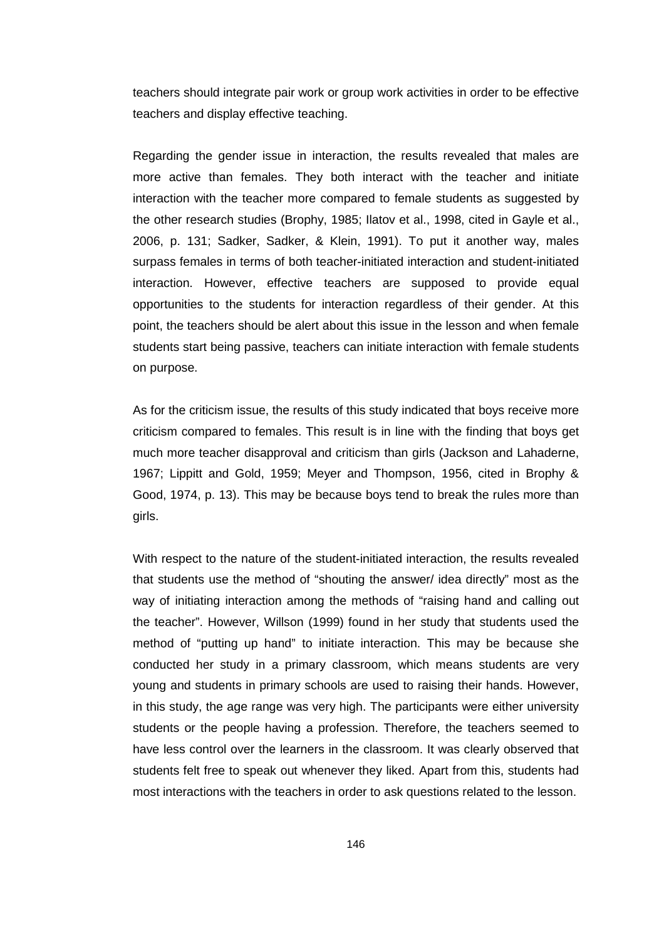teachers should integrate pair work or group work activities in order to be effective teachers and display effective teaching.

Regarding the gender issue in interaction, the results revealed that males are more active than females. They both interact with the teacher and initiate interaction with the teacher more compared to female students as suggested by the other research studies (Brophy, 1985; Ilatov et al., 1998, cited in Gayle et al., 2006, p. 131; Sadker, Sadker, & Klein, 1991). To put it another way, males surpass females in terms of both teacher-initiated interaction and student-initiated interaction. However, effective teachers are supposed to provide equal opportunities to the students for interaction regardless of their gender. At this point, the teachers should be alert about this issue in the lesson and when female students start being passive, teachers can initiate interaction with female students on purpose.

As for the criticism issue, the results of this study indicated that boys receive more criticism compared to females. This result is in line with the finding that boys get much more teacher disapproval and criticism than girls (Jackson and Lahaderne, 1967; Lippitt and Gold, 1959; Meyer and Thompson, 1956, cited in Brophy & Good, 1974, p. 13). This may be because boys tend to break the rules more than girls.

With respect to the nature of the student-initiated interaction, the results revealed that students use the method of "shouting the answer/ idea directly" most as the way of initiating interaction among the methods of "raising hand and calling out the teacher". However, Willson (1999) found in her study that students used the method of "putting up hand" to initiate interaction. This may be because she conducted her study in a primary classroom, which means students are very young and students in primary schools are used to raising their hands. However, in this study, the age range was very high. The participants were either university students or the people having a profession. Therefore, the teachers seemed to have less control over the learners in the classroom. It was clearly observed that students felt free to speak out whenever they liked. Apart from this, students had most interactions with the teachers in order to ask questions related to the lesson.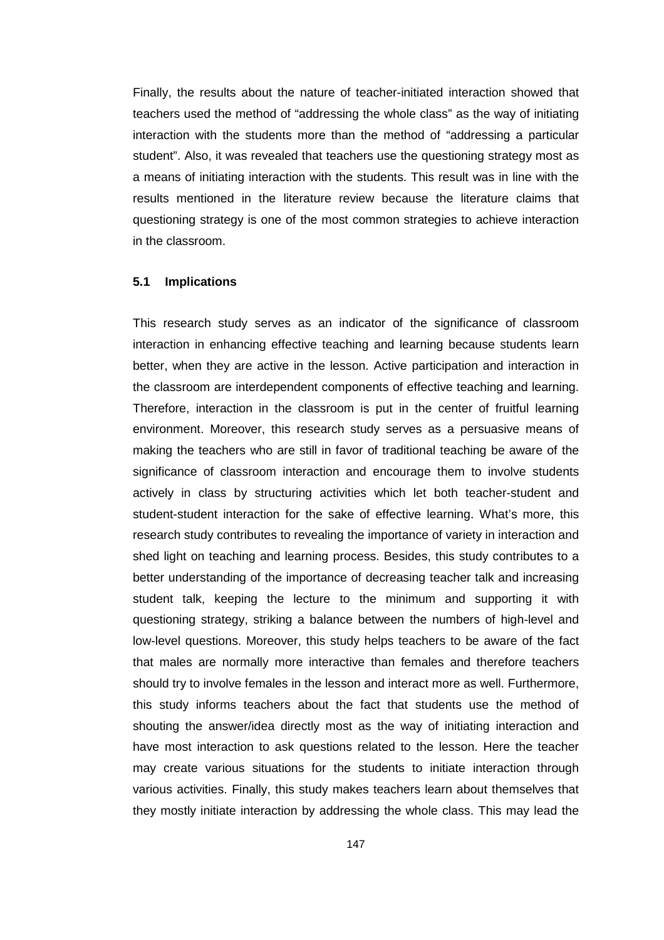Finally, the results about the nature of teacher-initiated interaction showed that teachers used the method of "addressing the whole class" as the way of initiating interaction with the students more than the method of "addressing a particular student". Also, it was revealed that teachers use the questioning strategy most as a means of initiating interaction with the students. This result was in line with the results mentioned in the literature review because the literature claims that questioning strategy is one of the most common strategies to achieve interaction in the classroom.

#### **5.1 Implications**

This research study serves as an indicator of the significance of classroom interaction in enhancing effective teaching and learning because students learn better, when they are active in the lesson. Active participation and interaction in the classroom are interdependent components of effective teaching and learning. Therefore, interaction in the classroom is put in the center of fruitful learning environment. Moreover, this research study serves as a persuasive means of making the teachers who are still in favor of traditional teaching be aware of the significance of classroom interaction and encourage them to involve students actively in class by structuring activities which let both teacher-student and student-student interaction for the sake of effective learning. What's more, this research study contributes to revealing the importance of variety in interaction and shed light on teaching and learning process. Besides, this study contributes to a better understanding of the importance of decreasing teacher talk and increasing student talk, keeping the lecture to the minimum and supporting it with questioning strategy, striking a balance between the numbers of high-level and low-level questions. Moreover, this study helps teachers to be aware of the fact that males are normally more interactive than females and therefore teachers should try to involve females in the lesson and interact more as well. Furthermore, this study informs teachers about the fact that students use the method of shouting the answer/idea directly most as the way of initiating interaction and have most interaction to ask questions related to the lesson. Here the teacher may create various situations for the students to initiate interaction through various activities. Finally, this study makes teachers learn about themselves that they mostly initiate interaction by addressing the whole class. This may lead the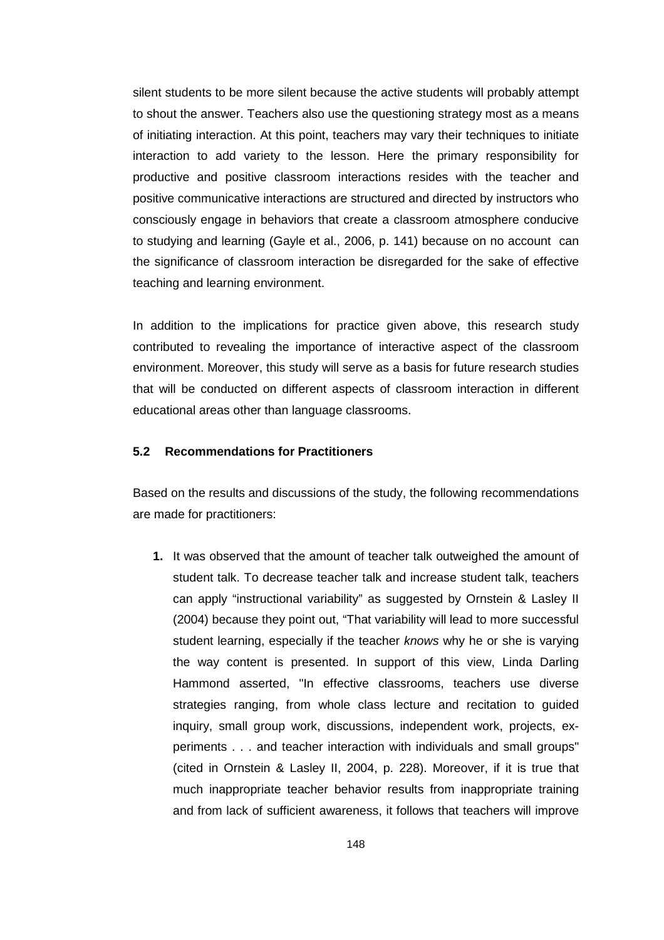silent students to be more silent because the active students will probably attempt to shout the answer. Teachers also use the questioning strategy most as a means of initiating interaction. At this point, teachers may vary their techniques to initiate interaction to add variety to the lesson. Here the primary responsibility for productive and positive classroom interactions resides with the teacher and positive communicative interactions are structured and directed by instructors who consciously engage in behaviors that create a classroom atmosphere conducive to studying and learning (Gayle et al., 2006, p. 141) because on no account can the significance of classroom interaction be disregarded for the sake of effective teaching and learning environment.

In addition to the implications for practice given above, this research study contributed to revealing the importance of interactive aspect of the classroom environment. Moreover, this study will serve as a basis for future research studies that will be conducted on different aspects of classroom interaction in different educational areas other than language classrooms.

#### **5.2 Recommendations for Practitioners**

Based on the results and discussions of the study, the following recommendations are made for practitioners:

**1.** It was observed that the amount of teacher talk outweighed the amount of student talk. To decrease teacher talk and increase student talk, teachers can apply "instructional variability" as suggested by Ornstein & Lasley II (2004) because they point out, "That variability will lead to more successful student learning, especially if the teacher knows why he or she is varying the way content is presented. In support of this view, Linda Darling Hammond asserted, "In effective classrooms, teachers use diverse strategies ranging, from whole class lecture and recitation to guided inquiry, small group work, discussions, independent work, projects, experiments . . . and teacher interaction with individuals and small groups" (cited in Ornstein & Lasley II, 2004, p. 228). Moreover, if it is true that much inappropriate teacher behavior results from inappropriate training and from lack of sufficient awareness, it follows that teachers will improve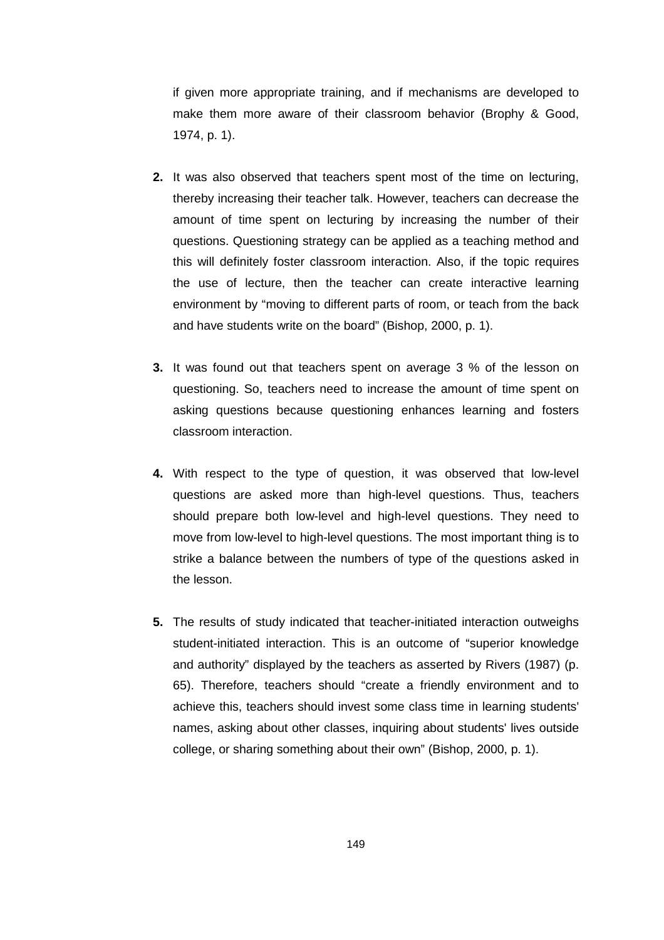if given more appropriate training, and if mechanisms are developed to make them more aware of their classroom behavior (Brophy & Good, 1974, p. 1).

- **2.** It was also observed that teachers spent most of the time on lecturing, thereby increasing their teacher talk. However, teachers can decrease the amount of time spent on lecturing by increasing the number of their questions. Questioning strategy can be applied as a teaching method and this will definitely foster classroom interaction. Also, if the topic requires the use of lecture, then the teacher can create interactive learning environment by "moving to different parts of room, or teach from the back and have students write on the board" (Bishop, 2000, p. 1).
- **3.** It was found out that teachers spent on average 3 % of the lesson on questioning. So, teachers need to increase the amount of time spent on asking questions because questioning enhances learning and fosters classroom interaction.
- **4.** With respect to the type of question, it was observed that low-level questions are asked more than high-level questions. Thus, teachers should prepare both low-level and high-level questions. They need to move from low-level to high-level questions. The most important thing is to strike a balance between the numbers of type of the questions asked in the lesson.
- **5.** The results of study indicated that teacher-initiated interaction outweighs student-initiated interaction. This is an outcome of "superior knowledge and authority" displayed by the teachers as asserted by Rivers (1987) (p. 65). Therefore, teachers should "create a friendly environment and to achieve this, teachers should invest some class time in learning students' names, asking about other classes, inquiring about students' lives outside college, or sharing something about their own" (Bishop, 2000, p. 1).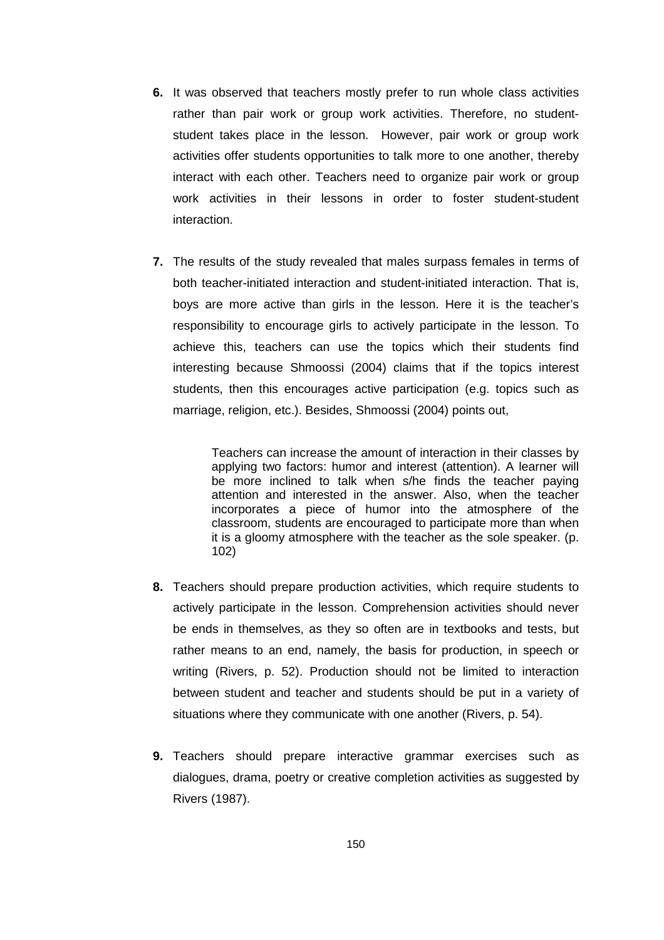- **6.** It was observed that teachers mostly prefer to run whole class activities rather than pair work or group work activities. Therefore, no studentstudent takes place in the lesson. However, pair work or group work activities offer students opportunities to talk more to one another, thereby interact with each other. Teachers need to organize pair work or group work activities in their lessons in order to foster student-student interaction.
- **7.** The results of the study revealed that males surpass females in terms of both teacher-initiated interaction and student-initiated interaction. That is, boys are more active than girls in the lesson. Here it is the teacher's responsibility to encourage girls to actively participate in the lesson. To achieve this, teachers can use the topics which their students find interesting because Shmoossi (2004) claims that if the topics interest students, then this encourages active participation (e.g. topics such as marriage, religion, etc.). Besides, Shmoossi (2004) points out,

Teachers can increase the amount of interaction in their classes by applying two factors: humor and interest (attention). A learner will be more inclined to talk when s/he finds the teacher paying attention and interested in the answer. Also, when the teacher incorporates a piece of humor into the atmosphere of the classroom, students are encouraged to participate more than when it is a gloomy atmosphere with the teacher as the sole speaker. (p. 102)

- **8.** Teachers should prepare production activities, which require students to actively participate in the lesson. Comprehension activities should never be ends in themselves, as they so often are in textbooks and tests, but rather means to an end, namely, the basis for production, in speech or writing (Rivers, p. 52). Production should not be limited to interaction between student and teacher and students should be put in a variety of situations where they communicate with one another (Rivers, p. 54).
- **9.** Teachers should prepare interactive grammar exercises such as dialogues, drama, poetry or creative completion activities as suggested by Rivers (1987).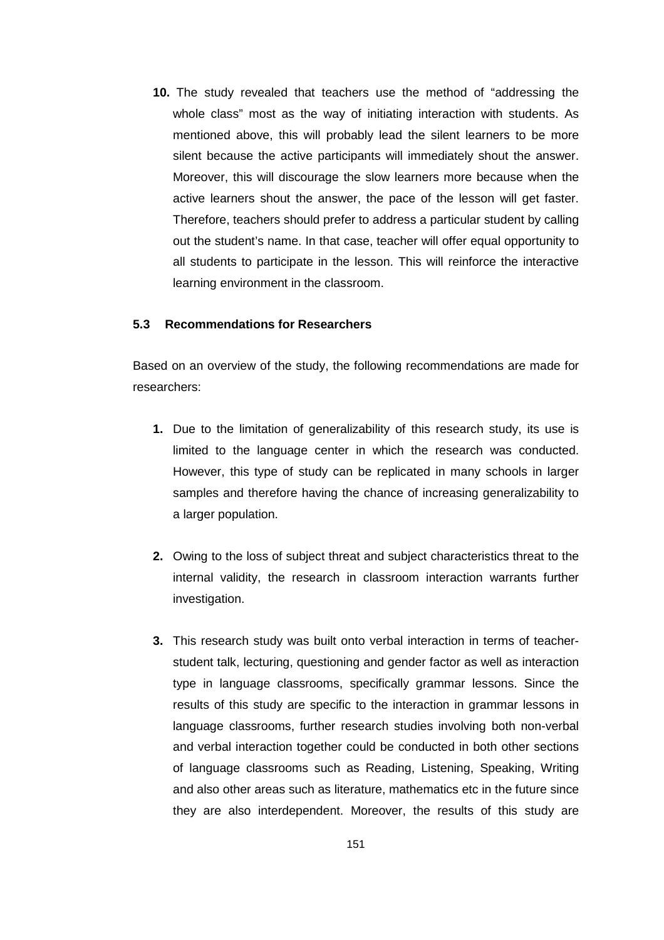**10.** The study revealed that teachers use the method of "addressing the whole class" most as the way of initiating interaction with students. As mentioned above, this will probably lead the silent learners to be more silent because the active participants will immediately shout the answer. Moreover, this will discourage the slow learners more because when the active learners shout the answer, the pace of the lesson will get faster. Therefore, teachers should prefer to address a particular student by calling out the student's name. In that case, teacher will offer equal opportunity to all students to participate in the lesson. This will reinforce the interactive learning environment in the classroom.

#### **5.3 Recommendations for Researchers**

Based on an overview of the study, the following recommendations are made for researchers:

- **1.** Due to the limitation of generalizability of this research study, its use is limited to the language center in which the research was conducted. However, this type of study can be replicated in many schools in larger samples and therefore having the chance of increasing generalizability to a larger population.
- **2.** Owing to the loss of subject threat and subject characteristics threat to the internal validity, the research in classroom interaction warrants further investigation.
- **3.** This research study was built onto verbal interaction in terms of teacherstudent talk, lecturing, questioning and gender factor as well as interaction type in language classrooms, specifically grammar lessons. Since the results of this study are specific to the interaction in grammar lessons in language classrooms, further research studies involving both non-verbal and verbal interaction together could be conducted in both other sections of language classrooms such as Reading, Listening, Speaking, Writing and also other areas such as literature, mathematics etc in the future since they are also interdependent. Moreover, the results of this study are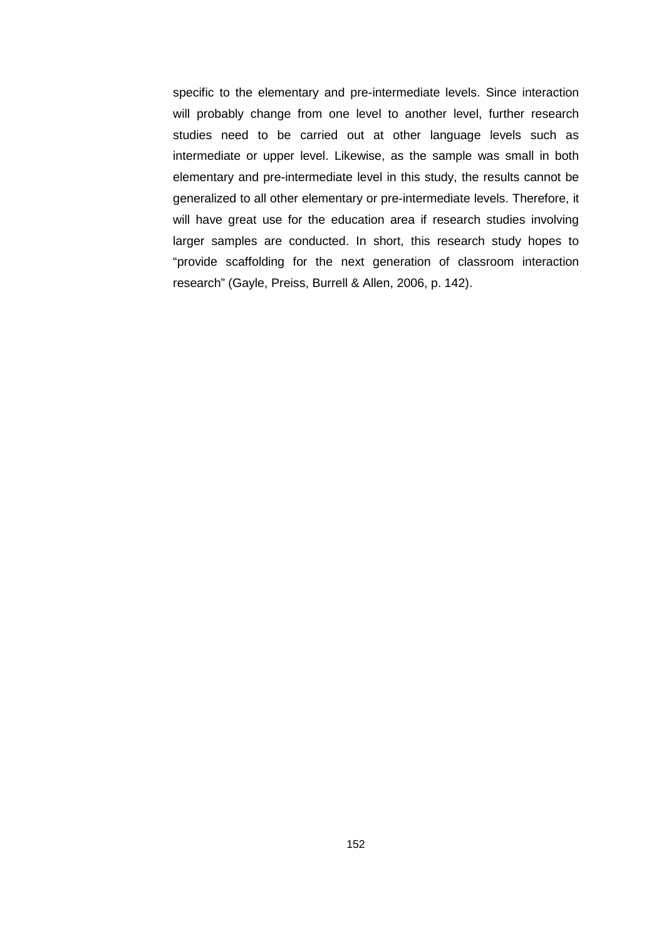specific to the elementary and pre-intermediate levels. Since interaction will probably change from one level to another level, further research studies need to be carried out at other language levels such as intermediate or upper level. Likewise, as the sample was small in both elementary and pre-intermediate level in this study, the results cannot be generalized to all other elementary or pre-intermediate levels. Therefore, it will have great use for the education area if research studies involving larger samples are conducted. In short, this research study hopes to "provide scaffolding for the next generation of classroom interaction research" (Gayle, Preiss, Burrell & Allen, 2006, p. 142).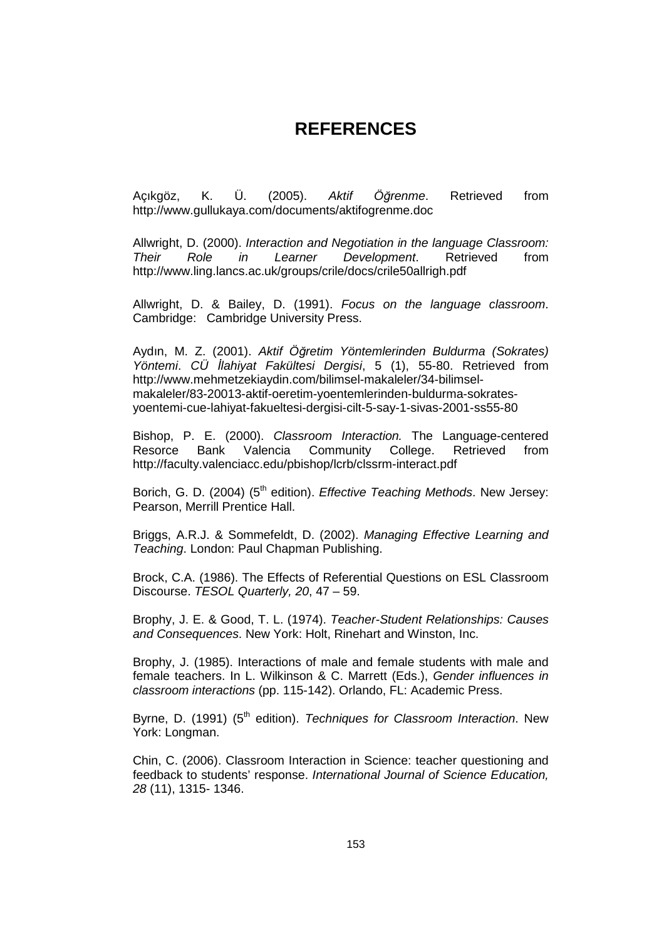# **REFERENCES**

Açıkgöz, K. Ü. (2005). Aktif Ö*ğ*renme. Retrieved from http://www.gullukaya.com/documents/aktifogrenme.doc

Allwright, D. (2000). Interaction and Negotiation in the language Classroom: Their Role in Learner Development. Retrieved from http://www.ling.lancs.ac.uk/groups/crile/docs/crile50allrigh.pdf

Allwright, D. & Bailey, D. (1991). Focus on the language classroom. Cambridge: Cambridge University Press.

Aydın, M. Z. (2001). Aktif Ö*ğ*retim Yöntemlerinden Buldurma (Sokrates) Yöntemi. CÜ *İlahiyat Fakültesi Dergisi*, 5 (1), 55-80. Retrieved from http://www.mehmetzekiaydin.com/bilimsel-makaleler/34-bilimselmakaleler/83-20013-aktif-oeretim-yoentemlerinden-buldurma-sokratesyoentemi-cue-lahiyat-fakueltesi-dergisi-cilt-5-say-1-sivas-2001-ss55-80

Bishop, P. E. (2000). Classroom Interaction. The Language-centered Resorce Bank Valencia Community College. Retrieved from http://faculty.valenciacc.edu/pbishop/lcrb/clssrm-interact.pdf

Borich, G. D. (2004) (5<sup>th</sup> edition). *Effective Teaching Methods*. New Jersey: Pearson, Merrill Prentice Hall.

Briggs, A.R.J. & Sommefeldt, D. (2002). Managing Effective Learning and Teaching. London: Paul Chapman Publishing.

Brock, C.A. (1986). The Effects of Referential Questions on ESL Classroom Discourse. TESOL Quarterly, 20, 47 – 59.

Brophy, J. E. & Good, T. L. (1974). Teacher-Student Relationships: Causes and Consequences. New York: Holt, Rinehart and Winston, Inc.

Brophy, J. (1985). Interactions of male and female students with male and female teachers. In L. Wilkinson & C. Marrett (Eds.), Gender influences in classroom interactions (pp. 115-142). Orlando, FL: Academic Press.

Byrne, D. (1991) (5<sup>th</sup> edition). Techniques for Classroom Interaction. New York: Longman.

Chin, C. (2006). Classroom Interaction in Science: teacher questioning and feedback to students' response. International Journal of Science Education, 28 (11), 1315- 1346.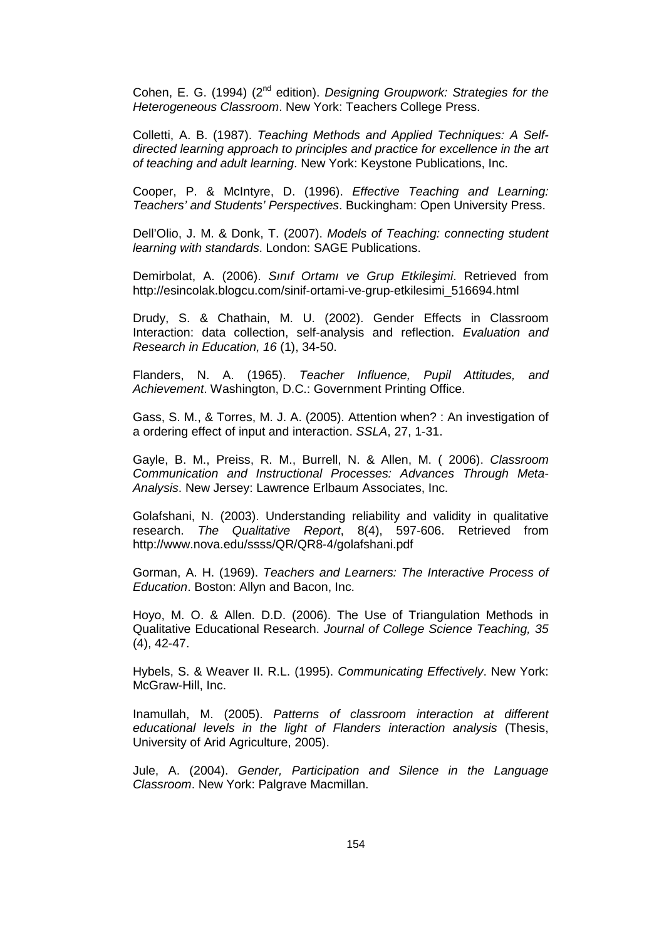Cohen, E. G. (1994) (2<sup>nd</sup> edition). Designing Groupwork: Strategies for the Heterogeneous Classroom. New York: Teachers College Press.

Colletti, A. B. (1987). Teaching Methods and Applied Techniques: A Selfdirected learning approach to principles and practice for excellence in the art of teaching and adult learning. New York: Keystone Publications, Inc.

Cooper, P. & McIntyre, D. (1996). Effective Teaching and Learning: Teachers' and Students' Perspectives. Buckingham: Open University Press.

Dell'Olio, J. M. & Donk, T. (2007). Models of Teaching: connecting student learning with standards. London: SAGE Publications.

Demirbolat, A. (2006). Sınıf Ortamı ve Grup Etkile*ş*imi. Retrieved from http://esincolak.blogcu.com/sinif-ortami-ve-grup-etkilesimi\_516694.html

Drudy, S. & Chathain, M. U. (2002). Gender Effects in Classroom Interaction: data collection, self-analysis and reflection. Evaluation and Research in Education, 16 (1), 34-50.

Flanders, N. A. (1965). Teacher Influence, Pupil Attitudes, and Achievement. Washington, D.C.: Government Printing Office.

Gass, S. M., & Torres, M. J. A. (2005). Attention when? : An investigation of a ordering effect of input and interaction. SSLA, 27, 1-31.

Gayle, B. M., Preiss, R. M., Burrell, N. & Allen, M. ( 2006). Classroom Communication and Instructional Processes: Advances Through Meta-Analysis. New Jersey: Lawrence Erlbaum Associates, Inc.

Golafshani, N. (2003). Understanding reliability and validity in qualitative research. The Qualitative Report, 8(4), 597-606. Retrieved from http://www.nova.edu/ssss/QR/QR8-4/golafshani.pdf

Gorman, A. H. (1969). Teachers and Learners: The Interactive Process of Education. Boston: Allyn and Bacon, Inc.

Hoyo, M. O. & Allen. D.D. (2006). The Use of Triangulation Methods in Qualitative Educational Research. Journal of College Science Teaching, 35 (4), 42-47.

Hybels, S. & Weaver II. R.L. (1995). Communicating Effectively. New York: McGraw-Hill, Inc.

Inamullah, M. (2005). Patterns of classroom interaction at different educational levels in the light of Flanders interaction analysis (Thesis, University of Arid Agriculture, 2005).

Jule, A. (2004). Gender, Participation and Silence in the Language Classroom. New York: Palgrave Macmillan.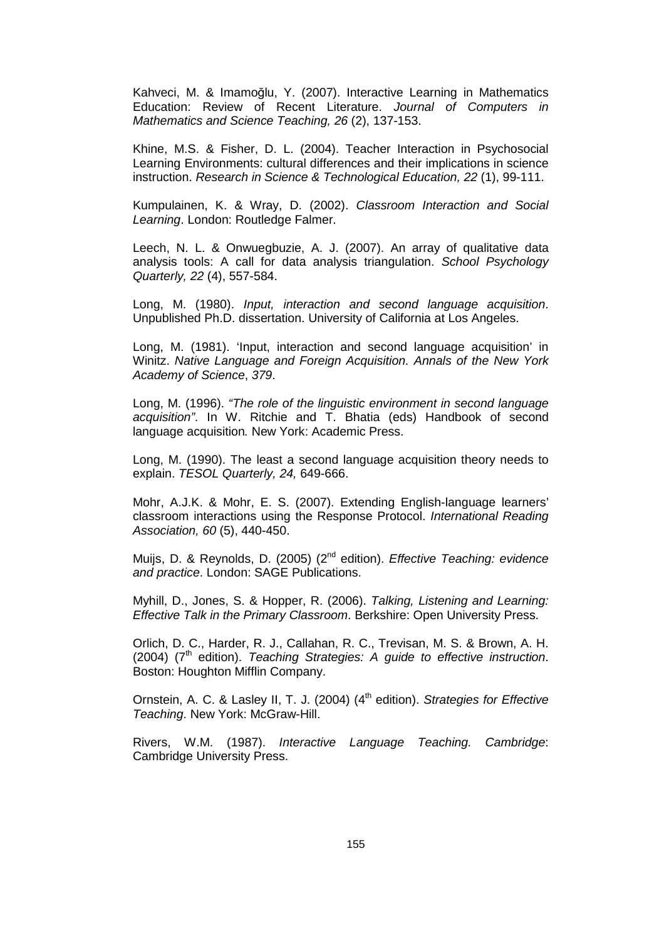Kahveci, M. & Imamoğlu, Y. (2007). Interactive Learning in Mathematics Education: Review of Recent Literature. Journal of Computers in Mathematics and Science Teaching, 26 (2), 137-153.

Khine, M.S. & Fisher, D. L. (2004). Teacher Interaction in Psychosocial Learning Environments: cultural differences and their implications in science instruction. Research in Science & Technological Education, 22 (1), 99-111.

Kumpulainen, K. & Wray, D. (2002). Classroom Interaction and Social Learning. London: Routledge Falmer.

Leech, N. L. & Onwuegbuzie, A. J. (2007). An array of qualitative data analysis tools: A call for data analysis triangulation. School Psychology Quarterly, 22 (4), 557-584.

Long, M. (1980). Input, interaction and second language acquisition. Unpublished Ph.D. dissertation. University of California at Los Angeles.

Long, M. (1981). 'Input, interaction and second language acquisition' in Winitz. Native Language and Foreign Acquisition. Annals of the New York Academy of Science, 379.

Long, M. (1996). "The role of the linguistic environment in second language acquisition". In W. Ritchie and T. Bhatia (eds) Handbook of second language acquisition. New York: Academic Press.

Long, M. (1990). The least a second language acquisition theory needs to explain. TESOL Quarterly, 24, 649-666.

Mohr, A.J.K. & Mohr, E. S. (2007). Extending English-language learners' classroom interactions using the Response Protocol. International Reading Association, 60 (5), 440-450.

Muijs, D. & Reynolds, D. (2005) (2<sup>nd</sup> edition). *Effective Teaching: evidence* and practice. London: SAGE Publications.

Myhill, D., Jones, S. & Hopper, R. (2006). Talking, Listening and Learning: Effective Talk in the Primary Classroom. Berkshire: Open University Press.

Orlich, D. C., Harder, R. J., Callahan, R. C., Trevisan, M. S. & Brown, A. H.  $(2004)$  ( $7<sup>th</sup>$  edition). Teaching Strategies: A guide to effective instruction. Boston: Houghton Mifflin Company.

Ornstein, A. C. & Lasley II, T. J. (2004) (4<sup>th</sup> edition). Strategies for Effective Teaching. New York: McGraw-Hill.

Rivers, W.M. (1987). Interactive Language Teaching. Cambridge: Cambridge University Press.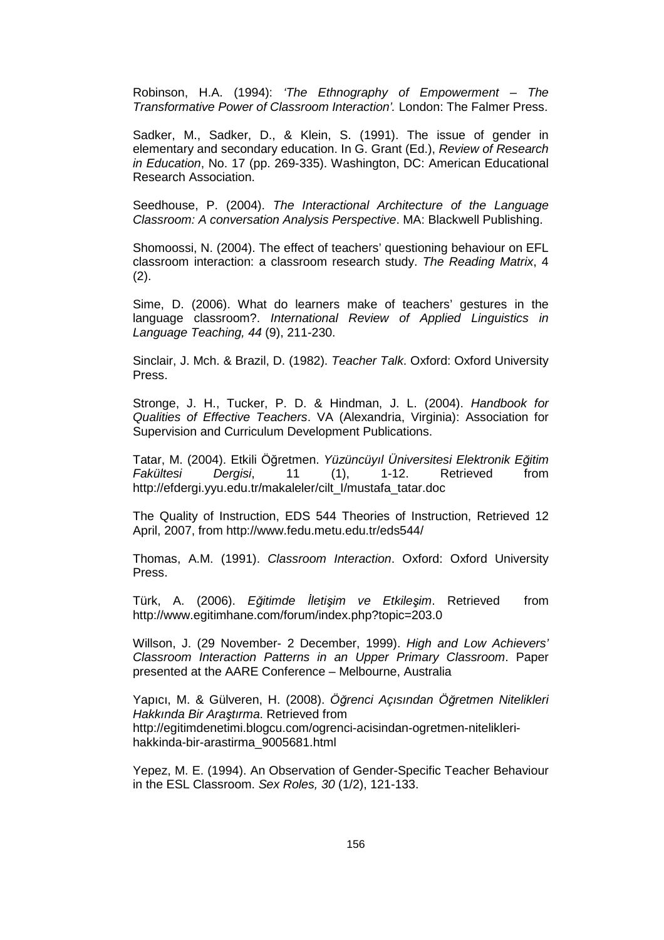Robinson, H.A. (1994): 'The Ethnography of Empowerment – The Transformative Power of Classroom Interaction'. London: The Falmer Press.

Sadker, M., Sadker, D., & Klein, S. (1991). The issue of gender in elementary and secondary education. In G. Grant (Ed.), Review of Research in Education, No. 17 (pp. 269-335). Washington, DC: American Educational Research Association.

Seedhouse, P. (2004). The Interactional Architecture of the Language Classroom: A conversation Analysis Perspective. MA: Blackwell Publishing.

Shomoossi, N. (2004). The effect of teachers' questioning behaviour on EFL classroom interaction: a classroom research study. The Reading Matrix, 4 (2).

Sime, D. (2006). What do learners make of teachers' gestures in the language classroom?. International Review of Applied Linguistics in Language Teaching, 44 (9), 211-230.

Sinclair, J. Mch. & Brazil, D. (1982). Teacher Talk. Oxford: Oxford University Press.

Stronge, J. H., Tucker, P. D. & Hindman, J. L. (2004). Handbook for Qualities of Effective Teachers. VA (Alexandria, Virginia): Association for Supervision and Curriculum Development Publications.

Tatar, M. (2004). Etkili Öğretmen. Yüzüncüyıl Üniversitesi Elektronik E*ğ*itim Fakültesi Dergisi, 11 (1), 1-12. Retrieved from http://efdergi.yyu.edu.tr/makaleler/cilt\_I/mustafa\_tatar.doc

The Quality of Instruction, EDS 544 Theories of Instruction, Retrieved 12 April, 2007, from http://www.fedu.metu.edu.tr/eds544/

Thomas, A.M. (1991). Classroom Interaction. Oxford: Oxford University Press.

Türk, A. (2006). E*ğ*itimde *Đ*leti*ş*im ve Etkile*ş*im. Retrieved from http://www.egitimhane.com/forum/index.php?topic=203.0

Willson, J. (29 November- 2 December, 1999). High and Low Achievers' Classroom Interaction Patterns in an Upper Primary Classroom. Paper presented at the AARE Conference – Melbourne, Australia

Yapıcı, M. & Gülveren, H. (2008). Ö*ğ*renci Açısından Ö*ğ*retmen Nitelikleri Hakkında Bir Ara*ş*tırma. Retrieved from http://egitimdenetimi.blogcu.com/ogrenci-acisindan-ogretmen-niteliklerihakkinda-bir-arastirma\_9005681.html

Yepez, M. E. (1994). An Observation of Gender-Specific Teacher Behaviour in the ESL Classroom. Sex Roles, 30 (1/2), 121-133.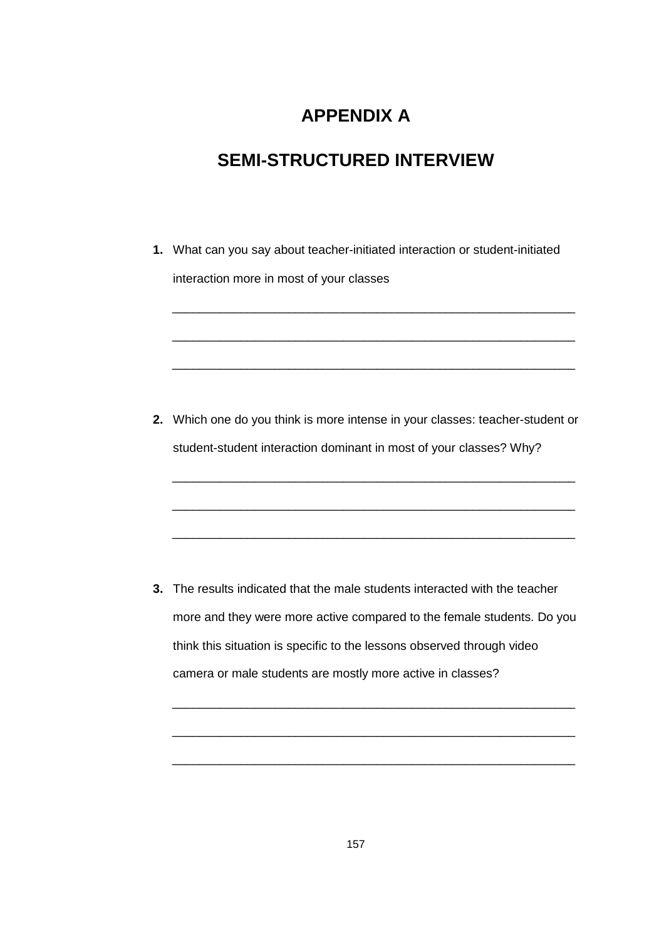# **APPENDIX A**

# **SEMI-STRUCTURED INTERVIEW**

**1.** What can you say about teacher-initiated interaction or student-initiated interaction more in most of your classes \_\_\_\_\_\_\_\_\_\_\_\_\_\_\_\_\_\_\_\_\_\_\_\_\_\_\_\_\_\_\_\_\_\_\_\_\_\_\_\_\_\_\_\_\_\_\_\_\_\_\_\_\_\_\_\_\_\_\_ \_\_\_\_\_\_\_\_\_\_\_\_\_\_\_\_\_\_\_\_\_\_\_\_\_\_\_\_\_\_\_\_\_\_\_\_\_\_\_\_\_\_\_\_\_\_\_\_\_\_\_\_\_\_\_\_\_\_\_ \_\_\_\_\_\_\_\_\_\_\_\_\_\_\_\_\_\_\_\_\_\_\_\_\_\_\_\_\_\_\_\_\_\_\_\_\_\_\_\_\_\_\_\_\_\_\_\_\_\_\_\_\_\_\_\_\_\_\_ **2.** Which one do you think is more intense in your classes: teacher-student or student-student interaction dominant in most of your classes? Why? \_\_\_\_\_\_\_\_\_\_\_\_\_\_\_\_\_\_\_\_\_\_\_\_\_\_\_\_\_\_\_\_\_\_\_\_\_\_\_\_\_\_\_\_\_\_\_\_\_\_\_\_\_\_\_\_\_\_\_ \_\_\_\_\_\_\_\_\_\_\_\_\_\_\_\_\_\_\_\_\_\_\_\_\_\_\_\_\_\_\_\_\_\_\_\_\_\_\_\_\_\_\_\_\_\_\_\_\_\_\_\_\_\_\_\_\_\_\_ \_\_\_\_\_\_\_\_\_\_\_\_\_\_\_\_\_\_\_\_\_\_\_\_\_\_\_\_\_\_\_\_\_\_\_\_\_\_\_\_\_\_\_\_\_\_\_\_\_\_\_\_\_\_\_\_\_\_\_ **3.** The results indicated that the male students interacted with the teacher more and they were more active compared to the female students. Do you think this situation is specific to the lessons observed through video camera or male students are mostly more active in classes? \_\_\_\_\_\_\_\_\_\_\_\_\_\_\_\_\_\_\_\_\_\_\_\_\_\_\_\_\_\_\_\_\_\_\_\_\_\_\_\_\_\_\_\_\_\_\_\_\_\_\_\_\_\_\_\_\_\_\_

\_\_\_\_\_\_\_\_\_\_\_\_\_\_\_\_\_\_\_\_\_\_\_\_\_\_\_\_\_\_\_\_\_\_\_\_\_\_\_\_\_\_\_\_\_\_\_\_\_\_\_\_\_\_\_\_\_\_\_

\_\_\_\_\_\_\_\_\_\_\_\_\_\_\_\_\_\_\_\_\_\_\_\_\_\_\_\_\_\_\_\_\_\_\_\_\_\_\_\_\_\_\_\_\_\_\_\_\_\_\_\_\_\_\_\_\_\_\_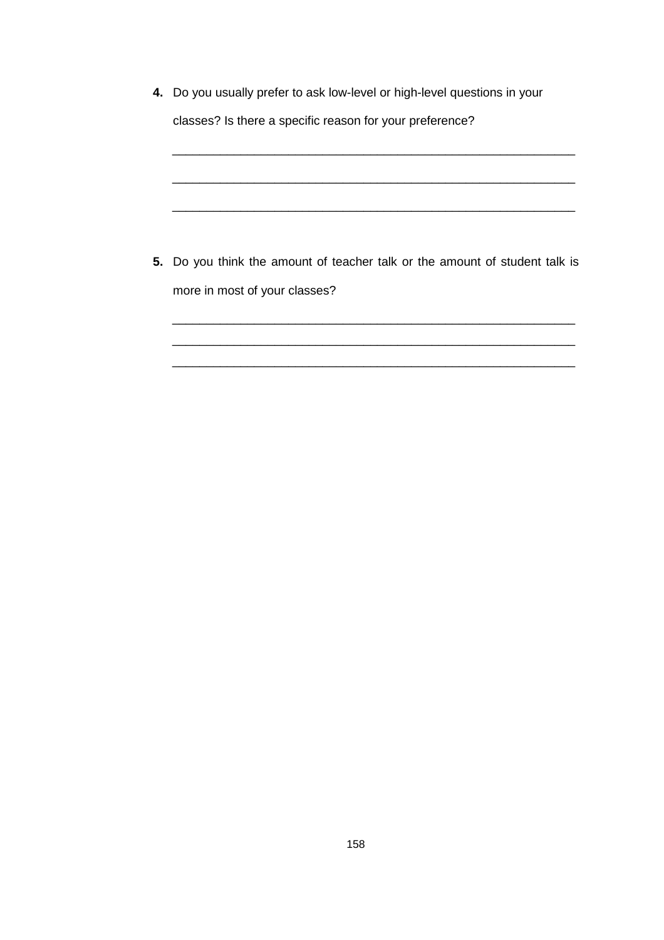| 4. Do you usually prefer to ask low-level or high-level questions in your   |
|-----------------------------------------------------------------------------|
| classes? Is there a specific reason for your preference?                    |
|                                                                             |
|                                                                             |
|                                                                             |
|                                                                             |
|                                                                             |
|                                                                             |
| 5. Do you think the amount of teacher talk or the amount of student talk is |
| more in most of your classes?                                               |
|                                                                             |
|                                                                             |
|                                                                             |

\_\_\_\_\_\_\_\_\_\_\_\_\_\_\_\_\_\_\_\_\_\_\_\_\_\_\_\_\_\_\_\_\_\_\_\_\_\_\_\_\_\_\_\_\_\_\_\_\_\_\_\_\_\_\_\_\_\_\_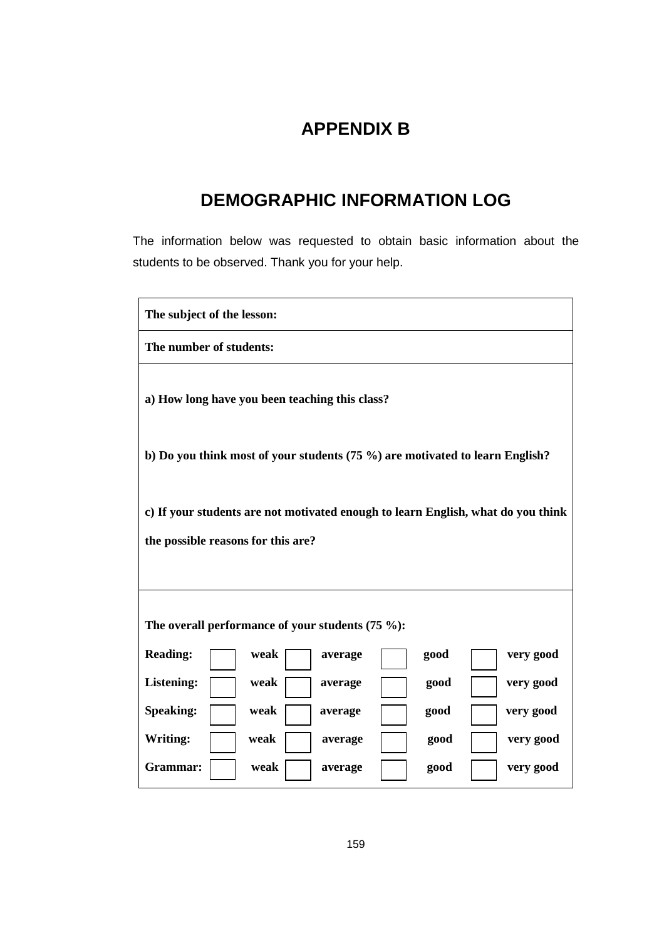# **APPENDIX B**

# **DEMOGRAPHIC INFORMATION LOG**

The information below was requested to obtain basic information about the students to be observed. Thank you for your help.

| The subject of the lesson:                                                                                             |  |  |  |  |  |
|------------------------------------------------------------------------------------------------------------------------|--|--|--|--|--|
| The number of students:                                                                                                |  |  |  |  |  |
| a) How long have you been teaching this class?                                                                         |  |  |  |  |  |
| b) Do you think most of your students $(75\%)$ are motivated to learn English?                                         |  |  |  |  |  |
| c) If your students are not motivated enough to learn English, what do you think<br>the possible reasons for this are? |  |  |  |  |  |
| The overall performance of your students $(75\%)$ :                                                                    |  |  |  |  |  |
| <b>Reading:</b><br>good<br>very good<br>weak<br>average                                                                |  |  |  |  |  |
| <b>Listening:</b><br>very good<br>weak<br>good<br>average                                                              |  |  |  |  |  |
| <b>Speaking:</b><br>very good<br>weak<br>good<br>average                                                               |  |  |  |  |  |
| Writing:<br>very good<br>weak<br>good<br>average                                                                       |  |  |  |  |  |
| Grammar:<br>weak<br>very good<br>good<br>average                                                                       |  |  |  |  |  |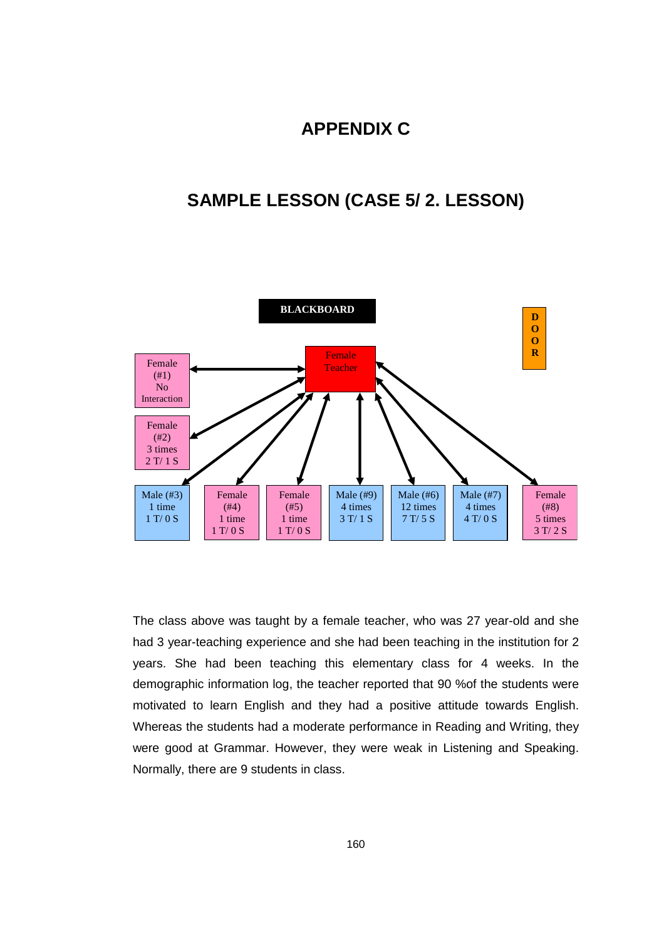## **APPENDIX C**

## **SAMPLE LESSON (CASE 5/ 2. LESSON)**



The class above was taught by a female teacher, who was 27 year-old and she had 3 year-teaching experience and she had been teaching in the institution for 2 years. She had been teaching this elementary class for 4 weeks. In the demographic information log, the teacher reported that 90 %of the students were motivated to learn English and they had a positive attitude towards English. Whereas the students had a moderate performance in Reading and Writing, they were good at Grammar. However, they were weak in Listening and Speaking. Normally, there are 9 students in class.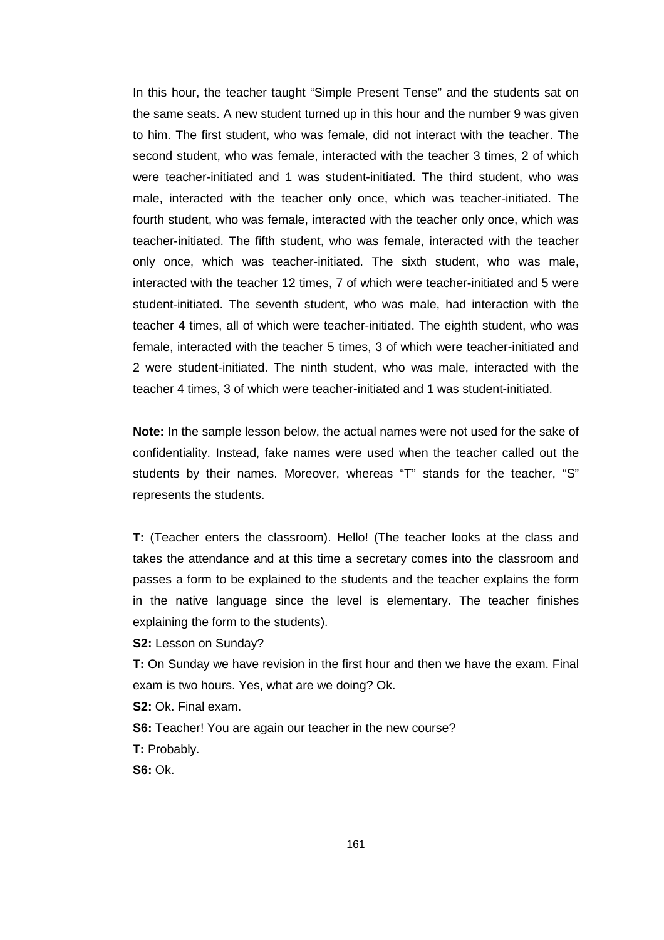In this hour, the teacher taught "Simple Present Tense" and the students sat on the same seats. A new student turned up in this hour and the number 9 was given to him. The first student, who was female, did not interact with the teacher. The second student, who was female, interacted with the teacher 3 times, 2 of which were teacher-initiated and 1 was student-initiated. The third student, who was male, interacted with the teacher only once, which was teacher-initiated. The fourth student, who was female, interacted with the teacher only once, which was teacher-initiated. The fifth student, who was female, interacted with the teacher only once, which was teacher-initiated. The sixth student, who was male, interacted with the teacher 12 times, 7 of which were teacher-initiated and 5 were student-initiated. The seventh student, who was male, had interaction with the teacher 4 times, all of which were teacher-initiated. The eighth student, who was female, interacted with the teacher 5 times, 3 of which were teacher-initiated and 2 were student-initiated. The ninth student, who was male, interacted with the teacher 4 times, 3 of which were teacher-initiated and 1 was student-initiated.

**Note:** In the sample lesson below, the actual names were not used for the sake of confidentiality. Instead, fake names were used when the teacher called out the students by their names. Moreover, whereas "T" stands for the teacher, "S" represents the students.

**T:** (Teacher enters the classroom). Hello! (The teacher looks at the class and takes the attendance and at this time a secretary comes into the classroom and passes a form to be explained to the students and the teacher explains the form in the native language since the level is elementary. The teacher finishes explaining the form to the students).

**S2:** Lesson on Sunday?

**T:** On Sunday we have revision in the first hour and then we have the exam. Final exam is two hours. Yes, what are we doing? Ok.

**S2:** Ok. Final exam.

**S6:** Teacher! You are again our teacher in the new course? **T:** Probably.

**S6:** Ok.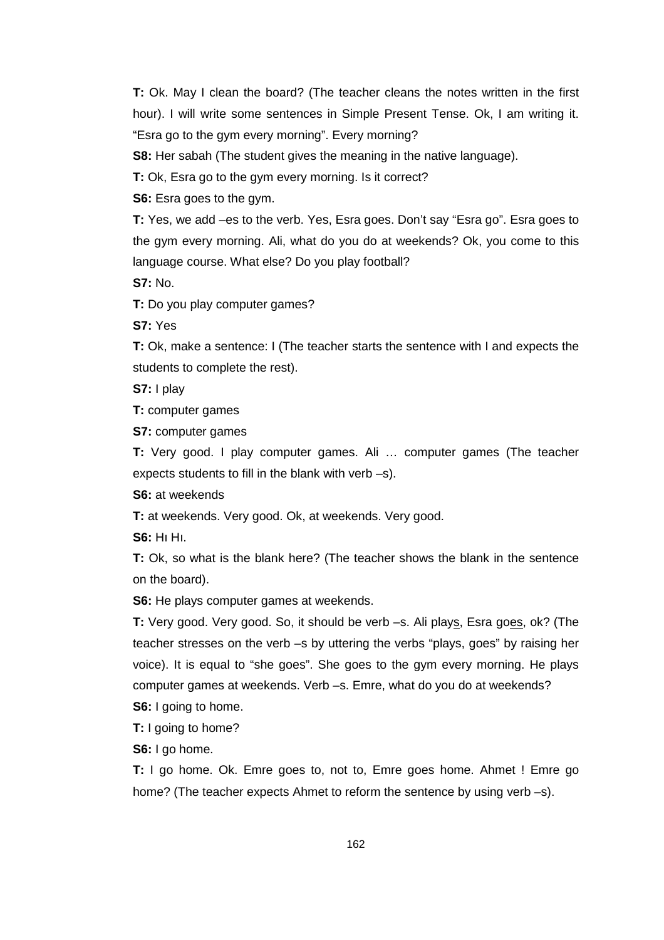**T:** Ok. May I clean the board? (The teacher cleans the notes written in the first hour). I will write some sentences in Simple Present Tense. Ok, I am writing it. "Esra go to the gym every morning". Every morning?

**S8:** Her sabah (The student gives the meaning in the native language).

**T:** Ok, Esra go to the gym every morning. Is it correct?

**S6:** Esra goes to the gym.

**T:** Yes, we add –es to the verb. Yes, Esra goes. Don't say "Esra go". Esra goes to the gym every morning. Ali, what do you do at weekends? Ok, you come to this language course. What else? Do you play football?

**S7:** No.

**T:** Do you play computer games?

**S7:** Yes

**T:** Ok, make a sentence: I (The teacher starts the sentence with I and expects the students to complete the rest).

**S7:** I play

**T:** computer games

**S7:** computer games

**T:** Very good. I play computer games. Ali … computer games (The teacher expects students to fill in the blank with verb –s).

**S6:** at weekends

**T:** at weekends. Very good. Ok, at weekends. Very good.

**S6:** Hı Hı.

**T:** Ok, so what is the blank here? (The teacher shows the blank in the sentence on the board).

**S6:** He plays computer games at weekends.

**T:** Very good. Very good. So, it should be verb –s. Ali plays, Esra goes, ok? (The teacher stresses on the verb –s by uttering the verbs "plays, goes" by raising her voice). It is equal to "she goes". She goes to the gym every morning. He plays computer games at weekends. Verb –s. Emre, what do you do at weekends?

**S6:** I going to home.

**T:** I going to home?

**S6:** I go home.

**T:** I go home. Ok. Emre goes to, not to, Emre goes home. Ahmet ! Emre go home? (The teacher expects Ahmet to reform the sentence by using verb -s).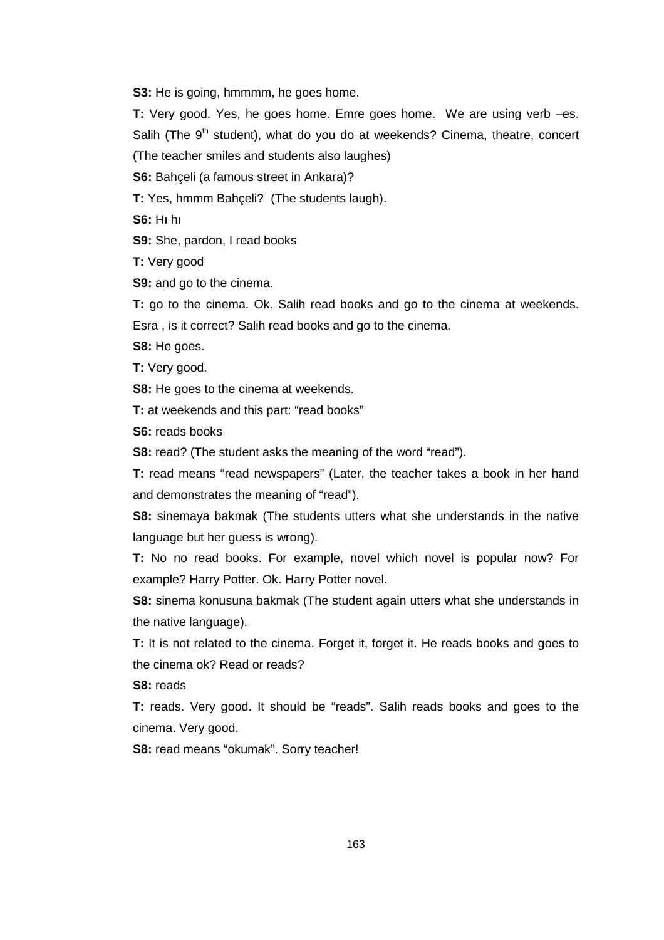**S3:** He is going, hmmmm, he goes home.

**T:** Very good. Yes, he goes home. Emre goes home. We are using verb –es. Salih (The 9<sup>th</sup> student), what do you do at weekends? Cinema, theatre, concert

(The teacher smiles and students also laughes)

**S6:** Bahçeli (a famous street in Ankara)?

**T:** Yes, hmmm Bahçeli? (The students laugh).

**S6:** Hı hı

**S9:** She, pardon, I read books

**T:** Very good

**S9:** and go to the cinema.

**T:** go to the cinema. Ok. Salih read books and go to the cinema at weekends. Esra , is it correct? Salih read books and go to the cinema.

**S8:** He goes.

**T:** Very good.

**S8:** He goes to the cinema at weekends.

**T:** at weekends and this part: "read books"

**S6:** reads books

**S8:** read? (The student asks the meaning of the word "read").

**T:** read means "read newspapers" (Later, the teacher takes a book in her hand and demonstrates the meaning of "read").

**S8:** sinemaya bakmak (The students utters what she understands in the native language but her guess is wrong).

**T:** No no read books. For example, novel which novel is popular now? For example? Harry Potter. Ok. Harry Potter novel.

**S8:** sinema konusuna bakmak (The student again utters what she understands in the native language).

**T:** It is not related to the cinema. Forget it, forget it. He reads books and goes to the cinema ok? Read or reads?

**S8:** reads

**T:** reads. Very good. It should be "reads". Salih reads books and goes to the cinema. Very good.

**S8:** read means "okumak". Sorry teacher!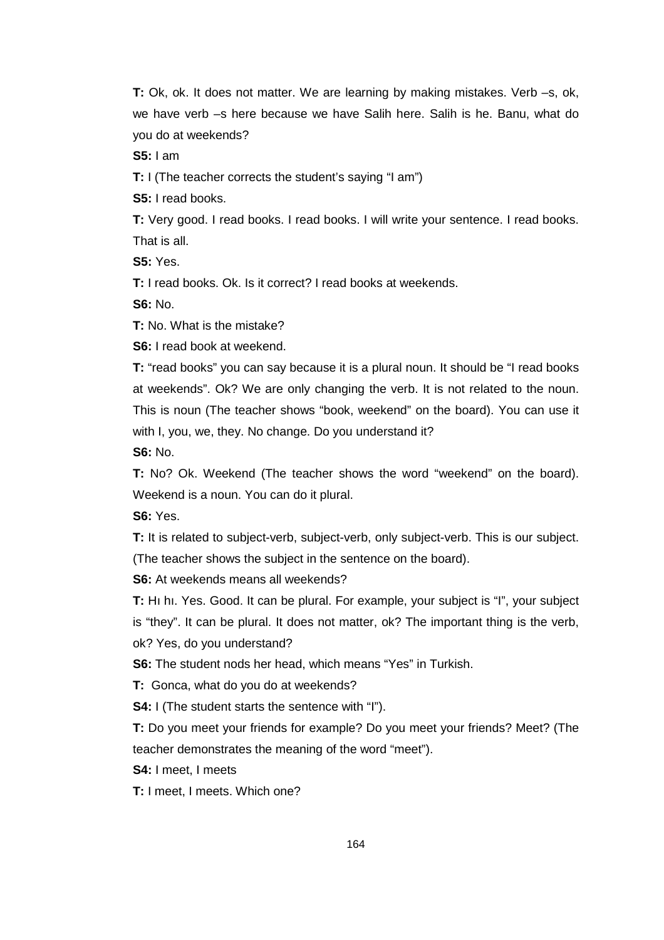**T:** Ok, ok. It does not matter. We are learning by making mistakes. Verb –s, ok, we have verb –s here because we have Salih here. Salih is he. Banu, what do you do at weekends?

**S5:** I am

**T:** I (The teacher corrects the student's saying "I am")

**S5:** I read books.

**T:** Very good. I read books. I read books. I will write your sentence. I read books. That is all.

**S5:** Yes.

**T:** I read books. Ok. Is it correct? I read books at weekends.

**S6:** No.

**T:** No. What is the mistake?

**S6:** I read book at weekend.

**T:** "read books" you can say because it is a plural noun. It should be "I read books at weekends". Ok? We are only changing the verb. It is not related to the noun. This is noun (The teacher shows "book, weekend" on the board). You can use it with I, you, we, they. No change. Do you understand it?

**S6:** No.

**T:** No? Ok. Weekend (The teacher shows the word "weekend" on the board). Weekend is a noun. You can do it plural.

**S6:** Yes.

**T:** It is related to subject-verb, subject-verb, only subject-verb. This is our subject. (The teacher shows the subject in the sentence on the board).

**S6:** At weekends means all weekends?

**T:** Hı hı. Yes. Good. It can be plural. For example, your subject is "I", your subject is "they". It can be plural. It does not matter, ok? The important thing is the verb, ok? Yes, do you understand?

**S6:** The student nods her head, which means "Yes" in Turkish.

**T:** Gonca, what do you do at weekends?

**S4:** I (The student starts the sentence with "I").

**T:** Do you meet your friends for example? Do you meet your friends? Meet? (The teacher demonstrates the meaning of the word "meet").

**S4:** I meet, I meets

**T:** I meet, I meets. Which one?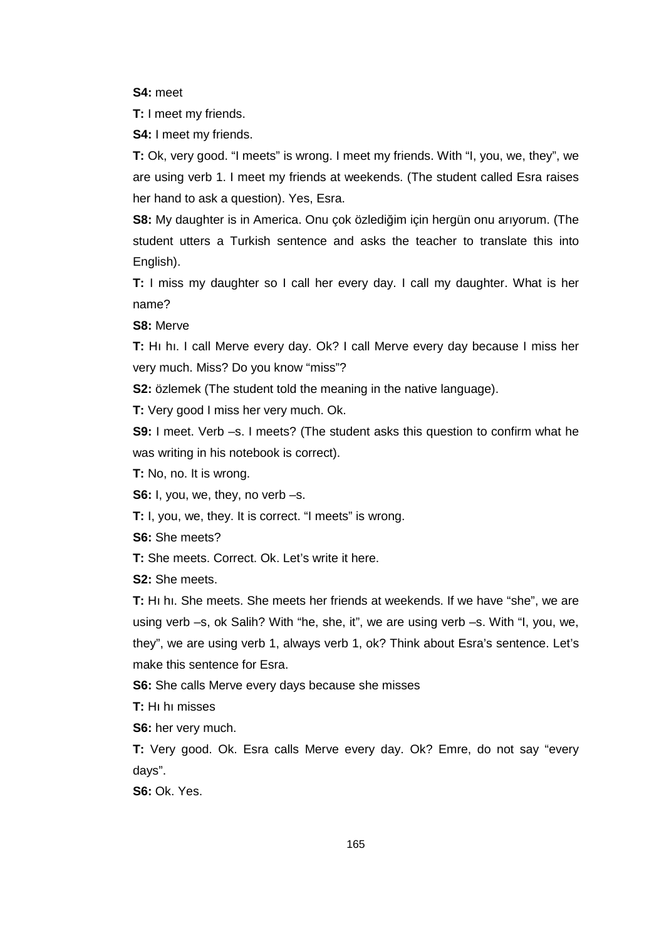**S4:** meet

**T:** I meet my friends.

**S4:** I meet my friends.

**T:** Ok, very good. "I meets" is wrong. I meet my friends. With "I, you, we, they", we are using verb 1. I meet my friends at weekends. (The student called Esra raises her hand to ask a question). Yes, Esra.

**S8:** My daughter is in America. Onu çok özlediğim için hergün onu arıyorum. (The student utters a Turkish sentence and asks the teacher to translate this into English).

**T:** I miss my daughter so I call her every day. I call my daughter. What is her name?

**S8:** Merve

**T:** Hı hı. I call Merve every day. Ok? I call Merve every day because I miss her very much. Miss? Do you know "miss"?

**S2:** özlemek (The student told the meaning in the native language).

**T:** Very good I miss her very much. Ok.

**S9:** I meet. Verb –s. I meets? (The student asks this question to confirm what he was writing in his notebook is correct).

**T:** No, no. It is wrong.

**S6:** I, you, we, they, no verb –s.

**T:** I, you, we, they. It is correct. "I meets" is wrong.

**S6:** She meets?

**T:** She meets. Correct. Ok. Let's write it here.

**S2:** She meets.

**T:** Hı hı. She meets. She meets her friends at weekends. If we have "she", we are using verb –s, ok Salih? With "he, she, it", we are using verb –s. With "I, you, we, they", we are using verb 1, always verb 1, ok? Think about Esra's sentence. Let's make this sentence for Esra.

**S6:** She calls Merve every days because she misses

**T:** Hı hı misses

**S6:** her very much.

**T:** Very good. Ok. Esra calls Merve every day. Ok? Emre, do not say "every days".

**S6:** Ok. Yes.